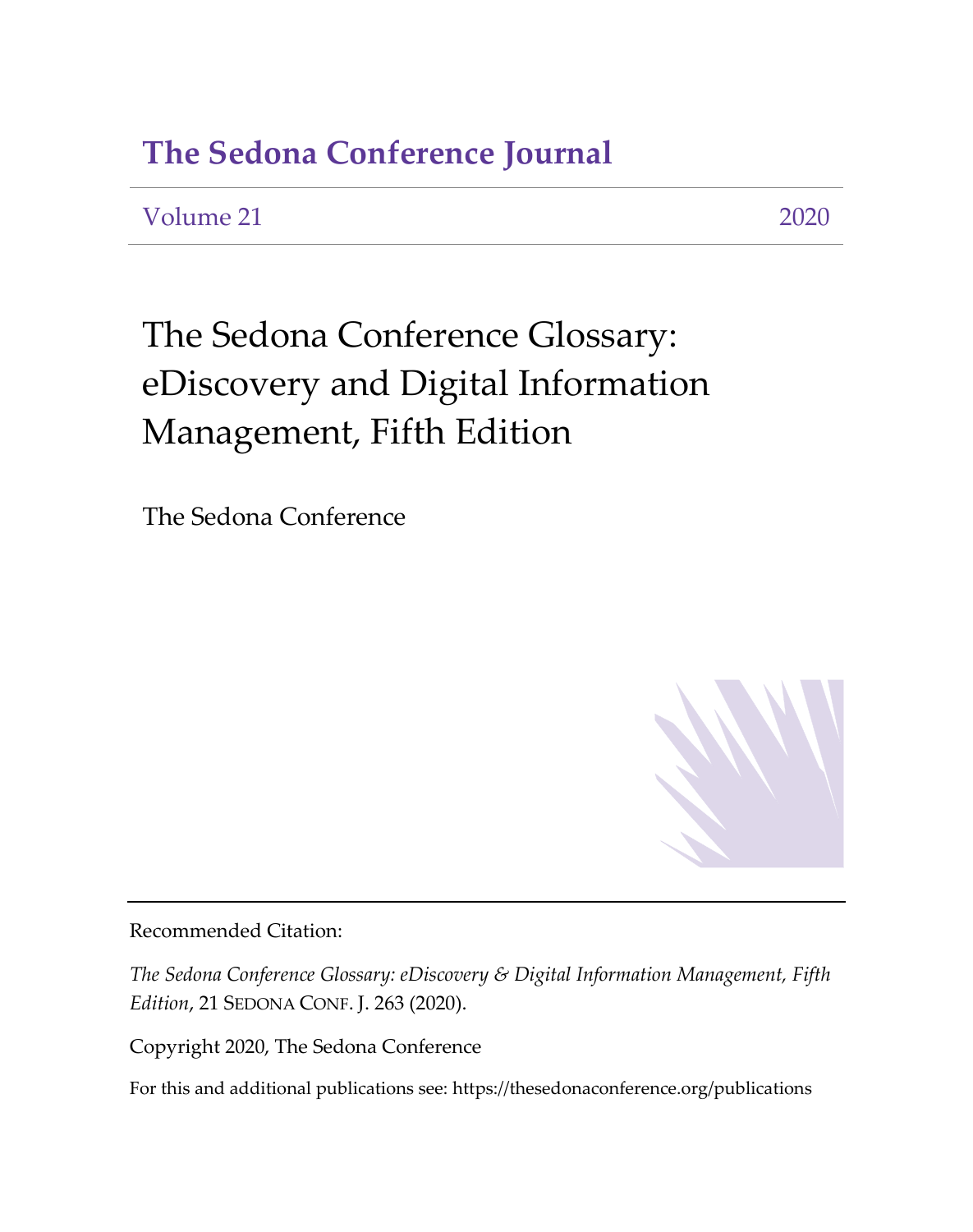## **The Sedona Conference Journal**

### Volume 21 2020

# The Sedona Conference Glossary: eDiscovery and Digital Information Management, Fifth Edition

The Sedona Conference



Recommended Citation:

*The Sedona Conference Glossary: eDiscovery & Digital Information Management, Fifth Edition*, 21 SEDONA CONF. J. 263 (2020).

Copyright 2020, The Sedona Conference

For this and additional publications see:<https://thesedonaconference.org/publications>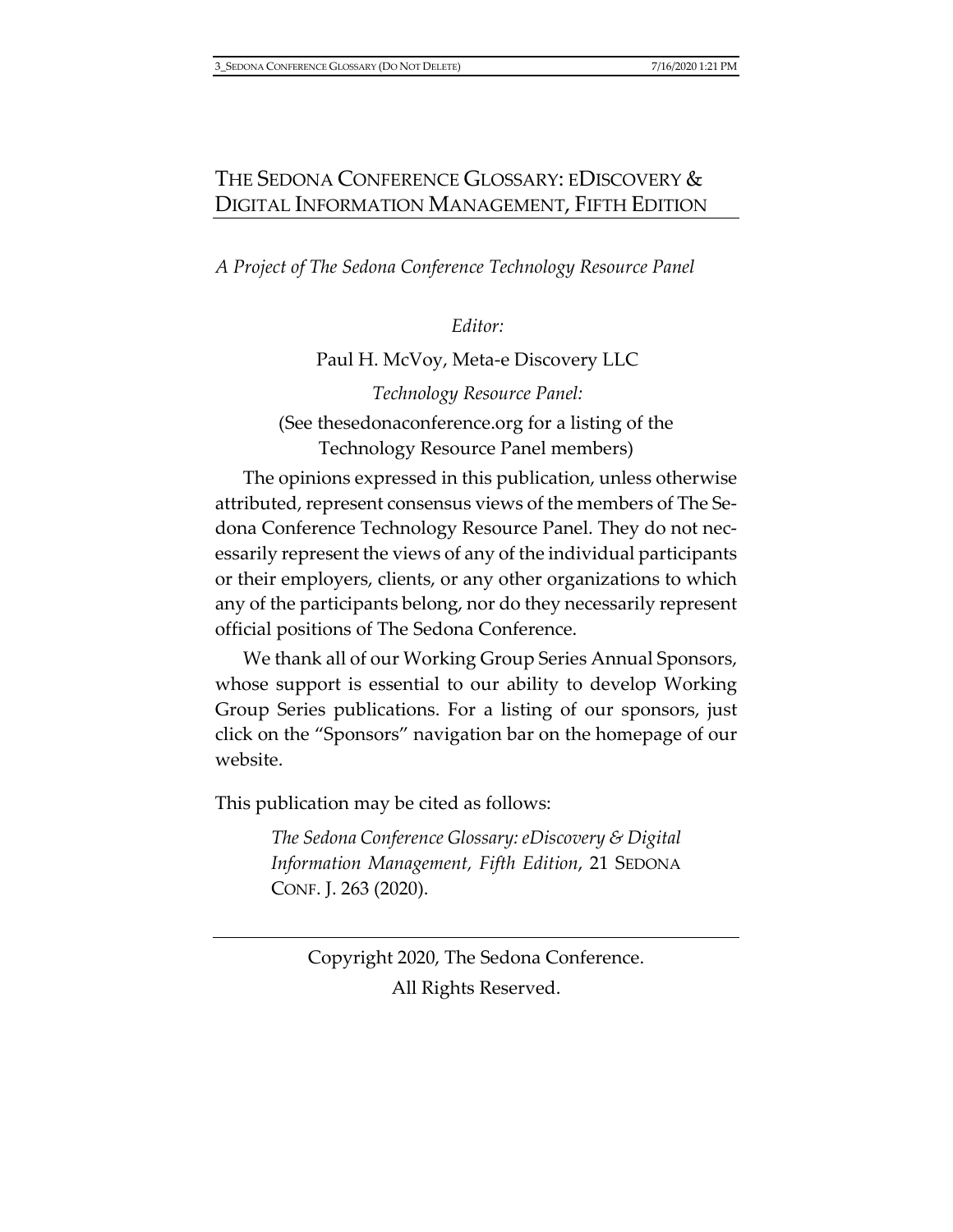*A Project of The Sedona Conference Technology Resource Panel*

*Editor:*

Paul H. McVoy, Meta-e Discovery LLC

*Technology Resource Panel:* (See [thesedonaconference.org](https://thesedonaconference.org/trp) for a listing of the Technology Resource Panel members)

The opinions expressed in this publication, unless otherwise attributed, represent consensus views of the members of The Sedona Conference Technology Resource Panel. They do not necessarily represent the views of any of the individual participants or their employers, clients, or any other organizations to which any of the participants belong, nor do they necessarily represent official positions of The Sedona Conference.

We thank all of our Working Group Series Annual Sponsors, whose support is essential to our ability to develop Working Group Series publications. For a listing of our sponsors, just click on the "Sponsors" navigation bar on the homepage of our website.

This publication may be cited as follows:

*The Sedona Conference Glossary: eDiscovery & Digital Information Management, Fifth Edition*, 21 SEDONA CONF. J. 263 (2020).

Copyright 2020, The Sedona Conference. All Rights Reserved.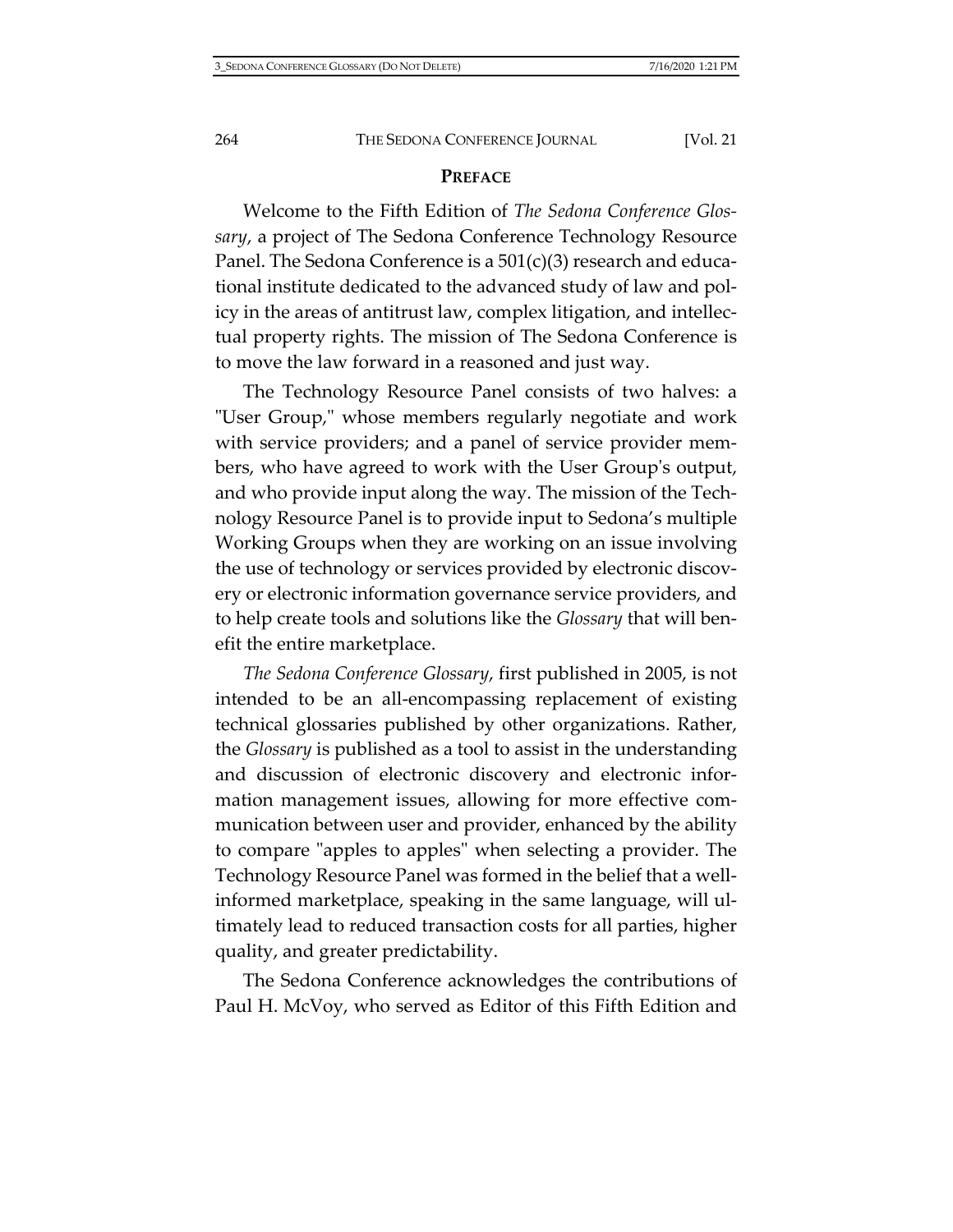#### **PREFACE**

Welcome to the Fifth Edition of *The Sedona Conference Glossary*, a project of The Sedona Conference Technology Resource Panel. The Sedona Conference is a 501(c)(3) research and educational institute dedicated to the advanced study of law and policy in the areas of antitrust law, complex litigation, and intellectual property rights. The mission of The Sedona Conference is to move the law forward in a reasoned and just way.

The Technology Resource Panel consists of two halves: a "User Group," whose members regularly negotiate and work with service providers; and a panel of service provider members, who have agreed to work with the User Group's output, and who provide input along the way. The mission of the Technology Resource Panel is to provide input to Sedona's multiple Working Groups when they are working on an issue involving the use of technology or services provided by electronic discovery or electronic information governance service providers, and to help create tools and solutions like the *Glossary* that will benefit the entire marketplace.

*The Sedona Conference Glossary*, first published in 2005, is not intended to be an all-encompassing replacement of existing technical glossaries published by other organizations. Rather, the *Glossary* is published as a tool to assist in the understanding and discussion of electronic discovery and electronic information management issues, allowing for more effective communication between user and provider, enhanced by the ability to compare "apples to apples" when selecting a provider. The Technology Resource Panel was formed in the belief that a wellinformed marketplace, speaking in the same language, will ultimately lead to reduced transaction costs for all parties, higher quality, and greater predictability.

The Sedona Conference acknowledges the contributions of Paul H. McVoy, who served as Editor of this Fifth Edition and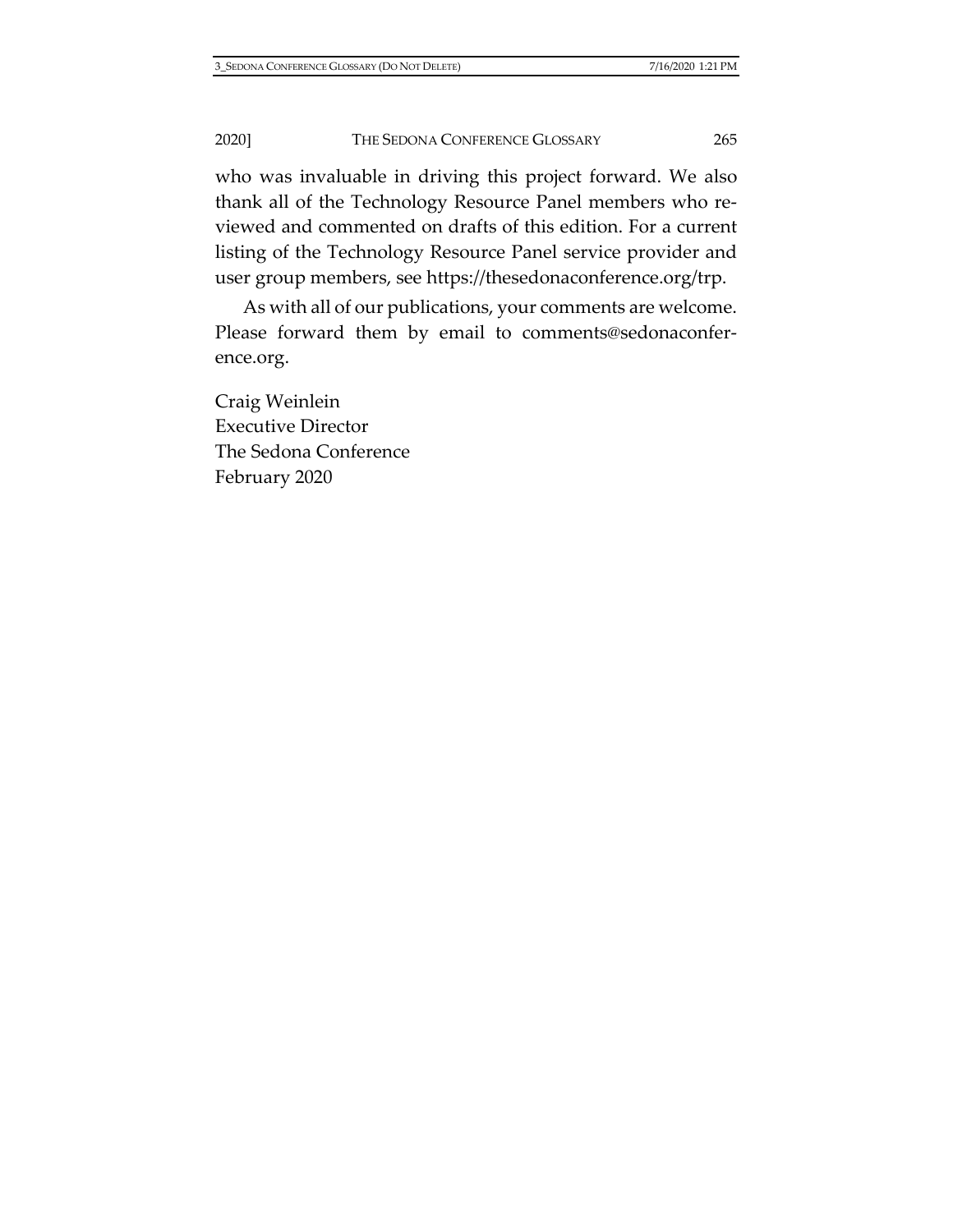who was invaluable in driving this project forward. We also thank all of the Technology Resource Panel members who reviewed and commented on drafts of this edition. For a current listing of the Technology Resource Panel service provider and user group members, see [https://thesedonaconference.org/trp.](https://thesedonaconference.org/trp)

As with all of our publications, your comments are welcome. Please forward them by email to [comments@sedonaconfer](mailto:comments@sedonaconference.org)[ence.org.](mailto:comments@sedonaconference.org)

Craig Weinlein Executive Director The Sedona Conference February 2020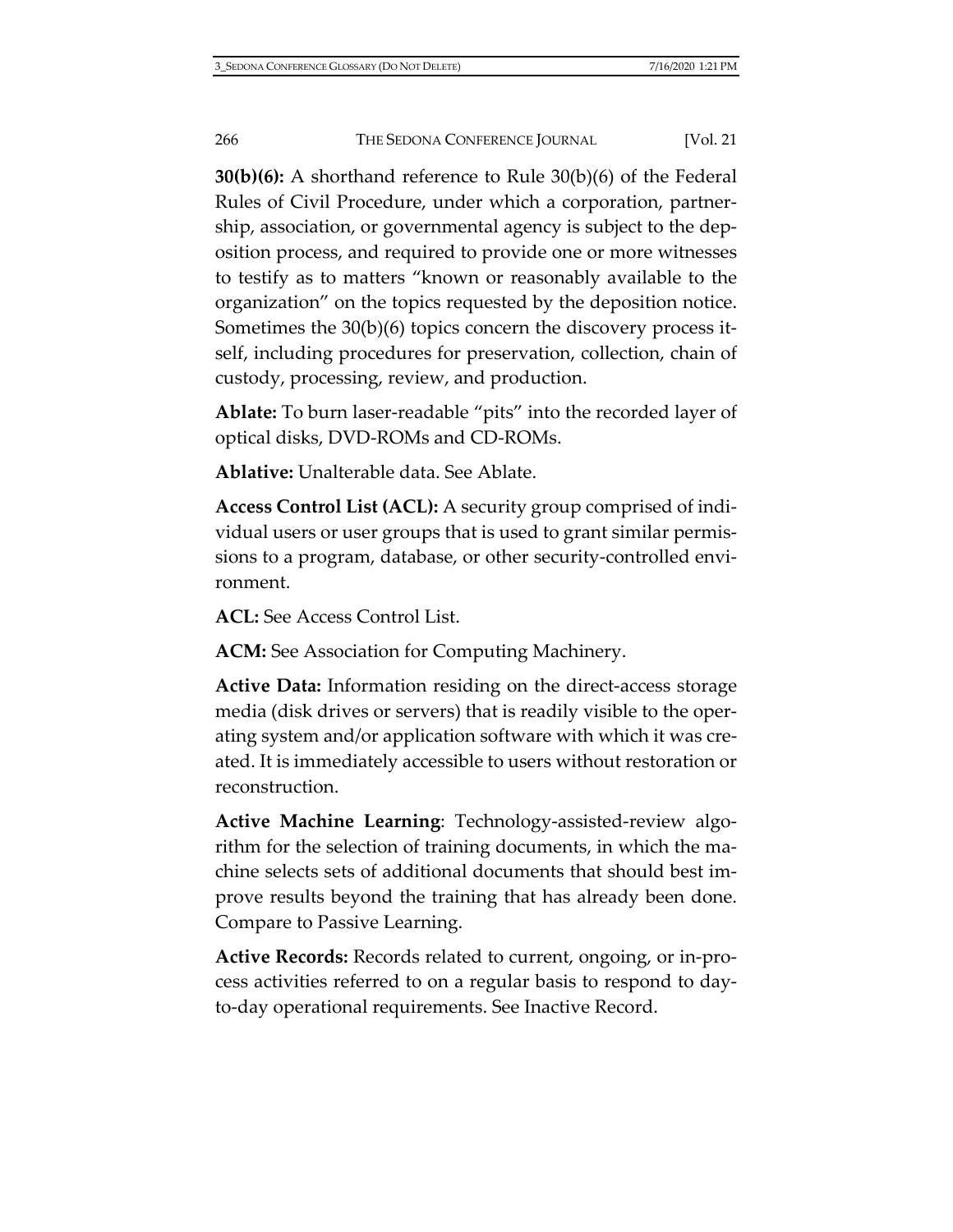**30(b)(6):** A shorthand reference to Rule 30(b)(6) of the Federal Rules of Civil Procedure, under which a corporation, partnership, association, or governmental agency is subject to the deposition process, and required to provide one or more witnesses to testify as to matters "known or reasonably available to the organization" on the topics requested by the deposition notice. Sometimes the 30(b)(6) topics concern the discovery process itself, including procedures for preservation, collection, chain of custody, processing, review, and production.

**Ablate:** To burn laser-readable "pits" into the recorded layer of optical disks, DVD-ROMs and CD-ROMs.

**Ablative:** Unalterable data. See Ablate.

**Access Control List (ACL):** A security group comprised of individual users or user groups that is used to grant similar permissions to a program, database, or other security-controlled environment.

**ACL:** See Access Control List.

**ACM:** See Association for Computing Machinery.

**Active Data:** Information residing on the direct-access storage media (disk drives or servers) that is readily visible to the operating system and/or application software with which it was created. It is immediately accessible to users without restoration or reconstruction.

**Active Machine Learning**: Technology-assisted-review algorithm for the selection of training documents, in which the machine selects sets of additional documents that should best improve results beyond the training that has already been done. Compare to Passive Learning.

**Active Records:** Records related to current, ongoing, or in-process activities referred to on a regular basis to respond to dayto-day operational requirements. See Inactive Record.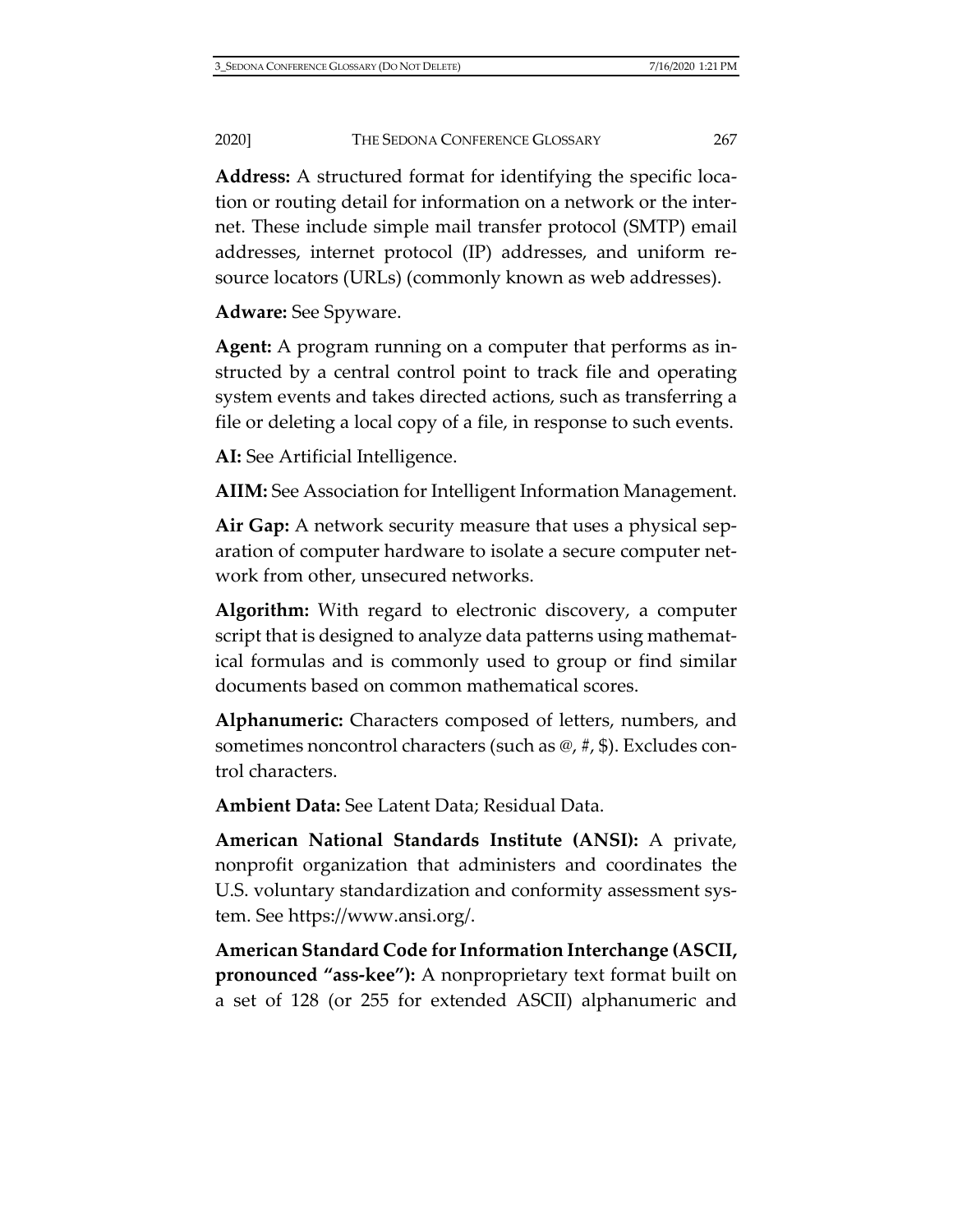**Address:** A structured format for identifying the specific location or routing detail for information on a network or the internet. These include simple mail transfer protocol (SMTP) email addresses, internet protocol (IP) addresses, and uniform resource locators (URLs) (commonly known as web addresses).

**Adware:** See Spyware.

**Agent:** A program running on a computer that performs as instructed by a central control point to track file and operating system events and takes directed actions, such as transferring a file or deleting a local copy of a file, in response to such events.

**AI:** See Artificial Intelligence.

**AIIM:** See Association for Intelligent Information Management.

**Air Gap:** A network security measure that uses a physical separation of computer hardware to isolate a secure computer network from other, unsecured networks.

**Algorithm:** With regard to electronic discovery, a computer script that is designed to analyze data patterns using mathematical formulas and is commonly used to group or find similar documents based on common mathematical scores.

**Alphanumeric:** Characters composed of letters, numbers, and sometimes noncontrol characters (such as @, #, \$). Excludes control characters.

**Ambient Data:** See Latent Data; Residual Data.

**American National Standards Institute (ANSI):** A private, nonprofit organization that administers and coordinates the U.S. voluntary standardization and conformity assessment system. See [https://www.ansi.org/.](https://www.ansi.org/)

**American Standard Code for Information Interchange (ASCII, pronounced "ass-kee"):** A nonproprietary text format built on a set of 128 (or 255 for extended ASCII) alphanumeric and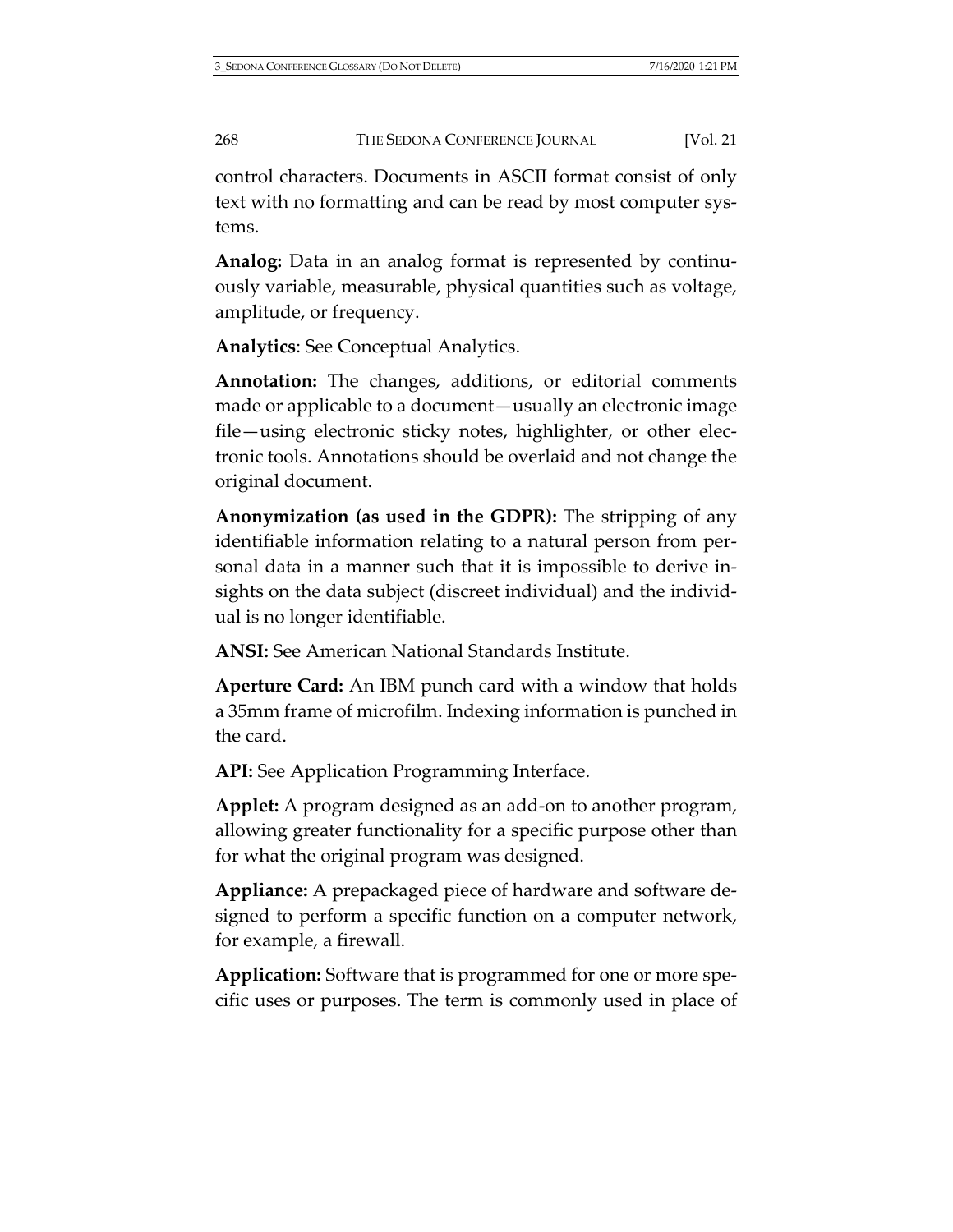control characters. Documents in ASCII format consist of only text with no formatting and can be read by most computer systems.

**Analog:** Data in an analog format is represented by continuously variable, measurable, physical quantities such as voltage, amplitude, or frequency.

**Analytics**: See Conceptual Analytics.

**Annotation:** The changes, additions, or editorial comments made or applicable to a document—usually an electronic image file—using electronic sticky notes, highlighter, or other electronic tools. Annotations should be overlaid and not change the original document.

**Anonymization (as used in the GDPR):** The stripping of any identifiable information relating to a natural person from personal data in a manner such that it is impossible to derive insights on the data subject (discreet individual) and the individual is no longer identifiable.

**ANSI:** See American National Standards Institute.

**Aperture Card:** An IBM punch card with a window that holds a 35mm frame of microfilm. Indexing information is punched in the card.

**API:** See Application Programming Interface.

**Applet:** A program designed as an add-on to another program, allowing greater functionality for a specific purpose other than for what the original program was designed.

**Appliance:** A prepackaged piece of hardware and software designed to perform a specific function on a computer network, for example, a firewall.

**Application:** Software that is programmed for one or more specific uses or purposes. The term is commonly used in place of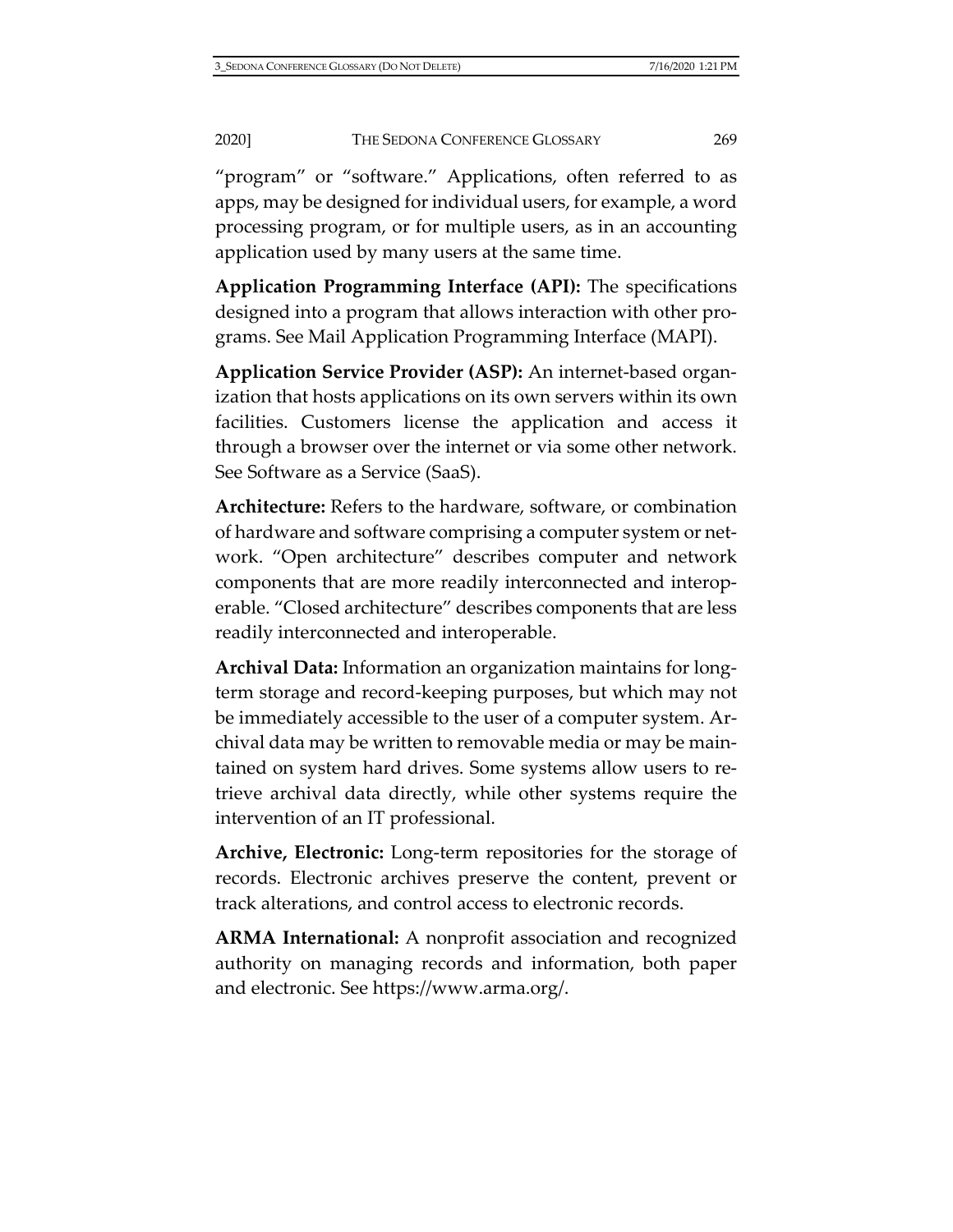"program" or "software." Applications, often referred to as apps, may be designed for individual users, for example, a word processing program, or for multiple users, as in an accounting application used by many users at the same time.

**Application Programming Interface (API):** The specifications designed into a program that allows interaction with other programs. See Mail Application Programming Interface (MAPI).

**Application Service Provider (ASP):** An internet-based organization that hosts applications on its own servers within its own facilities. Customers license the application and access it through a browser over the internet or via some other network. See Software as a Service (SaaS).

**Architecture:** Refers to the hardware, software, or combination of hardware and software comprising a computer system or network. "Open architecture" describes computer and network components that are more readily interconnected and interoperable. "Closed architecture" describes components that are less readily interconnected and interoperable.

**Archival Data:** Information an organization maintains for longterm storage and record-keeping purposes, but which may not be immediately accessible to the user of a computer system. Archival data may be written to removable media or may be maintained on system hard drives. Some systems allow users to retrieve archival data directly, while other systems require the intervention of an IT professional.

**Archive, Electronic:** Long-term repositories for the storage of records. Electronic archives preserve the content, prevent or track alterations, and control access to electronic records.

**ARMA International:** A nonprofit association and recognized authority on managing records and information, both paper and electronic. See [https://www.arma.org/.](https://www.arma.org/)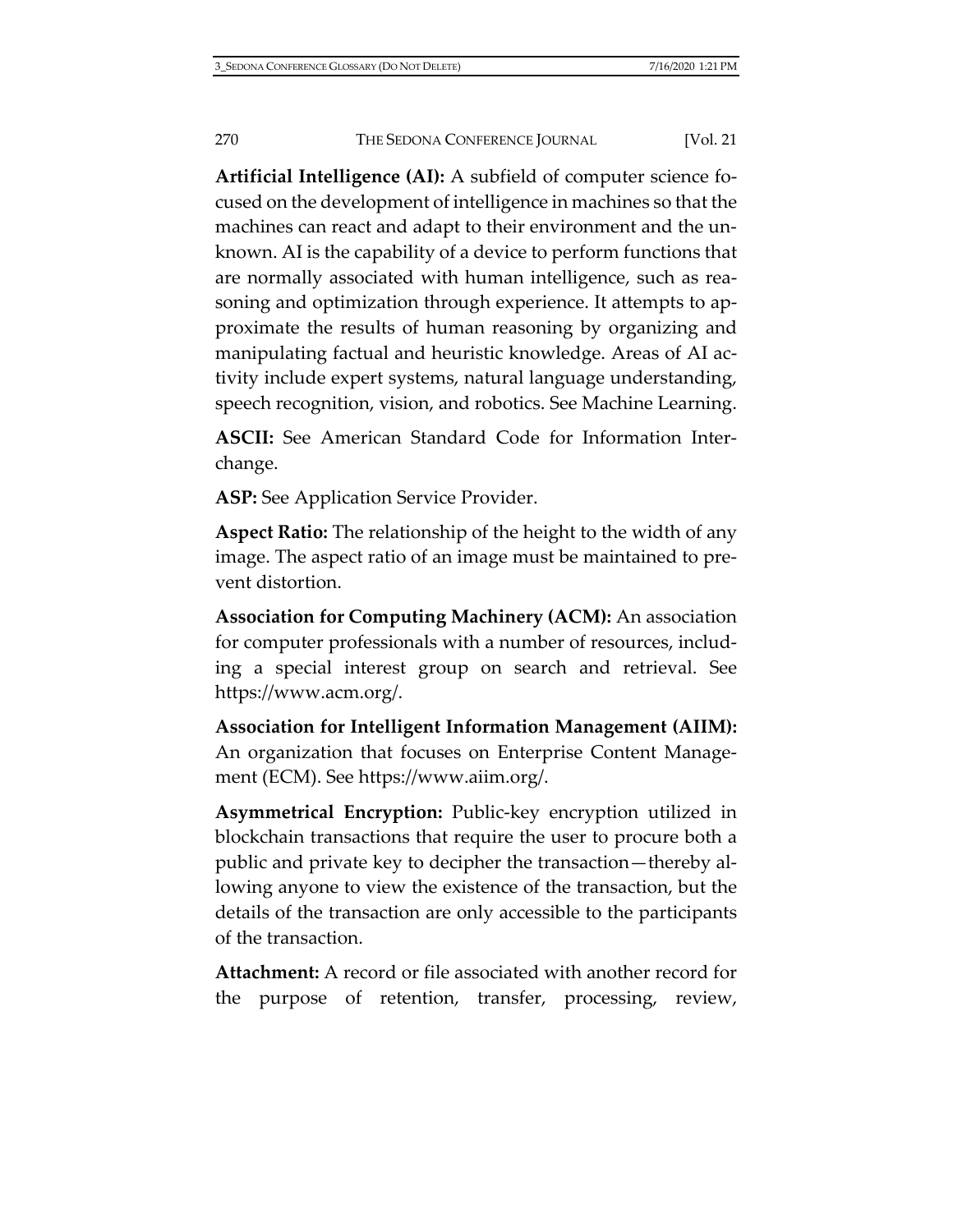**Artificial Intelligence (AI):** A subfield of computer science focused on the development of intelligence in machines so that the machines can react and adapt to their environment and the unknown. AI is the capability of a device to perform functions that are normally associated with human intelligence, such as reasoning and optimization through experience. It attempts to approximate the results of human reasoning by organizing and manipulating factual and heuristic knowledge. Areas of AI activity include expert systems, natural language understanding, speech recognition, vision, and robotics. See Machine Learning.

**ASCII:** See American Standard Code for Information Interchange.

**ASP:** See Application Service Provider.

**Aspect Ratio:** The relationship of the height to the width of any image. The aspect ratio of an image must be maintained to prevent distortion.

**Association for Computing Machinery (ACM):** An association for computer professionals with a number of resources, including a special interest group on search and retrieval. See [https://www.acm.org/.](https://www.acm.org/)

**Association for Intelligent Information Management (AIIM):** An organization that focuses on Enterprise Content Management (ECM). See [https://www.aiim.org/.](https://www.aiim.org/)

**Asymmetrical Encryption:** Public-key encryption utilized in blockchain transactions that require the user to procure both a public and private key to decipher the transaction—thereby allowing anyone to view the existence of the transaction, but the details of the transaction are only accessible to the participants of the transaction.

**Attachment:** A record or file associated with another record for the purpose of retention, transfer, processing, review,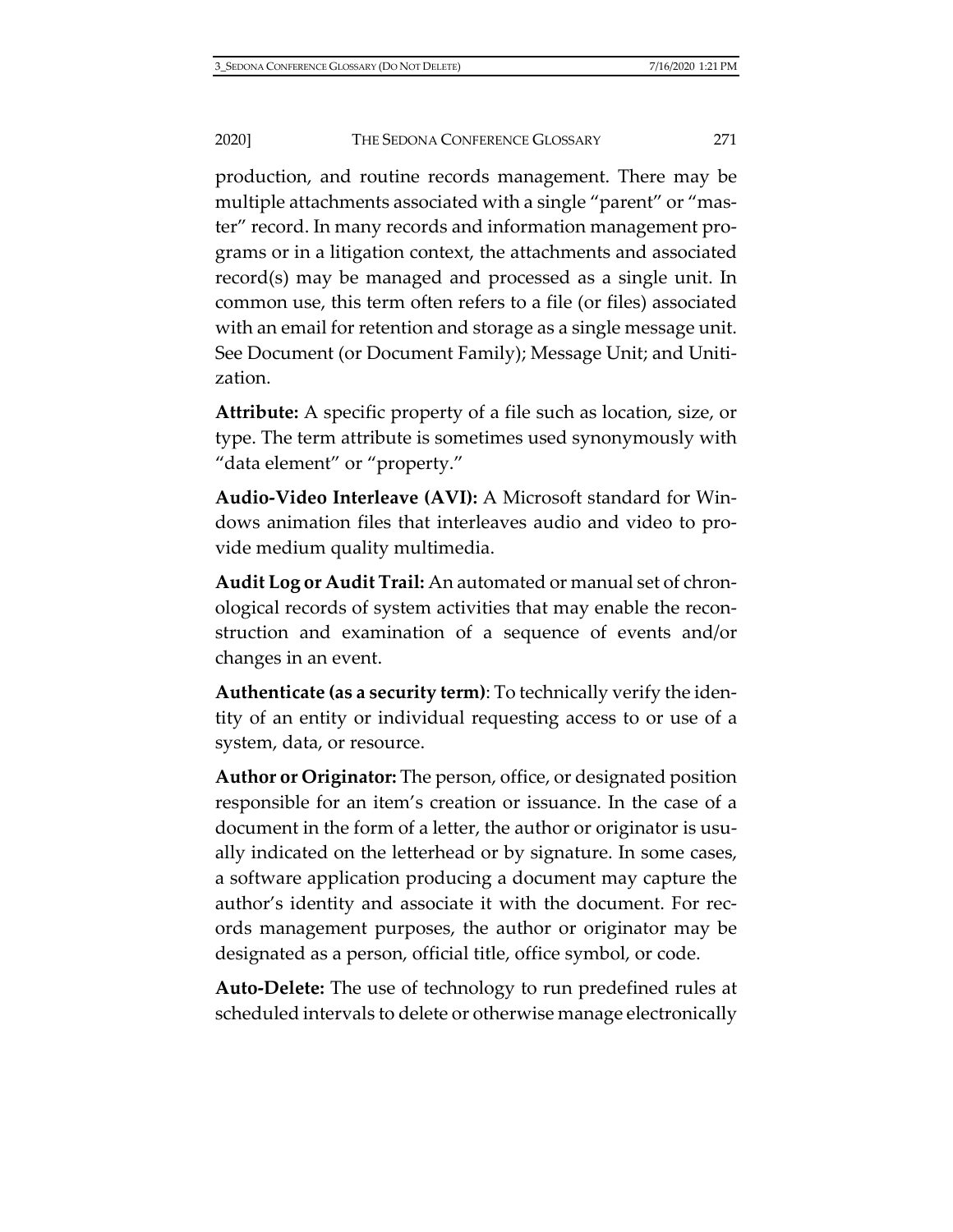production, and routine records management. There may be multiple attachments associated with a single "parent" or "master" record. In many records and information management programs or in a litigation context, the attachments and associated record(s) may be managed and processed as a single unit. In common use, this term often refers to a file (or files) associated with an email for retention and storage as a single message unit. See Document (or Document Family); Message Unit; and Unitization.

**Attribute:** A specific property of a file such as location, size, or type. The term attribute is sometimes used synonymously with "data element" or "property."

**Audio-Video Interleave (AVI):** A Microsoft standard for Windows animation files that interleaves audio and video to provide medium quality multimedia.

**Audit Log or Audit Trail:** An automated or manual set of chronological records of system activities that may enable the reconstruction and examination of a sequence of events and/or changes in an event.

**Authenticate (as a security term)**: To technically verify the identity of an entity or individual requesting access to or use of a system, data, or resource.

**Author or Originator:** The person, office, or designated position responsible for an item's creation or issuance. In the case of a document in the form of a letter, the author or originator is usually indicated on the letterhead or by signature. In some cases, a software application producing a document may capture the author's identity and associate it with the document. For records management purposes, the author or originator may be designated as a person, official title, office symbol, or code.

**Auto-Delete:** The use of technology to run predefined rules at scheduled intervals to delete or otherwise manage electronically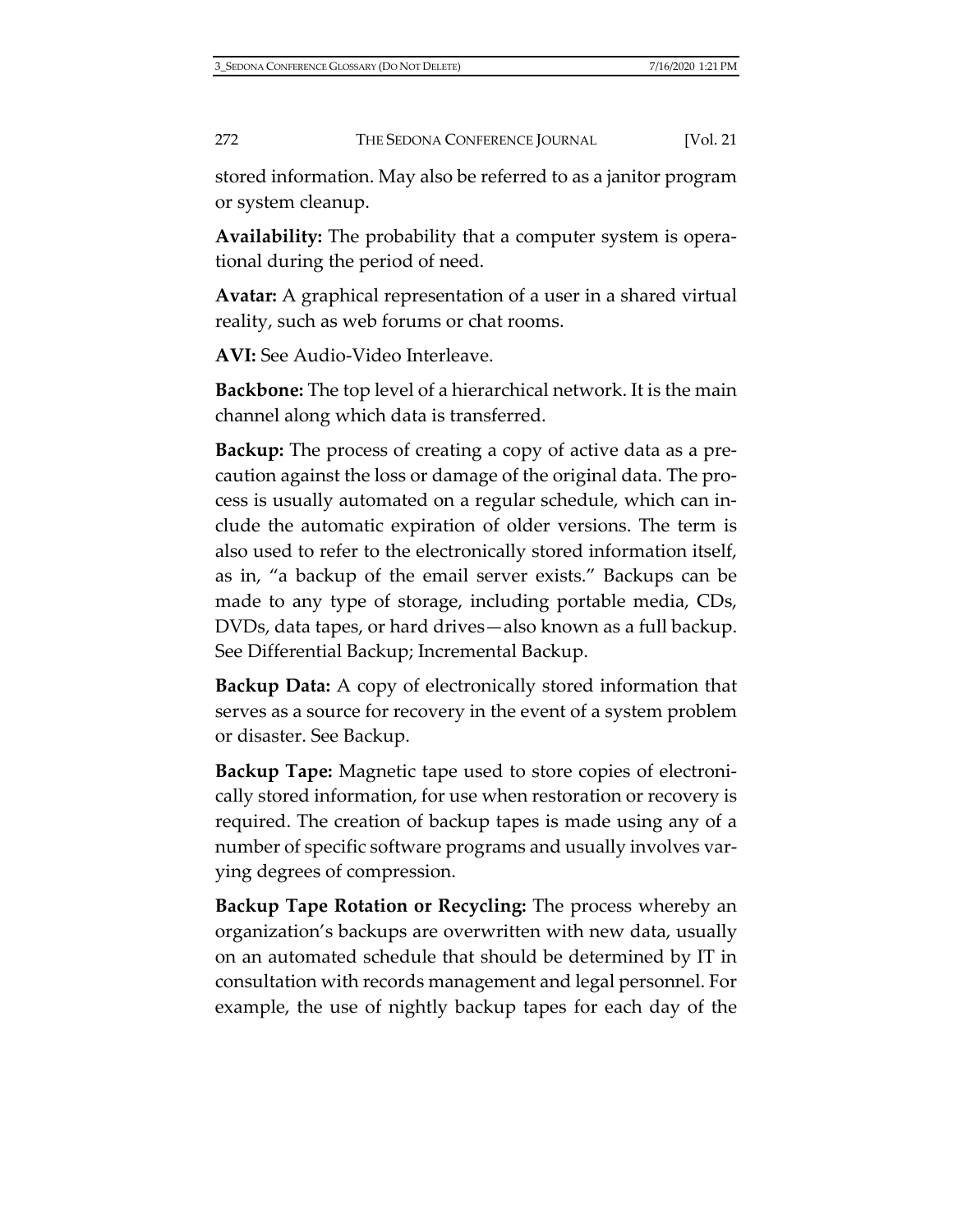stored information. May also be referred to as a janitor program or system cleanup.

**Availability:** The probability that a computer system is operational during the period of need.

**Avatar:** A graphical representation of a user in a shared virtual reality, such as web forums or chat rooms.

**AVI:** See Audio-Video Interleave.

**Backbone:** The top level of a hierarchical network. It is the main channel along which data is transferred.

**Backup:** The process of creating a copy of active data as a precaution against the loss or damage of the original data. The process is usually automated on a regular schedule, which can include the automatic expiration of older versions. The term is also used to refer to the electronically stored information itself, as in, "a backup of the email server exists." Backups can be made to any type of storage, including portable media, CDs, DVDs, data tapes, or hard drives—also known as a full backup. See Differential Backup; Incremental Backup.

**Backup Data:** A copy of electronically stored information that serves as a source for recovery in the event of a system problem or disaster. See Backup.

**Backup Tape:** Magnetic tape used to store copies of electronically stored information, for use when restoration or recovery is required. The creation of backup tapes is made using any of a number of specific software programs and usually involves varying degrees of compression.

**Backup Tape Rotation or Recycling:** The process whereby an organization's backups are overwritten with new data, usually on an automated schedule that should be determined by IT in consultation with records management and legal personnel. For example, the use of nightly backup tapes for each day of the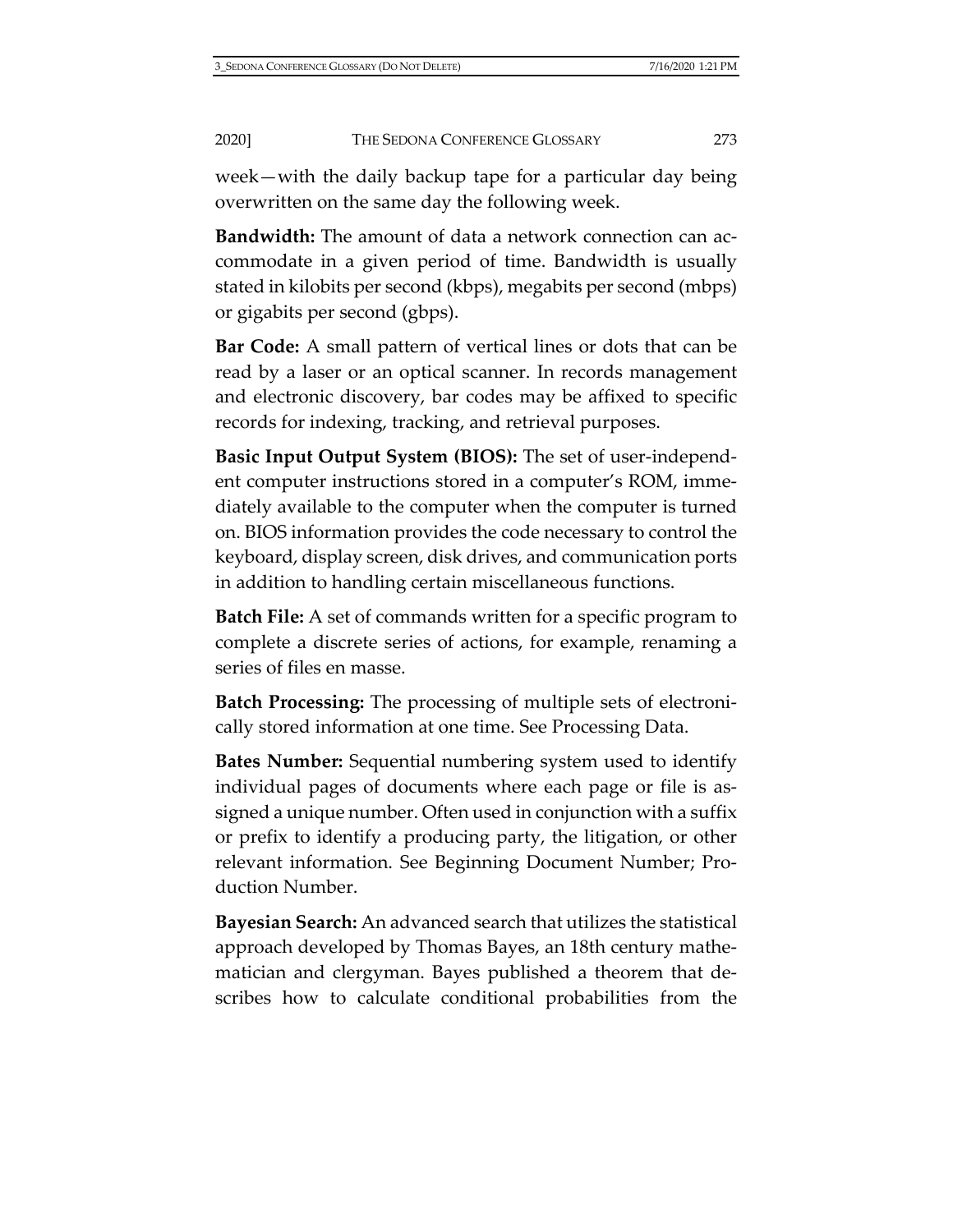week—with the daily backup tape for a particular day being overwritten on the same day the following week.

**Bandwidth:** The amount of data a network connection can accommodate in a given period of time. Bandwidth is usually stated in kilobits per second (kbps), megabits per second (mbps) or gigabits per second (gbps).

**Bar Code:** A small pattern of vertical lines or dots that can be read by a laser or an optical scanner. In records management and electronic discovery, bar codes may be affixed to specific records for indexing, tracking, and retrieval purposes.

**Basic Input Output System (BIOS):** The set of user-independent computer instructions stored in a computer's ROM, immediately available to the computer when the computer is turned on. BIOS information provides the code necessary to control the keyboard, display screen, disk drives, and communication ports in addition to handling certain miscellaneous functions.

**Batch File:** A set of commands written for a specific program to complete a discrete series of actions, for example, renaming a series of files en masse.

**Batch Processing:** The processing of multiple sets of electronically stored information at one time. See Processing Data.

**Bates Number:** Sequential numbering system used to identify individual pages of documents where each page or file is assigned a unique number. Often used in conjunction with a suffix or prefix to identify a producing party, the litigation, or other relevant information. See Beginning Document Number; Production Number.

**Bayesian Search:** An advanced search that utilizes the statistical approach developed by Thomas Bayes, an 18th century mathematician and clergyman. Bayes published a theorem that describes how to calculate conditional probabilities from the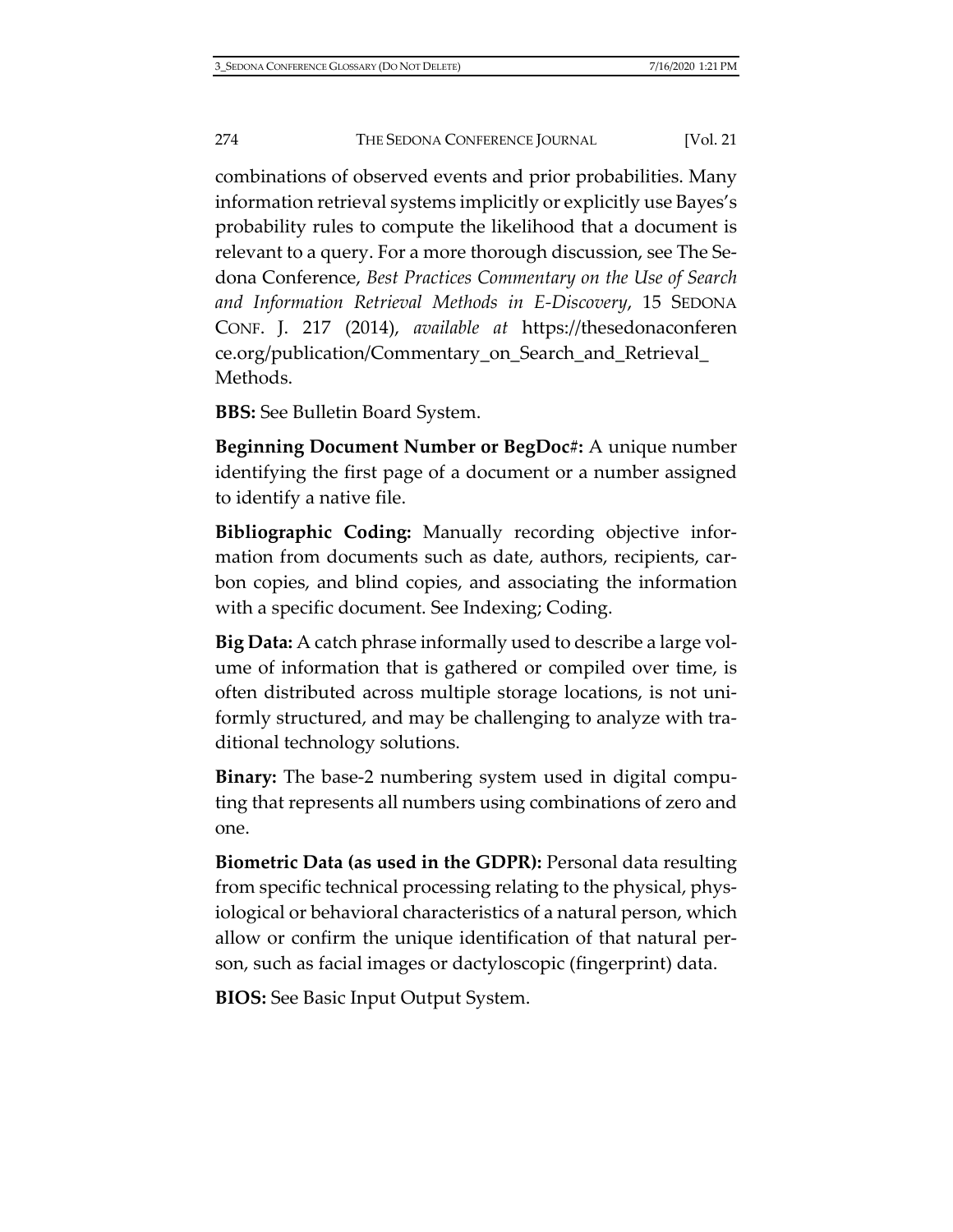combinations of observed events and prior probabilities. Many information retrieval systems implicitly or explicitly use Bayes's probability rules to compute the likelihood that a document is relevant to a query. For a more thorough discussion, see The Sedona Conference, *Best Practices Commentary on the Use of Search and Information Retrieval Methods in E-Discovery*, 15 SEDONA CONF. J. 217 (2014), *available at* [https://thesedonaconferen](https://thesedonaconference.org/publication/Commentary_on_Search_and_Retrieval_Methods) [ce.org/publication/Commentary\\_on\\_Search\\_and\\_Retrieval\\_](https://thesedonaconference.org/publication/Commentary_on_Search_and_Retrieval_Methods) [Methods.](https://thesedonaconference.org/publication/Commentary_on_Search_and_Retrieval_Methods)

**BBS:** See Bulletin Board System.

**Beginning Document Number or BegDoc#:** A unique number identifying the first page of a document or a number assigned to identify a native file.

**Bibliographic Coding:** Manually recording objective information from documents such as date, authors, recipients, carbon copies, and blind copies, and associating the information with a specific document. See Indexing; Coding.

**Big Data:** A catch phrase informally used to describe a large volume of information that is gathered or compiled over time, is often distributed across multiple storage locations, is not uniformly structured, and may be challenging to analyze with traditional technology solutions.

**Binary:** The base-2 numbering system used in digital computing that represents all numbers using combinations of zero and one.

**Biometric Data (as used in the GDPR):** Personal data resulting from specific technical processing relating to the physical, physiological or behavioral characteristics of a natural person, which allow or confirm the unique identification of that natural person, such as facial images or dactyloscopic (fingerprint) data.

**BIOS:** See Basic Input Output System.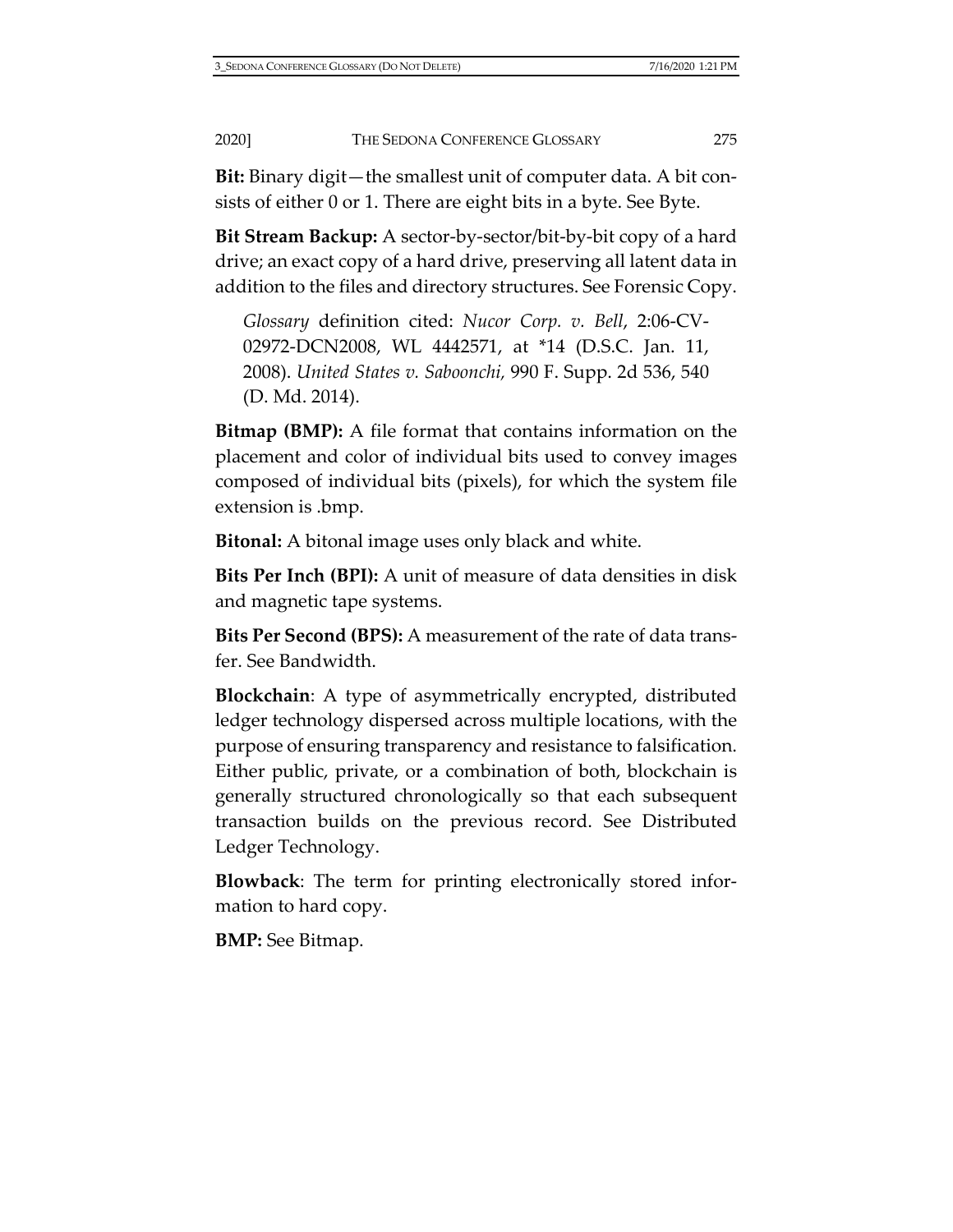**Bit:** Binary digit—the smallest unit of computer data. A bit consists of either 0 or 1. There are eight bits in a byte. See Byte.

**Bit Stream Backup:** A sector-by-sector/bit-by-bit copy of a hard drive; an exact copy of a hard drive, preserving all latent data in addition to the files and directory structures. See Forensic Copy.

*Glossary* definition cited: *Nucor Corp. v. Bell*, 2:06-CV-02972-DCN2008, WL 4442571, at \*14 (D.S.C. Jan. 11, 2008). *United States v. Saboonchi,* 990 F. Supp. 2d 536, 540 (D. Md. 2014).

**Bitmap (BMP):** A file format that contains information on the placement and color of individual bits used to convey images composed of individual bits (pixels), for which the system file extension is .bmp.

**Bitonal:** A bitonal image uses only black and white.

**Bits Per Inch (BPI):** A unit of measure of data densities in disk and magnetic tape systems.

**Bits Per Second (BPS):** A measurement of the rate of data transfer. See Bandwidth.

**Blockchain**: A type of asymmetrically encrypted, distributed ledger technology dispersed across multiple locations, with the purpose of ensuring transparency and resistance to falsification. Either public, private, or a combination of both, blockchain is generally structured chronologically so that each subsequent transaction builds on the previous record. See Distributed Ledger Technology.

**Blowback**: The term for printing electronically stored information to hard copy.

**BMP:** See Bitmap.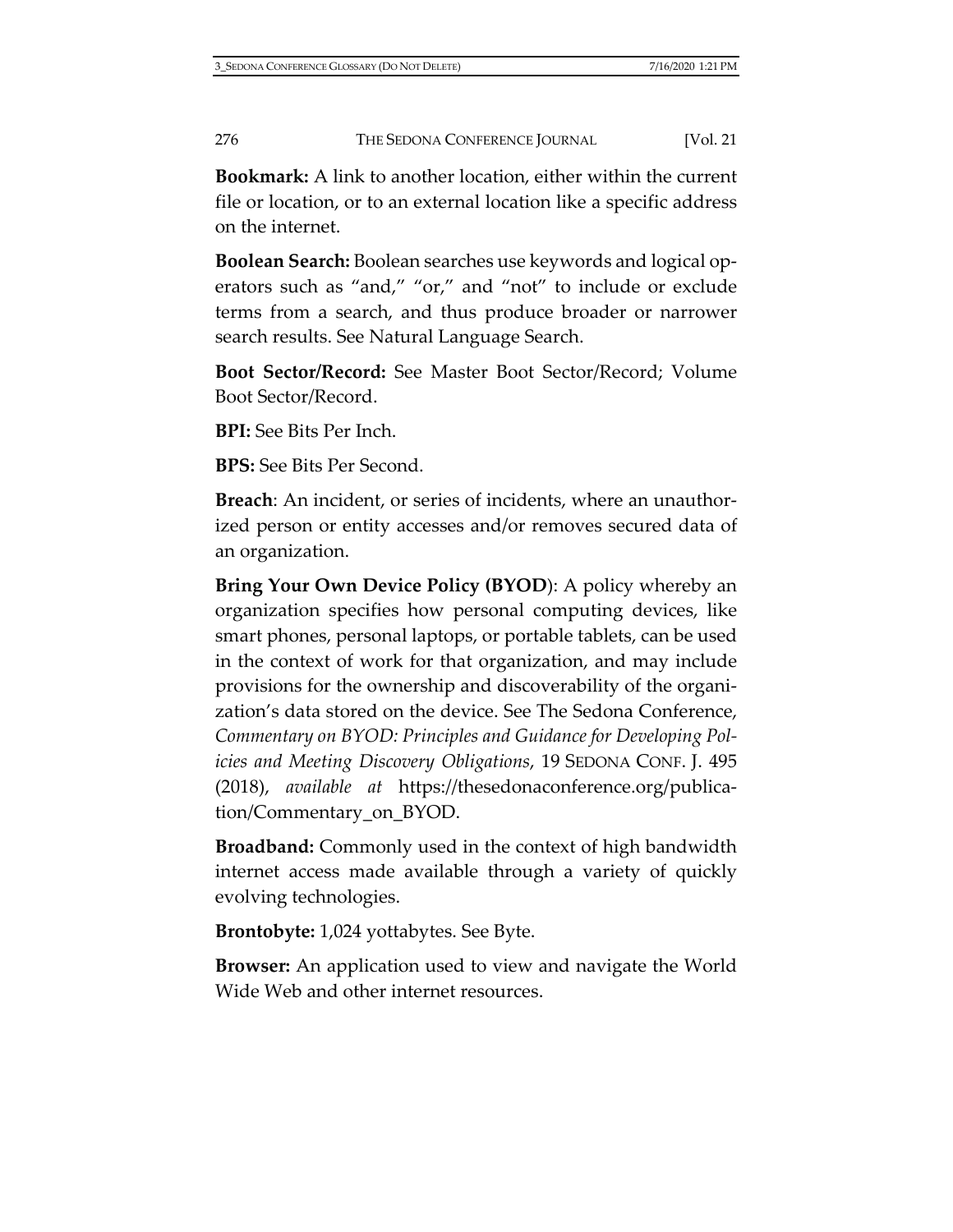**Bookmark:** A link to another location, either within the current file or location, or to an external location like a specific address on the internet.

**Boolean Search:** Boolean searches use keywords and logical operators such as "and," "or," and "not" to include or exclude terms from a search, and thus produce broader or narrower search results. See Natural Language Search.

**Boot Sector/Record:** See Master Boot Sector/Record; Volume Boot Sector/Record.

**BPI:** See Bits Per Inch.

**BPS:** See Bits Per Second.

**Breach**: An incident, or series of incidents, where an unauthorized person or entity accesses and/or removes secured data of an organization.

**Bring Your Own Device Policy (BYOD**): A policy whereby an organization specifies how personal computing devices, like smart phones, personal laptops, or portable tablets, can be used in the context of work for that organization, and may include provisions for the ownership and discoverability of the organization's data stored on the device. See The Sedona Conference, *Commentary on BYOD: Principles and Guidance for Developing Policies and Meeting Discovery Obligations*, 19 SEDONA CONF. J. 495 (2018), *available at* [https://thesedonaconference.org/publica](https://thesedonaconference.org/publication/Commentary_on_BYOD)[tion/Commentary\\_on\\_BYOD.](https://thesedonaconference.org/publication/Commentary_on_BYOD)

**Broadband:** Commonly used in the context of high bandwidth internet access made available through a variety of quickly evolving technologies.

**Brontobyte:** 1,024 yottabytes. See Byte.

**Browser:** An application used to view and navigate the World Wide Web and other internet resources.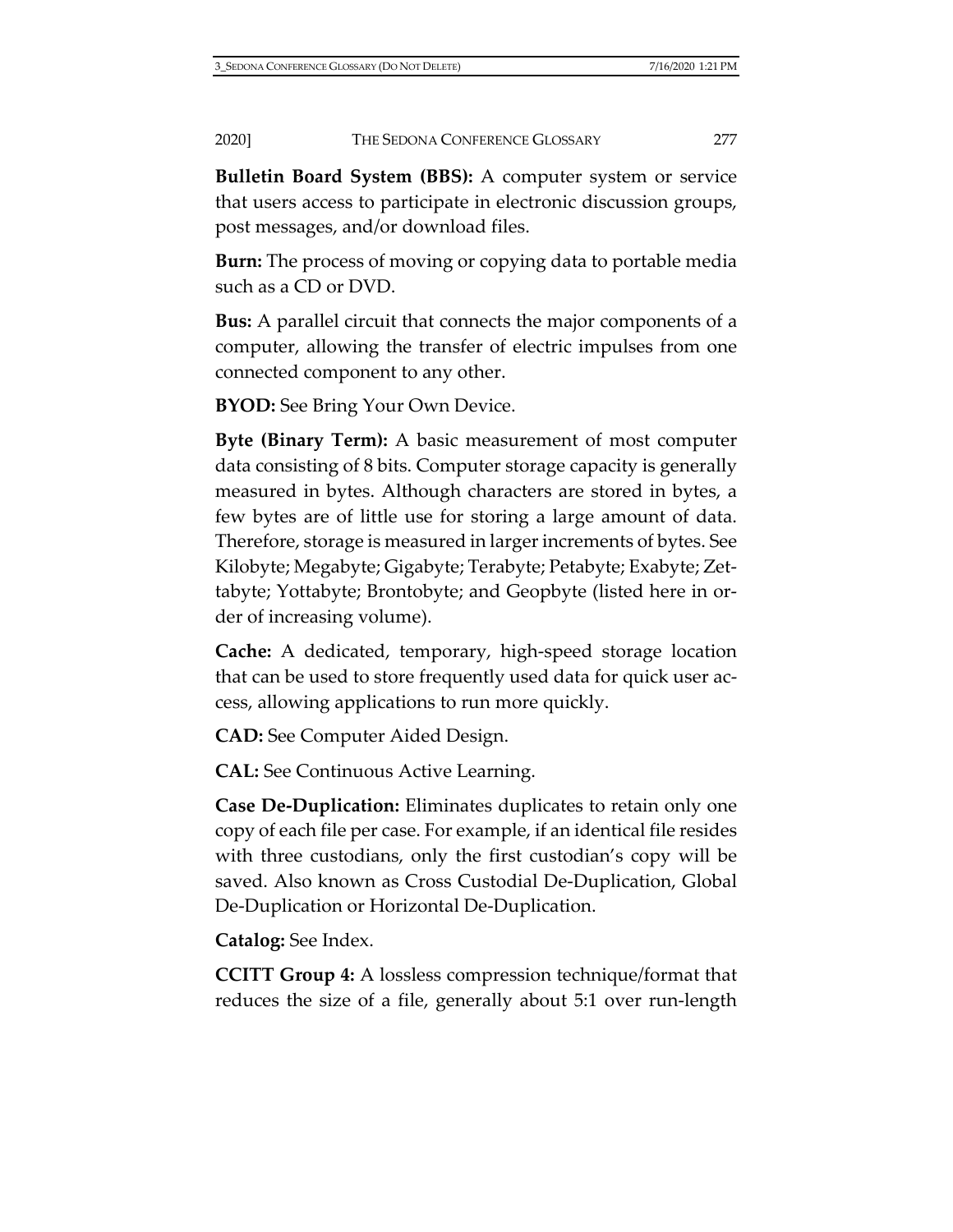**Bulletin Board System (BBS):** A computer system or service that users access to participate in electronic discussion groups, post messages, and/or download files.

**Burn:** The process of moving or copying data to portable media such as a CD or DVD.

**Bus:** A parallel circuit that connects the major components of a computer, allowing the transfer of electric impulses from one connected component to any other.

**BYOD:** See Bring Your Own Device.

**Byte (Binary Term):** A basic measurement of most computer data consisting of 8 bits. Computer storage capacity is generally measured in bytes. Although characters are stored in bytes, a few bytes are of little use for storing a large amount of data. Therefore, storage is measured in larger increments of bytes. See Kilobyte; Megabyte; Gigabyte; Terabyte; Petabyte; Exabyte; Zettabyte; Yottabyte; Brontobyte; and Geopbyte (listed here in order of increasing volume).

**Cache:** A dedicated, temporary, high-speed storage location that can be used to store frequently used data for quick user access, allowing applications to run more quickly.

**CAD:** See Computer Aided Design.

**CAL:** See Continuous Active Learning.

**Case De-Duplication:** Eliminates duplicates to retain only one copy of each file per case. For example, if an identical file resides with three custodians, only the first custodian's copy will be saved. Also known as Cross Custodial De-Duplication, Global De-Duplication or Horizontal De-Duplication.

**Catalog:** See Index.

**CCITT Group 4:** A lossless compression technique/format that reduces the size of a file, generally about 5:1 over run-length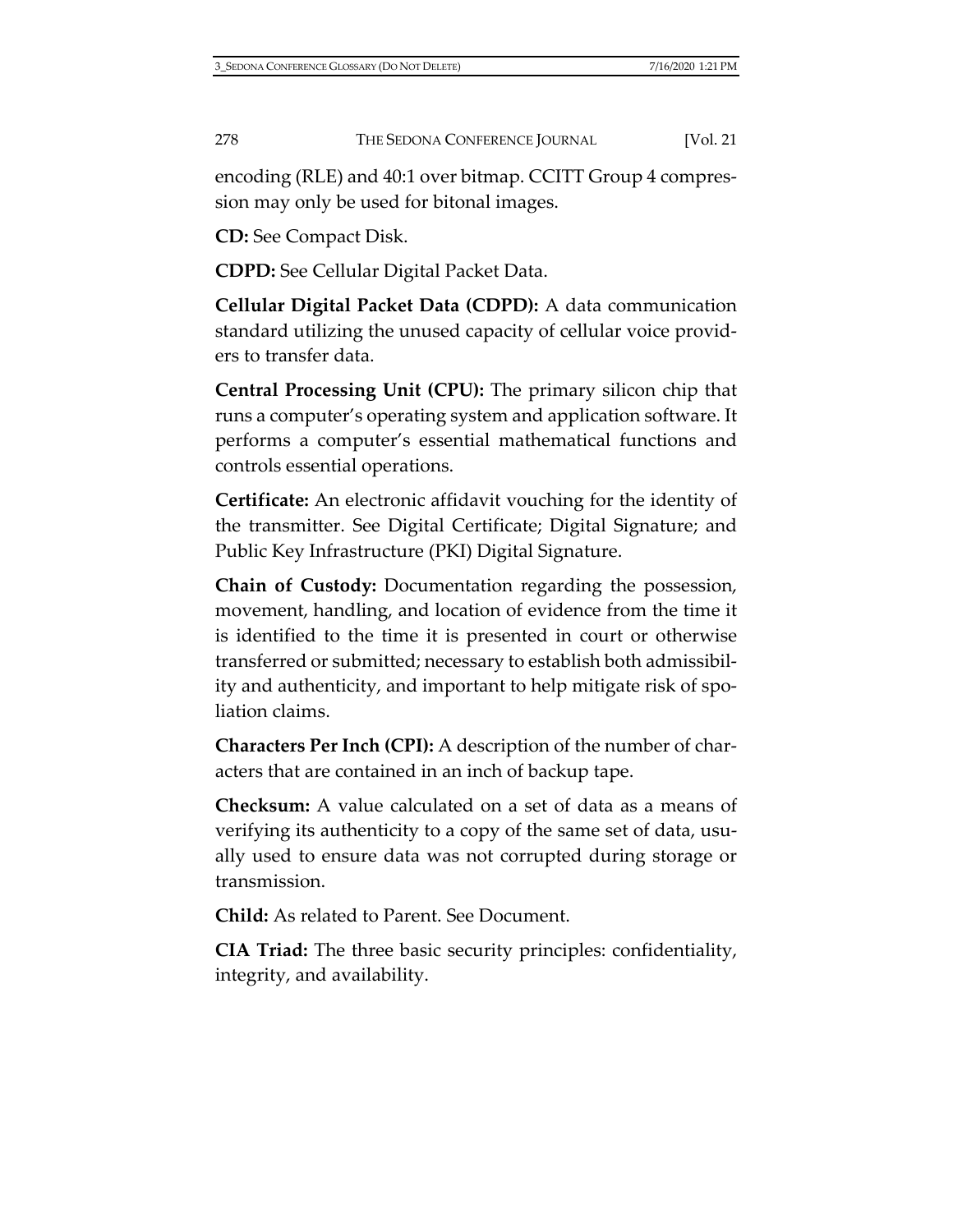encoding (RLE) and 40:1 over bitmap. CCITT Group 4 compression may only be used for bitonal images.

**CD:** See Compact Disk.

**CDPD:** See Cellular Digital Packet Data.

**Cellular Digital Packet Data (CDPD):** A data communication standard utilizing the unused capacity of cellular voice providers to transfer data.

**Central Processing Unit (CPU):** The primary silicon chip that runs a computer's operating system and application software. It performs a computer's essential mathematical functions and controls essential operations.

**Certificate:** An electronic affidavit vouching for the identity of the transmitter. See Digital Certificate; Digital Signature; and Public Key Infrastructure (PKI) Digital Signature.

**Chain of Custody:** Documentation regarding the possession, movement, handling, and location of evidence from the time it is identified to the time it is presented in court or otherwise transferred or submitted; necessary to establish both admissibility and authenticity, and important to help mitigate risk of spoliation claims.

**Characters Per Inch (CPI):** A description of the number of characters that are contained in an inch of backup tape.

**Checksum:** A value calculated on a set of data as a means of verifying its authenticity to a copy of the same set of data, usually used to ensure data was not corrupted during storage or transmission.

**Child:** As related to Parent. See Document.

**CIA Triad:** The three basic security principles: confidentiality, integrity, and availability.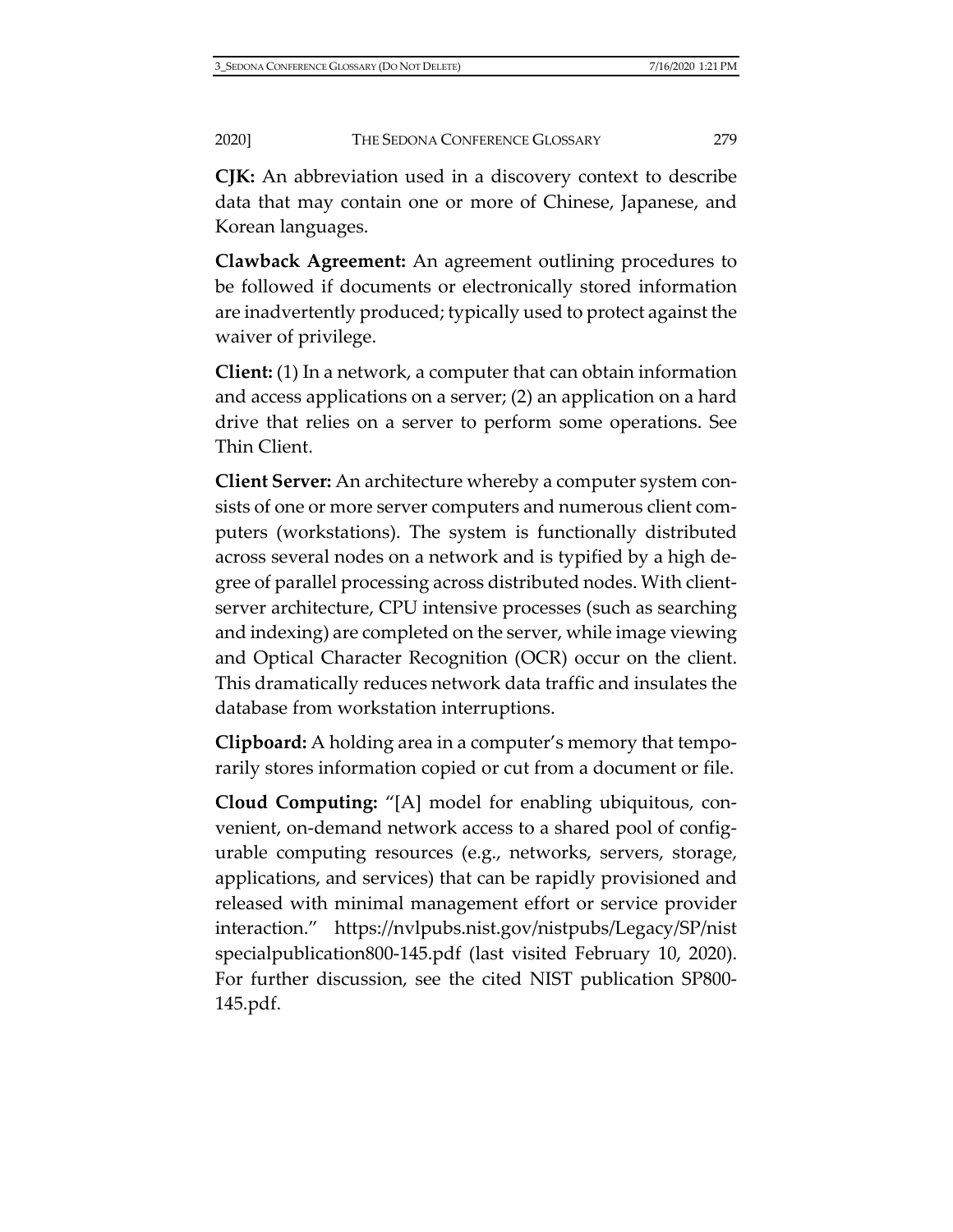**CJK:** An abbreviation used in a discovery context to describe data that may contain one or more of Chinese, Japanese, and Korean languages.

**Clawback Agreement:** An agreement outlining procedures to be followed if documents or electronically stored information are inadvertently produced; typically used to protect against the waiver of privilege.

**Client:** (1) In a network, a computer that can obtain information and access applications on a server; (2) an application on a hard drive that relies on a server to perform some operations. See Thin Client.

**Client Server:** An architecture whereby a computer system consists of one or more server computers and numerous client computers (workstations). The system is functionally distributed across several nodes on a network and is typified by a high degree of parallel processing across distributed nodes. With clientserver architecture, CPU intensive processes (such as searching and indexing) are completed on the server, while image viewing and Optical Character Recognition (OCR) occur on the client. This dramatically reduces network data traffic and insulates the database from workstation interruptions.

**Clipboard:** A holding area in a computer's memory that temporarily stores information copied or cut from a document or file.

**Cloud Computing:** "[A] model for enabling ubiquitous, convenient, on-demand network access to a shared pool of configurable computing resources (e.g., networks, servers, storage, applications, and services) that can be rapidly provisioned and released with minimal management effort or service provider interaction." [https://nvlpubs.nist.gov/nistpubs/Legacy/SP/nist](https://nvlpubs.nist.gov/nistpubs/Legacy/SP/nistspecialpublication800-145.pdf) [specialpublication800-145.pdf](https://nvlpubs.nist.gov/nistpubs/Legacy/SP/nistspecialpublication800-145.pdf) (last visited February 10, 2020). For further discussion, see the cited NIST publication SP800- 145.pdf.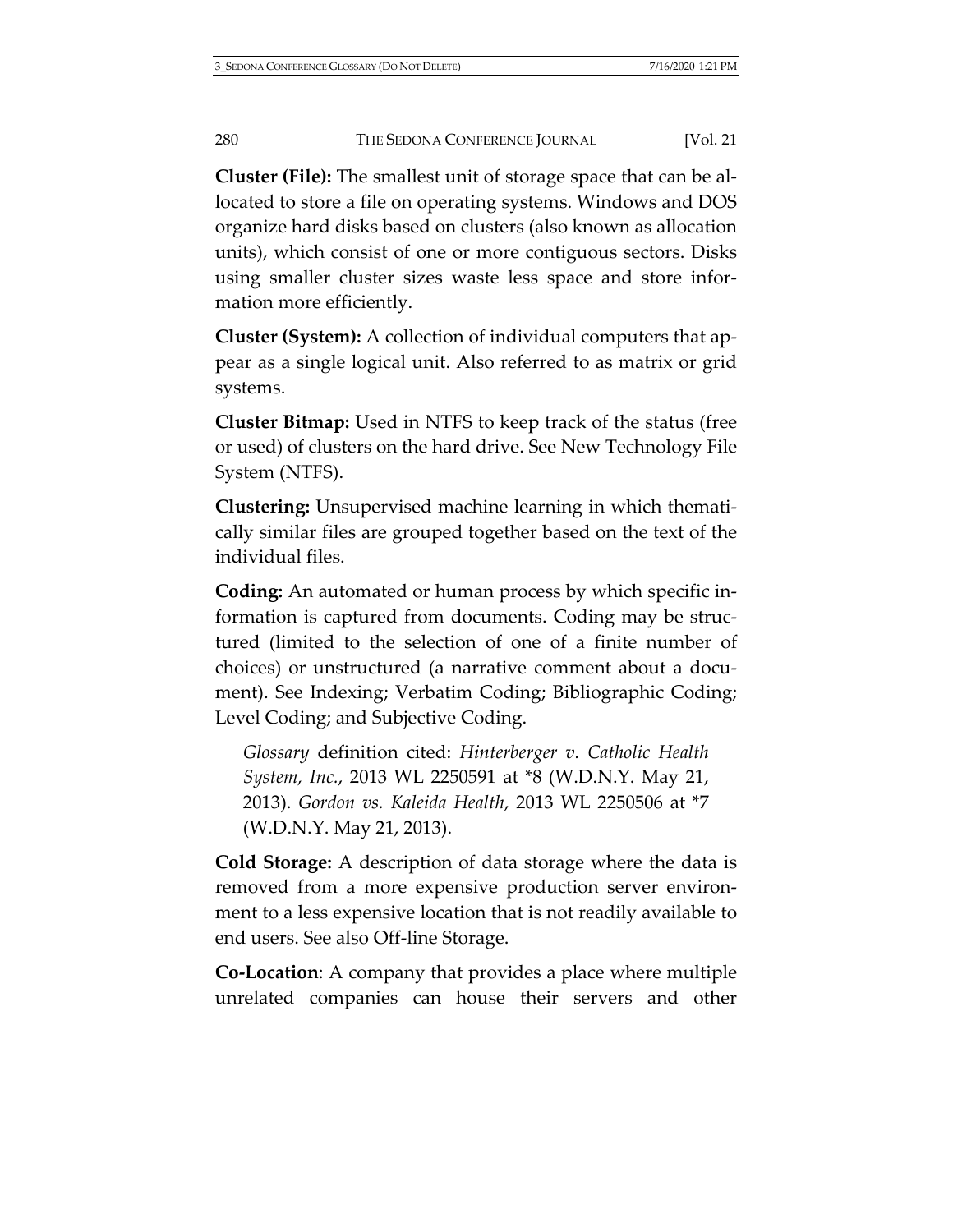**Cluster (File):** The smallest unit of storage space that can be allocated to store a file on operating systems. Windows and DOS organize hard disks based on clusters (also known as allocation units), which consist of one or more contiguous sectors. Disks using smaller cluster sizes waste less space and store information more efficiently.

**Cluster (System):** A collection of individual computers that appear as a single logical unit. Also referred to as matrix or grid systems.

**Cluster Bitmap:** Used in NTFS to keep track of the status (free or used) of clusters on the hard drive. See New Technology File System (NTFS).

**Clustering:** Unsupervised machine learning in which thematically similar files are grouped together based on the text of the individual files.

**Coding:** An automated or human process by which specific information is captured from documents. Coding may be structured (limited to the selection of one of a finite number of choices) or unstructured (a narrative comment about a document). See Indexing; Verbatim Coding; Bibliographic Coding; Level Coding; and Subjective Coding.

*Glossary* definition cited: *Hinterberger v. Catholic Health System, Inc.*, 2013 WL 2250591 at \*8 (W.D.N.Y. May 21, 2013). *Gordon vs. Kaleida Health*, 2013 WL 2250506 at \*7 (W.D.N.Y. May 21, 2013).

**Cold Storage:** A description of data storage where the data is removed from a more expensive production server environment to a less expensive location that is not readily available to end users. See also Off-line Storage.

**Co-Location**: A company that provides a place where multiple unrelated companies can house their servers and other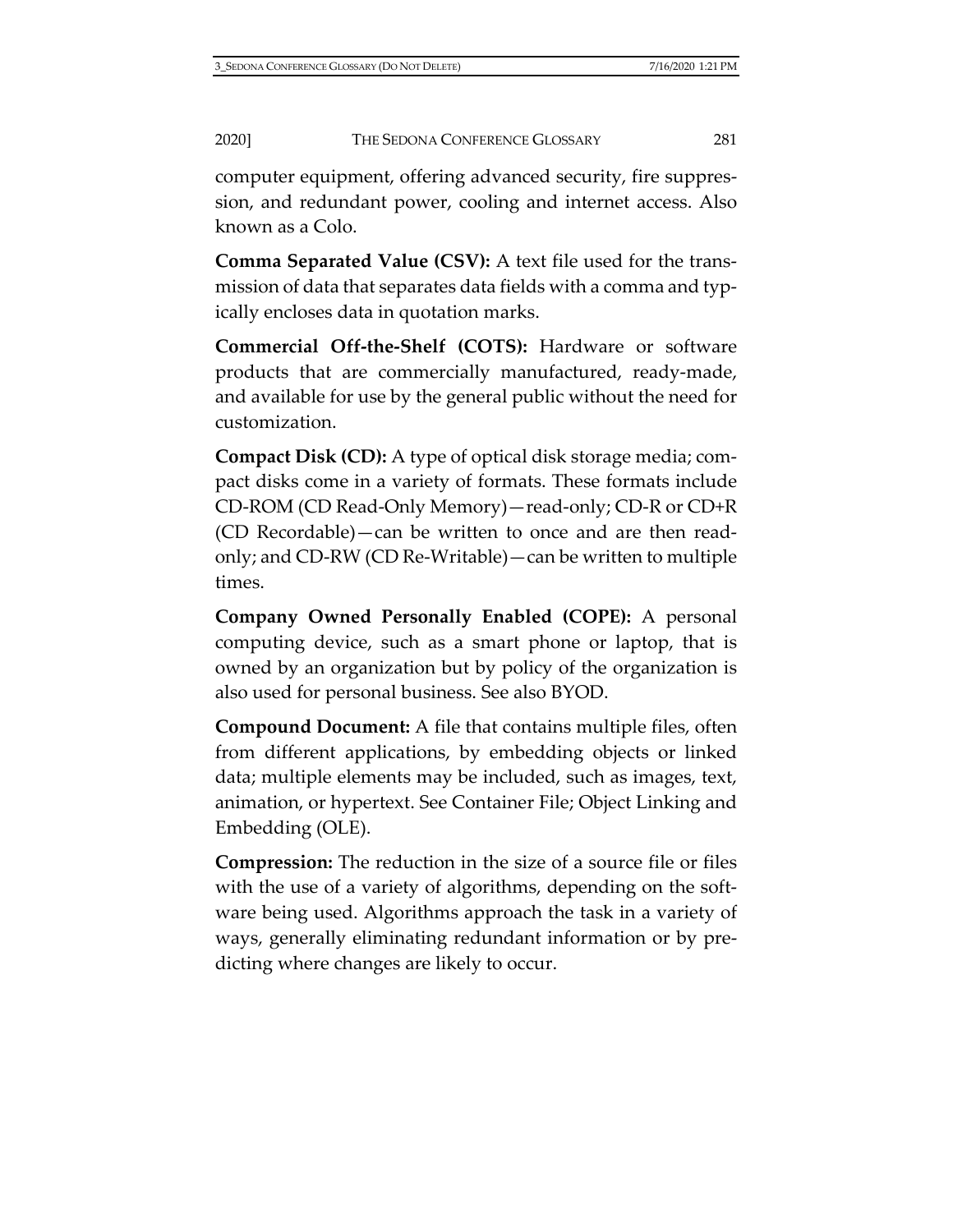computer equipment, offering advanced security, fire suppression, and redundant power, cooling and internet access. Also known as a Colo.

**Comma Separated Value (CSV):** A text file used for the transmission of data that separates data fields with a comma and typically encloses data in quotation marks.

**Commercial Off-the-Shelf (COTS):** Hardware or software products that are commercially manufactured, ready-made, and available for use by the general public without the need for customization.

**Compact Disk (CD):** A type of optical disk storage media; compact disks come in a variety of formats. These formats include CD-ROM (CD Read-Only Memory)—read-only; CD-R or CD+R (CD Recordable)—can be written to once and are then readonly; and CD-RW (CD Re-Writable)—can be written to multiple times.

**Company Owned Personally Enabled (COPE):** A personal computing device, such as a smart phone or laptop, that is owned by an organization but by policy of the organization is also used for personal business. See also BYOD.

**Compound Document:** A file that contains multiple files, often from different applications, by embedding objects or linked data; multiple elements may be included, such as images, text, animation, or hypertext. See Container File; Object Linking and Embedding (OLE).

**Compression:** The reduction in the size of a source file or files with the use of a variety of algorithms, depending on the software being used. Algorithms approach the task in a variety of ways, generally eliminating redundant information or by predicting where changes are likely to occur.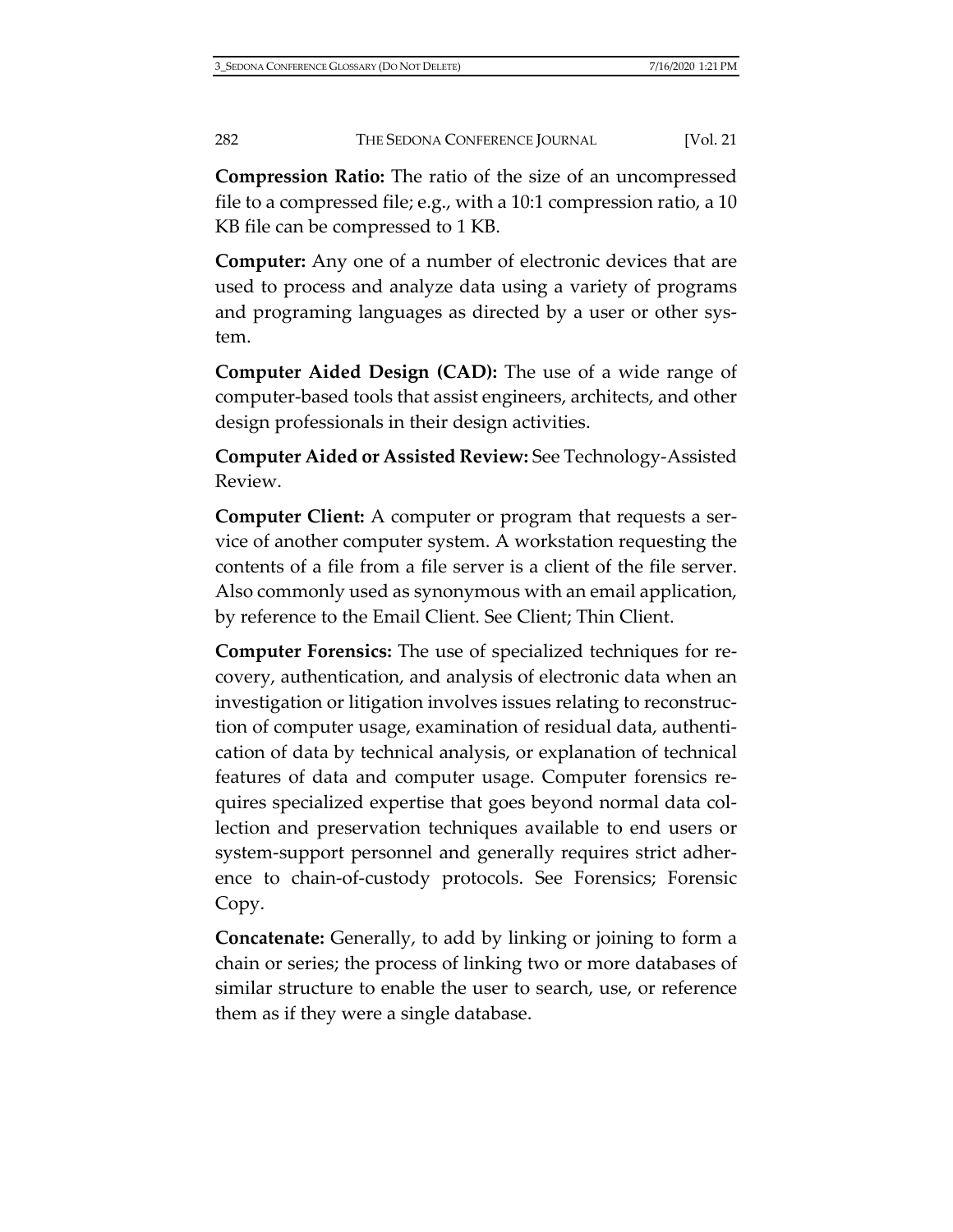**Compression Ratio:** The ratio of the size of an uncompressed file to a compressed file; e.g., with a 10:1 compression ratio, a 10 KB file can be compressed to 1 KB.

**Computer:** Any one of a number of electronic devices that are used to process and analyze data using a variety of programs and programing languages as directed by a user or other system.

**Computer Aided Design (CAD):** The use of a wide range of computer-based tools that assist engineers, architects, and other design professionals in their design activities.

**Computer Aided or Assisted Review:** See Technology-Assisted Review.

**Computer Client:** A computer or program that requests a service of another computer system. A workstation requesting the contents of a file from a file server is a client of the file server. Also commonly used as synonymous with an email application, by reference to the Email Client. See Client; Thin Client.

**Computer Forensics:** The use of specialized techniques for recovery, authentication, and analysis of electronic data when an investigation or litigation involves issues relating to reconstruction of computer usage, examination of residual data, authentication of data by technical analysis, or explanation of technical features of data and computer usage. Computer forensics requires specialized expertise that goes beyond normal data collection and preservation techniques available to end users or system-support personnel and generally requires strict adherence to chain-of-custody protocols. See Forensics; Forensic Copy.

**Concatenate:** Generally, to add by linking or joining to form a chain or series; the process of linking two or more databases of similar structure to enable the user to search, use, or reference them as if they were a single database.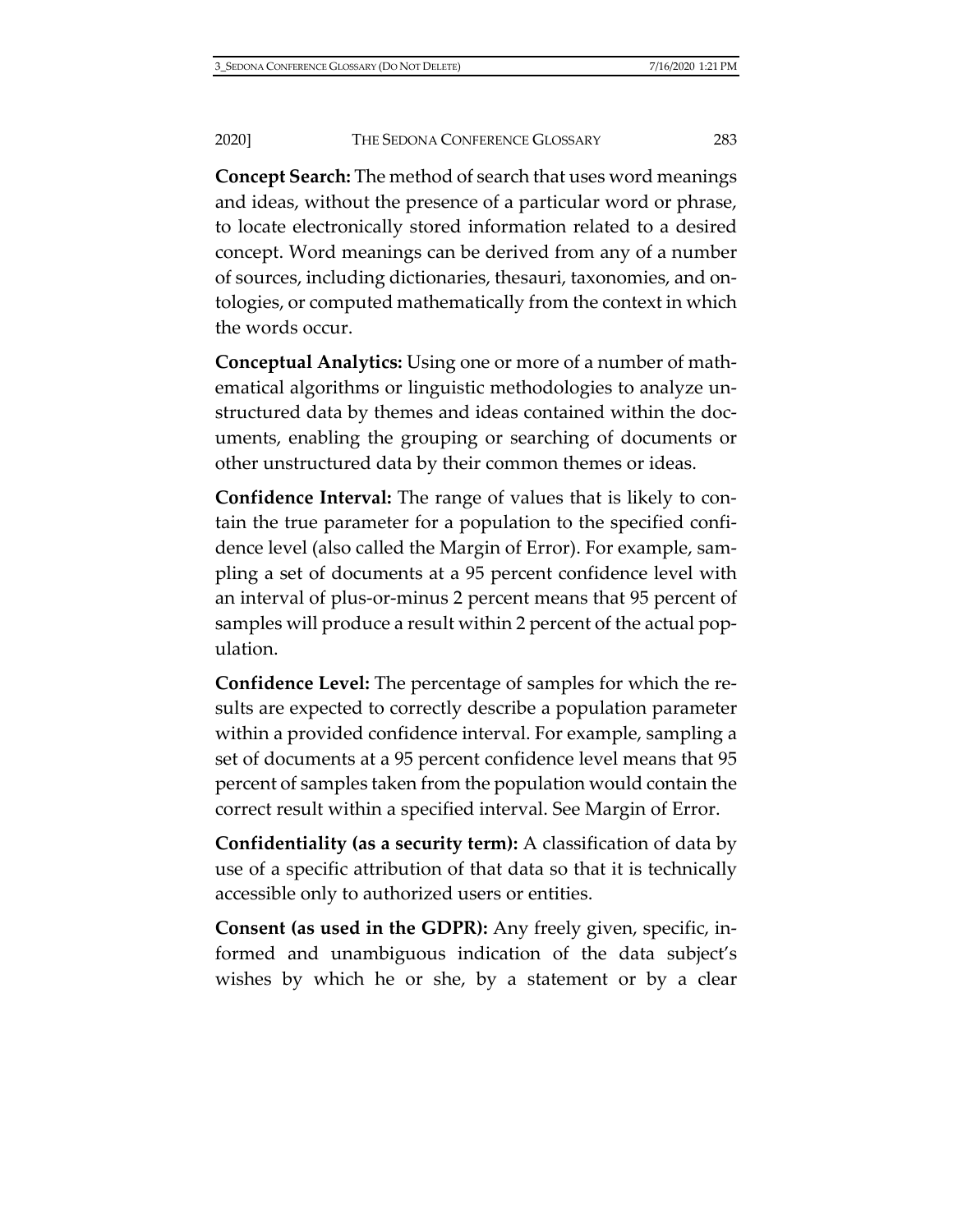**Concept Search:** The method of search that uses word meanings and ideas, without the presence of a particular word or phrase, to locate electronically stored information related to a desired concept. Word meanings can be derived from any of a number of sources, including dictionaries, thesauri, taxonomies, and ontologies, or computed mathematically from the context in which the words occur.

**Conceptual Analytics:** Using one or more of a number of mathematical algorithms or linguistic methodologies to analyze unstructured data by themes and ideas contained within the documents, enabling the grouping or searching of documents or other unstructured data by their common themes or ideas.

**Confidence Interval:** The range of values that is likely to contain the true parameter for a population to the specified confidence level (also called the Margin of Error). For example, sampling a set of documents at a 95 percent confidence level with an interval of plus-or-minus 2 percent means that 95 percent of samples will produce a result within 2 percent of the actual population.

**Confidence Level:** The percentage of samples for which the results are expected to correctly describe a population parameter within a provided confidence interval. For example, sampling a set of documents at a 95 percent confidence level means that 95 percent of samples taken from the population would contain the correct result within a specified interval. See Margin of Error.

**Confidentiality (as a security term):** A classification of data by use of a specific attribution of that data so that it is technically accessible only to authorized users or entities.

**Consent (as used in the GDPR):** Any freely given, specific, informed and unambiguous indication of the data subject's wishes by which he or she, by a statement or by a clear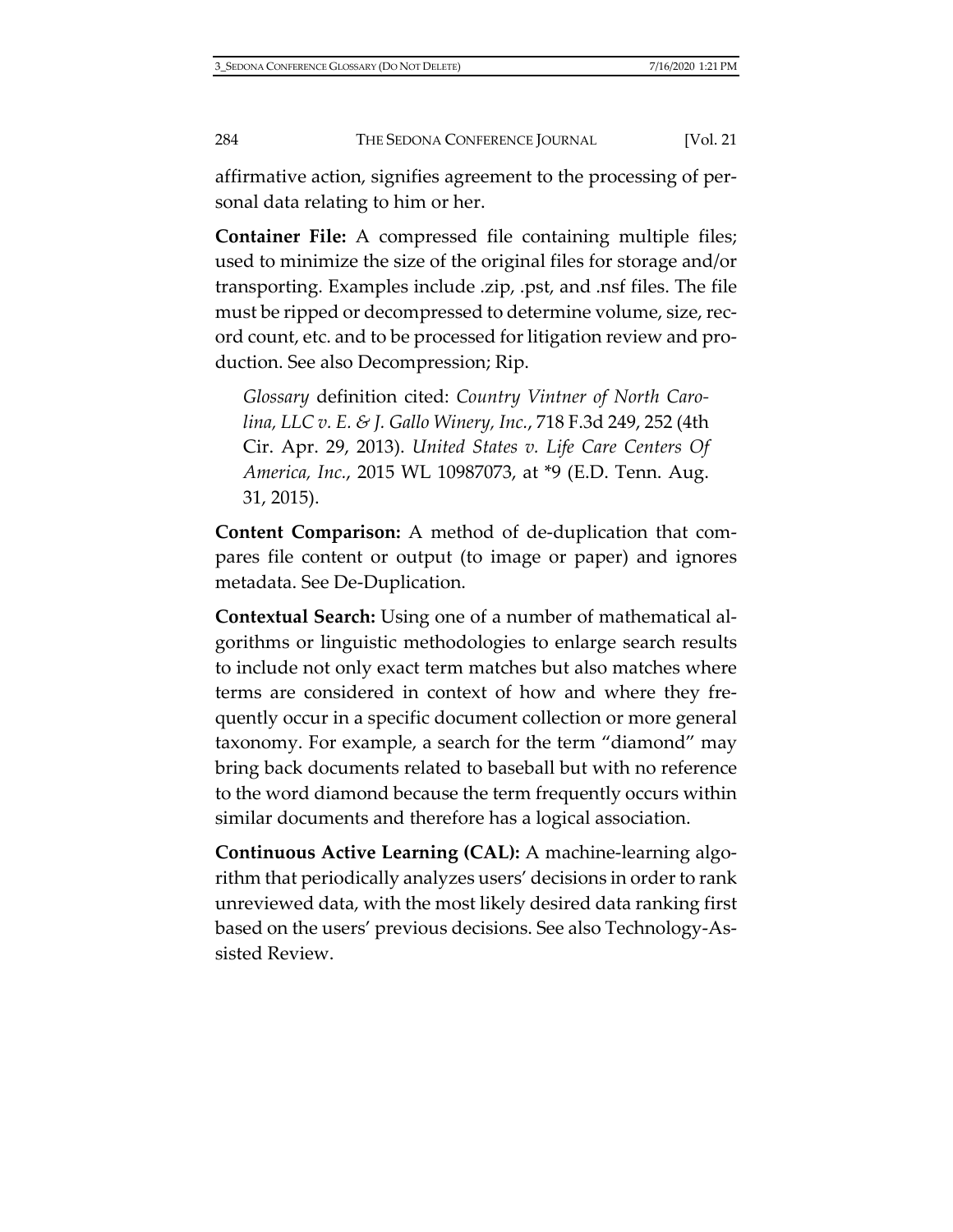affirmative action, signifies agreement to the processing of personal data relating to him or her.

**Container File:** A compressed file containing multiple files; used to minimize the size of the original files for storage and/or transporting. Examples include .zip, .pst, and .nsf files. The file must be ripped or decompressed to determine volume, size, record count, etc. and to be processed for litigation review and production. See also Decompression; Rip.

*Glossary* definition cited: *Country Vintner of North Carolina, LLC v. E. & J. Gallo Winery, Inc.*, 718 F.3d 249, 252 (4th Cir. Apr. 29, 2013). *United States v. Life Care Centers Of America, Inc.*, 2015 WL 10987073, at \*9 (E.D. Tenn. Aug. 31, 2015).

**Content Comparison:** A method of de-duplication that compares file content or output (to image or paper) and ignores metadata. See De-Duplication.

**Contextual Search:** Using one of a number of mathematical algorithms or linguistic methodologies to enlarge search results to include not only exact term matches but also matches where terms are considered in context of how and where they frequently occur in a specific document collection or more general taxonomy. For example, a search for the term "diamond" may bring back documents related to baseball but with no reference to the word diamond because the term frequently occurs within similar documents and therefore has a logical association.

**Continuous Active Learning (CAL):** A machine-learning algorithm that periodically analyzes users' decisions in order to rank unreviewed data, with the most likely desired data ranking first based on the users' previous decisions. See also Technology-Assisted Review.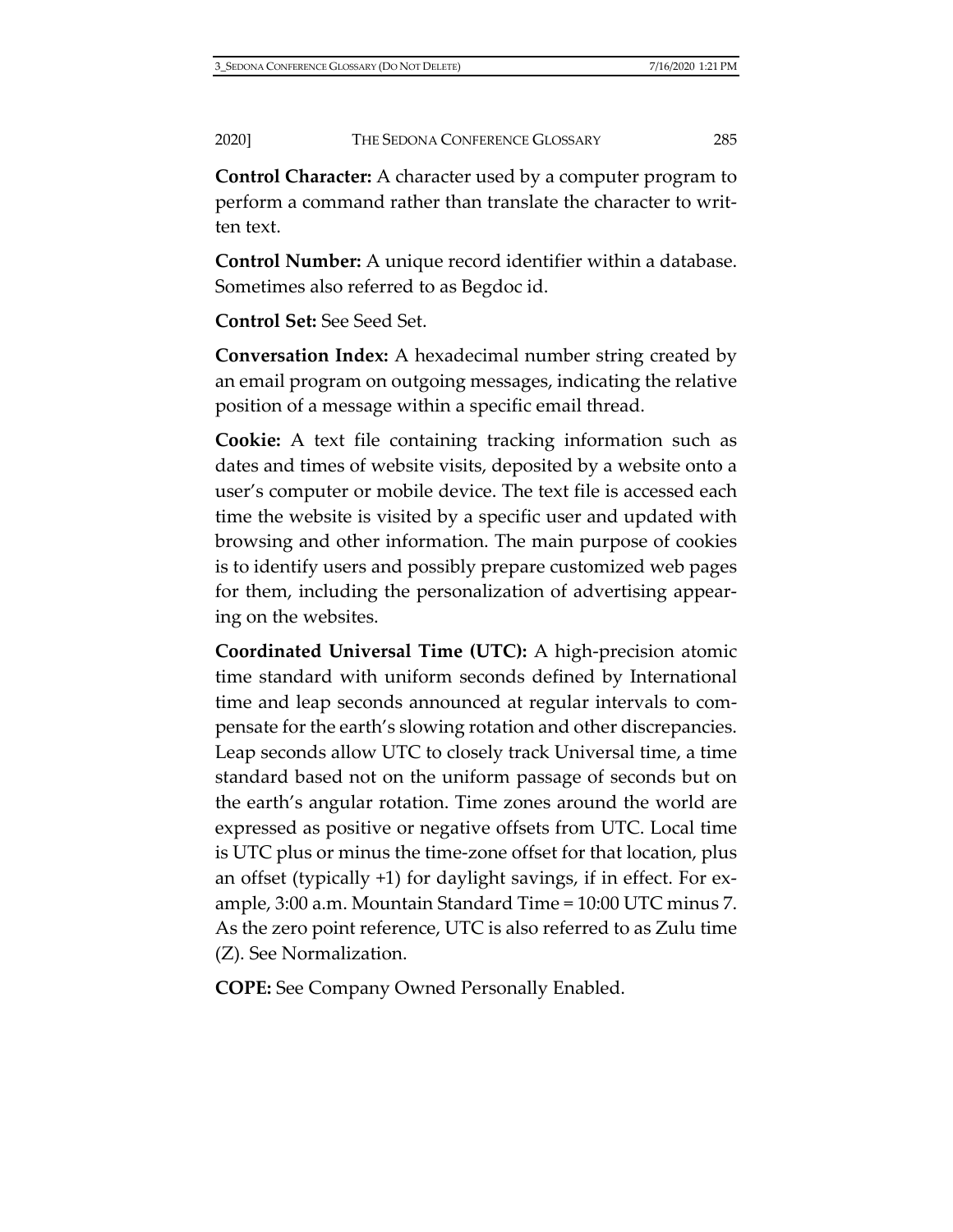**Control Character:** A character used by a computer program to perform a command rather than translate the character to written text.

**Control Number:** A unique record identifier within a database. Sometimes also referred to as Begdoc id.

### **Control Set:** See Seed Set.

**Conversation Index:** A hexadecimal number string created by an email program on outgoing messages, indicating the relative position of a message within a specific email thread.

**Cookie:** A text file containing tracking information such as dates and times of website visits, deposited by a website onto a user's computer or mobile device. The text file is accessed each time the website is visited by a specific user and updated with browsing and other information. The main purpose of cookies is to identify users and possibly prepare customized web pages for them, including the personalization of advertising appearing on the websites.

**Coordinated Universal Time (UTC):** A high-precision atomic time standard with uniform seconds defined by International time and leap seconds announced at regular intervals to compensate for the earth's slowing rotation and other discrepancies. Leap seconds allow UTC to closely track Universal time, a time standard based not on the uniform passage of seconds but on the earth's angular rotation. Time zones around the world are expressed as positive or negative offsets from UTC. Local time is UTC plus or minus the time-zone offset for that location, plus an offset (typically +1) for daylight savings, if in effect. For example, 3:00 a.m. Mountain Standard Time = 10:00 UTC minus 7. As the zero point reference, UTC is also referred to as Zulu time (Z). See Normalization.

**COPE:** See Company Owned Personally Enabled.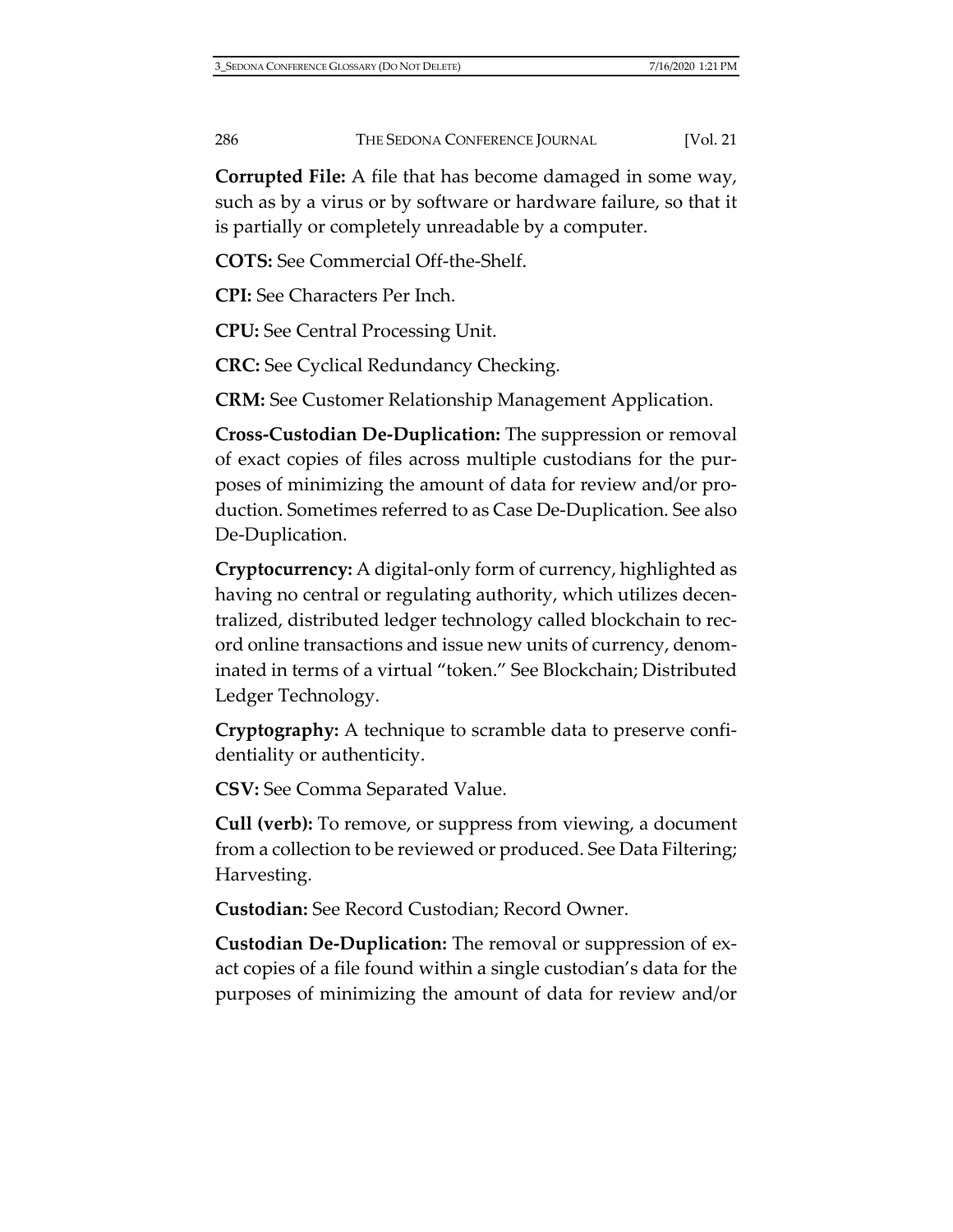**Corrupted File:** A file that has become damaged in some way, such as by a virus or by software or hardware failure, so that it is partially or completely unreadable by a computer.

**COTS:** See Commercial Off-the-Shelf.

**CPI:** See Characters Per Inch.

**CPU:** See Central Processing Unit.

**CRC:** See Cyclical Redundancy Checking.

**CRM:** See Customer Relationship Management Application.

**Cross-Custodian De-Duplication:** The suppression or removal of exact copies of files across multiple custodians for the purposes of minimizing the amount of data for review and/or production. Sometimes referred to as Case De-Duplication. See also De-Duplication.

**Cryptocurrency:** A digital-only form of currency, highlighted as having no central or regulating authority, which utilizes decentralized, distributed ledger technology called blockchain to record online transactions and issue new units of currency, denominated in terms of a virtual "token." See Blockchain; Distributed Ledger Technology.

**Cryptography:** A technique to scramble data to preserve confidentiality or authenticity.

**CSV:** See Comma Separated Value.

**Cull (verb):** To remove, or suppress from viewing, a document from a collection to be reviewed or produced. See Data Filtering; Harvesting.

**Custodian:** See Record Custodian; Record Owner.

**Custodian De-Duplication:** The removal or suppression of exact copies of a file found within a single custodian's data for the purposes of minimizing the amount of data for review and/or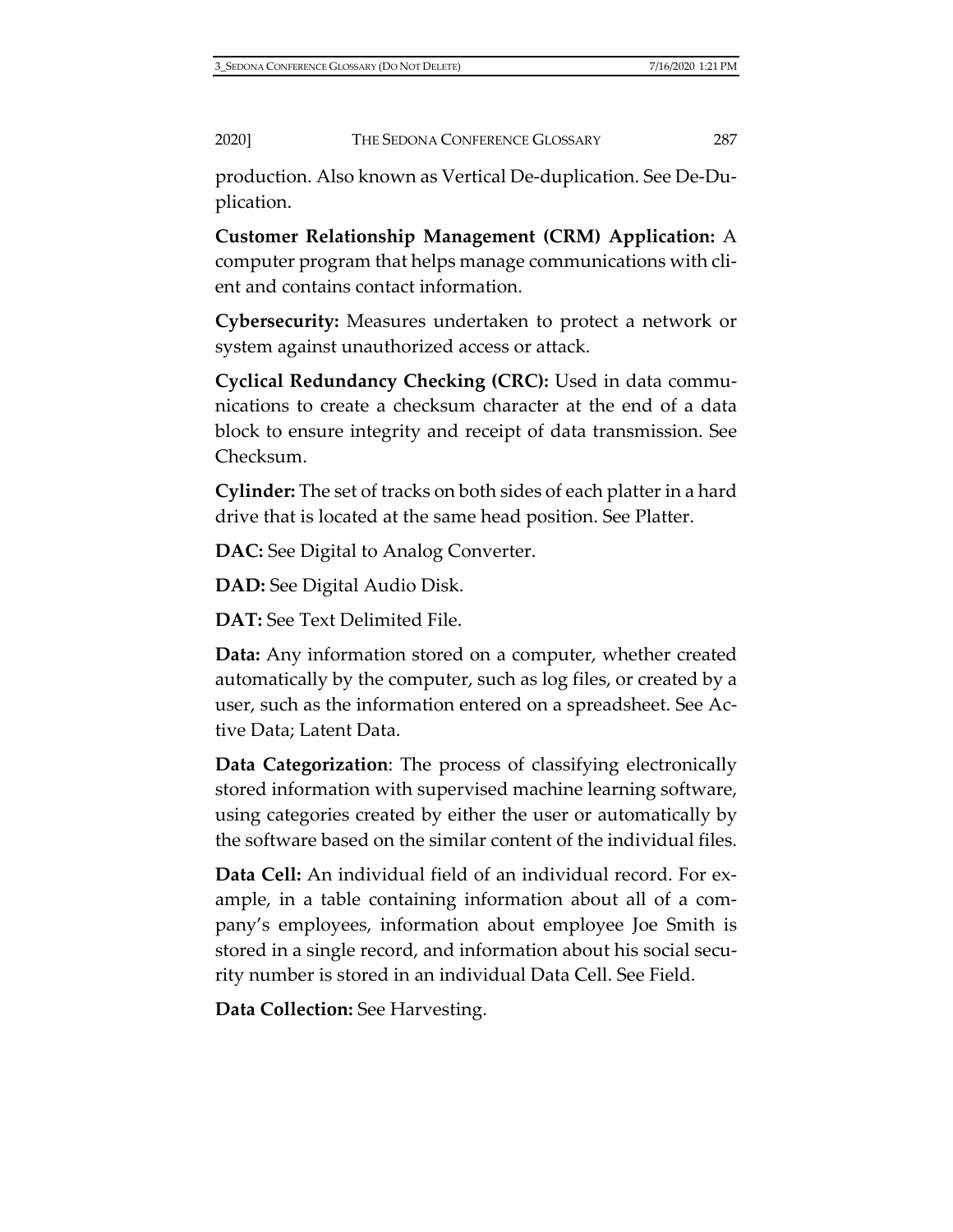production. Also known as Vertical De-duplication. See De-Duplication.

**Customer Relationship Management (CRM) Application:** A computer program that helps manage communications with client and contains contact information.

**Cybersecurity:** Measures undertaken to protect a network or system against unauthorized access or attack.

**Cyclical Redundancy Checking (CRC):** Used in data communications to create a checksum character at the end of a data block to ensure integrity and receipt of data transmission. See Checksum.

**Cylinder:** The set of tracks on both sides of each platter in a hard drive that is located at the same head position. See Platter.

**DAC:** See Digital to Analog Converter.

**DAD:** See Digital Audio Disk.

**DAT:** See Text Delimited File.

**Data:** Any information stored on a computer, whether created automatically by the computer, such as log files, or created by a user, such as the information entered on a spreadsheet. See Active Data; Latent Data.

**Data Categorization**: The process of classifying electronically stored information with supervised machine learning software, using categories created by either the user or automatically by the software based on the similar content of the individual files.

**Data Cell:** An individual field of an individual record. For example, in a table containing information about all of a company's employees, information about employee Joe Smith is stored in a single record, and information about his social security number is stored in an individual Data Cell. See Field.

**Data Collection:** See Harvesting.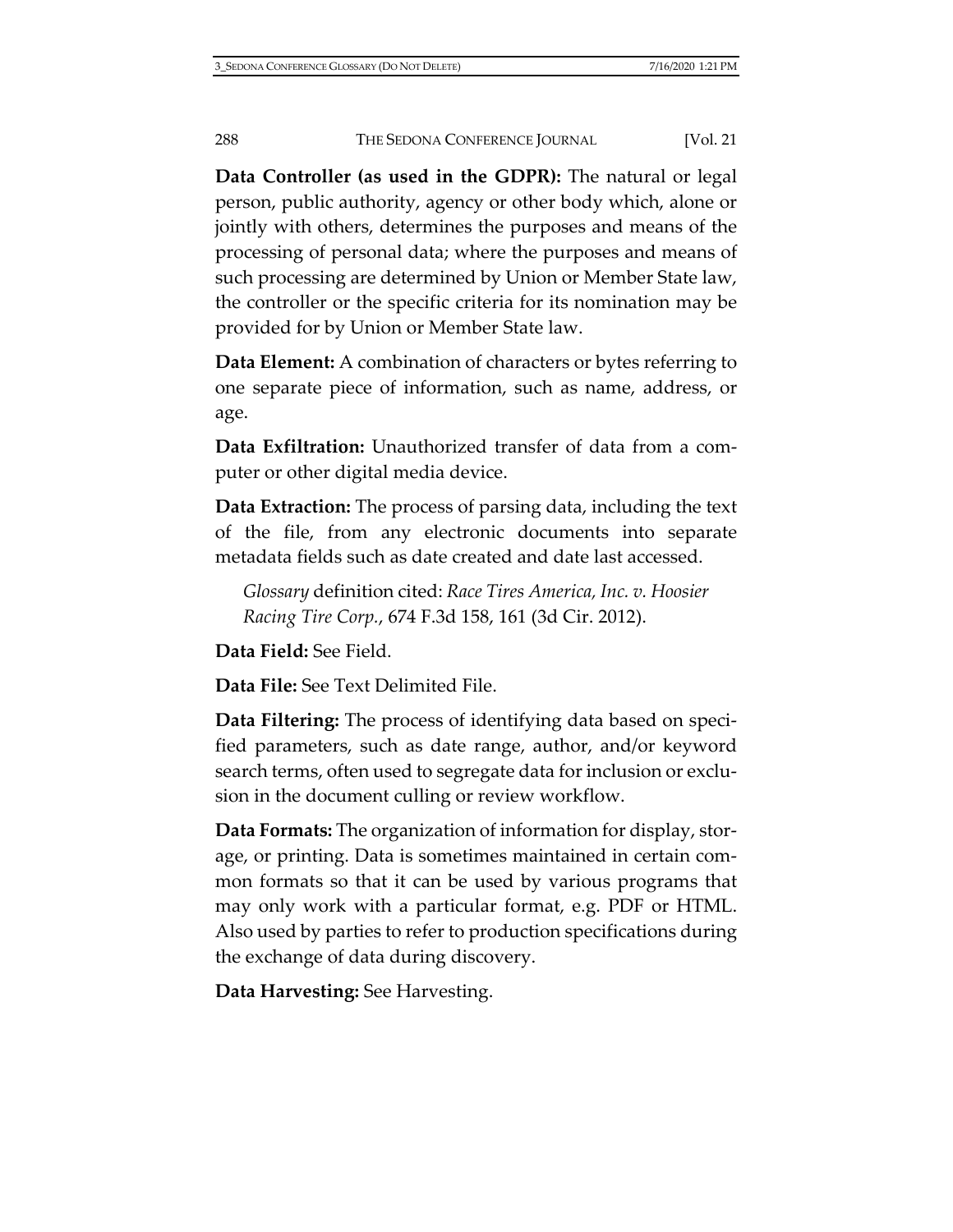**Data Controller (as used in the GDPR):** The natural or legal person, public authority, agency or other body which, alone or jointly with others, determines the purposes and means of the processing of personal data; where the purposes and means of such processing are determined by Union or Member State law, the controller or the specific criteria for its nomination may be provided for by Union or Member State law.

**Data Element:** A combination of characters or bytes referring to one separate piece of information, such as name, address, or age.

**Data Exfiltration:** Unauthorized transfer of data from a computer or other digital media device.

**Data Extraction:** The process of parsing data, including the text of the file, from any electronic documents into separate metadata fields such as date created and date last accessed.

*Glossary* definition cited: *Race Tires America, Inc. v. Hoosier Racing Tire Corp.*, 674 F.3d 158, 161 (3d Cir. 2012).

**Data Field:** See Field.

**Data File:** See Text Delimited File.

**Data Filtering:** The process of identifying data based on specified parameters, such as date range, author, and/or keyword search terms, often used to segregate data for inclusion or exclusion in the document culling or review workflow.

**Data Formats:** The organization of information for display, storage, or printing. Data is sometimes maintained in certain common formats so that it can be used by various programs that may only work with a particular format, e.g. PDF or HTML. Also used by parties to refer to production specifications during the exchange of data during discovery.

**Data Harvesting:** See Harvesting.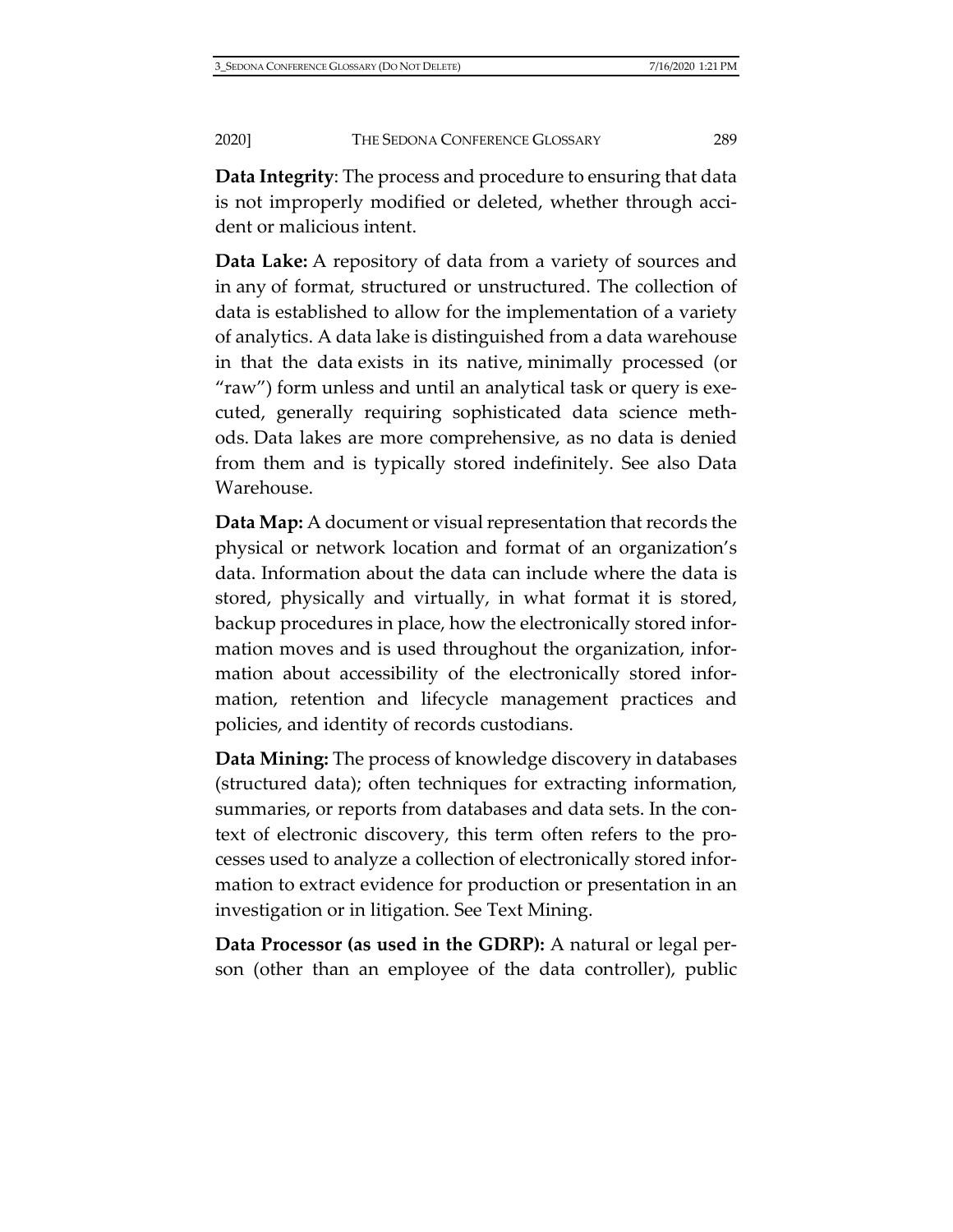**Data Integrity**: The process and procedure to ensuring that data is not improperly modified or deleted, whether through accident or malicious intent.

**Data Lake:** A repository of data from a variety of sources and in any of format, structured or unstructured. The collection of data is established to allow for the implementation of a variety of analytics. A data lake is distinguished from a data warehouse in that the data exists in its native, minimally processed (or "raw") form unless and until an analytical task or query is executed, generally requiring sophisticated data science methods. Data lakes are more comprehensive, as no data is denied from them and is typically stored indefinitely. See also Data Warehouse.

**Data Map:** A document or visual representation that records the physical or network location and format of an organization's data. Information about the data can include where the data is stored, physically and virtually, in what format it is stored, backup procedures in place, how the electronically stored information moves and is used throughout the organization, information about accessibility of the electronically stored information, retention and lifecycle management practices and policies, and identity of records custodians.

**Data Mining:** The process of knowledge discovery in databases (structured data); often techniques for extracting information, summaries, or reports from databases and data sets. In the context of electronic discovery, this term often refers to the processes used to analyze a collection of electronically stored information to extract evidence for production or presentation in an investigation or in litigation. See Text Mining.

**Data Processor (as used in the GDRP):** A natural or legal person (other than an employee of the data controller), public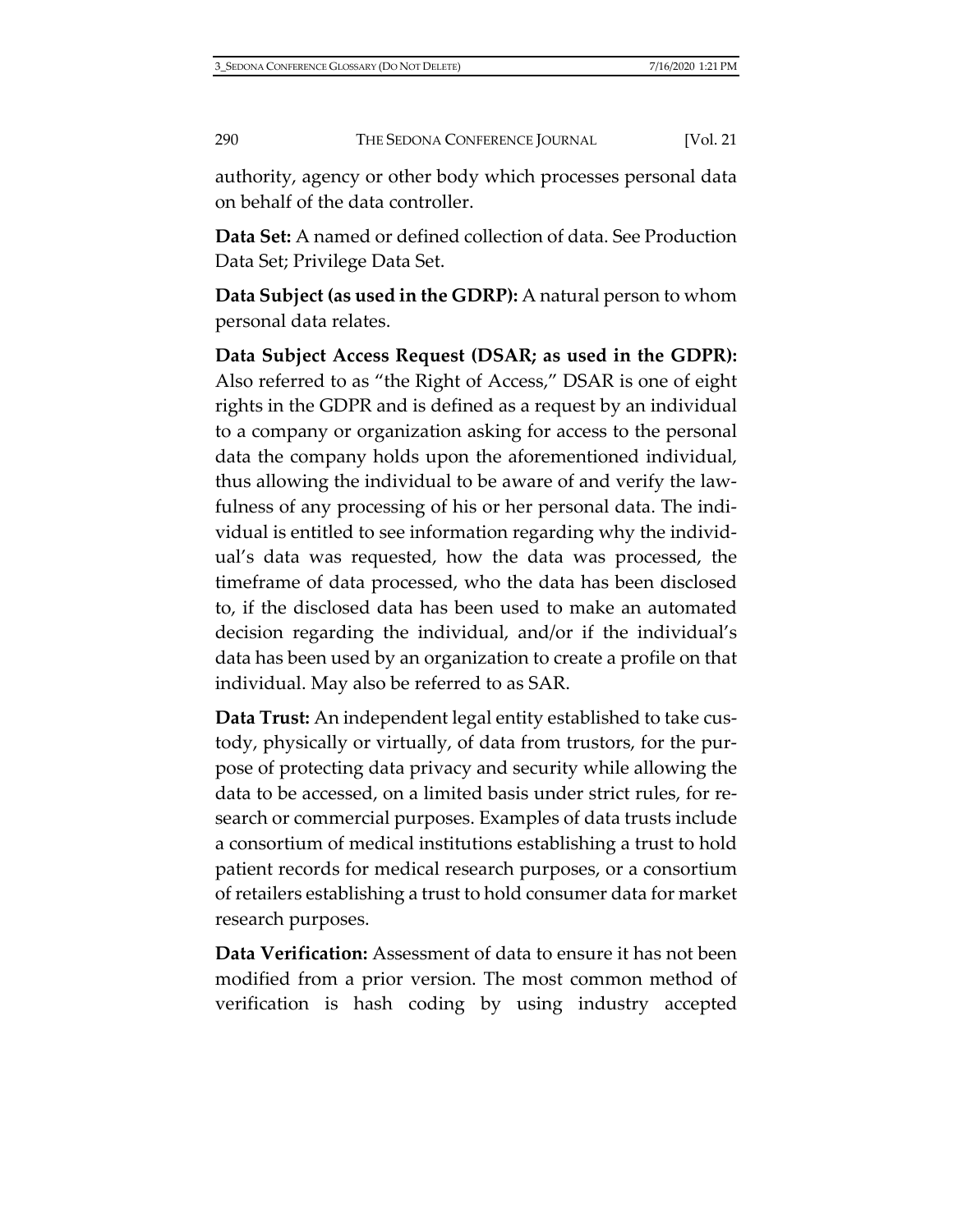authority, agency or other body which processes personal data on behalf of the data controller.

**Data Set:** A named or defined collection of data. See Production Data Set; Privilege Data Set.

**Data Subject (as used in the GDRP):** A natural person to whom personal data relates.

**Data Subject Access Request (DSAR; as used in the GDPR):** Also referred to as "the Right of Access," DSAR is one of eight rights in the GDPR and is defined as a request by an individual to a company or organization asking for access to the personal data the company holds upon the aforementioned individual, thus allowing the individual to be aware of and verify the lawfulness of any processing of his or her personal data. The individual is entitled to see information regarding why the individual's data was requested, how the data was processed, the timeframe of data processed, who the data has been disclosed to, if the disclosed data has been used to make an automated decision regarding the individual, and/or if the individual's data has been used by an organization to create a profile on that individual. May also be referred to as SAR.

**Data Trust:** An independent legal entity established to take custody, physically or virtually, of data from trustors, for the purpose of protecting data privacy and security while allowing the data to be accessed, on a limited basis under strict rules, for research or commercial purposes. Examples of data trusts include a consortium of medical institutions establishing a trust to hold patient records for medical research purposes, or a consortium of retailers establishing a trust to hold consumer data for market research purposes.

**Data Verification:** Assessment of data to ensure it has not been modified from a prior version. The most common method of verification is hash coding by using industry accepted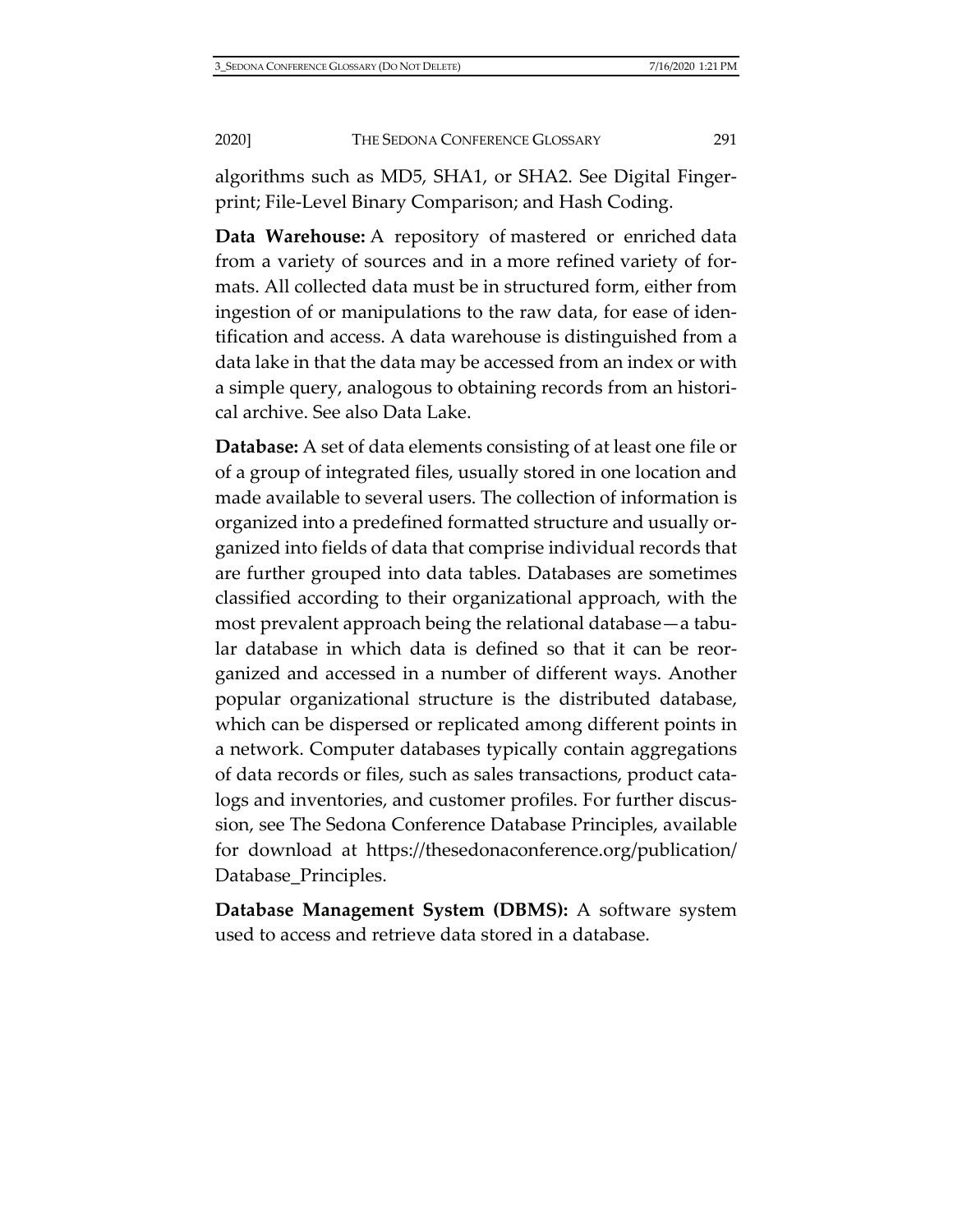algorithms such as MD5, SHA1, or SHA2. See Digital Fingerprint; File-Level Binary Comparison; and Hash Coding.

**Data Warehouse:** A repository of mastered or enriched data from a variety of sources and in a more refined variety of formats. All collected data must be in structured form, either from ingestion of or manipulations to the raw data, for ease of identification and access. A data warehouse is distinguished from a data lake in that the data may be accessed from an index or with a simple query, analogous to obtaining records from an historical archive. See also Data Lake.

**Database:** A set of data elements consisting of at least one file or of a group of integrated files, usually stored in one location and made available to several users. The collection of information is organized into a predefined formatted structure and usually organized into fields of data that comprise individual records that are further grouped into data tables. Databases are sometimes classified according to their organizational approach, with the most prevalent approach being the relational database—a tabular database in which data is defined so that it can be reorganized and accessed in a number of different ways. Another popular organizational structure is the distributed database, which can be dispersed or replicated among different points in a network. Computer databases typically contain aggregations of data records or files, such as sales transactions, product catalogs and inventories, and customer profiles. For further discussion, see The Sedona Conference Database Principles, available for download at [https://thesedonaconference.org/publication/](https://thesedonaconference.org/publication/Database_Principles) [Database\\_Principles.](https://thesedonaconference.org/publication/Database_Principles)

**Database Management System (DBMS):** A software system used to access and retrieve data stored in a database.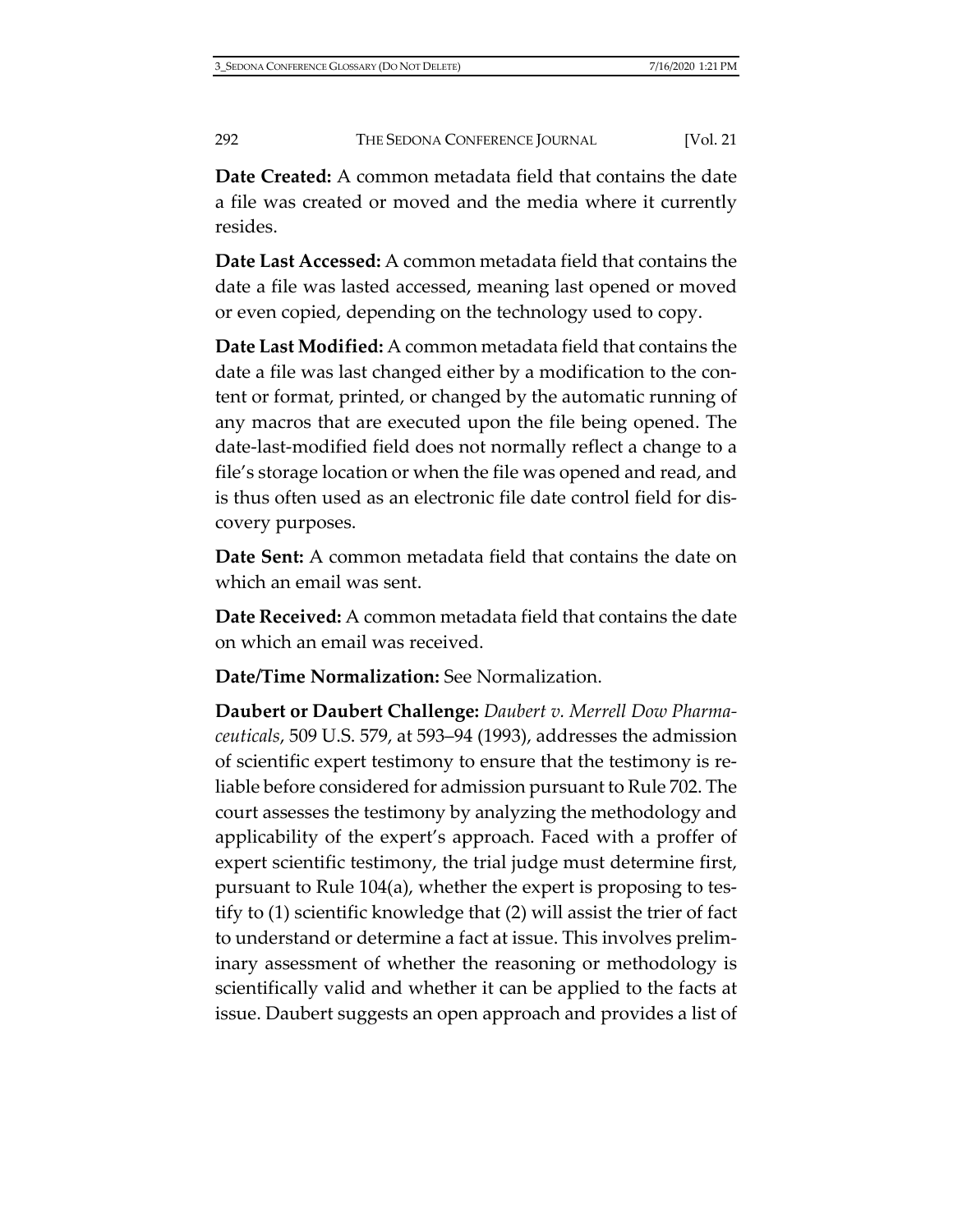**Date Created:** A common metadata field that contains the date a file was created or moved and the media where it currently resides.

**Date Last Accessed:** A common metadata field that contains the date a file was lasted accessed, meaning last opened or moved or even copied, depending on the technology used to copy.

**Date Last Modified:** A common metadata field that contains the date a file was last changed either by a modification to the content or format, printed, or changed by the automatic running of any macros that are executed upon the file being opened. The date-last-modified field does not normally reflect a change to a file's storage location or when the file was opened and read, and is thus often used as an electronic file date control field for discovery purposes.

**Date Sent:** A common metadata field that contains the date on which an email was sent.

**Date Received:** A common metadata field that contains the date on which an email was received.

**Date/Time Normalization:** See Normalization.

**Daubert or Daubert Challenge:** *Daubert v. Merrell Dow Pharmaceuticals*, 509 U.S. 579, at 593–94 (1993), addresses the admission of scientific expert testimony to ensure that the testimony is reliable before considered for admission pursuant to Rule 702. The court assesses the testimony by analyzing the methodology and applicability of the expert's approach. Faced with a proffer of expert scientific testimony, the trial judge must determine first, pursuant to Rule 104(a), whether the expert is proposing to testify to (1) scientific knowledge that (2) will assist the trier of fact to understand or determine a fact at issue. This involves preliminary assessment of whether the reasoning or methodology is scientifically valid and whether it can be applied to the facts at issue. Daubert suggests an open approach and provides a list of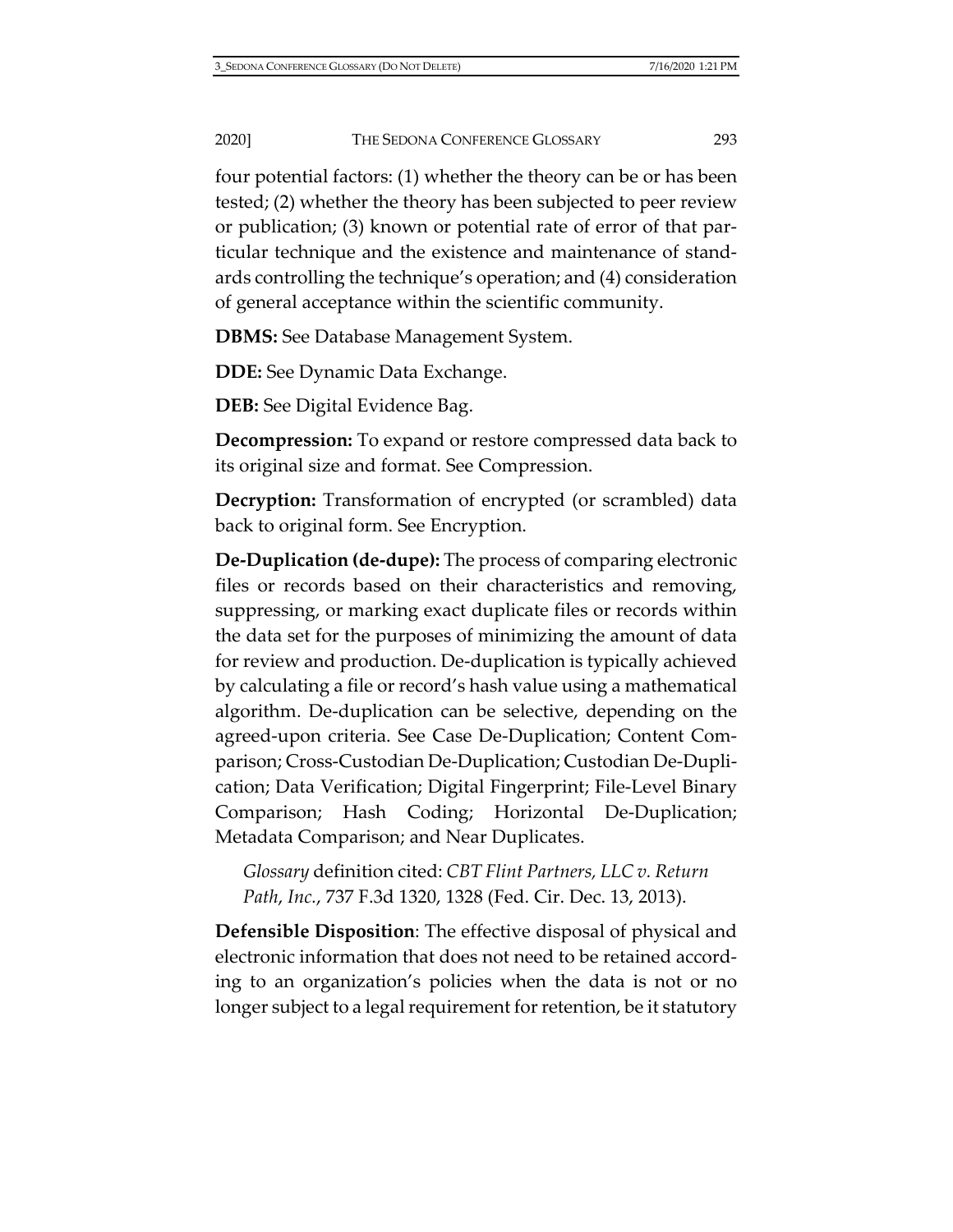four potential factors: (1) whether the theory can be or has been tested; (2) whether the theory has been subjected to peer review or publication; (3) known or potential rate of error of that particular technique and the existence and maintenance of standards controlling the technique's operation; and (4) consideration of general acceptance within the scientific community.

**DBMS:** See Database Management System.

**DDE:** See Dynamic Data Exchange.

**DEB:** See Digital Evidence Bag.

**Decompression:** To expand or restore compressed data back to its original size and format. See Compression.

**Decryption:** Transformation of encrypted (or scrambled) data back to original form. See Encryption.

**De-Duplication (de-dupe):** The process of comparing electronic files or records based on their characteristics and removing, suppressing, or marking exact duplicate files or records within the data set for the purposes of minimizing the amount of data for review and production. De-duplication is typically achieved by calculating a file or record's hash value using a mathematical algorithm. De-duplication can be selective, depending on the agreed-upon criteria. See Case De-Duplication; Content Comparison; Cross-Custodian De-Duplication; Custodian De-Duplication; Data Verification; Digital Fingerprint; File-Level Binary Comparison; Hash Coding; Horizontal De-Duplication; Metadata Comparison; and Near Duplicates.

*Glossary* definition cited: *CBT Flint Partners, LLC v. Return Path*, *Inc.*, 737 F.3d 1320, 1328 (Fed. Cir. Dec. 13, 2013).

**Defensible Disposition**: The effective disposal of physical and electronic information that does not need to be retained according to an organization's policies when the data is not or no longer subject to a legal requirement for retention, be it statutory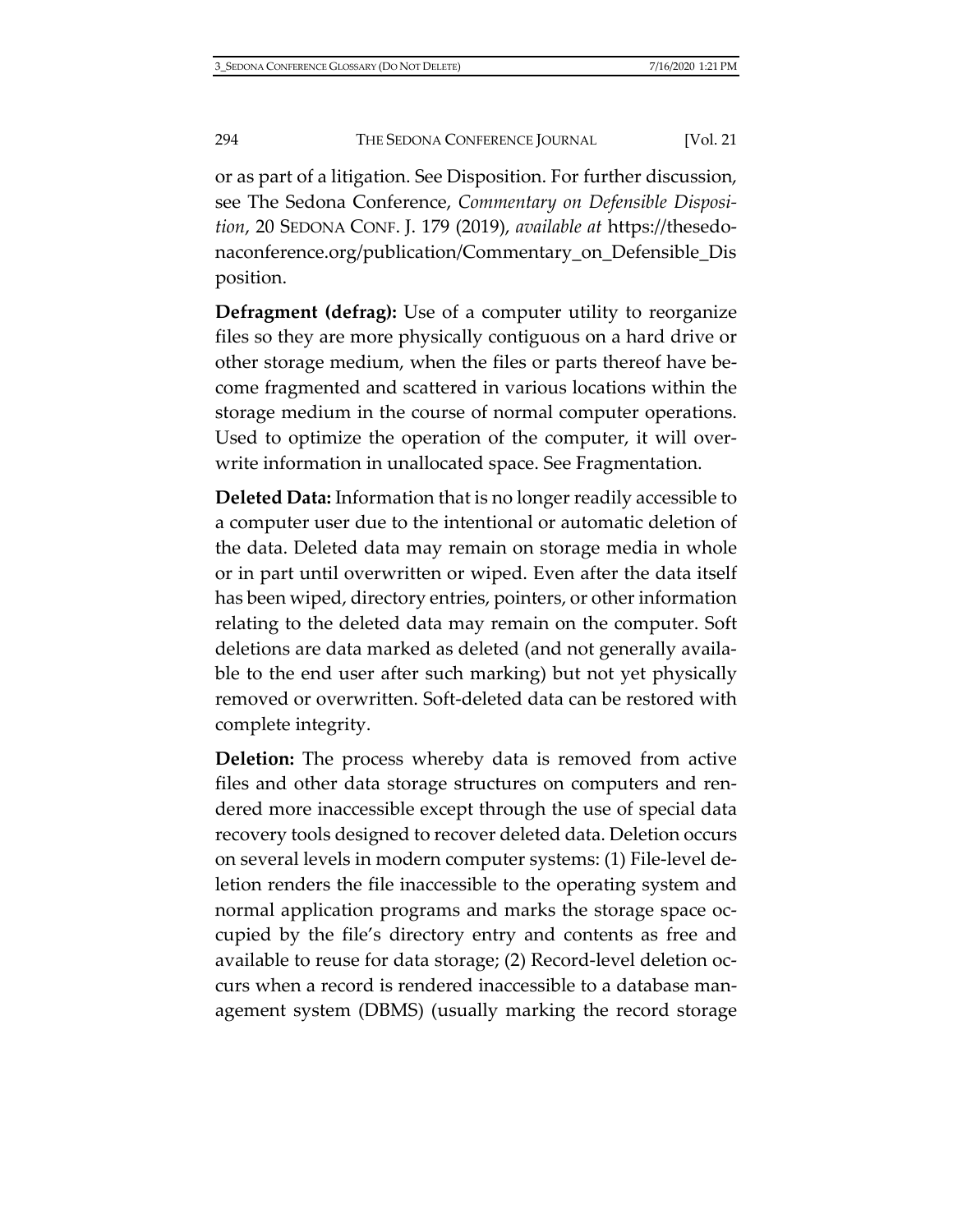or as part of a litigation. See Disposition. For further discussion, see The Sedona Conference, *Commentary on Defensible Disposition*, 20 SEDONA CONF. J. 179 (2019), *available at* [https://thesedo](https://thesedonaconference.org/publication/Commentary_on_Defensible_Dis%E2%80%8Cposition)[naconference.org/publication/Commentary\\_on\\_Defensible\\_Dis](https://thesedonaconference.org/publication/Commentary_on_Defensible_Dis%E2%80%8Cposition) [position.](https://thesedonaconference.org/publication/Commentary_on_Defensible_Dis%E2%80%8Cposition)

**Defragment (defrag):** Use of a computer utility to reorganize files so they are more physically contiguous on a hard drive or other storage medium, when the files or parts thereof have become fragmented and scattered in various locations within the storage medium in the course of normal computer operations. Used to optimize the operation of the computer, it will overwrite information in unallocated space. See Fragmentation.

**Deleted Data:** Information that is no longer readily accessible to a computer user due to the intentional or automatic deletion of the data. Deleted data may remain on storage media in whole or in part until overwritten or wiped. Even after the data itself has been wiped, directory entries, pointers, or other information relating to the deleted data may remain on the computer. Soft deletions are data marked as deleted (and not generally available to the end user after such marking) but not yet physically removed or overwritten. Soft-deleted data can be restored with complete integrity.

**Deletion:** The process whereby data is removed from active files and other data storage structures on computers and rendered more inaccessible except through the use of special data recovery tools designed to recover deleted data. Deletion occurs on several levels in modern computer systems: (1) File-level deletion renders the file inaccessible to the operating system and normal application programs and marks the storage space occupied by the file's directory entry and contents as free and available to reuse for data storage; (2) Record-level deletion occurs when a record is rendered inaccessible to a database management system (DBMS) (usually marking the record storage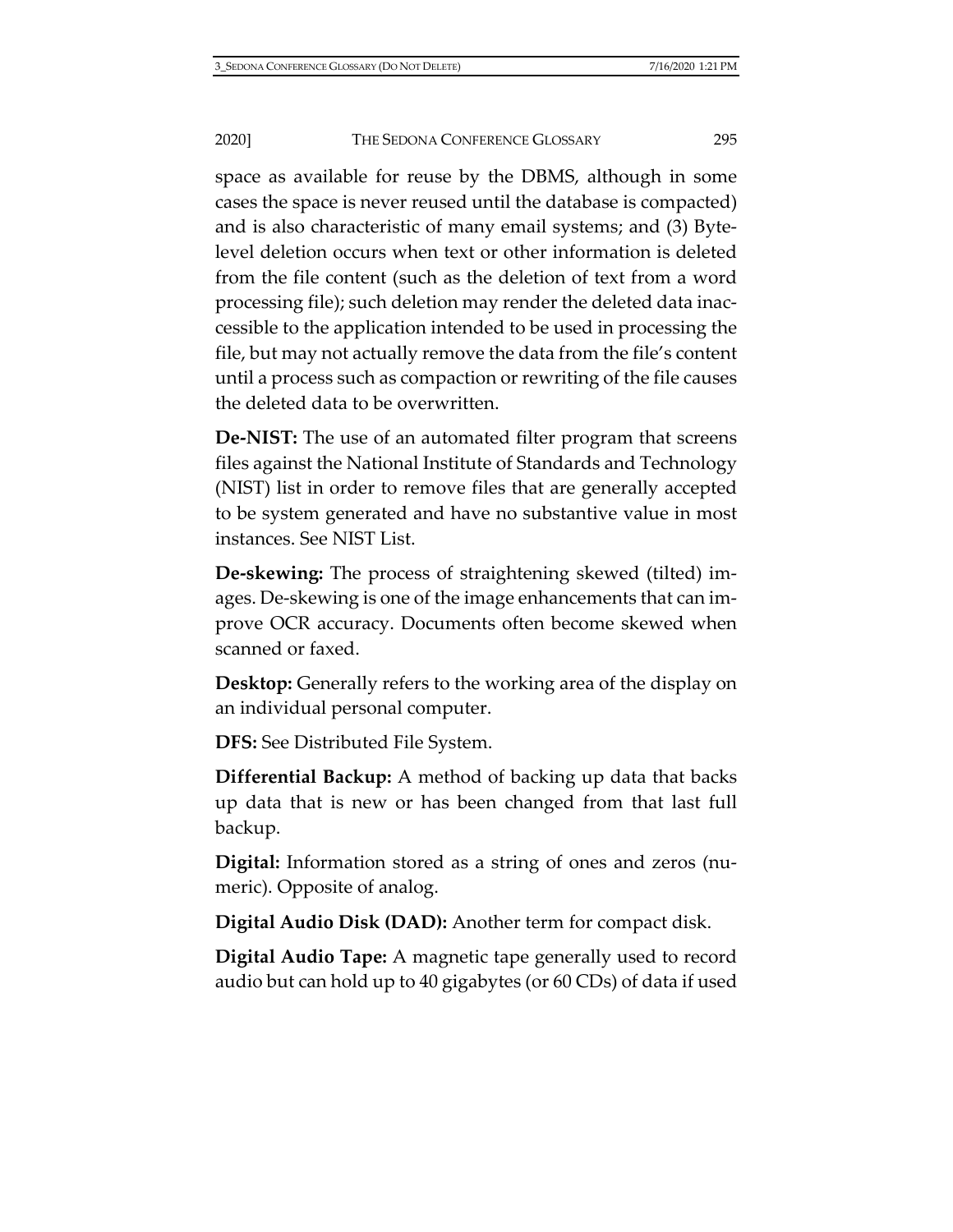space as available for reuse by the DBMS, although in some cases the space is never reused until the database is compacted) and is also characteristic of many email systems; and (3) Bytelevel deletion occurs when text or other information is deleted from the file content (such as the deletion of text from a word processing file); such deletion may render the deleted data inaccessible to the application intended to be used in processing the file, but may not actually remove the data from the file's content until a process such as compaction or rewriting of the file causes the deleted data to be overwritten.

**De-NIST:** The use of an automated filter program that screens files against the National Institute of Standards and Technology (NIST) list in order to remove files that are generally accepted to be system generated and have no substantive value in most instances. See NIST List.

**De-skewing:** The process of straightening skewed (tilted) images. De-skewing is one of the image enhancements that can improve OCR accuracy. Documents often become skewed when scanned or faxed.

**Desktop:** Generally refers to the working area of the display on an individual personal computer.

**DFS:** See Distributed File System.

**Differential Backup:** A method of backing up data that backs up data that is new or has been changed from that last full backup.

**Digital:** Information stored as a string of ones and zeros (numeric). Opposite of analog.

**Digital Audio Disk (DAD):** Another term for compact disk.

**Digital Audio Tape:** A magnetic tape generally used to record audio but can hold up to 40 gigabytes (or 60 CDs) of data if used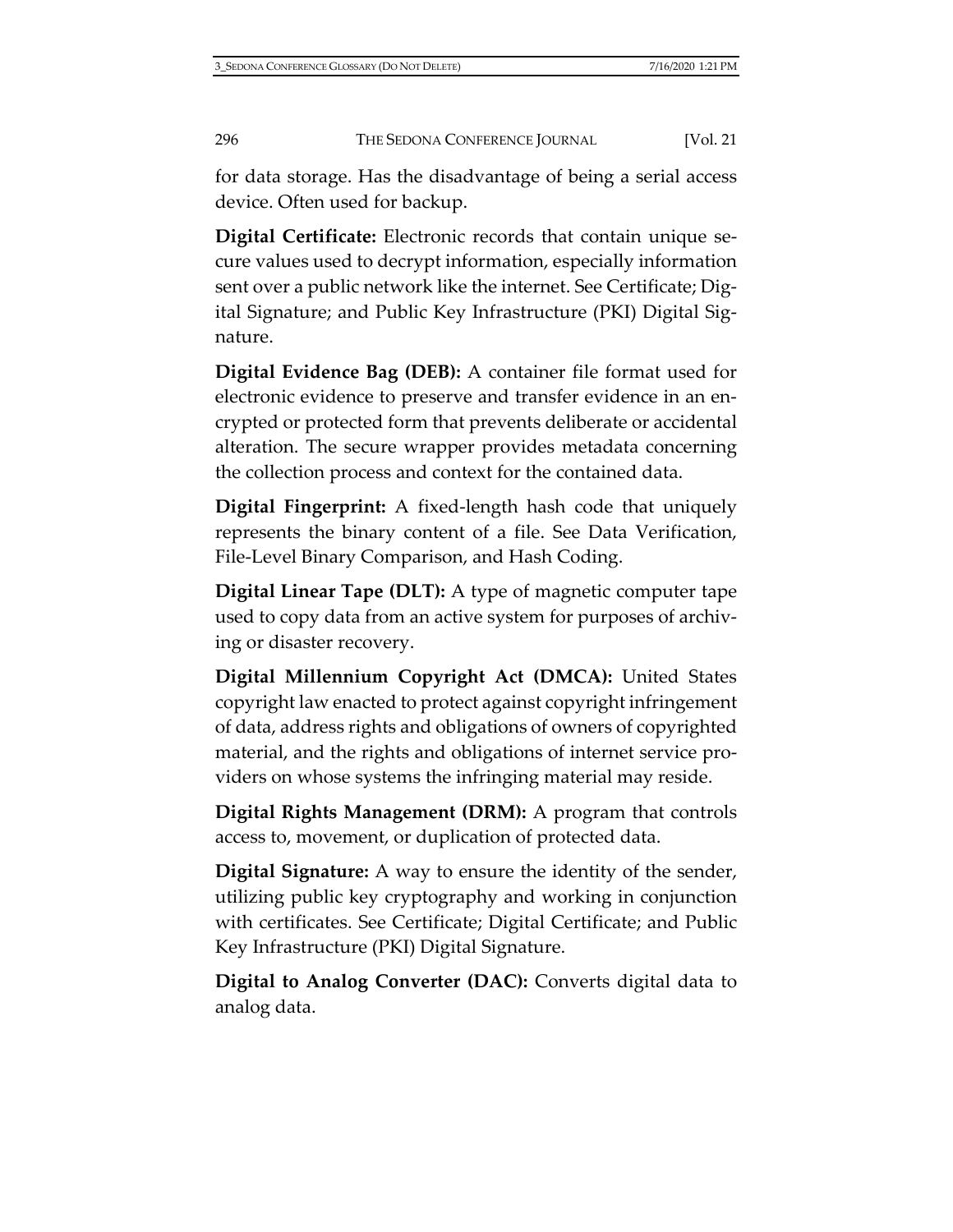for data storage. Has the disadvantage of being a serial access device. Often used for backup.

**Digital Certificate:** Electronic records that contain unique secure values used to decrypt information, especially information sent over a public network like the internet. See Certificate; Digital Signature; and Public Key Infrastructure (PKI) Digital Signature.

**Digital Evidence Bag (DEB):** A container file format used for electronic evidence to preserve and transfer evidence in an encrypted or protected form that prevents deliberate or accidental alteration. The secure wrapper provides metadata concerning the collection process and context for the contained data.

**Digital Fingerprint:** A fixed-length hash code that uniquely represents the binary content of a file. See Data Verification, File-Level Binary Comparison, and Hash Coding.

**Digital Linear Tape (DLT):** A type of magnetic computer tape used to copy data from an active system for purposes of archiving or disaster recovery.

**Digital Millennium Copyright Act (DMCA):** United States copyright law enacted to protect against copyright infringement of data, address rights and obligations of owners of copyrighted material, and the rights and obligations of internet service providers on whose systems the infringing material may reside.

**Digital Rights Management (DRM):** A program that controls access to, movement, or duplication of protected data.

**Digital Signature:** A way to ensure the identity of the sender, utilizing public key cryptography and working in conjunction with certificates. See Certificate; Digital Certificate; and Public Key Infrastructure (PKI) Digital Signature.

**Digital to Analog Converter (DAC):** Converts digital data to analog data.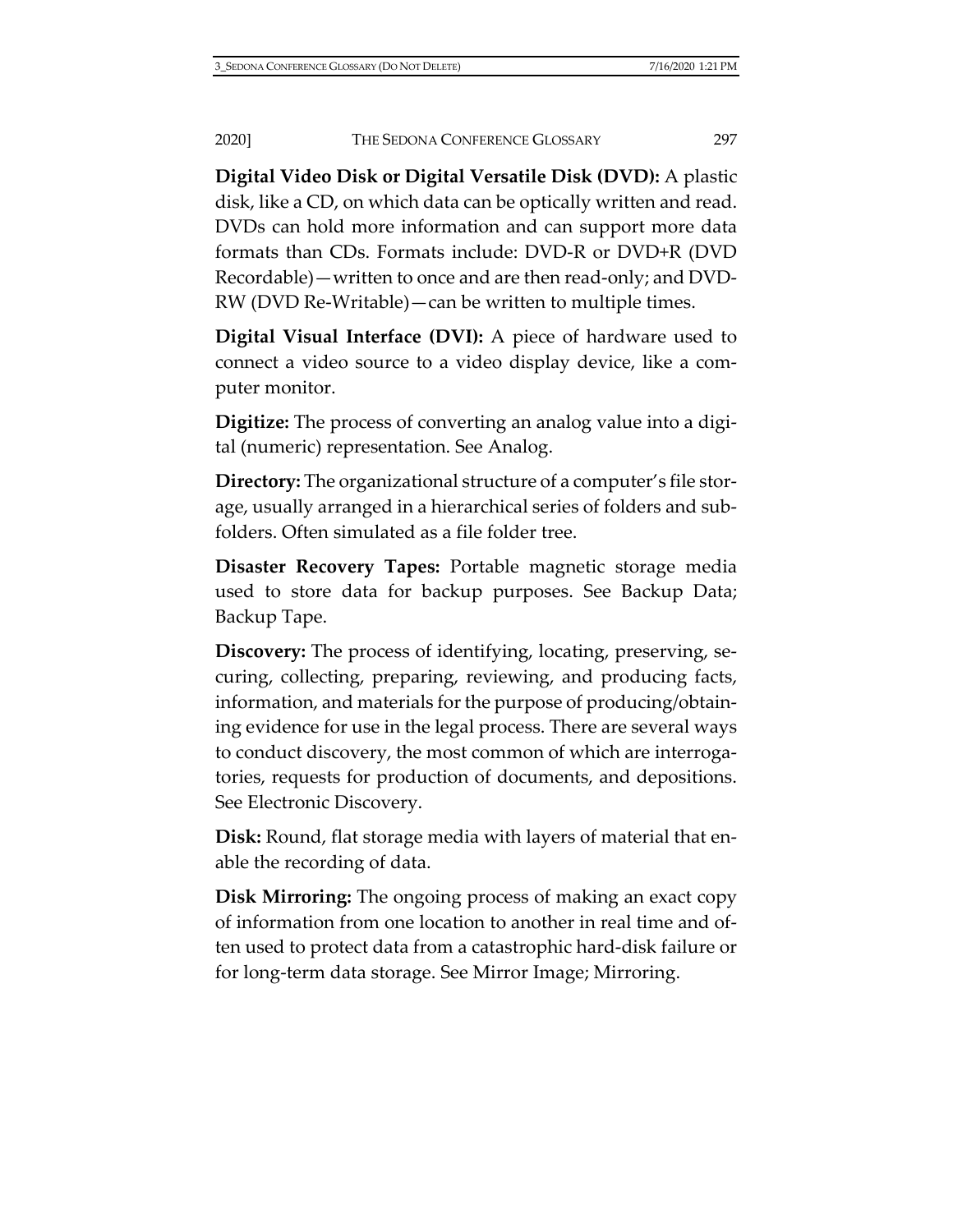**Digital Video Disk or Digital Versatile Disk (DVD):** A plastic disk, like a CD, on which data can be optically written and read. DVDs can hold more information and can support more data formats than CDs. Formats include: DVD-R or DVD+R (DVD Recordable)—written to once and are then read-only; and DVD-RW (DVD Re-Writable)—can be written to multiple times.

**Digital Visual Interface (DVI):** A piece of hardware used to connect a video source to a video display device, like a computer monitor.

**Digitize:** The process of converting an analog value into a digital (numeric) representation. See Analog.

**Directory:** The organizational structure of a computer's file storage, usually arranged in a hierarchical series of folders and subfolders. Often simulated as a file folder tree.

**Disaster Recovery Tapes:** Portable magnetic storage media used to store data for backup purposes. See Backup Data; Backup Tape.

**Discovery:** The process of identifying, locating, preserving, securing, collecting, preparing, reviewing, and producing facts, information, and materials for the purpose of producing/obtaining evidence for use in the legal process. There are several ways to conduct discovery, the most common of which are interrogatories, requests for production of documents, and depositions. See Electronic Discovery.

**Disk:** Round, flat storage media with layers of material that enable the recording of data.

**Disk Mirroring:** The ongoing process of making an exact copy of information from one location to another in real time and often used to protect data from a catastrophic hard-disk failure or for long-term data storage. See Mirror Image; Mirroring.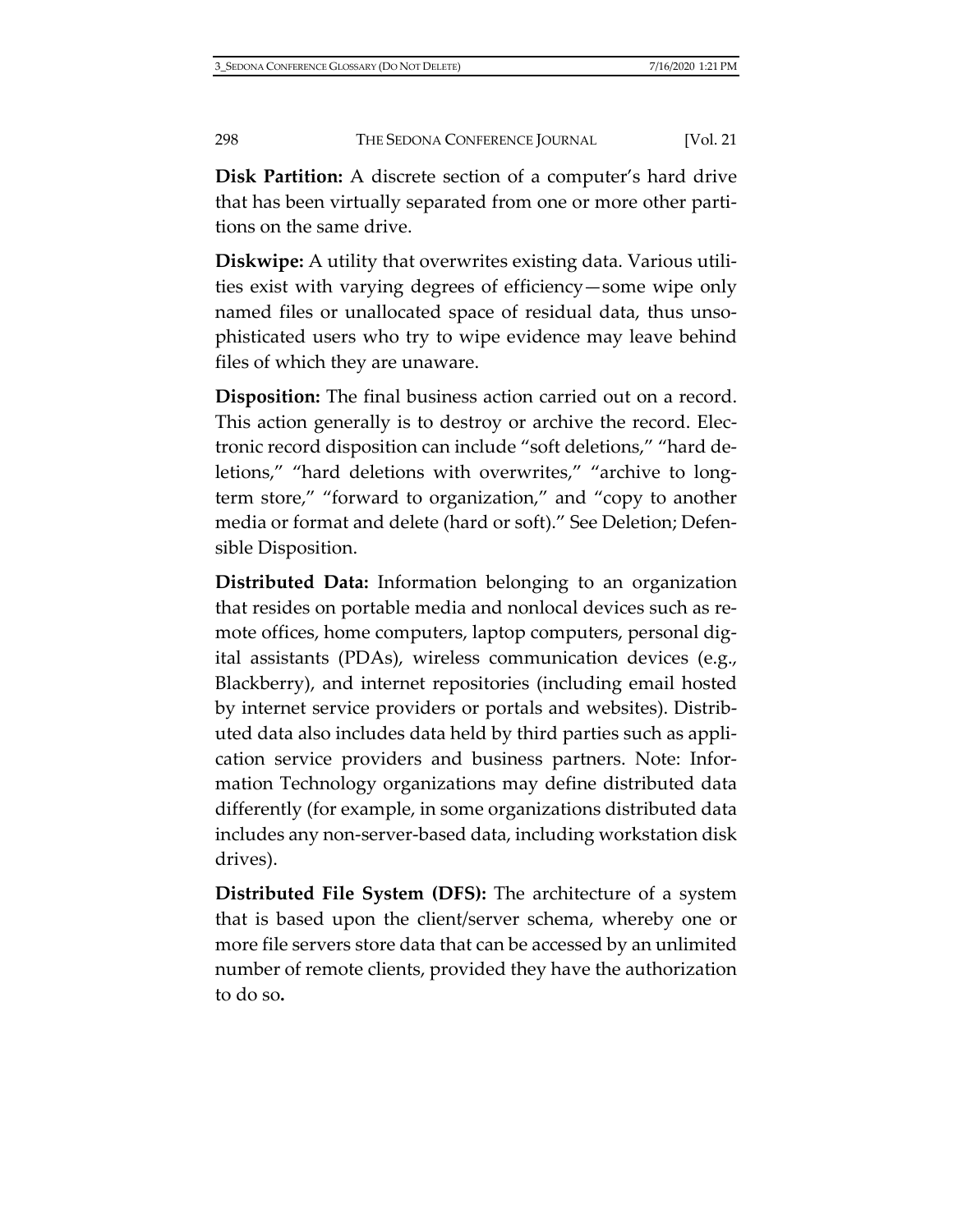**Disk Partition:** A discrete section of a computer's hard drive that has been virtually separated from one or more other partitions on the same drive.

**Diskwipe:** A utility that overwrites existing data. Various utilities exist with varying degrees of efficiency—some wipe only named files or unallocated space of residual data, thus unsophisticated users who try to wipe evidence may leave behind files of which they are unaware.

**Disposition:** The final business action carried out on a record. This action generally is to destroy or archive the record. Electronic record disposition can include "soft deletions," "hard deletions," "hard deletions with overwrites," "archive to longterm store," "forward to organization," and "copy to another media or format and delete (hard or soft)." See Deletion; Defensible Disposition.

**Distributed Data:** Information belonging to an organization that resides on portable media and nonlocal devices such as remote offices, home computers, laptop computers, personal digital assistants (PDAs), wireless communication devices (e.g., Blackberry), and internet repositories (including email hosted by internet service providers or portals and websites). Distributed data also includes data held by third parties such as application service providers and business partners. Note: Information Technology organizations may define distributed data differently (for example, in some organizations distributed data includes any non-server-based data, including workstation disk drives).

**Distributed File System (DFS):** The architecture of a system that is based upon the client/server schema, whereby one or more file servers store data that can be accessed by an unlimited number of remote clients, provided they have the authorization to do so**.**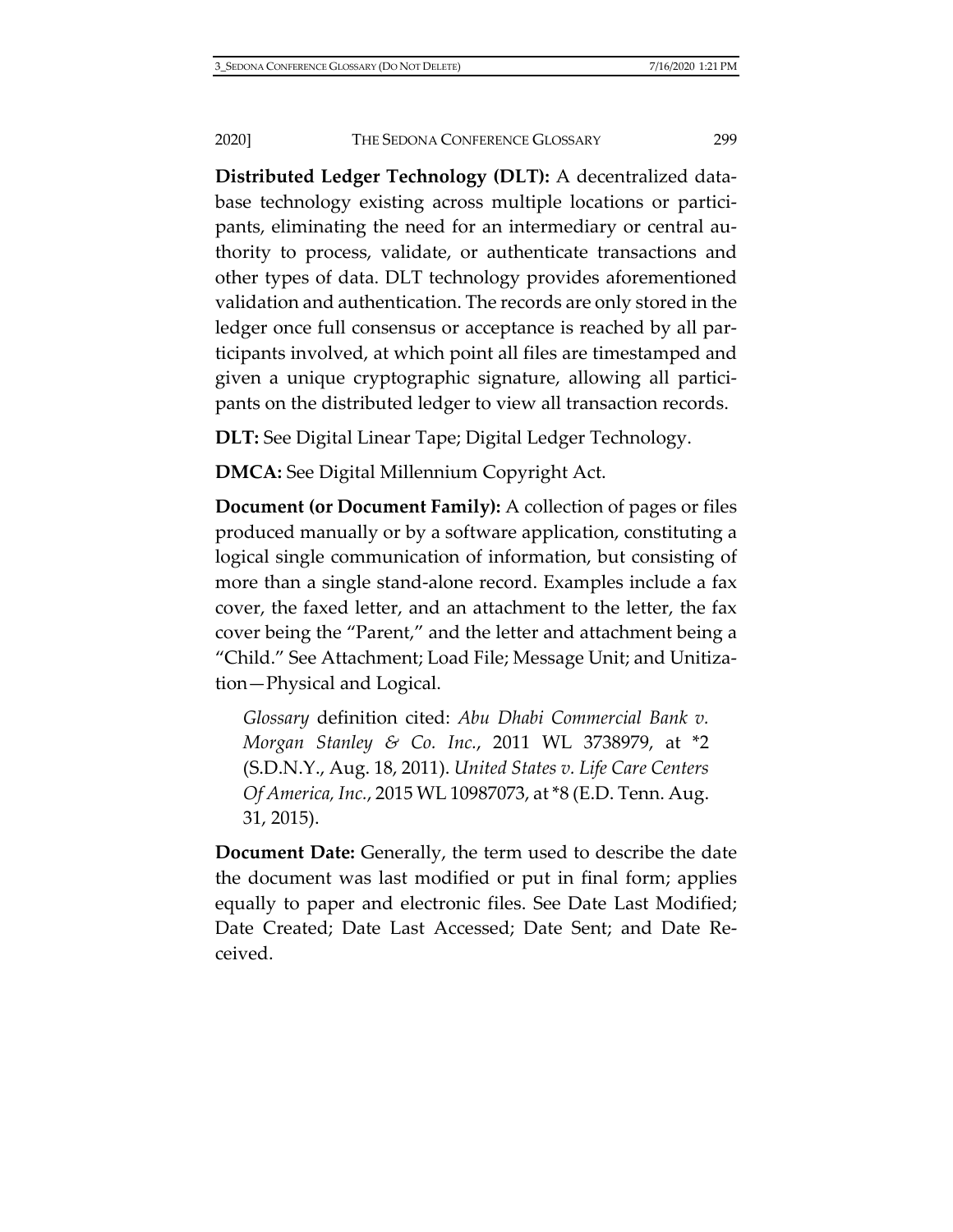**Distributed Ledger Technology (DLT):** A decentralized database technology existing across multiple locations or participants, eliminating the need for an intermediary or central authority to process, validate, or authenticate transactions and other types of data. DLT technology provides aforementioned validation and authentication. The records are only stored in the ledger once full consensus or acceptance is reached by all participants involved, at which point all files are timestamped and given a unique cryptographic signature, allowing all participants on the distributed ledger to view all transaction records.

**DLT:** See Digital Linear Tape; Digital Ledger Technology.

**DMCA:** See Digital Millennium Copyright Act.

**Document (or Document Family):** A collection of pages or files produced manually or by a software application, constituting a logical single communication of information, but consisting of more than a single stand-alone record. Examples include a fax cover, the faxed letter, and an attachment to the letter, the fax cover being the "Parent," and the letter and attachment being a "Child." See Attachment; Load File; Message Unit; and Unitization—Physical and Logical.

*Glossary* definition cited: *Abu Dhabi Commercial Bank v. Morgan Stanley & Co. Inc.*, 2011 WL 3738979, at \*2 (S.D.N.Y., Aug. 18, 2011). *United States v. Life Care Centers Of America, Inc.*, 2015 WL 10987073, at \*8 (E.D. Tenn. Aug. 31, 2015).

**Document Date:** Generally, the term used to describe the date the document was last modified or put in final form; applies equally to paper and electronic files. See Date Last Modified; Date Created; Date Last Accessed; Date Sent; and Date Received.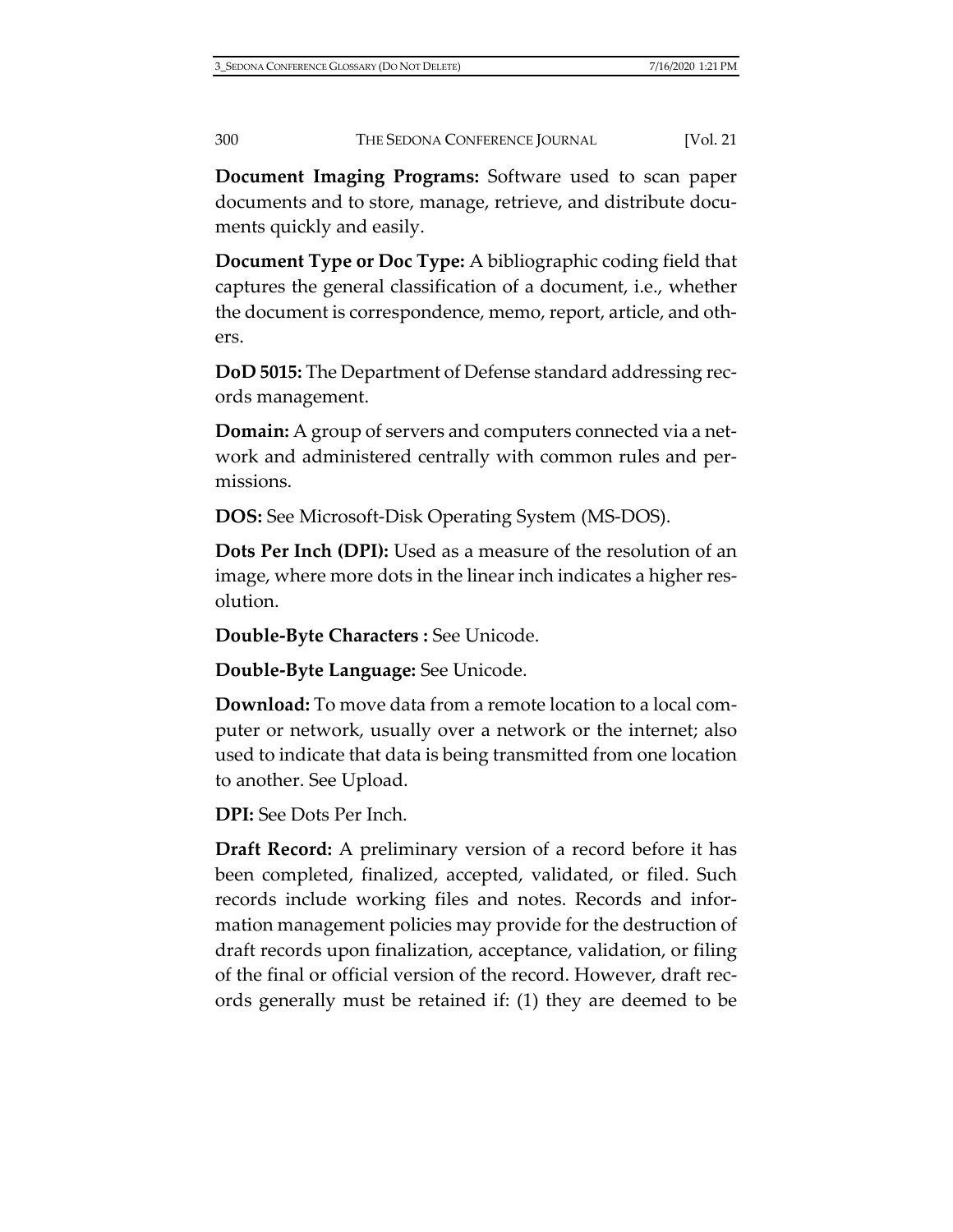**Document Imaging Programs:** Software used to scan paper documents and to store, manage, retrieve, and distribute documents quickly and easily.

**Document Type or Doc Type:** A bibliographic coding field that captures the general classification of a document, i.e., whether the document is correspondence, memo, report, article, and others.

**DoD 5015:** The Department of Defense standard addressing records management.

**Domain:** A group of servers and computers connected via a network and administered centrally with common rules and permissions.

**DOS:** See Microsoft-Disk Operating System (MS-DOS).

**Dots Per Inch (DPI):** Used as a measure of the resolution of an image, where more dots in the linear inch indicates a higher resolution.

**Double-Byte Characters :** See Unicode.

**Double-Byte Language:** See Unicode.

**Download:** To move data from a remote location to a local computer or network, usually over a network or the internet; also used to indicate that data is being transmitted from one location to another. See Upload.

**DPI:** See Dots Per Inch.

**Draft Record:** A preliminary version of a record before it has been completed, finalized, accepted, validated, or filed. Such records include working files and notes. Records and information management policies may provide for the destruction of draft records upon finalization, acceptance, validation, or filing of the final or official version of the record. However, draft records generally must be retained if: (1) they are deemed to be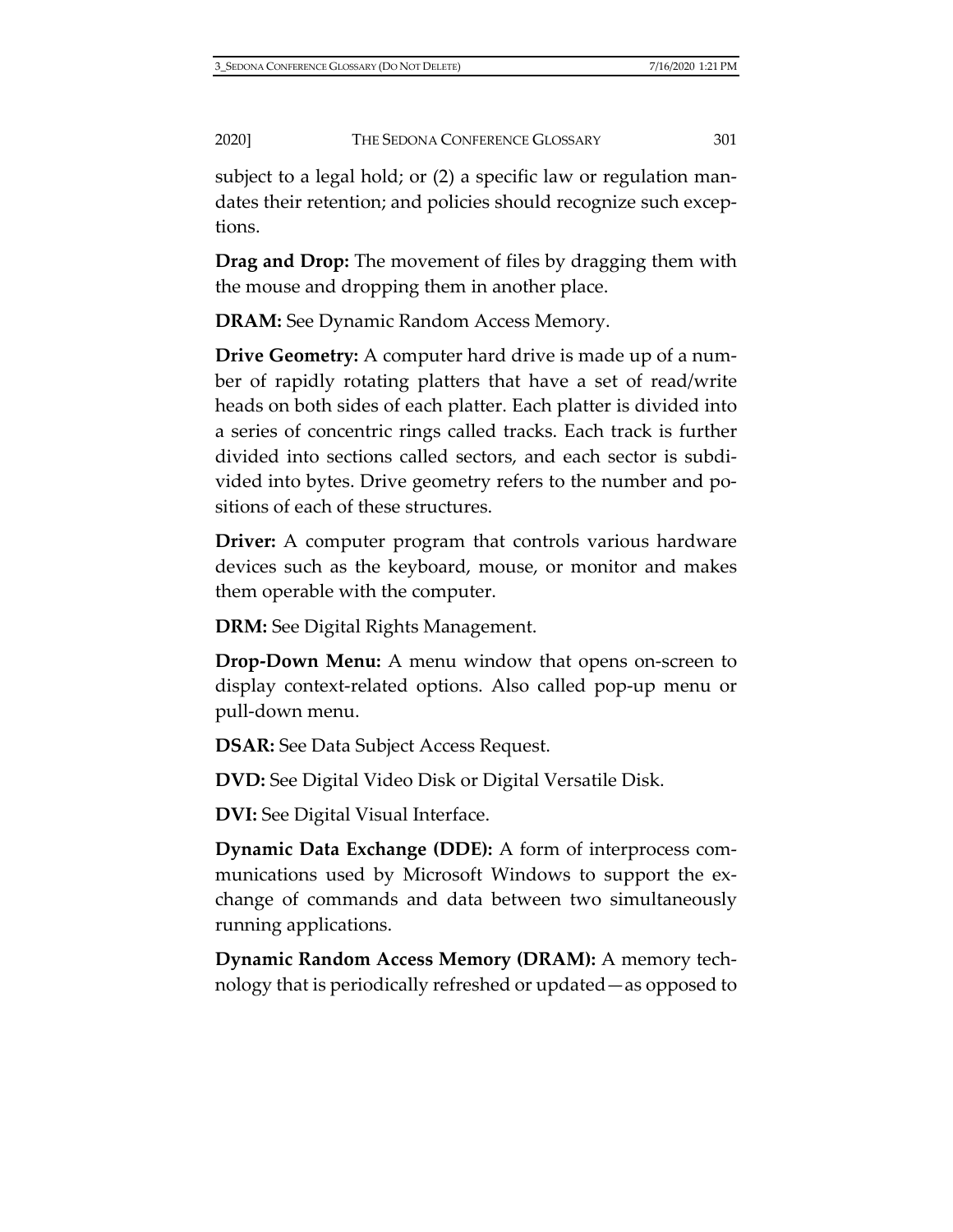subject to a legal hold; or (2) a specific law or regulation mandates their retention; and policies should recognize such exceptions.

**Drag and Drop:** The movement of files by dragging them with the mouse and dropping them in another place.

**DRAM:** See Dynamic Random Access Memory.

**Drive Geometry:** A computer hard drive is made up of a number of rapidly rotating platters that have a set of read/write heads on both sides of each platter. Each platter is divided into a series of concentric rings called tracks. Each track is further divided into sections called sectors, and each sector is subdivided into bytes. Drive geometry refers to the number and positions of each of these structures.

**Driver:** A computer program that controls various hardware devices such as the keyboard, mouse, or monitor and makes them operable with the computer.

**DRM:** See Digital Rights Management.

**Drop-Down Menu:** A menu window that opens on-screen to display context-related options. Also called pop-up menu or pull-down menu.

**DSAR:** See Data Subject Access Request.

**DVD:** See Digital Video Disk or Digital Versatile Disk.

**DVI:** See Digital Visual Interface.

**Dynamic Data Exchange (DDE):** A form of interprocess communications used by Microsoft Windows to support the exchange of commands and data between two simultaneously running applications.

**Dynamic Random Access Memory (DRAM):** A memory technology that is periodically refreshed or updated—as opposed to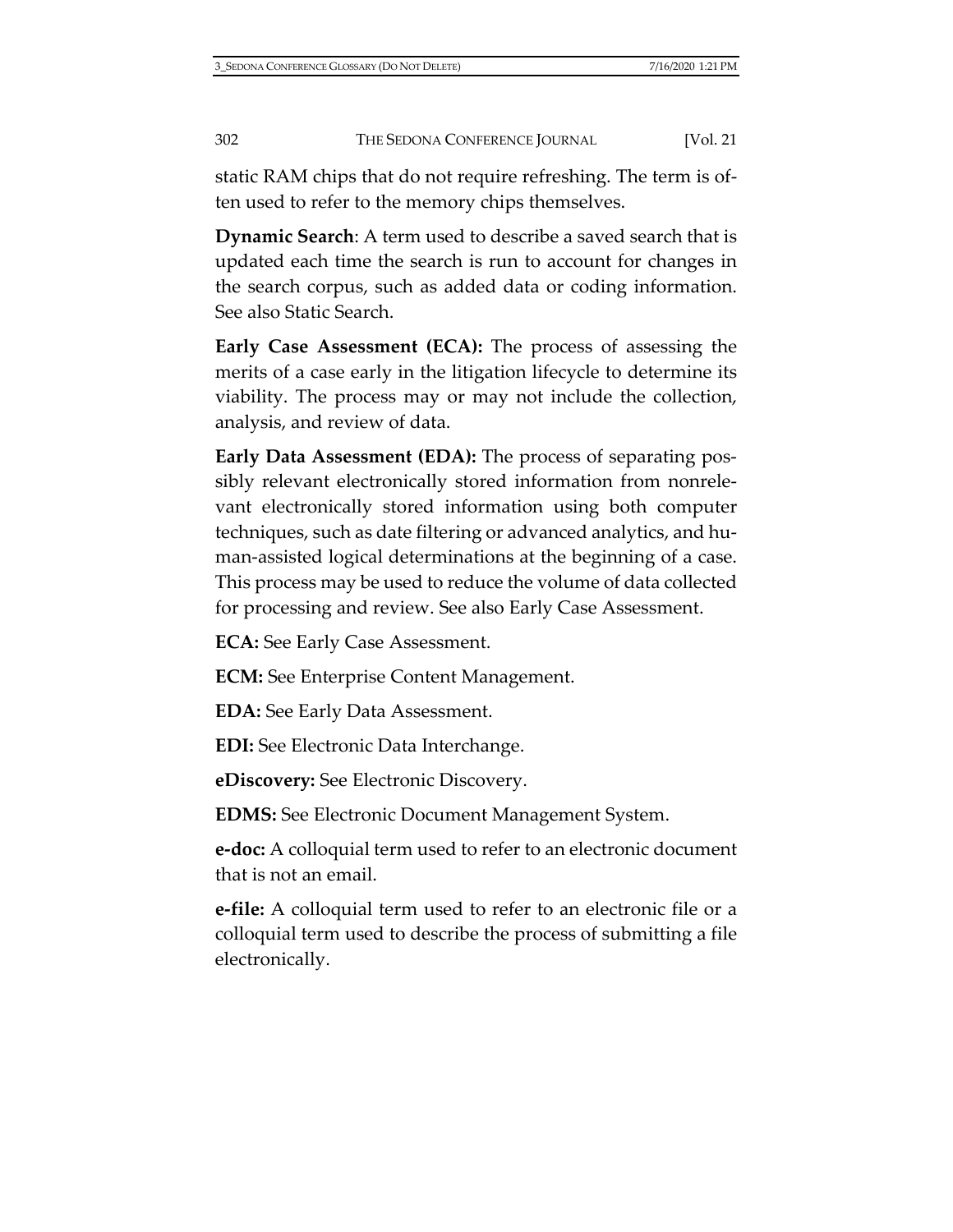static RAM chips that do not require refreshing. The term is often used to refer to the memory chips themselves.

**Dynamic Search**: A term used to describe a saved search that is updated each time the search is run to account for changes in the search corpus, such as added data or coding information. See also Static Search.

**Early Case Assessment (ECA):** The process of assessing the merits of a case early in the litigation lifecycle to determine its viability. The process may or may not include the collection, analysis, and review of data.

**Early Data Assessment (EDA):** The process of separating possibly relevant electronically stored information from nonrelevant electronically stored information using both computer techniques, such as date filtering or advanced analytics, and human-assisted logical determinations at the beginning of a case. This process may be used to reduce the volume of data collected for processing and review. See also Early Case Assessment.

**ECA:** See Early Case Assessment.

**ECM:** See Enterprise Content Management.

**EDA:** See Early Data Assessment.

**EDI:** See Electronic Data Interchange.

**eDiscovery:** See Electronic Discovery.

**EDMS:** See Electronic Document Management System.

**e-doc:** A colloquial term used to refer to an electronic document that is not an email.

**e-file:** A colloquial term used to refer to an electronic file or a colloquial term used to describe the process of submitting a file electronically.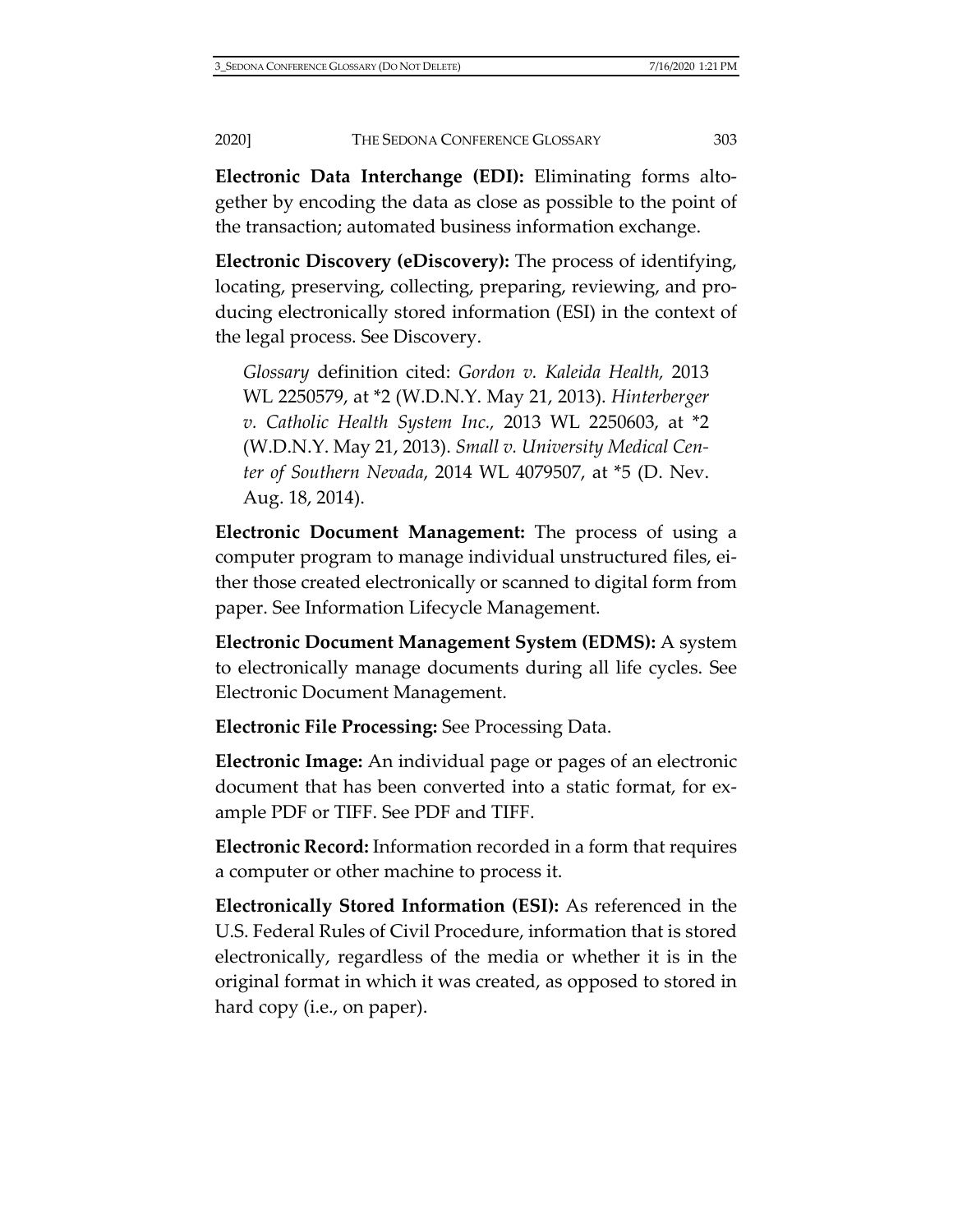**Electronic Data Interchange (EDI):** Eliminating forms altogether by encoding the data as close as possible to the point of the transaction; automated business information exchange.

**Electronic Discovery (eDiscovery):** The process of identifying, locating, preserving, collecting, preparing, reviewing, and producing electronically stored information (ESI) in the context of the legal process. See Discovery.

*Glossary* definition cited: *Gordon v. Kaleida Health,* 2013 WL 2250579, at \*2 (W.D.N.Y. May 21, 2013). *Hinterberger v. Catholic Health System Inc.,* 2013 WL 2250603, at \*2 (W.D.N.Y. May 21, 2013). *Small v. University Medical Center of Southern Nevada*, 2014 WL 4079507, at \*5 (D. Nev. Aug. 18, 2014).

**Electronic Document Management:** The process of using a computer program to manage individual unstructured files, either those created electronically or scanned to digital form from paper. See Information Lifecycle Management.

**Electronic Document Management System (EDMS):** A system to electronically manage documents during all life cycles. See Electronic Document Management.

**Electronic File Processing:** See Processing Data.

**Electronic Image:** An individual page or pages of an electronic document that has been converted into a static format, for example PDF or TIFF. See PDF and TIFF.

**Electronic Record:** Information recorded in a form that requires a computer or other machine to process it.

**Electronically Stored Information (ESI):** As referenced in the U.S. Federal Rules of Civil Procedure, information that is stored electronically, regardless of the media or whether it is in the original format in which it was created, as opposed to stored in hard copy (i.e., on paper).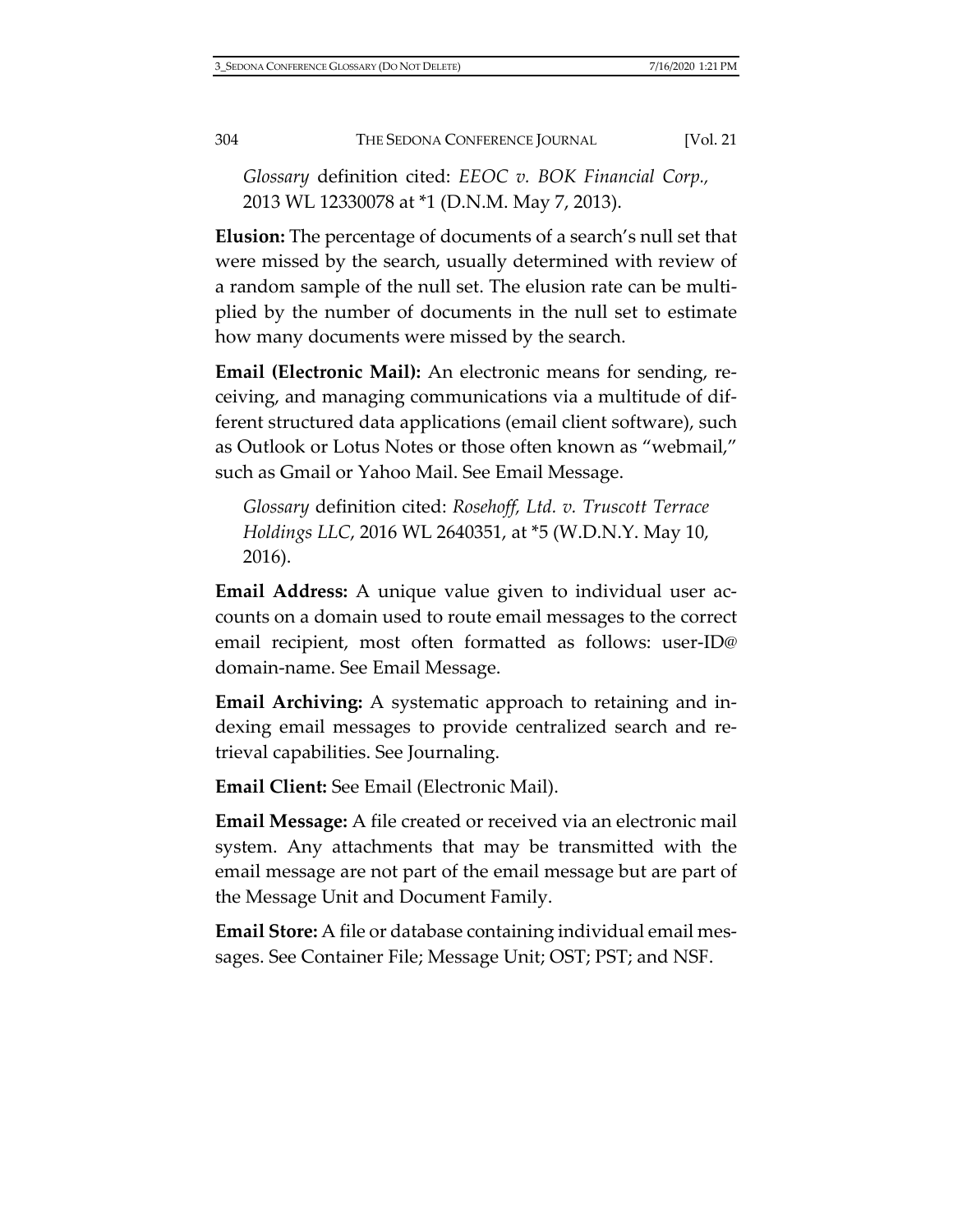*Glossary* definition cited: *EEOC v. BOK Financial Corp.,* 2013 WL 12330078 at \*1 (D.N.M. May 7, 2013).

**Elusion:** The percentage of documents of a search's null set that were missed by the search, usually determined with review of a random sample of the null set. The elusion rate can be multiplied by the number of documents in the null set to estimate how many documents were missed by the search.

**Email (Electronic Mail):** An electronic means for sending, receiving, and managing communications via a multitude of different structured data applications (email client software), such as Outlook or Lotus Notes or those often known as "webmail," such as Gmail or Yahoo Mail. See Email Message.

*Glossary* definition cited: *Rosehoff, Ltd. v. Truscott Terrace Holdings LLC*, 2016 WL 2640351, at \*5 (W.D.N.Y. May 10, 2016).

**Email Address:** A unique value given to individual user accounts on a domain used to route email messages to the correct email recipient, most often formatted as follows: user-ID@ domain-name. See Email Message.

**Email Archiving:** A systematic approach to retaining and indexing email messages to provide centralized search and retrieval capabilities. See Journaling.

**Email Client:** See Email (Electronic Mail).

**Email Message:** A file created or received via an electronic mail system. Any attachments that may be transmitted with the email message are not part of the email message but are part of the Message Unit and Document Family.

**Email Store:** A file or database containing individual email messages. See Container File; Message Unit; OST; PST; and NSF.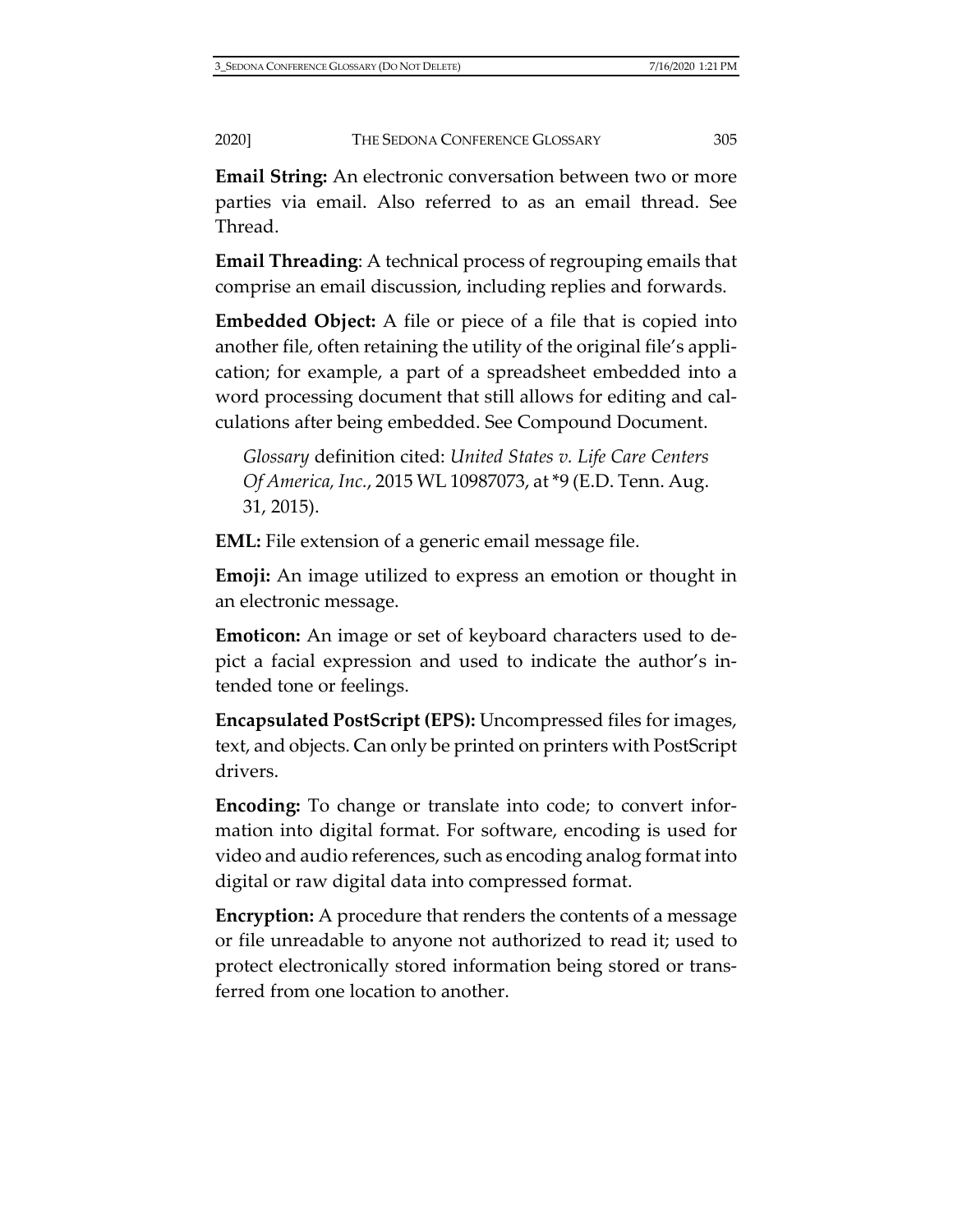**Email String:** An electronic conversation between two or more parties via email. Also referred to as an email thread. See Thread.

**Email Threading**: A technical process of regrouping emails that comprise an email discussion, including replies and forwards.

**Embedded Object:** A file or piece of a file that is copied into another file, often retaining the utility of the original file's application; for example, a part of a spreadsheet embedded into a word processing document that still allows for editing and calculations after being embedded. See Compound Document.

*Glossary* definition cited: *United States v. Life Care Centers Of America, Inc.*, 2015 WL 10987073, at \*9 (E.D. Tenn. Aug. 31, 2015).

**EML:** File extension of a generic email message file.

**Emoji:** An image utilized to express an emotion or thought in an electronic message.

**Emoticon:** An image or set of keyboard characters used to depict a facial expression and used to indicate the author's intended tone or feelings.

**Encapsulated PostScript (EPS):** Uncompressed files for images, text, and objects. Can only be printed on printers with PostScript drivers.

**Encoding:** To change or translate into code; to convert information into digital format. For software, encoding is used for video and audio references, such as encoding analog format into digital or raw digital data into compressed format.

**Encryption:** A procedure that renders the contents of a message or file unreadable to anyone not authorized to read it; used to protect electronically stored information being stored or transferred from one location to another.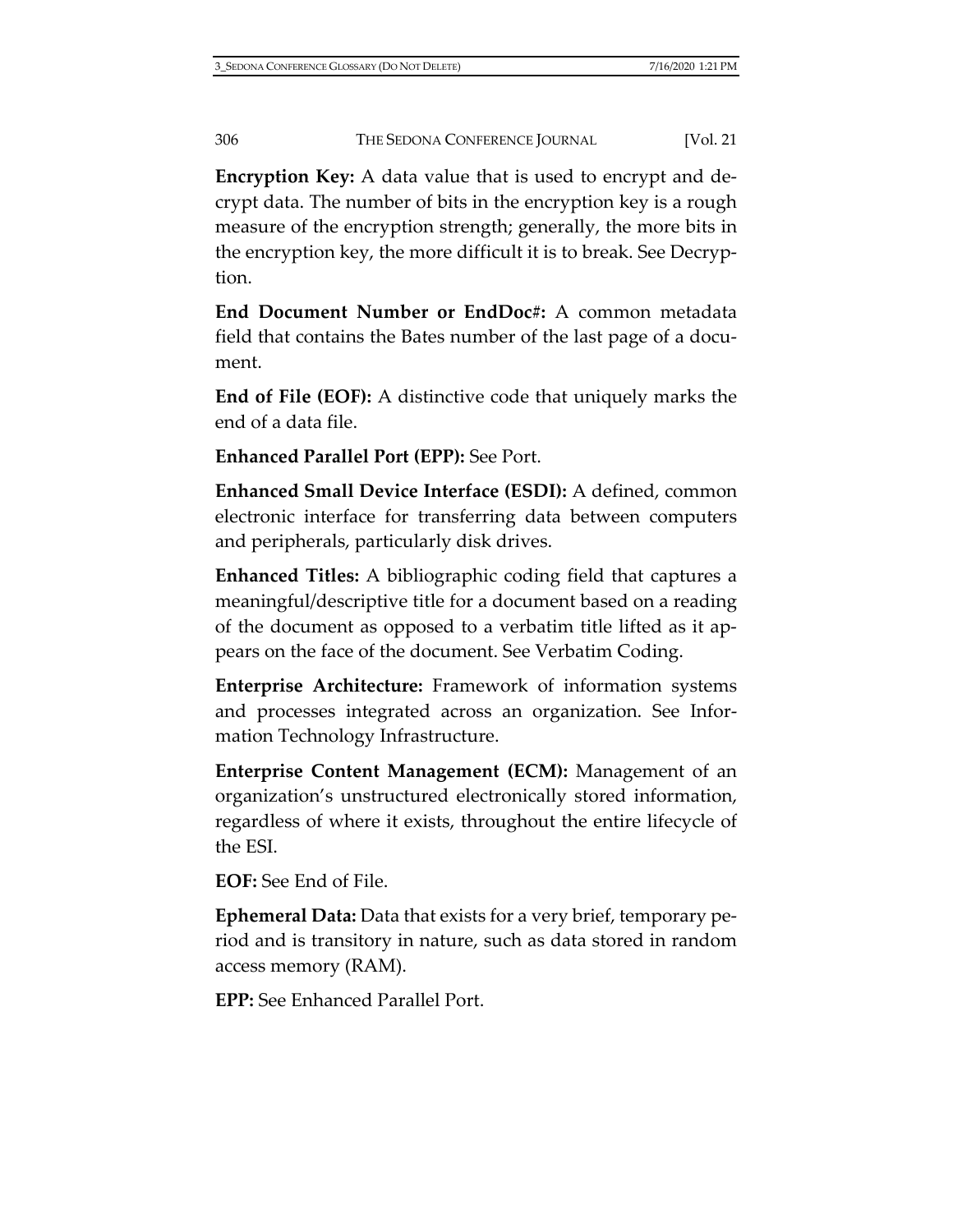**Encryption Key:** A data value that is used to encrypt and decrypt data. The number of bits in the encryption key is a rough measure of the encryption strength; generally, the more bits in the encryption key, the more difficult it is to break. See Decryption.

**End Document Number or EndDoc#:** A common metadata field that contains the Bates number of the last page of a document.

**End of File (EOF):** A distinctive code that uniquely marks the end of a data file.

**Enhanced Parallel Port (EPP):** See Port.

**Enhanced Small Device Interface (ESDI):** A defined, common electronic interface for transferring data between computers and peripherals, particularly disk drives.

**Enhanced Titles:** A bibliographic coding field that captures a meaningful/descriptive title for a document based on a reading of the document as opposed to a verbatim title lifted as it appears on the face of the document. See Verbatim Coding.

**Enterprise Architecture:** Framework of information systems and processes integrated across an organization. See Information Technology Infrastructure.

**Enterprise Content Management (ECM):** Management of an organization's unstructured electronically stored information, regardless of where it exists, throughout the entire lifecycle of the ESI.

**EOF:** See End of File.

**Ephemeral Data:** Data that exists for a very brief, temporary period and is transitory in nature, such as data stored in random access memory (RAM).

**EPP:** See Enhanced Parallel Port.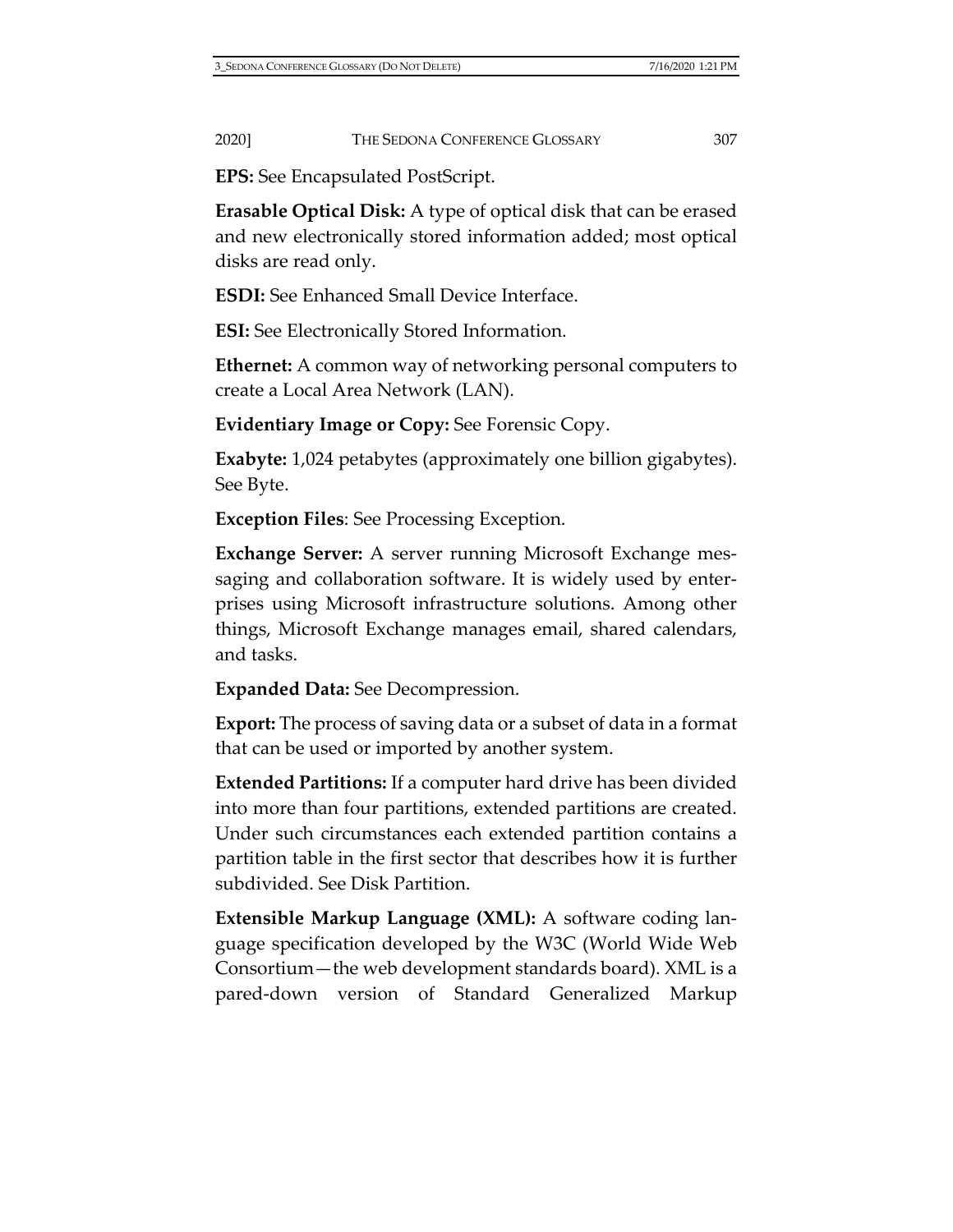**EPS:** See Encapsulated PostScript.

**Erasable Optical Disk:** A type of optical disk that can be erased and new electronically stored information added; most optical disks are read only.

**ESDI:** See Enhanced Small Device Interface.

**ESI:** See Electronically Stored Information.

**Ethernet:** A common way of networking personal computers to create a Local Area Network (LAN).

**Evidentiary Image or Copy:** See Forensic Copy.

**Exabyte:** 1,024 petabytes (approximately one billion gigabytes). See Byte.

**Exception Files**: See Processing Exception.

**Exchange Server:** A server running Microsoft Exchange messaging and collaboration software. It is widely used by enterprises using Microsoft infrastructure solutions. Among other things, Microsoft Exchange manages email, shared calendars, and tasks.

**Expanded Data:** See Decompression.

**Export:** The process of saving data or a subset of data in a format that can be used or imported by another system.

**Extended Partitions:** If a computer hard drive has been divided into more than four partitions, extended partitions are created. Under such circumstances each extended partition contains a partition table in the first sector that describes how it is further subdivided. See Disk Partition.

**Extensible Markup Language (XML):** A software coding language specification developed by the W3C (World Wide Web Consortium—the web development standards board). XML is a pared-down version of Standard Generalized Markup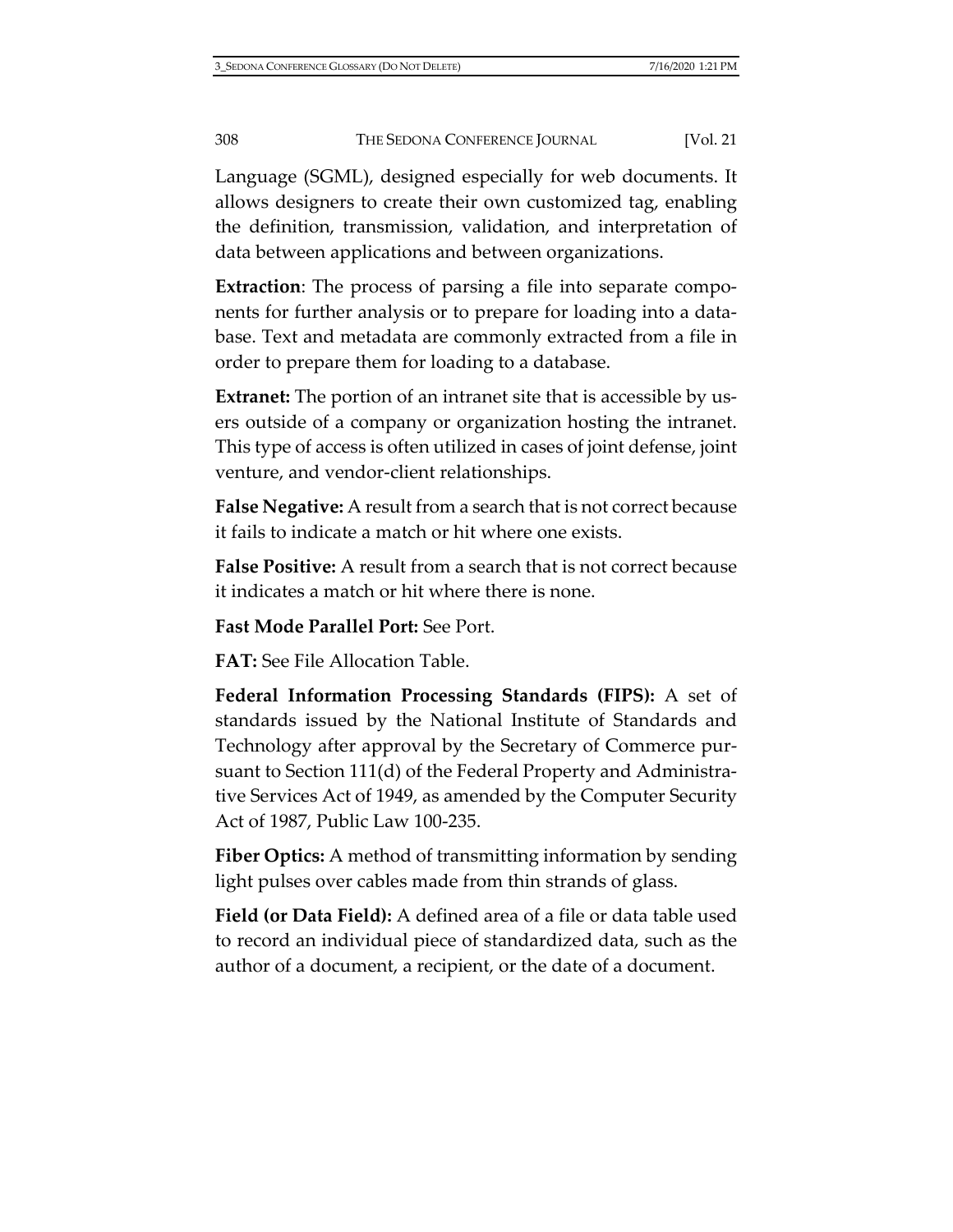Language (SGML), designed especially for web documents. It allows designers to create their own customized tag, enabling the definition, transmission, validation, and interpretation of data between applications and between organizations.

**Extraction**: The process of parsing a file into separate components for further analysis or to prepare for loading into a database. Text and metadata are commonly extracted from a file in order to prepare them for loading to a database.

**Extranet:** The portion of an intranet site that is accessible by users outside of a company or organization hosting the intranet. This type of access is often utilized in cases of joint defense, joint venture, and vendor-client relationships.

**False Negative:** A result from a search that is not correct because it fails to indicate a match or hit where one exists.

**False Positive:** A result from a search that is not correct because it indicates a match or hit where there is none.

**Fast Mode Parallel Port:** See Port.

**FAT:** See File Allocation Table.

**Federal Information Processing Standards (FIPS):** A set of standards issued by the National Institute of Standards and Technology after approval by the Secretary of Commerce pursuant to Section 111(d) of the Federal Property and Administrative Services Act of 1949, as amended by the Computer Security Act of 1987, Public Law 100-235.

**Fiber Optics:** A method of transmitting information by sending light pulses over cables made from thin strands of glass.

**Field (or Data Field):** A defined area of a file or data table used to record an individual piece of standardized data, such as the author of a document, a recipient, or the date of a document.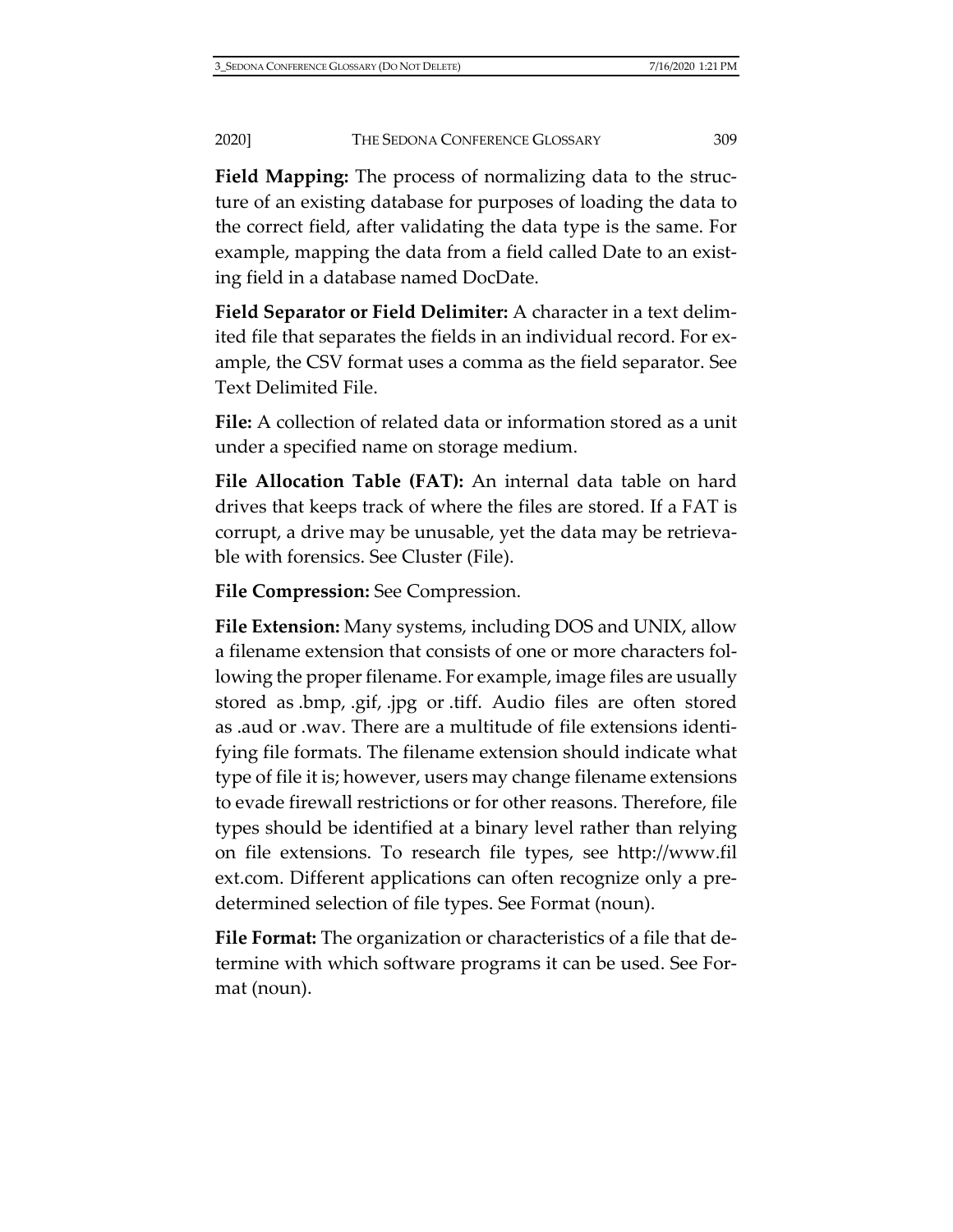**Field Mapping:** The process of normalizing data to the structure of an existing database for purposes of loading the data to the correct field, after validating the data type is the same. For example, mapping the data from a field called Date to an existing field in a database named DocDate.

**Field Separator or Field Delimiter:** A character in a text delimited file that separates the fields in an individual record. For example, the CSV format uses a comma as the field separator. See Text Delimited File.

**File:** A collection of related data or information stored as a unit under a specified name on storage medium.

**File Allocation Table (FAT):** An internal data table on hard drives that keeps track of where the files are stored. If a FAT is corrupt, a drive may be unusable, yet the data may be retrievable with forensics. See Cluster (File).

**File Compression:** See Compression.

**File Extension:** Many systems, including DOS and UNIX, allow a filename extension that consists of one or more characters following the proper filename. For example, image files are usually stored as .bmp, .gif, .jpg or .tiff. Audio files are often stored as .aud or .wav. There are a multitude of file extensions identifying file formats. The filename extension should indicate what type of file it is; however, users may change filename extensions to evade firewall restrictions or for other reasons. Therefore, file types should be identified at a binary level rather than relying on file extensions. To research file types, see [http://www.fil](http://www.filext.com/) [ext.com.](http://www.filext.com/) Different applications can often recognize only a predetermined selection of file types. See Format (noun).

**File Format:** The organization or characteristics of a file that determine with which software programs it can be used. See Format (noun).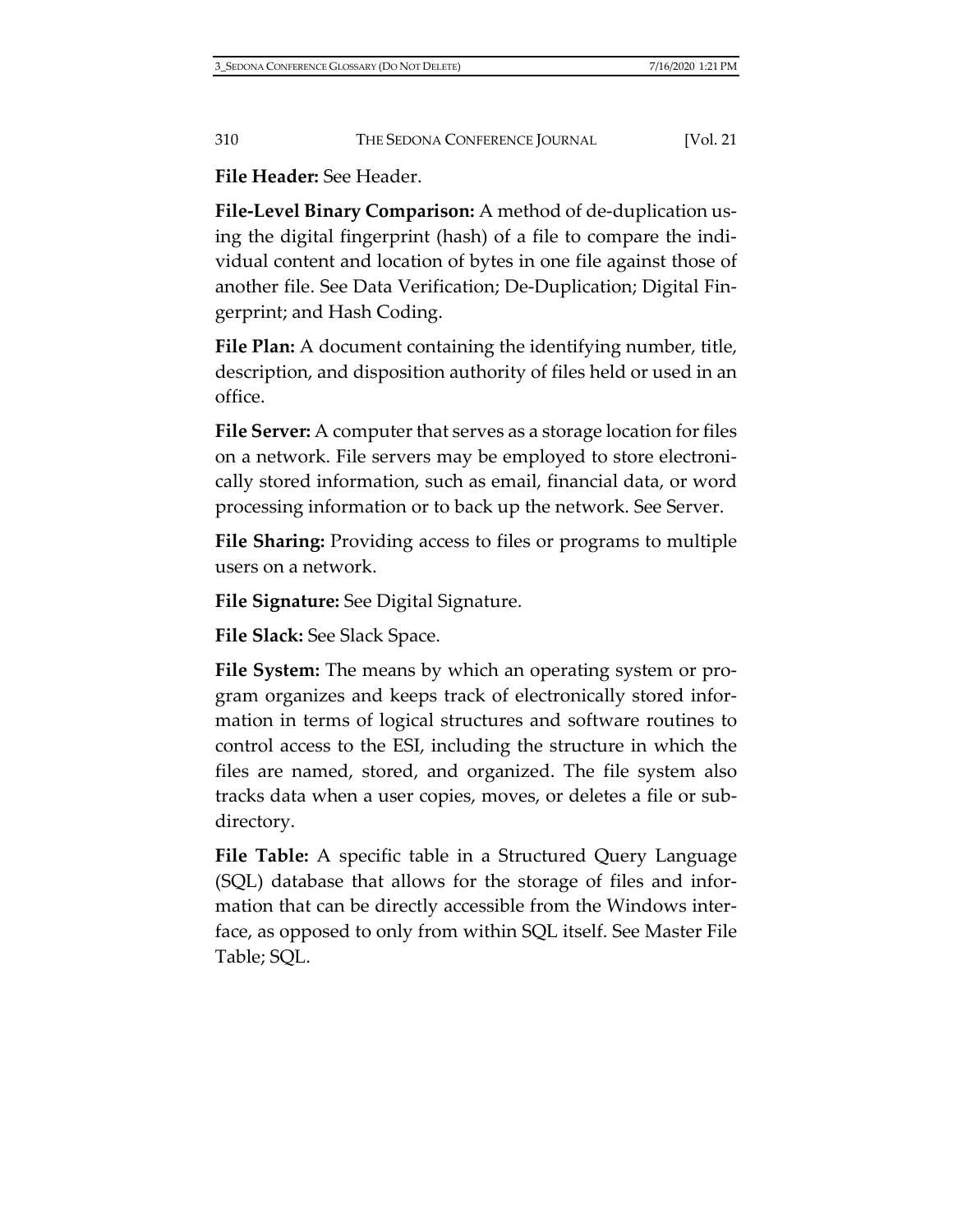**File Header:** See Header.

**File-Level Binary Comparison:** A method of de-duplication using the digital fingerprint (hash) of a file to compare the individual content and location of bytes in one file against those of another file. See Data Verification; De-Duplication; Digital Fingerprint; and Hash Coding.

**File Plan:** A document containing the identifying number, title, description, and disposition authority of files held or used in an office.

**File Server:** A computer that serves as a storage location for files on a network. File servers may be employed to store electronically stored information, such as email, financial data, or word processing information or to back up the network. See Server.

**File Sharing:** Providing access to files or programs to multiple users on a network.

**File Signature:** See Digital Signature.

**File Slack:** See Slack Space.

**File System:** The means by which an operating system or program organizes and keeps track of electronically stored information in terms of logical structures and software routines to control access to the ESI, including the structure in which the files are named, stored, and organized. The file system also tracks data when a user copies, moves, or deletes a file or subdirectory.

**File Table:** A specific table in a Structured Query Language (SQL) database that allows for the storage of files and information that can be directly accessible from the Windows interface, as opposed to only from within SQL itself. See Master File Table; SQL.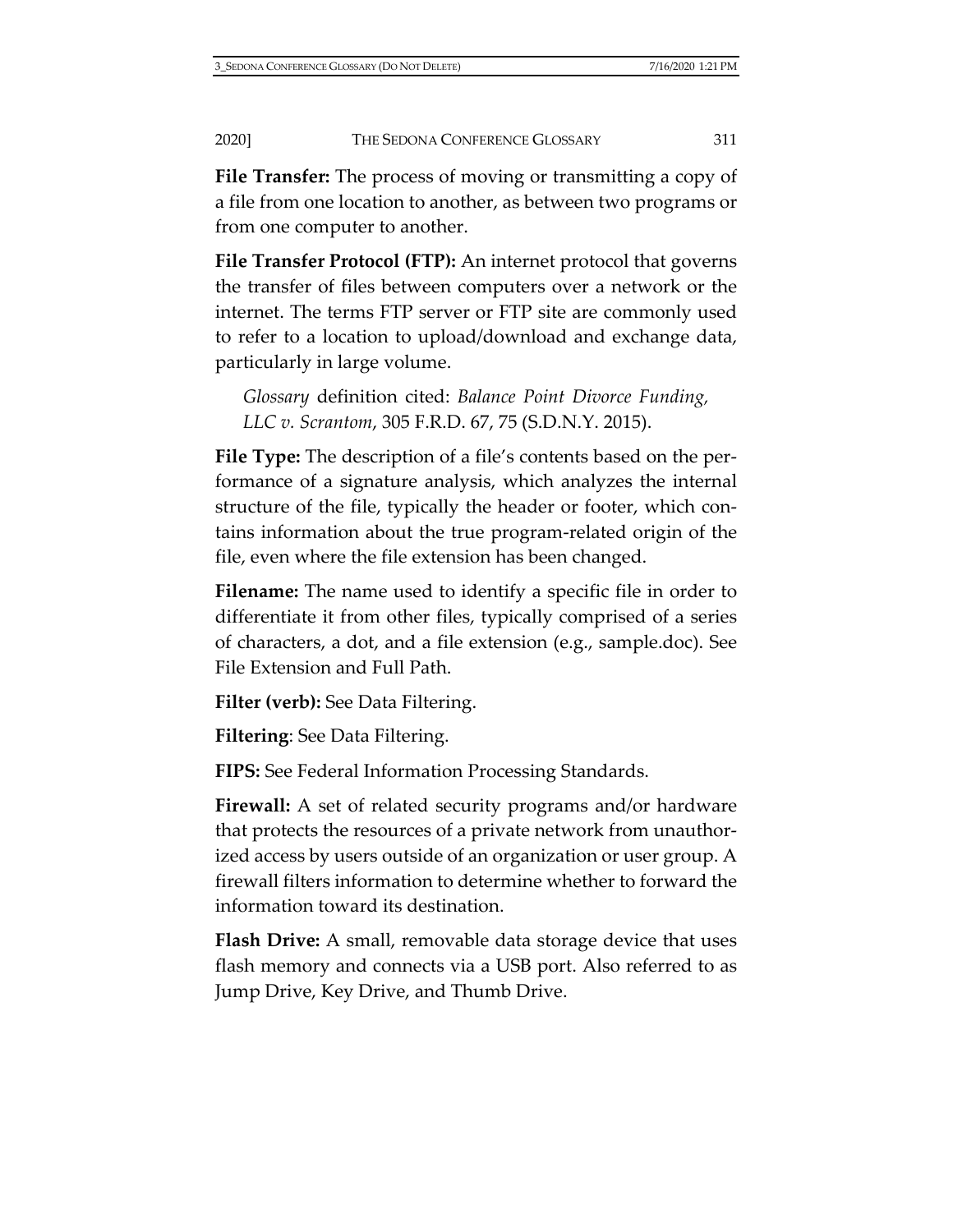**File Transfer:** The process of moving or transmitting a copy of a file from one location to another, as between two programs or from one computer to another.

**File Transfer Protocol (FTP):** An internet protocol that governs the transfer of files between computers over a network or the internet. The terms FTP server or FTP site are commonly used to refer to a location to upload/download and exchange data, particularly in large volume.

*Glossary* definition cited: *Balance Point Divorce Funding, LLC v. Scrantom*, 305 F.R.D. 67, 75 (S.D.N.Y. 2015).

**File Type:** The description of a file's contents based on the performance of a signature analysis, which analyzes the internal structure of the file, typically the header or footer, which contains information about the true program-related origin of the file, even where the file extension has been changed.

**Filename:** The name used to identify a specific file in order to differentiate it from other files, typically comprised of a series of characters, a dot, and a file extension (e.g., sample.doc). See File Extension and Full Path.

**Filter (verb):** See Data Filtering.

**Filtering**: See Data Filtering.

**FIPS:** See Federal Information Processing Standards.

**Firewall:** A set of related security programs and/or hardware that protects the resources of a private network from unauthorized access by users outside of an organization or user group. A firewall filters information to determine whether to forward the information toward its destination.

**Flash Drive:** A small, removable data storage device that uses flash memory and connects via a USB port. Also referred to as Jump Drive, Key Drive, and Thumb Drive.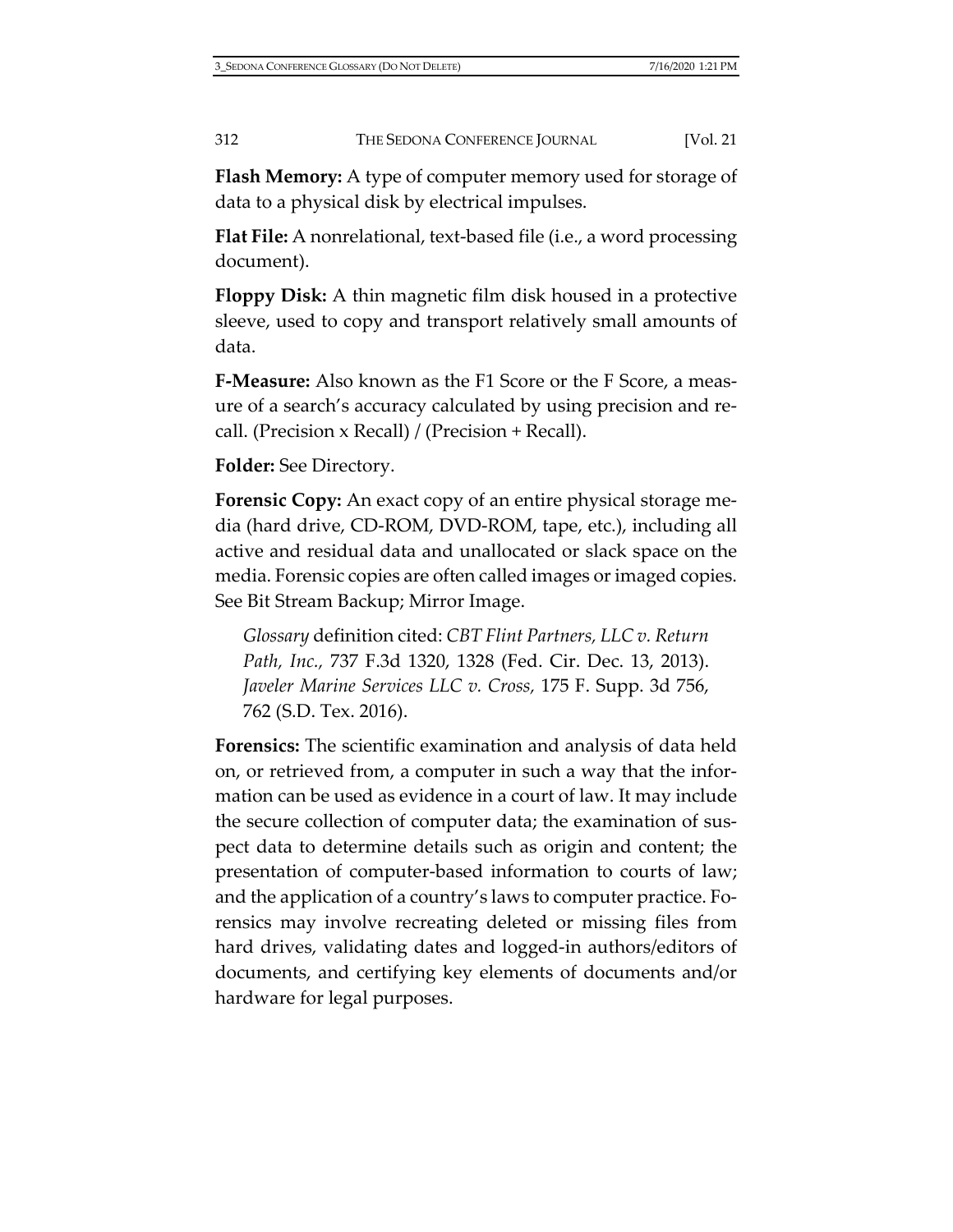**Flash Memory:** A type of computer memory used for storage of data to a physical disk by electrical impulses.

**Flat File:** A nonrelational, text-based file (i.e., a word processing document).

**Floppy Disk:** A thin magnetic film disk housed in a protective sleeve, used to copy and transport relatively small amounts of data.

**F-Measure:** Also known as the F1 Score or the F Score, a measure of a search's accuracy calculated by using precision and recall. (Precision x Recall) / (Precision + Recall).

**Folder:** See Directory.

**Forensic Copy:** An exact copy of an entire physical storage media (hard drive, CD-ROM, DVD-ROM, tape, etc.), including all active and residual data and unallocated or slack space on the media. Forensic copies are often called images or imaged copies. See Bit Stream Backup; Mirror Image.

*Glossary* definition cited: *CBT Flint Partners, LLC v. Return Path, Inc.,* 737 F.3d 1320, 1328 (Fed. Cir. Dec. 13, 2013). *Javeler Marine Services LLC v. Cross,* 175 F. Supp. 3d 756, 762 (S.D. Tex. 2016).

**Forensics:** The scientific examination and analysis of data held on, or retrieved from, a computer in such a way that the information can be used as evidence in a court of law. It may include the secure collection of computer data; the examination of suspect data to determine details such as origin and content; the presentation of computer-based information to courts of law; and the application of a country's laws to computer practice. Forensics may involve recreating deleted or missing files from hard drives, validating dates and logged-in authors/editors of documents, and certifying key elements of documents and/or hardware for legal purposes.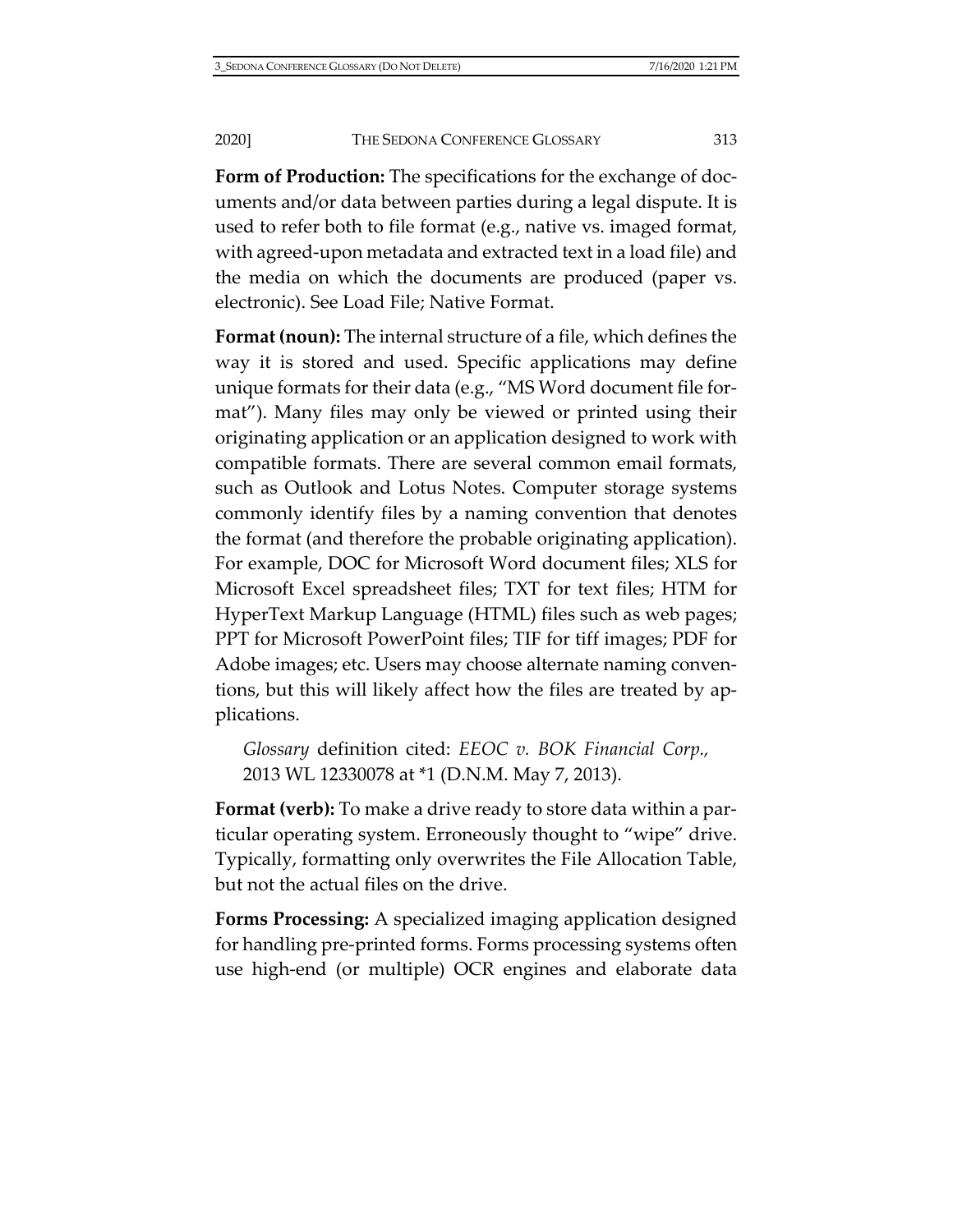**Form of Production:** The specifications for the exchange of documents and/or data between parties during a legal dispute. It is used to refer both to file format (e.g., native vs. imaged format, with agreed-upon metadata and extracted text in a load file) and the media on which the documents are produced (paper vs. electronic). See Load File; Native Format.

**Format (noun):** The internal structure of a file, which defines the way it is stored and used. Specific applications may define unique formats for their data (e.g., "MS Word document file format"). Many files may only be viewed or printed using their originating application or an application designed to work with compatible formats. There are several common email formats, such as Outlook and Lotus Notes. Computer storage systems commonly identify files by a naming convention that denotes the format (and therefore the probable originating application). For example, DOC for Microsoft Word document files; XLS for Microsoft Excel spreadsheet files; TXT for text files; HTM for HyperText Markup Language (HTML) files such as web pages; PPT for Microsoft PowerPoint files; TIF for tiff images; PDF for Adobe images; etc. Users may choose alternate naming conventions, but this will likely affect how the files are treated by applications.

*Glossary* definition cited: *EEOC v. BOK Financial Corp.,* 2013 WL 12330078 at \*1 (D.N.M. May 7, 2013).

**Format (verb):** To make a drive ready to store data within a particular operating system. Erroneously thought to "wipe" drive. Typically, formatting only overwrites the File Allocation Table, but not the actual files on the drive.

**Forms Processing:** A specialized imaging application designed for handling pre-printed forms. Forms processing systems often use high-end (or multiple) OCR engines and elaborate data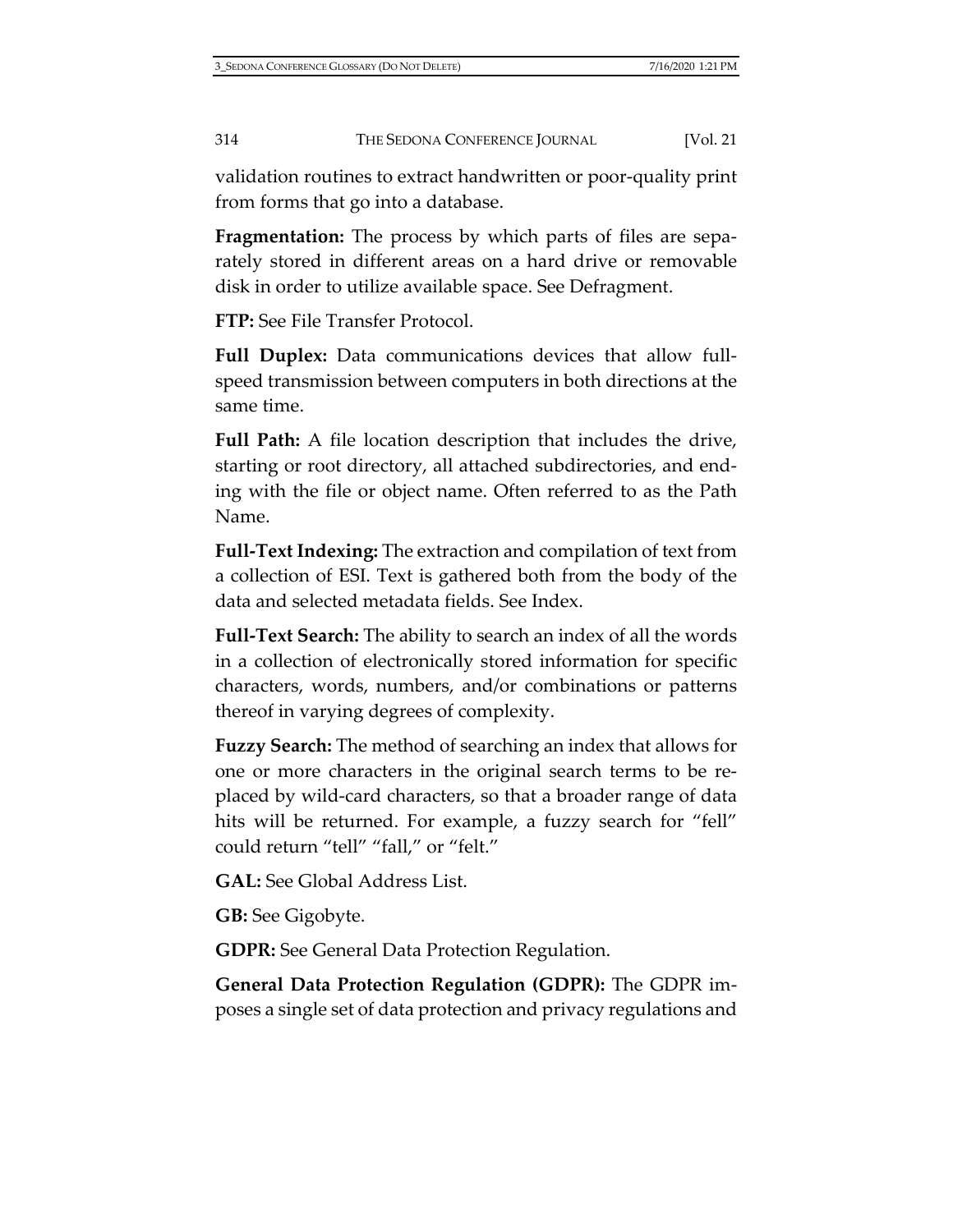validation routines to extract handwritten or poor-quality print from forms that go into a database.

**Fragmentation:** The process by which parts of files are separately stored in different areas on a hard drive or removable disk in order to utilize available space. See Defragment.

**FTP:** See File Transfer Protocol.

**Full Duplex:** Data communications devices that allow fullspeed transmission between computers in both directions at the same time.

**Full Path:** A file location description that includes the drive, starting or root directory, all attached subdirectories, and ending with the file or object name. Often referred to as the Path Name.

**Full-Text Indexing:** The extraction and compilation of text from a collection of ESI. Text is gathered both from the body of the data and selected metadata fields. See Index.

**Full-Text Search:** The ability to search an index of all the words in a collection of electronically stored information for specific characters, words, numbers, and/or combinations or patterns thereof in varying degrees of complexity.

**Fuzzy Search:** The method of searching an index that allows for one or more characters in the original search terms to be replaced by wild-card characters, so that a broader range of data hits will be returned. For example, a fuzzy search for "fell" could return "tell" "fall," or "felt."

**GAL:** See Global Address List.

**GB:** See Gigobyte.

**GDPR:** See General Data Protection Regulation.

**General Data Protection Regulation (GDPR):** The GDPR imposes a single set of data protection and privacy regulations and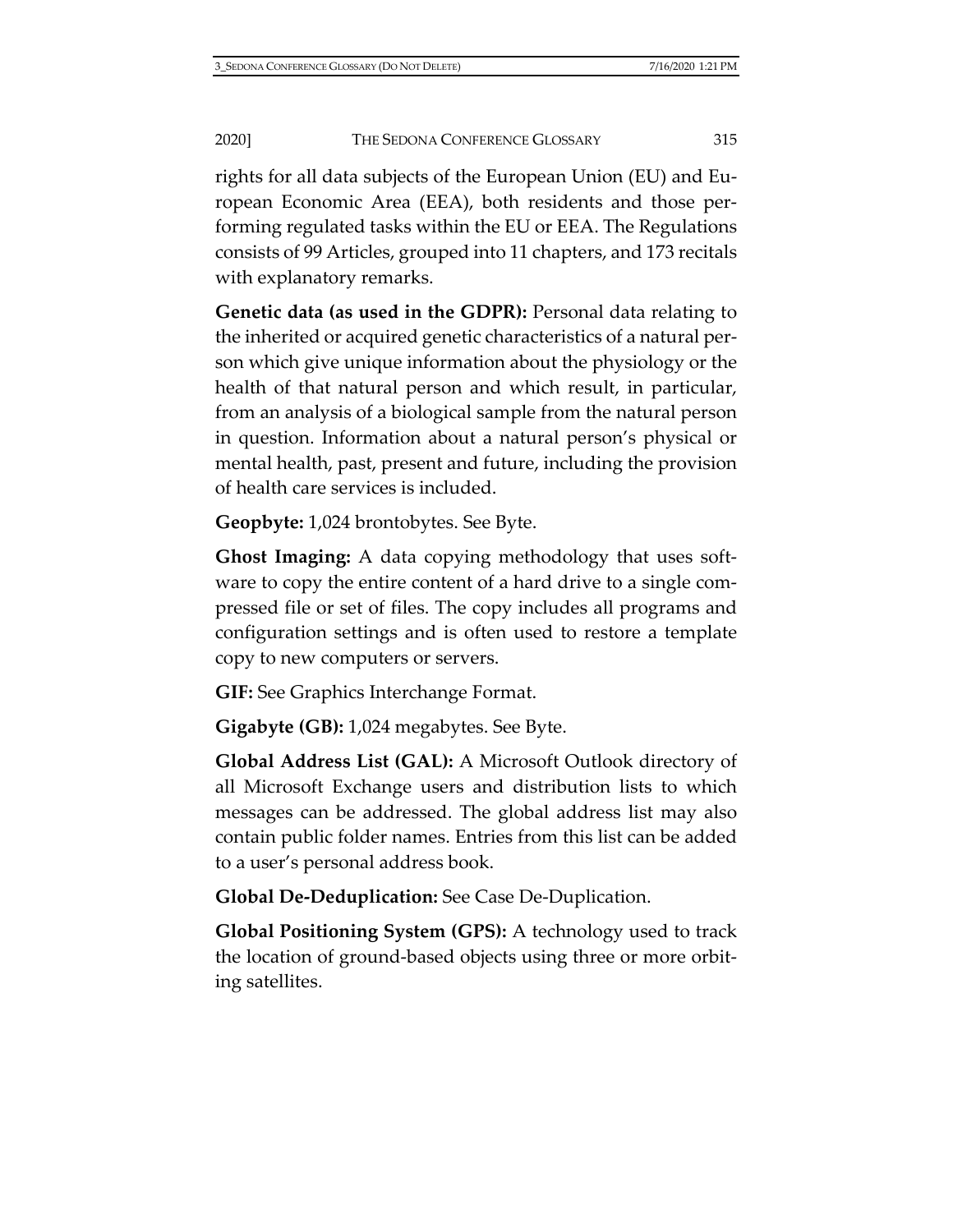rights for all data subjects of the European Union (EU) and European Economic Area (EEA), both residents and those performing regulated tasks within the EU or EEA. The Regulations consists of 99 Articles, grouped into 11 chapters, and 173 recitals with explanatory remarks.

**Genetic data (as used in the GDPR):** Personal data relating to the inherited or acquired genetic characteristics of a natural person which give unique information about the physiology or the health of that natural person and which result, in particular, from an analysis of a biological sample from the natural person in question. Information about a natural person's physical or mental health, past, present and future, including the provision of health care services is included.

**Geopbyte:** 1,024 brontobytes. See Byte.

**Ghost Imaging:** A data copying methodology that uses software to copy the entire content of a hard drive to a single compressed file or set of files. The copy includes all programs and configuration settings and is often used to restore a template copy to new computers or servers.

**GIF:** See Graphics Interchange Format.

**Gigabyte (GB):** 1,024 megabytes. See Byte.

**Global Address List (GAL):** A Microsoft Outlook directory of all Microsoft Exchange users and distribution lists to which messages can be addressed. The global address list may also contain public folder names. Entries from this list can be added to a user's personal address book.

**Global De-Deduplication:** See Case De-Duplication.

**Global Positioning System (GPS):** A technology used to track the location of ground-based objects using three or more orbiting satellites.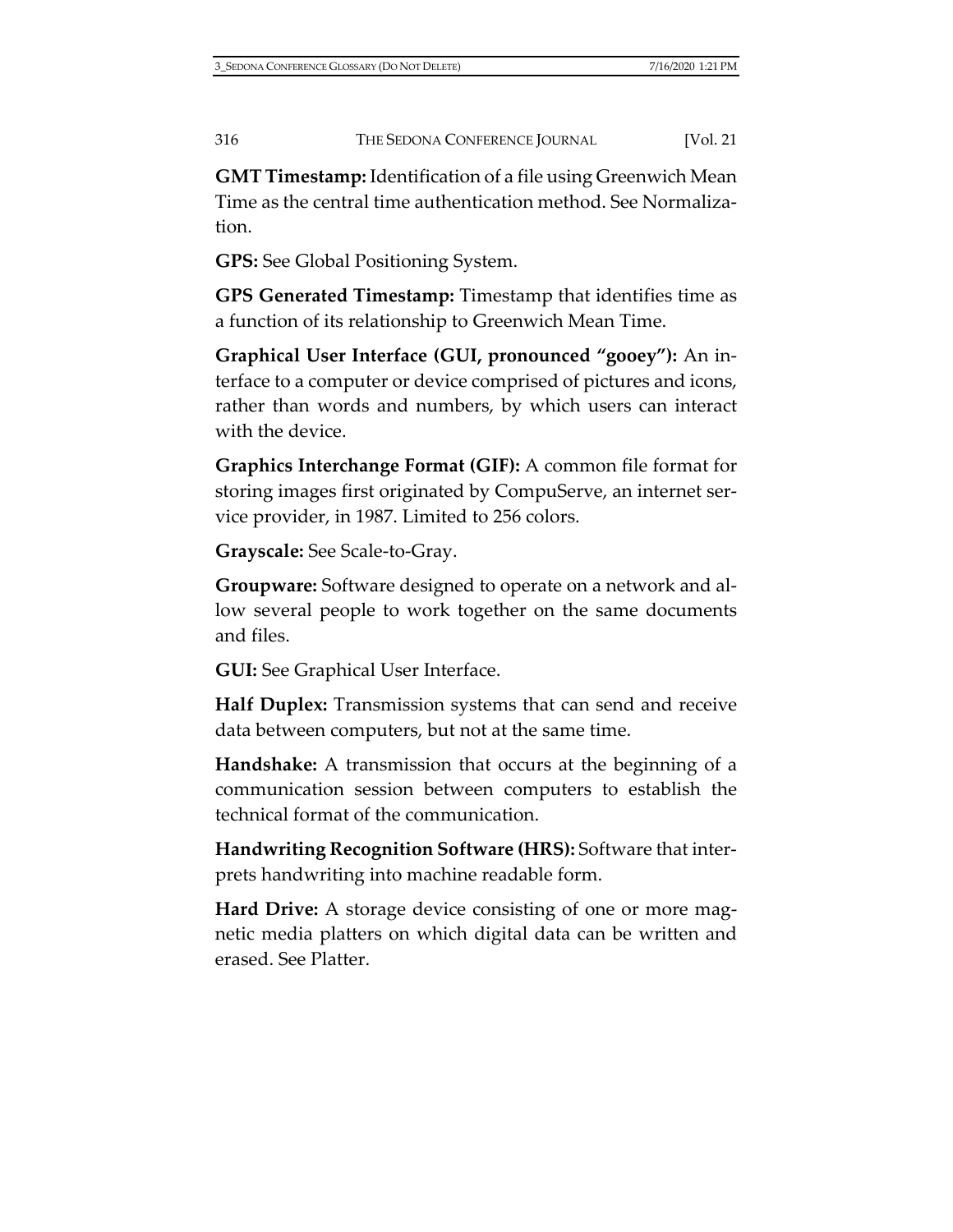**GMT Timestamp:** Identification of a file using Greenwich Mean Time as the central time authentication method. See Normalization.

**GPS:** See Global Positioning System.

**GPS Generated Timestamp:** Timestamp that identifies time as a function of its relationship to Greenwich Mean Time.

**Graphical User Interface (GUI, pronounced "gooey"):** An interface to a computer or device comprised of pictures and icons, rather than words and numbers, by which users can interact with the device.

**Graphics Interchange Format (GIF):** A common file format for storing images first originated by CompuServe, an internet service provider, in 1987. Limited to 256 colors.

**Grayscale:** See Scale-to-Gray.

**Groupware:** Software designed to operate on a network and allow several people to work together on the same documents and files.

**GUI:** See Graphical User Interface.

**Half Duplex:** Transmission systems that can send and receive data between computers, but not at the same time.

**Handshake:** A transmission that occurs at the beginning of a communication session between computers to establish the technical format of the communication.

**Handwriting Recognition Software (HRS):** Software that interprets handwriting into machine readable form.

**Hard Drive:** A storage device consisting of one or more magnetic media platters on which digital data can be written and erased. See Platter.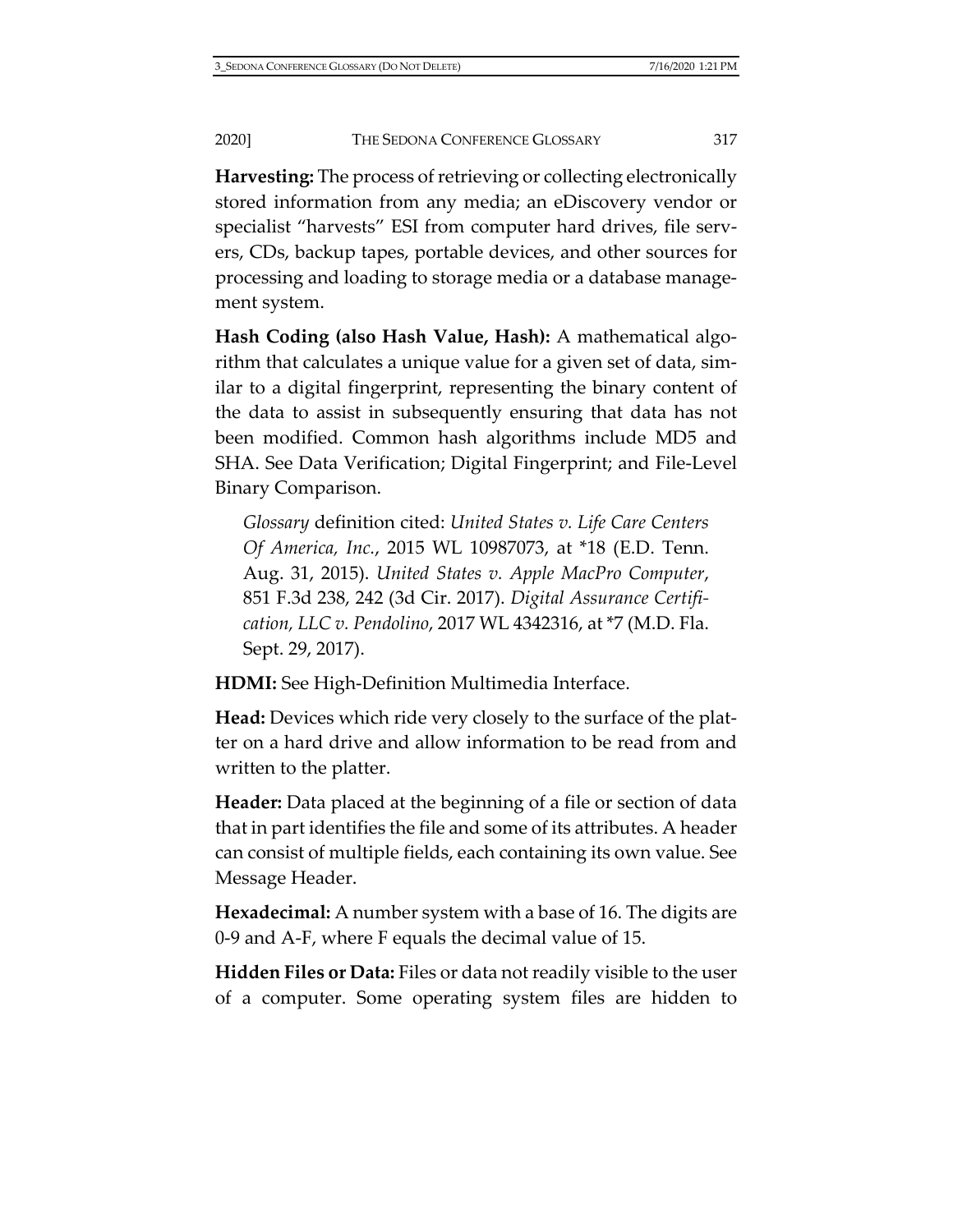**Harvesting:** The process of retrieving or collecting electronically stored information from any media; an eDiscovery vendor or specialist "harvests" ESI from computer hard drives, file servers, CDs, backup tapes, portable devices, and other sources for processing and loading to storage media or a database management system.

**Hash Coding (also Hash Value, Hash):** A mathematical algorithm that calculates a unique value for a given set of data, similar to a digital fingerprint, representing the binary content of the data to assist in subsequently ensuring that data has not been modified. Common hash algorithms include MD5 and SHA. See Data Verification; Digital Fingerprint; and File-Level Binary Comparison.

*Glossary* definition cited: *United States v. Life Care Centers Of America, Inc.*, 2015 WL 10987073, at \*18 (E.D. Tenn. Aug. 31, 2015). *United States v. Apple MacPro Computer*, 851 F.3d 238, 242 (3d Cir. 2017). *Digital Assurance Certification, LLC v. Pendolino*, 2017 WL 4342316, at \*7 (M.D. Fla. Sept. 29, 2017).

**HDMI:** See High-Definition Multimedia Interface.

**Head:** Devices which ride very closely to the surface of the platter on a hard drive and allow information to be read from and written to the platter.

**Header:** Data placed at the beginning of a file or section of data that in part identifies the file and some of its attributes. A header can consist of multiple fields, each containing its own value. See Message Header.

**Hexadecimal:** A number system with a base of 16. The digits are 0-9 and A-F, where F equals the decimal value of 15.

**Hidden Files or Data:** Files or data not readily visible to the user of a computer. Some operating system files are hidden to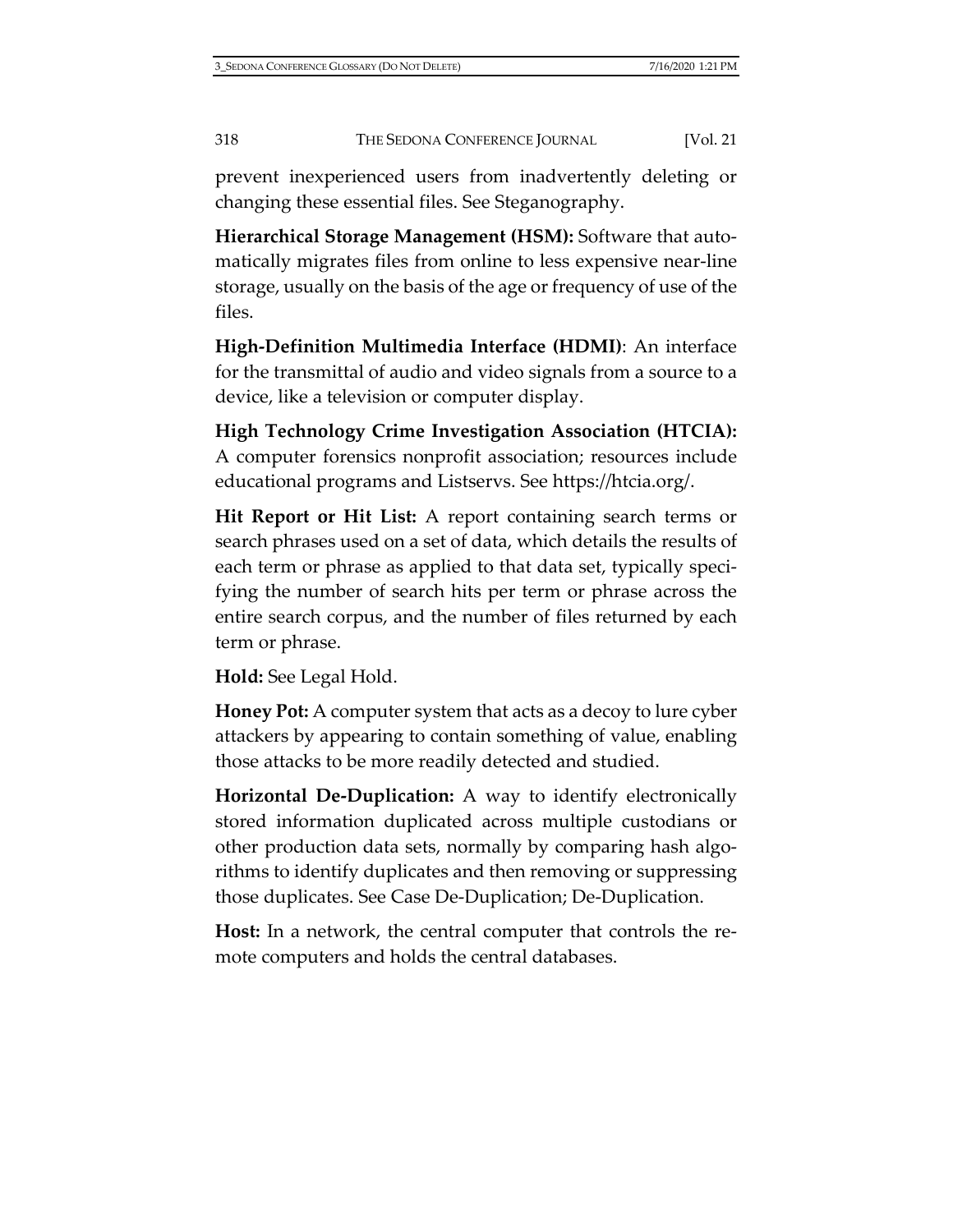prevent inexperienced users from inadvertently deleting or changing these essential files. See Steganography.

**Hierarchical Storage Management (HSM):** Software that automatically migrates files from online to less expensive near-line storage, usually on the basis of the age or frequency of use of the files.

**High-Definition Multimedia Interface (HDMI)**: An interface for the transmittal of audio and video signals from a source to a device, like a television or computer display.

**High Technology Crime Investigation Association (HTCIA):** A computer forensics nonprofit association; resources include educational programs and Listservs. See [https://htcia.org/.](https://htcia.org/)

**Hit Report or Hit List:** A report containing search terms or search phrases used on a set of data, which details the results of each term or phrase as applied to that data set, typically specifying the number of search hits per term or phrase across the entire search corpus, and the number of files returned by each term or phrase.

**Hold:** See Legal Hold.

**Honey Pot:** A computer system that acts as a decoy to lure cyber attackers by appearing to contain something of value, enabling those attacks to be more readily detected and studied.

**Horizontal De-Duplication:** A way to identify electronically stored information duplicated across multiple custodians or other production data sets, normally by comparing hash algorithms to identify duplicates and then removing or suppressing those duplicates. See Case De-Duplication; De-Duplication.

**Host:** In a network, the central computer that controls the remote computers and holds the central databases.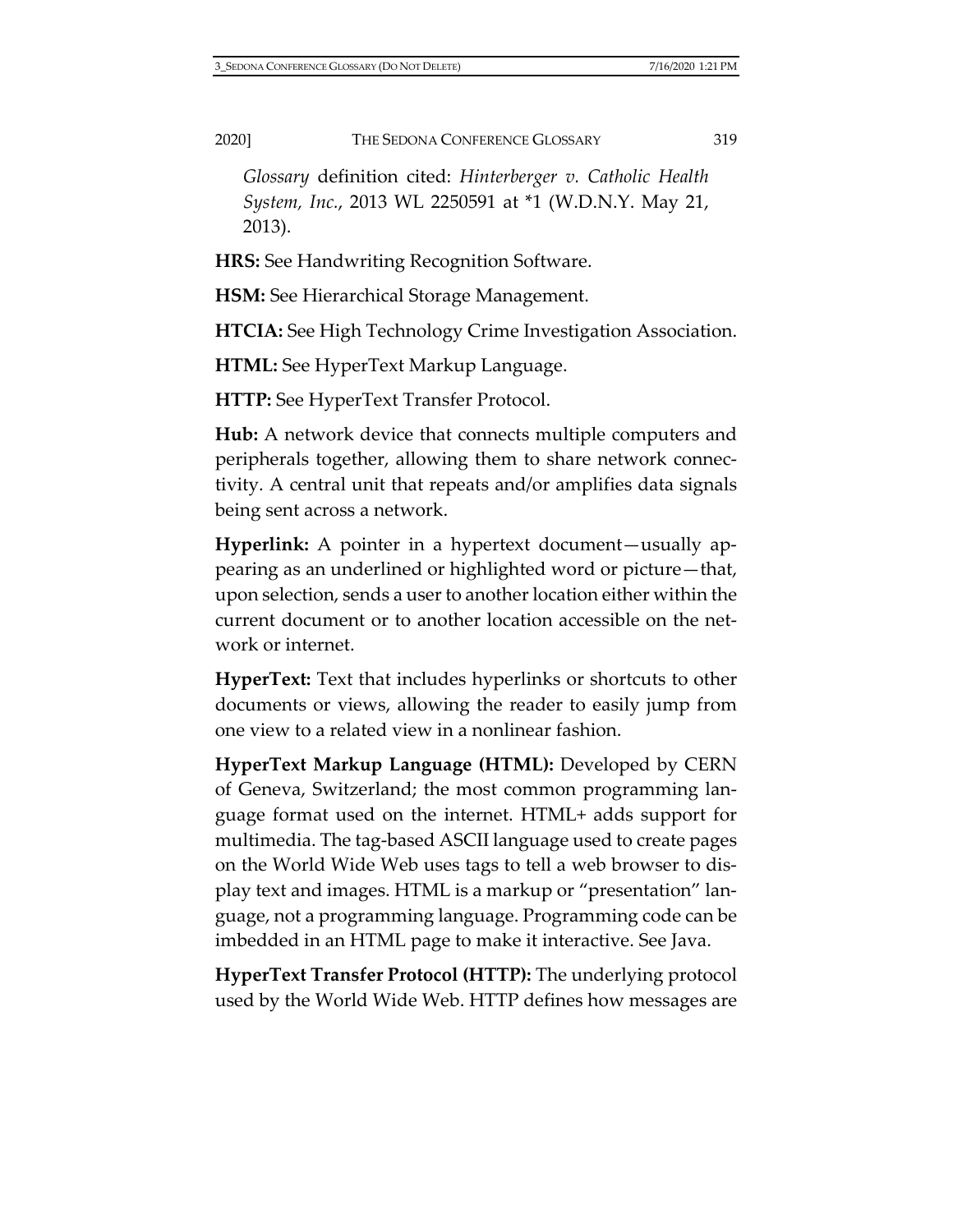*Glossary* definition cited: *Hinterberger v. Catholic Health System, Inc.*, 2013 WL 2250591 at \*1 (W.D.N.Y. May 21, 2013).

**HRS:** See Handwriting Recognition Software.

**HSM:** See Hierarchical Storage Management.

**HTCIA:** See High Technology Crime Investigation Association.

**HTML:** See HyperText Markup Language.

**HTTP:** See HyperText Transfer Protocol.

**Hub:** A network device that connects multiple computers and peripherals together, allowing them to share network connectivity. A central unit that repeats and/or amplifies data signals being sent across a network.

**Hyperlink:** A pointer in a hypertext document—usually appearing as an underlined or highlighted word or picture—that, upon selection, sends a user to another location either within the current document or to another location accessible on the network or internet.

**HyperText:** Text that includes hyperlinks or shortcuts to other documents or views, allowing the reader to easily jump from one view to a related view in a nonlinear fashion.

**HyperText Markup Language (HTML):** Developed by CERN of Geneva, Switzerland; the most common programming language format used on the internet. HTML+ adds support for multimedia. The tag-based ASCII language used to create pages on the World Wide Web uses tags to tell a web browser to display text and images. HTML is a markup or "presentation" language, not a programming language. Programming code can be imbedded in an HTML page to make it interactive. See Java.

**HyperText Transfer Protocol (HTTP):** The underlying protocol used by the World Wide Web. HTTP defines how messages are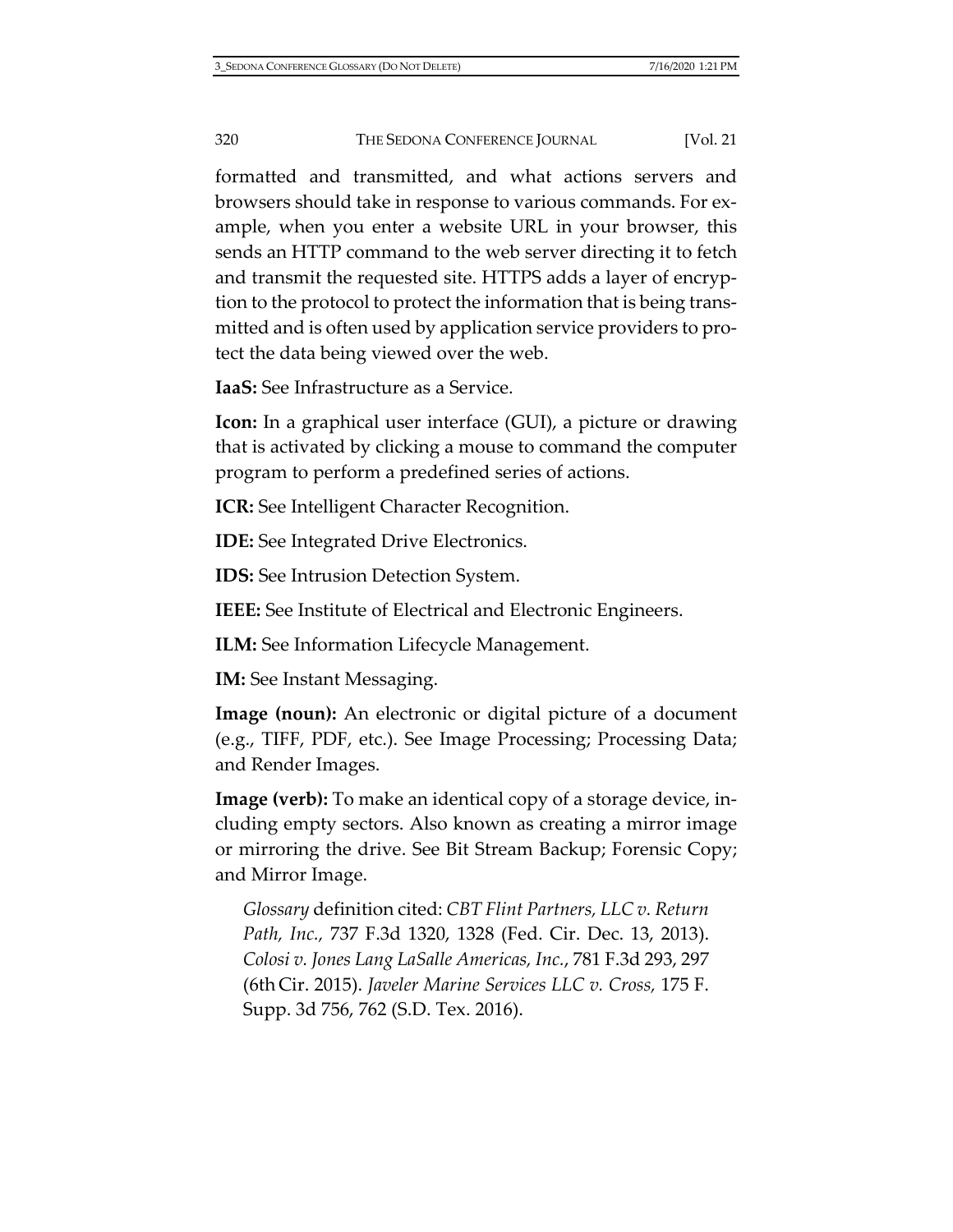formatted and transmitted, and what actions servers and browsers should take in response to various commands. For example, when you enter a website URL in your browser, this sends an HTTP command to the web server directing it to fetch and transmit the requested site. HTTPS adds a layer of encryption to the protocol to protect the information that is being transmitted and is often used by application service providers to protect the data being viewed over the web.

**IaaS:** See Infrastructure as a Service.

**Icon:** In a graphical user interface (GUI), a picture or drawing that is activated by clicking a mouse to command the computer program to perform a predefined series of actions.

**ICR:** See Intelligent Character Recognition.

**IDE:** See Integrated Drive Electronics.

**IDS:** See Intrusion Detection System.

**IEEE:** See Institute of Electrical and Electronic Engineers.

**ILM:** See Information Lifecycle Management.

**IM:** See Instant Messaging.

**Image (noun):** An electronic or digital picture of a document (e.g., TIFF, PDF, etc.). See Image Processing; Processing Data; and Render Images.

**Image (verb):** To make an identical copy of a storage device, including empty sectors. Also known as creating a mirror image or mirroring the drive. See Bit Stream Backup; Forensic Copy; and Mirror Image.

*Glossary* definition cited: *CBT Flint Partners, LLC v. Return Path, Inc.,* 737 F.3d 1320, 1328 (Fed. Cir. Dec. 13, 2013). *Colosi v. Jones Lang LaSalle Americas, Inc.*, 781 F.3d 293, 297 (6th Cir. 2015). *Javeler Marine Services LLC v. Cross,* 175 F. Supp. 3d 756, 762 (S.D. Tex. 2016).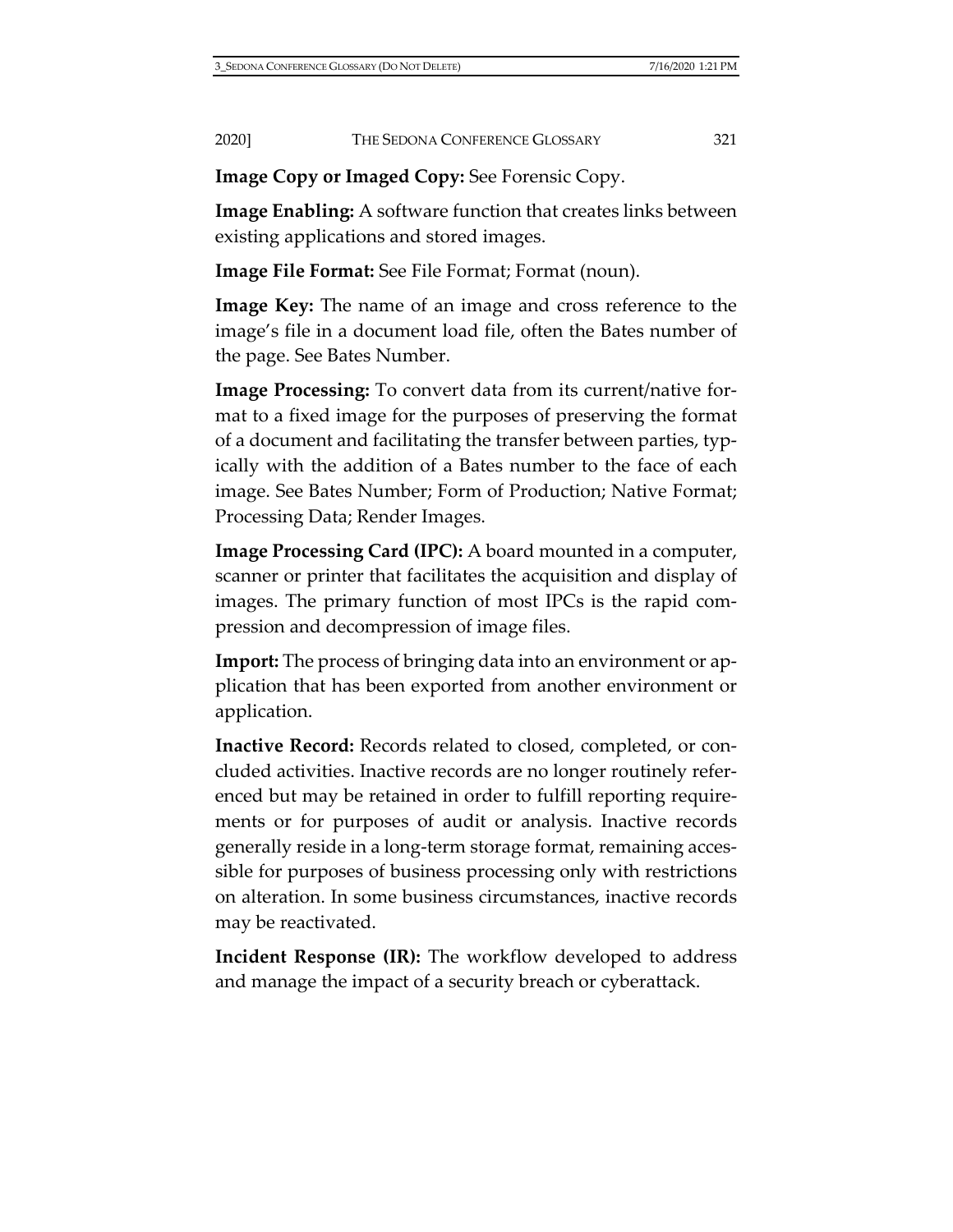**Image Copy or Imaged Copy:** See Forensic Copy.

**Image Enabling:** A software function that creates links between existing applications and stored images.

**Image File Format:** See File Format; Format (noun).

**Image Key:** The name of an image and cross reference to the image's file in a document load file, often the Bates number of the page. See Bates Number.

**Image Processing:** To convert data from its current/native format to a fixed image for the purposes of preserving the format of a document and facilitating the transfer between parties, typically with the addition of a Bates number to the face of each image. See Bates Number; Form of Production; Native Format; Processing Data; Render Images.

**Image Processing Card (IPC):** A board mounted in a computer, scanner or printer that facilitates the acquisition and display of images. The primary function of most IPCs is the rapid compression and decompression of image files.

**Import:** The process of bringing data into an environment or application that has been exported from another environment or application.

**Inactive Record:** Records related to closed, completed, or concluded activities. Inactive records are no longer routinely referenced but may be retained in order to fulfill reporting requirements or for purposes of audit or analysis. Inactive records generally reside in a long-term storage format, remaining accessible for purposes of business processing only with restrictions on alteration. In some business circumstances, inactive records may be reactivated.

**Incident Response (IR):** The workflow developed to address and manage the impact of a security breach or cyberattack.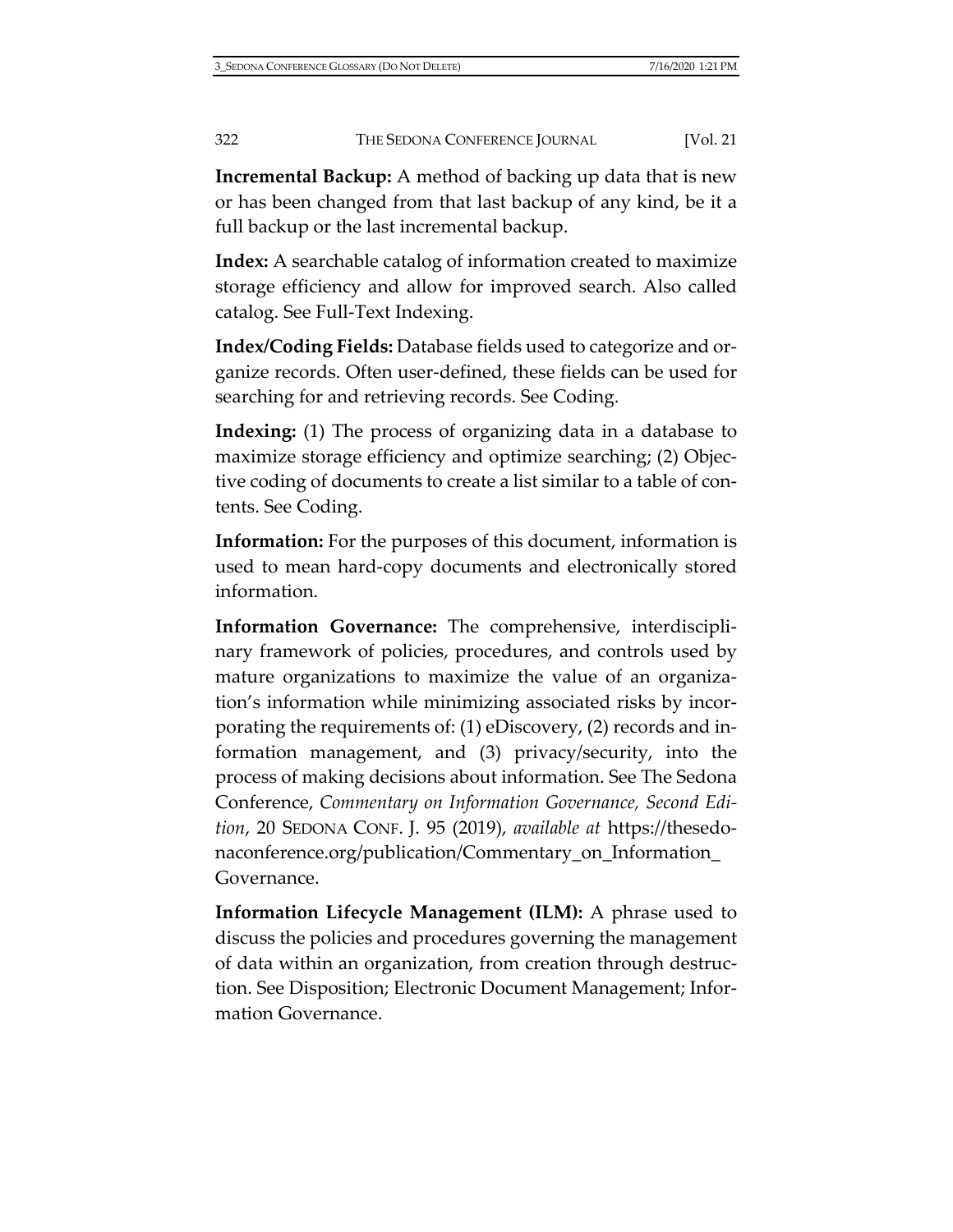**Incremental Backup:** A method of backing up data that is new or has been changed from that last backup of any kind, be it a full backup or the last incremental backup.

**Index:** A searchable catalog of information created to maximize storage efficiency and allow for improved search. Also called catalog. See Full-Text Indexing.

**Index/Coding Fields:** Database fields used to categorize and organize records. Often user-defined, these fields can be used for searching for and retrieving records. See Coding.

**Indexing:** (1) The process of organizing data in a database to maximize storage efficiency and optimize searching; (2) Objective coding of documents to create a list similar to a table of contents. See Coding.

**Information:** For the purposes of this document, information is used to mean hard-copy documents and electronically stored information.

**Information Governance:** The comprehensive, interdisciplinary framework of policies, procedures, and controls used by mature organizations to maximize the value of an organization's information while minimizing associated risks by incorporating the requirements of: (1) eDiscovery, (2) records and information management, and (3) privacy/security, into the process of making decisions about information. See The Sedona Conference, *Commentary on Information Governance, Second Edition*, 20 SEDONA CONF. J. 95 (2019), *available at* [https://thesedo](https://thesedonaconference.org/publication/Commentary_on_Information_Governance)[naconference.org/publication/Commentary\\_on\\_Information\\_](https://thesedonaconference.org/publication/Commentary_on_Information_Governance) [Governance.](https://thesedonaconference.org/publication/Commentary_on_Information_Governance)

**Information Lifecycle Management (ILM):** A phrase used to discuss the policies and procedures governing the management of data within an organization, from creation through destruction. See Disposition; Electronic Document Management; Information Governance.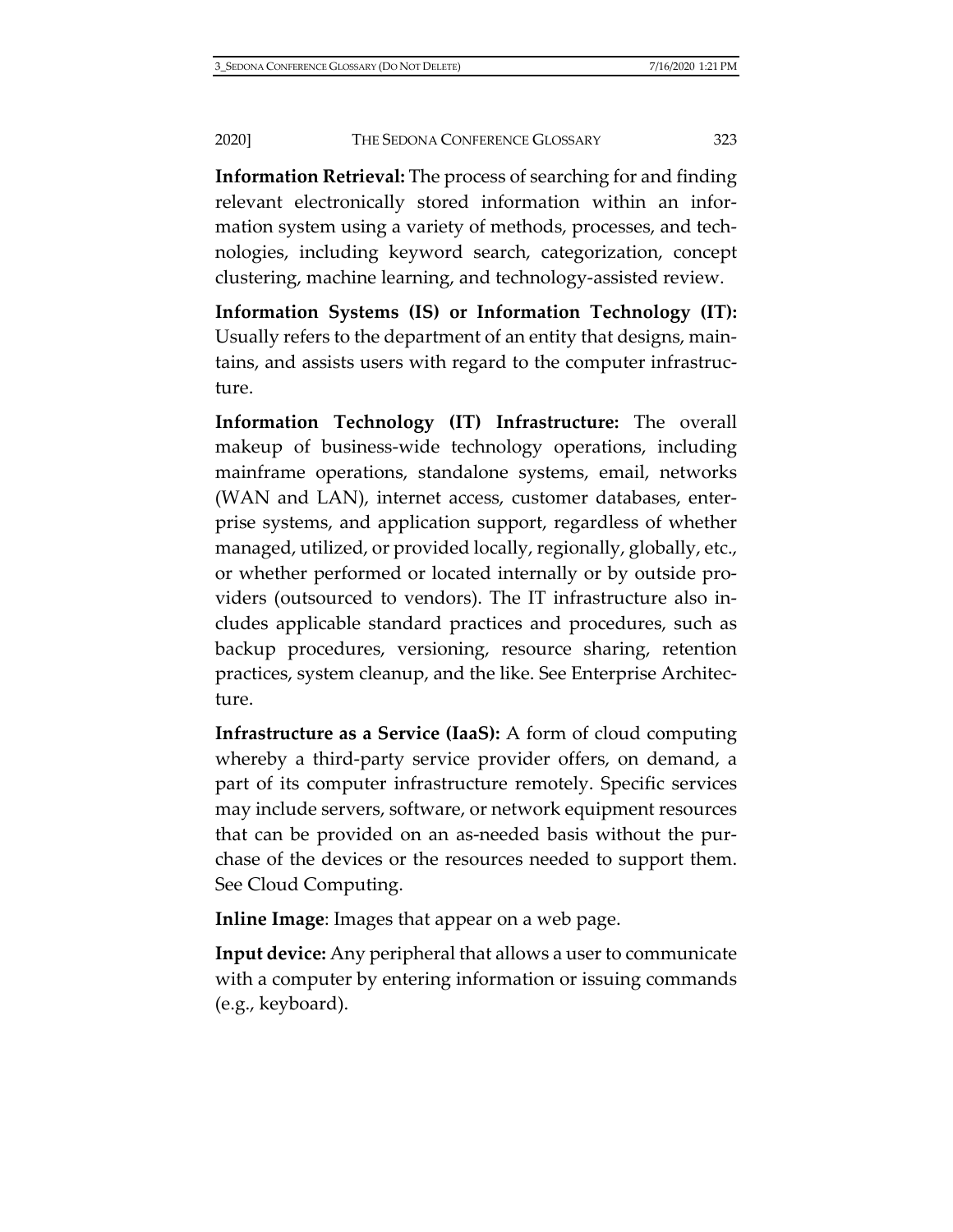**Information Retrieval:** The process of searching for and finding relevant electronically stored information within an information system using a variety of methods, processes, and technologies, including keyword search, categorization, concept clustering, machine learning, and technology-assisted review.

**Information Systems (IS) or Information Technology (IT):** Usually refers to the department of an entity that designs, maintains, and assists users with regard to the computer infrastructure.

**Information Technology (IT) Infrastructure:** The overall makeup of business-wide technology operations, including mainframe operations, standalone systems, email, networks (WAN and LAN), internet access, customer databases, enterprise systems, and application support, regardless of whether managed, utilized, or provided locally, regionally, globally, etc., or whether performed or located internally or by outside providers (outsourced to vendors). The IT infrastructure also includes applicable standard practices and procedures, such as backup procedures, versioning, resource sharing, retention practices, system cleanup, and the like. See Enterprise Architecture.

**Infrastructure as a Service (IaaS):** A form of cloud computing whereby a third-party service provider offers, on demand, a part of its computer infrastructure remotely. Specific services may include servers, software, or network equipment resources that can be provided on an as-needed basis without the purchase of the devices or the resources needed to support them. See Cloud Computing.

**Inline Image**: Images that appear on a web page.

**Input device:** Any peripheral that allows a user to communicate with a computer by entering information or issuing commands (e.g., keyboard).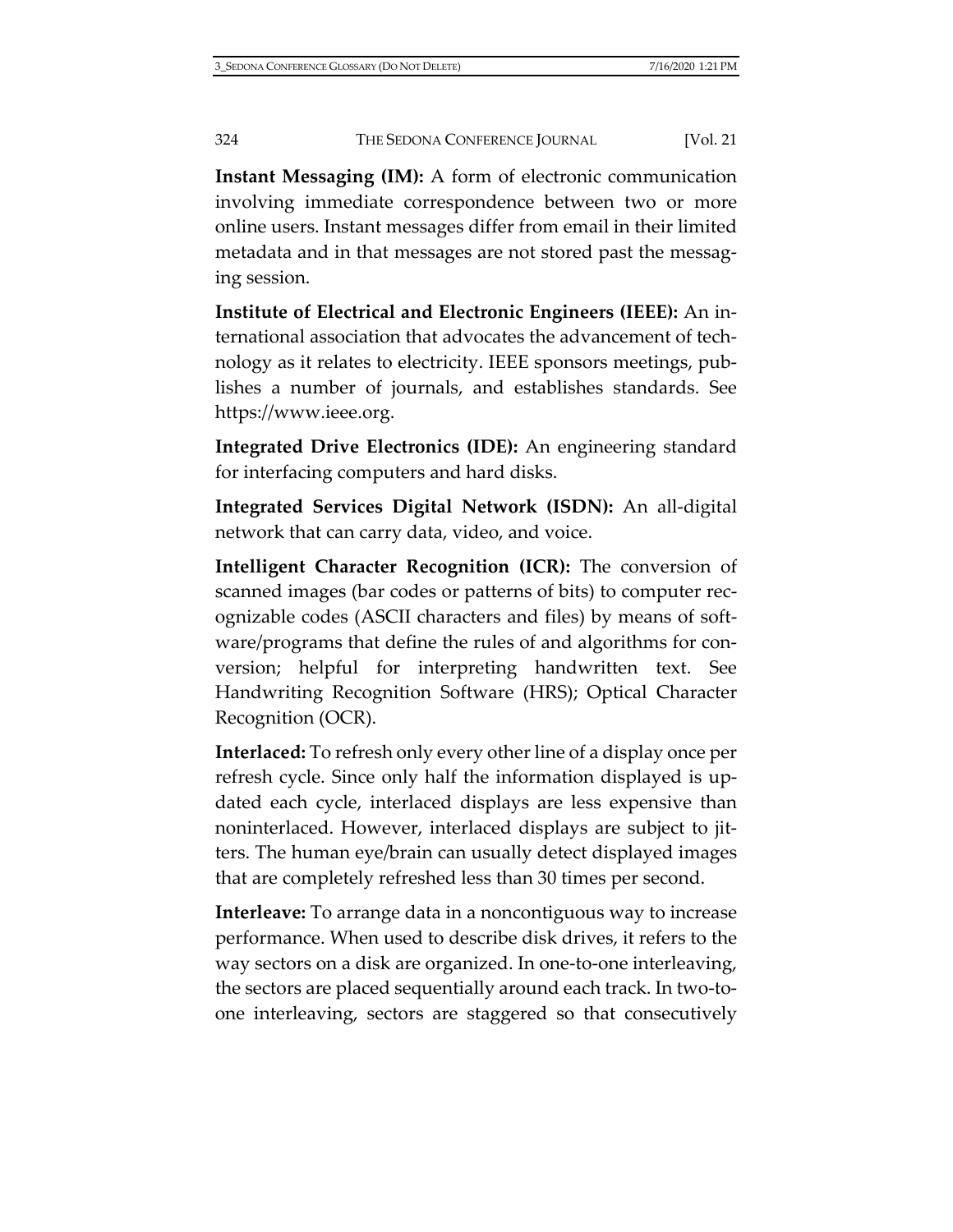**Instant Messaging (IM):** A form of electronic communication involving immediate correspondence between two or more online users. Instant messages differ from email in their limited metadata and in that messages are not stored past the messaging session.

**Institute of Electrical and Electronic Engineers (IEEE):** An international association that advocates the advancement of technology as it relates to electricity. IEEE sponsors meetings, publishes a number of journals, and establishes standards. See [https://www.ieee.org.](https://www.ieee.org/)

**Integrated Drive Electronics (IDE):** An engineering standard for interfacing computers and hard disks.

**Integrated Services Digital Network (ISDN):** An all-digital network that can carry data, video, and voice.

**Intelligent Character Recognition (ICR):** The conversion of scanned images (bar codes or patterns of bits) to computer recognizable codes (ASCII characters and files) by means of software/programs that define the rules of and algorithms for conversion; helpful for interpreting handwritten text. See Handwriting Recognition Software (HRS); Optical Character Recognition (OCR).

**Interlaced:** To refresh only every other line of a display once per refresh cycle. Since only half the information displayed is updated each cycle, interlaced displays are less expensive than noninterlaced. However, interlaced displays are subject to jitters. The human eye/brain can usually detect displayed images that are completely refreshed less than 30 times per second.

**Interleave:** To arrange data in a noncontiguous way to increase performance. When used to describe disk drives, it refers to the way sectors on a disk are organized. In one-to-one interleaving, the sectors are placed sequentially around each track. In two-toone interleaving, sectors are staggered so that consecutively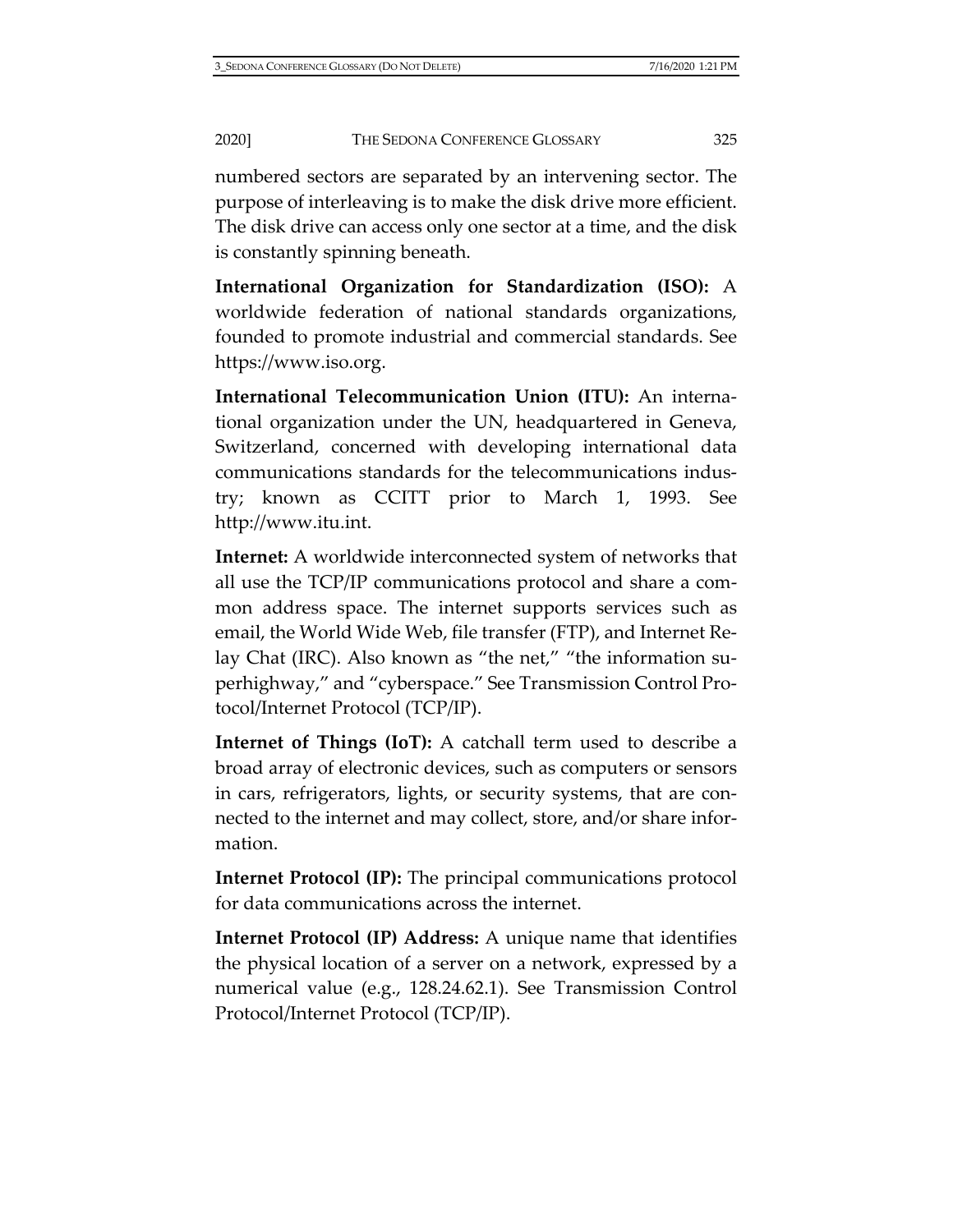numbered sectors are separated by an intervening sector. The purpose of interleaving is to make the disk drive more efficient. The disk drive can access only one sector at a time, and the disk is constantly spinning beneath.

**International Organization for Standardization (ISO):** A worldwide federation of national standards organizations, founded to promote industrial and commercial standards. See [https://www.iso.org.](https://www.iso.org/)

**International Telecommunication Union (ITU):** An international organization under the UN, headquartered in Geneva, Switzerland, concerned with developing international data communications standards for the telecommunications industry; known as CCITT prior to March 1, 1993. See [http://www.itu.int.](http://www.itu.int/)

**Internet:** A worldwide interconnected system of networks that all use the TCP/IP communications protocol and share a common address space. The internet supports services such as email, the World Wide Web, file transfer (FTP), and Internet Relay Chat (IRC). Also known as "the net," "the information superhighway," and "cyberspace." See Transmission Control Protocol/Internet Protocol (TCP/IP).

**Internet of Things (IoT):** A catchall term used to describe a broad array of electronic devices, such as computers or sensors in cars, refrigerators, lights, or security systems, that are connected to the internet and may collect, store, and/or share information.

**Internet Protocol (IP):** The principal communications protocol for data communications across the internet.

**Internet Protocol (IP) Address:** A unique name that identifies the physical location of a server on a network, expressed by a numerical value (e.g., 128.24.62.1). See Transmission Control Protocol/Internet Protocol (TCP/IP).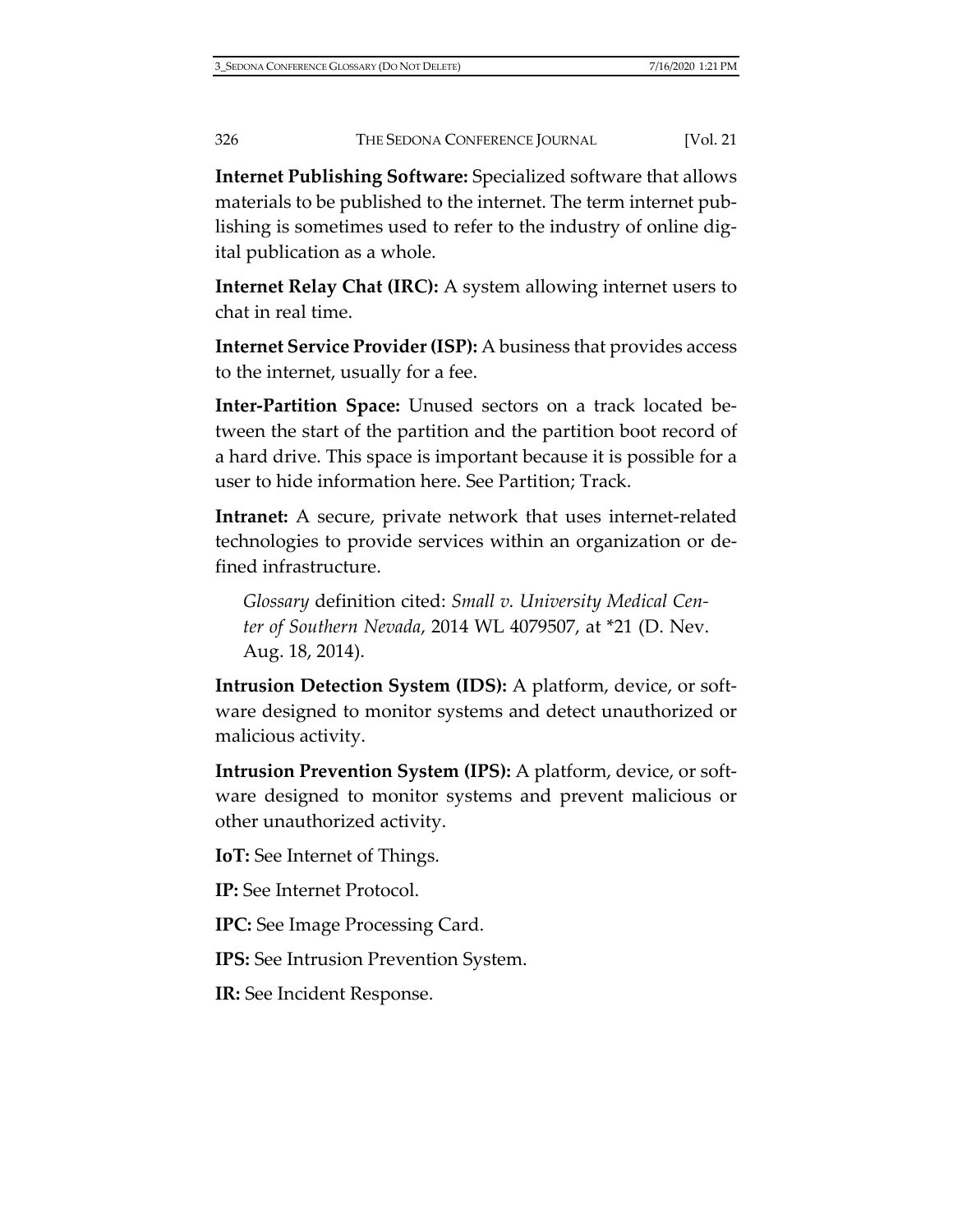**Internet Publishing Software:** Specialized software that allows materials to be published to the internet. The term internet publishing is sometimes used to refer to the industry of online digital publication as a whole.

**Internet Relay Chat (IRC):** A system allowing internet users to chat in real time.

**Internet Service Provider (ISP):** A business that provides access to the internet, usually for a fee.

**Inter-Partition Space:** Unused sectors on a track located between the start of the partition and the partition boot record of a hard drive. This space is important because it is possible for a user to hide information here. See Partition; Track.

**Intranet:** A secure, private network that uses internet-related technologies to provide services within an organization or defined infrastructure.

*Glossary* definition cited: *Small v. University Medical Center of Southern Nevada*, 2014 WL 4079507, at \*21 (D. Nev. Aug. 18, 2014).

**Intrusion Detection System (IDS):** A platform, device, or software designed to monitor systems and detect unauthorized or malicious activity.

**Intrusion Prevention System (IPS):** A platform, device, or software designed to monitor systems and prevent malicious or other unauthorized activity.

**IoT:** See Internet of Things.

**IP:** See Internet Protocol.

**IPC:** See Image Processing Card.

**IPS:** See Intrusion Prevention System.

**IR:** See Incident Response.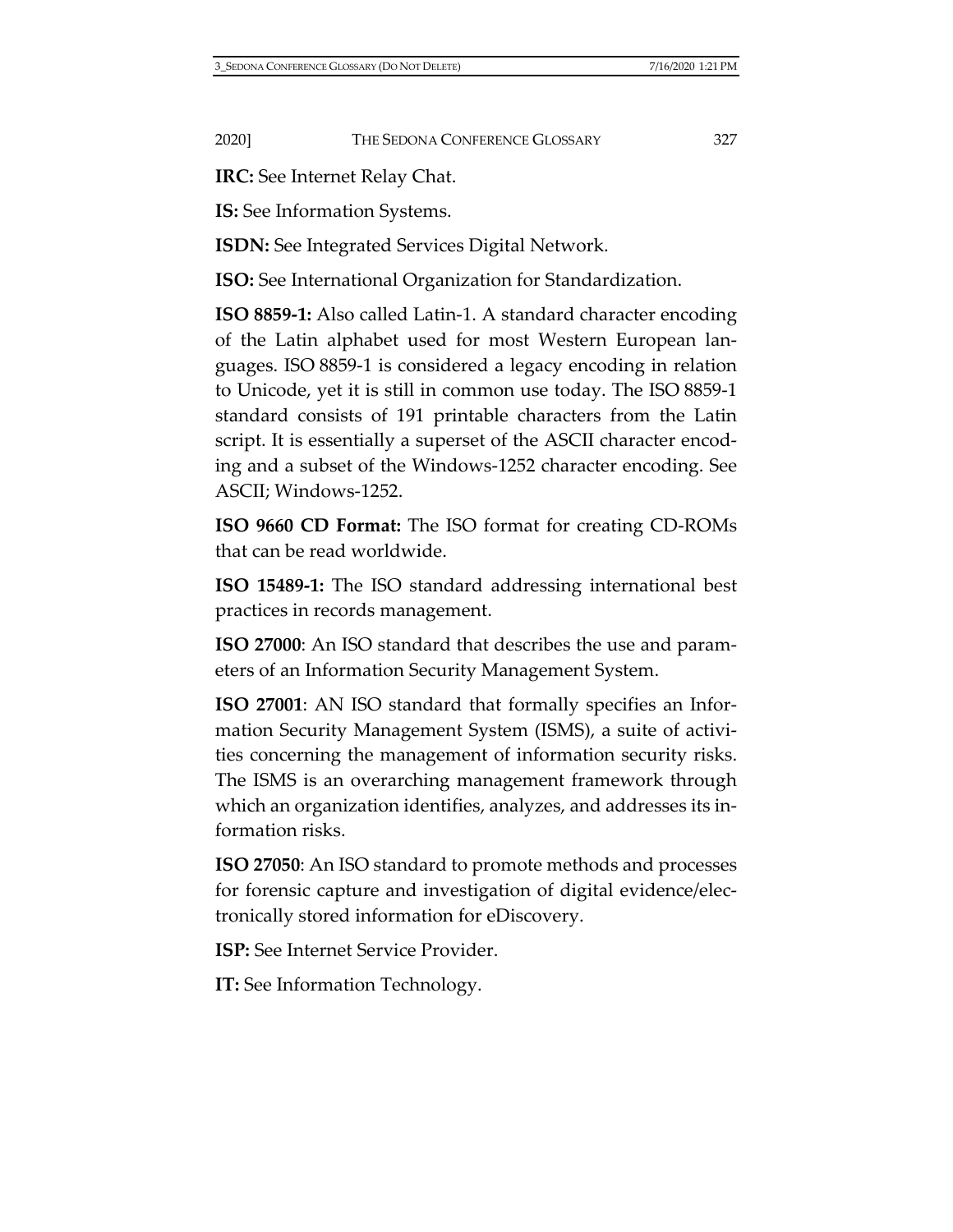**IRC:** See Internet Relay Chat.

**IS:** See Information Systems.

**ISDN:** See Integrated Services Digital Network.

**ISO:** See International Organization for Standardization.

**ISO 8859-1:** Also called Latin-1. A standard character encoding of the Latin alphabet used for most Western European languages. ISO 8859-1 is considered a legacy encoding in relation to Unicode, yet it is still in common use today. The ISO 8859-1 standard consists of 191 printable characters from the Latin script. It is essentially a superset of the ASCII character encoding and a subset of the Windows-1252 character encoding. See ASCII; Windows-1252.

**ISO 9660 CD Format:** The ISO format for creating CD-ROMs that can be read worldwide.

**ISO 15489-1:** The ISO standard addressing international best practices in records management.

**ISO 27000**: An ISO standard that describes the use and parameters of an Information Security Management System.

**ISO 27001**: AN ISO standard that formally specifies an Information Security Management System (ISMS), a suite of activities concerning the management of information security risks. The ISMS is an overarching management framework through which an organization identifies, analyzes, and addresses its information risks.

**ISO 27050**: An ISO standard to promote methods and processes for forensic capture and investigation of digital evidence/electronically stored information for eDiscovery.

**ISP:** See Internet Service Provider.

**IT:** See Information Technology.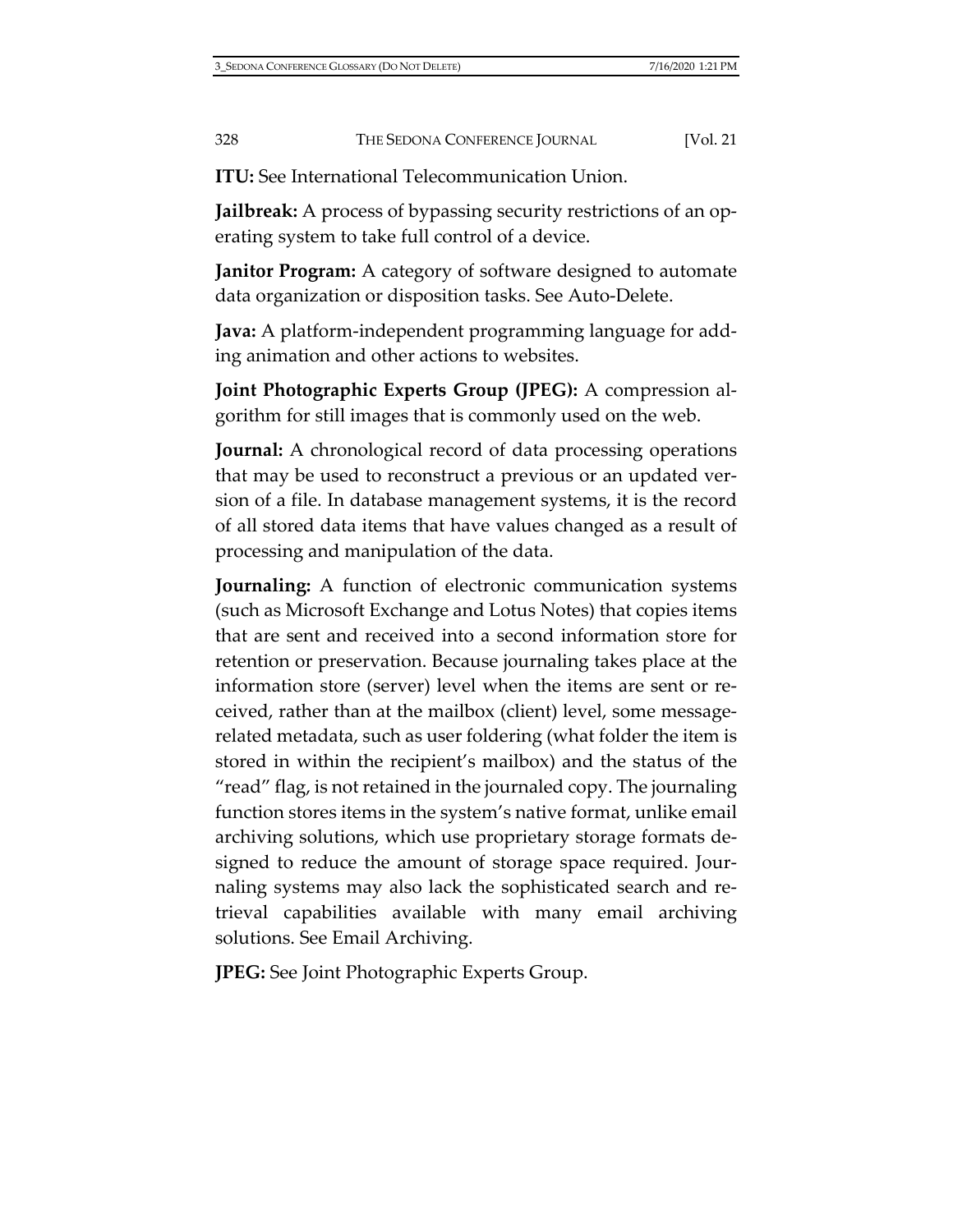**ITU:** See International Telecommunication Union.

**Jailbreak:** A process of bypassing security restrictions of an operating system to take full control of a device.

**Janitor Program:** A category of software designed to automate data organization or disposition tasks. See Auto-Delete.

**Java:** A platform-independent programming language for adding animation and other actions to websites.

**Joint Photographic Experts Group (JPEG):** A compression algorithm for still images that is commonly used on the web.

**Journal:** A chronological record of data processing operations that may be used to reconstruct a previous or an updated version of a file. In database management systems, it is the record of all stored data items that have values changed as a result of processing and manipulation of the data.

**Journaling:** A function of electronic communication systems (such as Microsoft Exchange and Lotus Notes) that copies items that are sent and received into a second information store for retention or preservation. Because journaling takes place at the information store (server) level when the items are sent or received, rather than at the mailbox (client) level, some messagerelated metadata, such as user foldering (what folder the item is stored in within the recipient's mailbox) and the status of the "read" flag, is not retained in the journaled copy. The journaling function stores items in the system's native format, unlike email archiving solutions, which use proprietary storage formats designed to reduce the amount of storage space required. Journaling systems may also lack the sophisticated search and retrieval capabilities available with many email archiving solutions. See Email Archiving.

**JPEG:** See Joint Photographic Experts Group.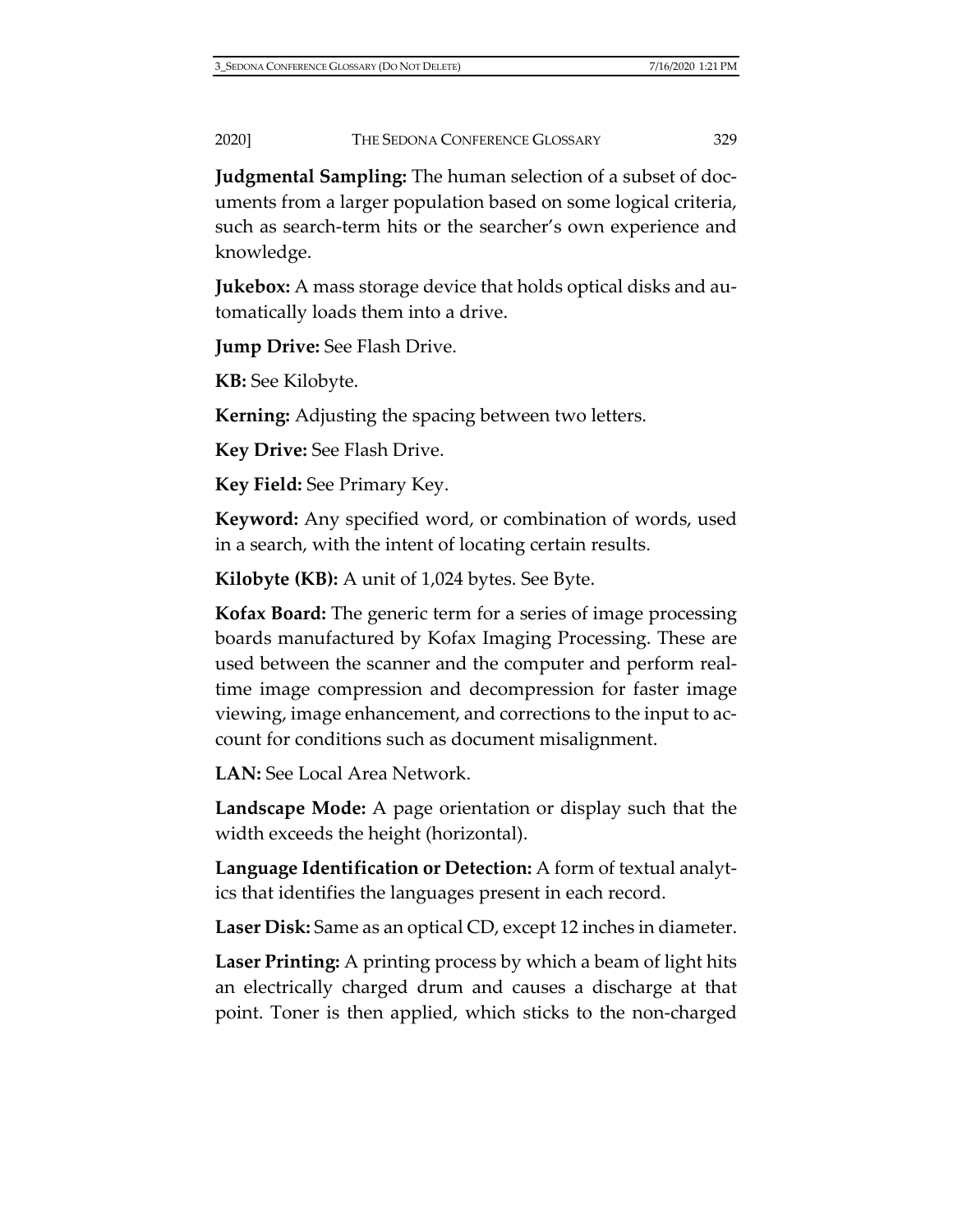**Judgmental Sampling:** The human selection of a subset of documents from a larger population based on some logical criteria, such as search-term hits or the searcher's own experience and knowledge.

**Jukebox:** A mass storage device that holds optical disks and automatically loads them into a drive.

**Jump Drive:** See Flash Drive.

**KB:** See Kilobyte.

**Kerning:** Adjusting the spacing between two letters.

**Key Drive:** See Flash Drive.

**Key Field:** See Primary Key.

**Keyword:** Any specified word, or combination of words, used in a search, with the intent of locating certain results.

**Kilobyte (KB):** A unit of 1,024 bytes. See Byte.

**Kofax Board:** The generic term for a series of image processing boards manufactured by Kofax Imaging Processing. These are used between the scanner and the computer and perform realtime image compression and decompression for faster image viewing, image enhancement, and corrections to the input to account for conditions such as document misalignment.

**LAN:** See Local Area Network.

**Landscape Mode:** A page orientation or display such that the width exceeds the height (horizontal).

**Language Identification or Detection:** A form of textual analytics that identifies the languages present in each record.

**Laser Disk:** Same as an optical CD, except 12 inches in diameter.

**Laser Printing:** A printing process by which a beam of light hits an electrically charged drum and causes a discharge at that point. Toner is then applied, which sticks to the non-charged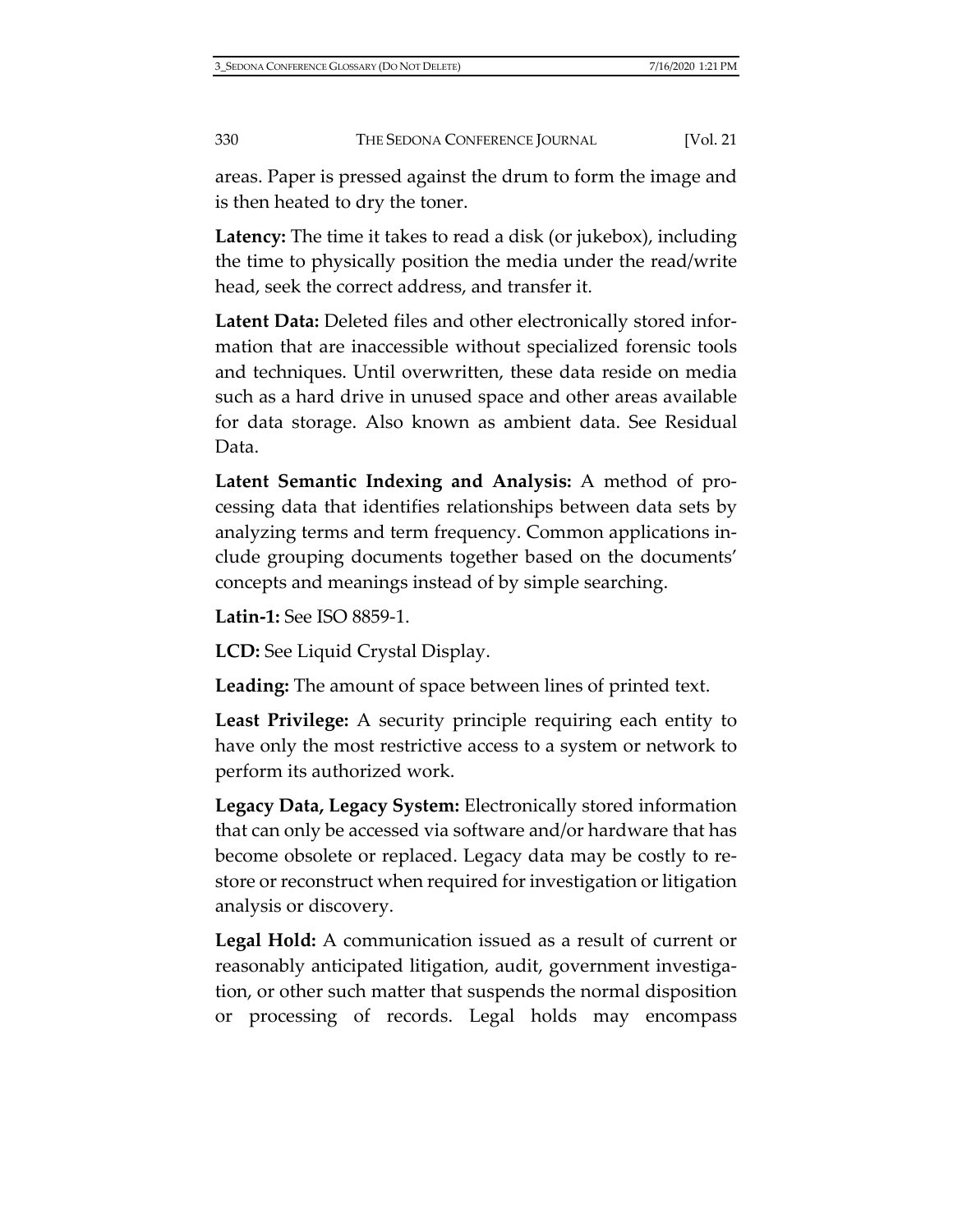areas. Paper is pressed against the drum to form the image and is then heated to dry the toner.

**Latency:** The time it takes to read a disk (or jukebox), including the time to physically position the media under the read/write head, seek the correct address, and transfer it.

**Latent Data:** Deleted files and other electronically stored information that are inaccessible without specialized forensic tools and techniques. Until overwritten, these data reside on media such as a hard drive in unused space and other areas available for data storage. Also known as ambient data. See Residual Data.

**Latent Semantic Indexing and Analysis:** A method of processing data that identifies relationships between data sets by analyzing terms and term frequency. Common applications include grouping documents together based on the documents' concepts and meanings instead of by simple searching.

**Latin-1:** See ISO 8859-1.

**LCD:** See Liquid Crystal Display.

**Leading:** The amount of space between lines of printed text.

**Least Privilege:** A security principle requiring each entity to have only the most restrictive access to a system or network to perform its authorized work.

**Legacy Data, Legacy System:** Electronically stored information that can only be accessed via software and/or hardware that has become obsolete or replaced. Legacy data may be costly to restore or reconstruct when required for investigation or litigation analysis or discovery.

**Legal Hold:** A communication issued as a result of current or reasonably anticipated litigation, audit, government investigation, or other such matter that suspends the normal disposition or processing of records. Legal holds may encompass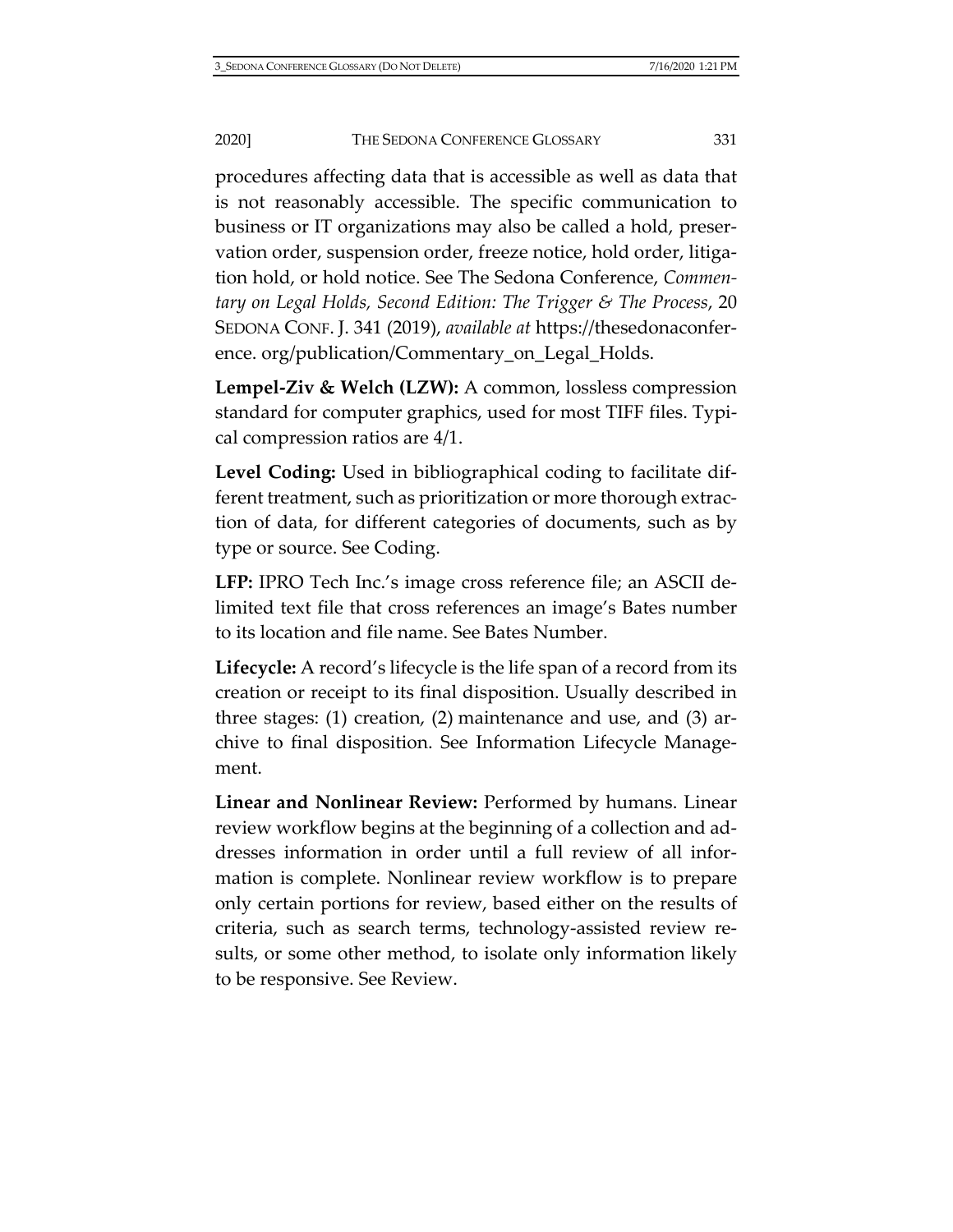procedures affecting data that is accessible as well as data that is not reasonably accessible. The specific communication to business or IT organizations may also be called a hold, preservation order, suspension order, freeze notice, hold order, litigation hold, or hold notice. See The Sedona Conference, *Commentary on Legal Holds, Second Edition: The Trigger & The Process*, 20 SEDONA CONF. J. 341 (2019), *available at* [https://thesedonaconfer](https://thesedonaconference.org/publication/Commentary_on_Legal_Holds)ence. [org/publication/Commentary\\_on\\_Legal\\_Holds.](https://thesedonaconference.org/publication/Commentary_on_Legal_Holds)

**Lempel-Ziv & Welch (LZW):** A common, lossless compression standard for computer graphics, used for most TIFF files. Typical compression ratios are 4/1.

**Level Coding:** Used in bibliographical coding to facilitate different treatment, such as prioritization or more thorough extraction of data, for different categories of documents, such as by type or source. See Coding.

**LFP:** IPRO Tech Inc.'s image cross reference file; an ASCII delimited text file that cross references an image's Bates number to its location and file name. See Bates Number.

**Lifecycle:** A record's lifecycle is the life span of a record from its creation or receipt to its final disposition. Usually described in three stages: (1) creation, (2) maintenance and use, and (3) archive to final disposition. See Information Lifecycle Management.

**Linear and Nonlinear Review:** Performed by humans. Linear review workflow begins at the beginning of a collection and addresses information in order until a full review of all information is complete. Nonlinear review workflow is to prepare only certain portions for review, based either on the results of criteria, such as search terms, technology-assisted review results, or some other method, to isolate only information likely to be responsive. See Review.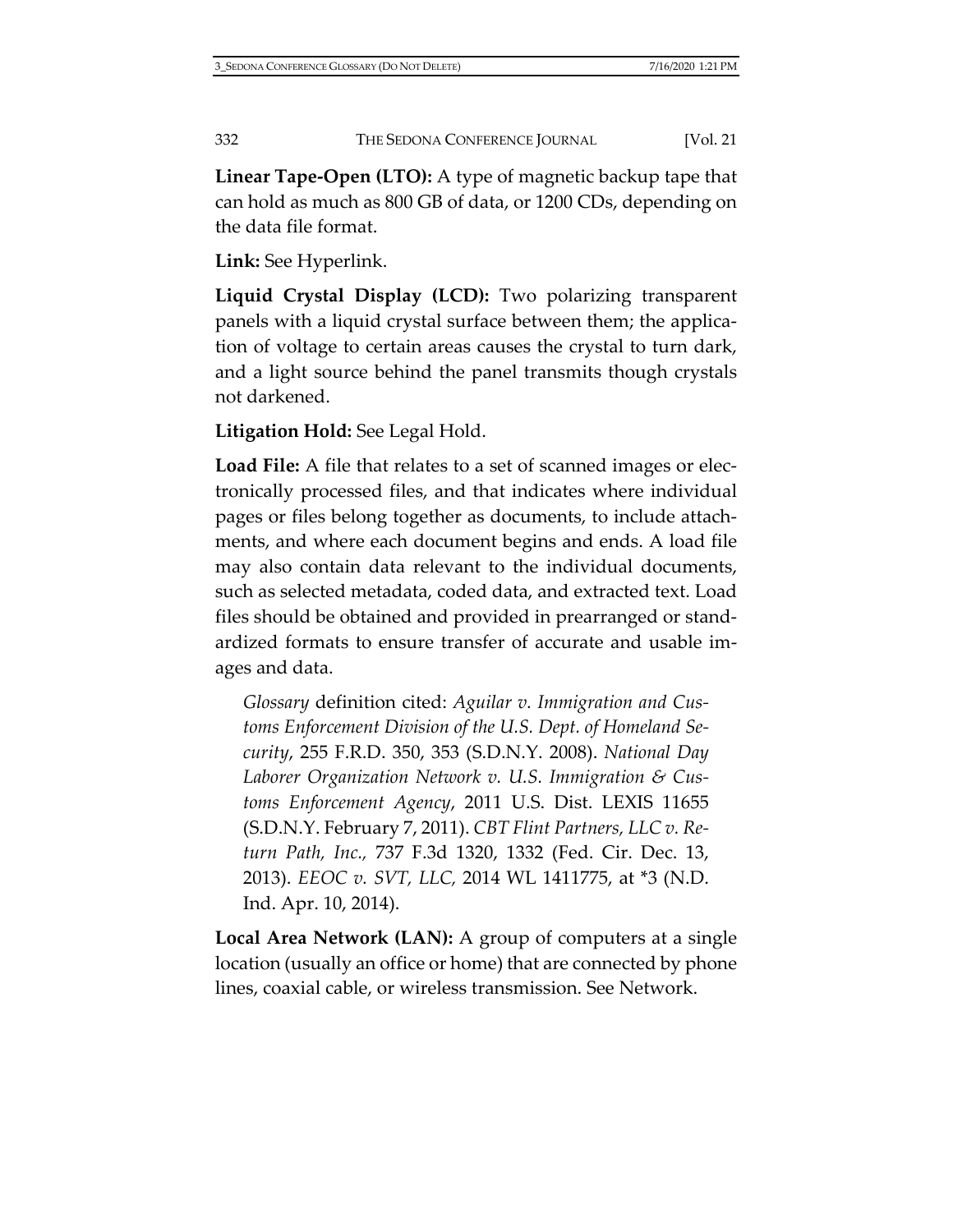**Linear Tape-Open (LTO):** A type of magnetic backup tape that can hold as much as 800 GB of data, or 1200 CDs, depending on the data file format.

**Link:** See Hyperlink.

**Liquid Crystal Display (LCD):** Two polarizing transparent panels with a liquid crystal surface between them; the application of voltage to certain areas causes the crystal to turn dark, and a light source behind the panel transmits though crystals not darkened.

**Litigation Hold:** See Legal Hold.

**Load File:** A file that relates to a set of scanned images or electronically processed files, and that indicates where individual pages or files belong together as documents, to include attachments, and where each document begins and ends. A load file may also contain data relevant to the individual documents, such as selected metadata, coded data, and extracted text. Load files should be obtained and provided in prearranged or standardized formats to ensure transfer of accurate and usable images and data.

*Glossary* definition cited: *Aguilar v. Immigration and Customs Enforcement Division of the U.S. Dept. of Homeland Security*, 255 F.R.D. 350, 353 (S.D.N.Y. 2008). *National Day Laborer Organization Network v. U.S. Immigration & Customs Enforcement Agency*, 2011 U.S. Dist. LEXIS 11655 (S.D.N.Y. February 7, 2011). *CBT Flint Partners, LLC v. Return Path, Inc.,* 737 F.3d 1320, 1332 (Fed. Cir. Dec. 13, 2013). *EEOC v. SVT, LLC,* 2014 WL 1411775, at \*3 (N.D. Ind. Apr. 10, 2014).

**Local Area Network (LAN):** A group of computers at a single location (usually an office or home) that are connected by phone lines, coaxial cable, or wireless transmission. See Network.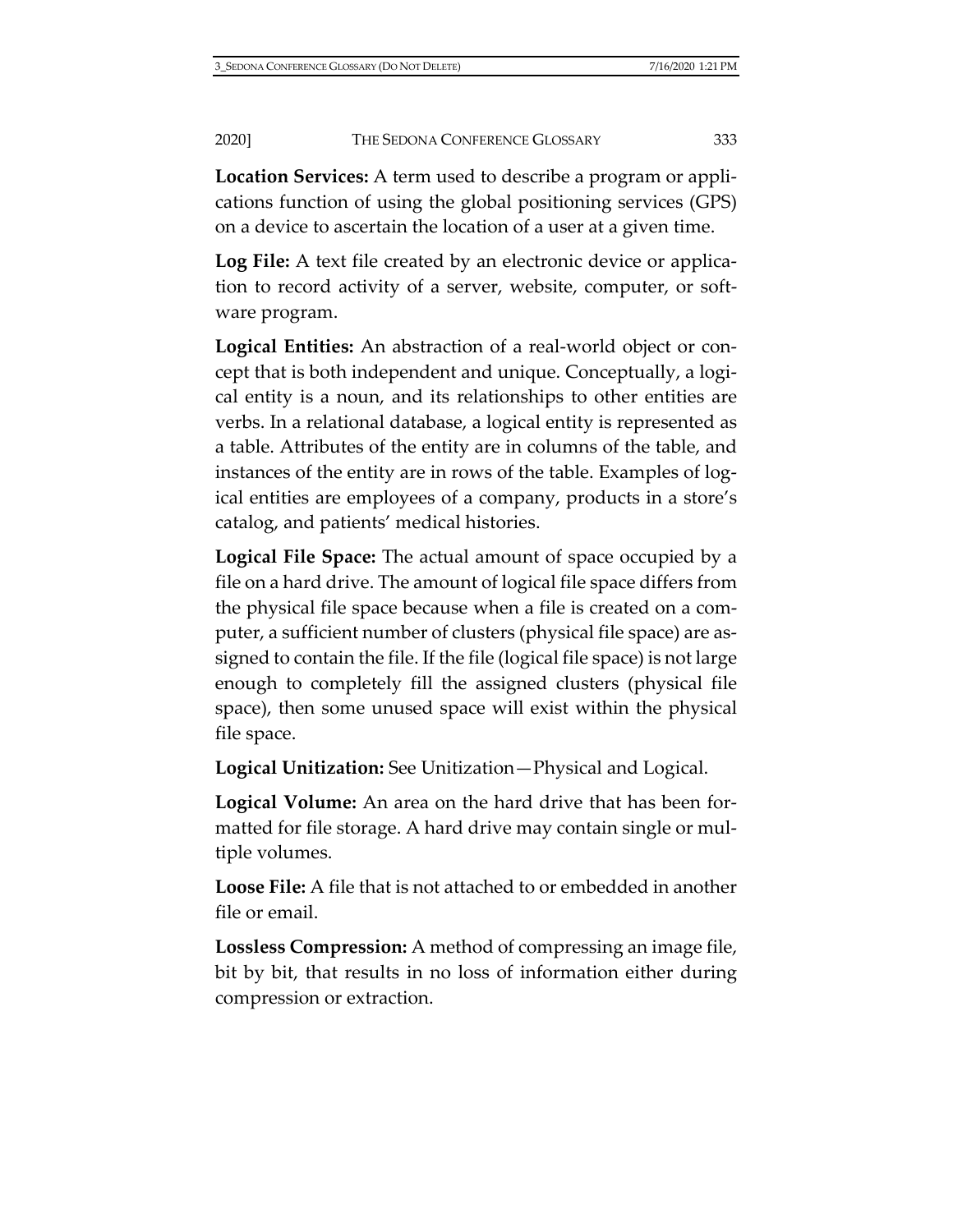**Location Services:** A term used to describe a program or applications function of using the global positioning services (GPS) on a device to ascertain the location of a user at a given time.

**Log File:** A text file created by an electronic device or application to record activity of a server, website, computer, or software program.

**Logical Entities:** An abstraction of a real-world object or concept that is both independent and unique. Conceptually, a logical entity is a noun, and its relationships to other entities are verbs. In a relational database, a logical entity is represented as a table. Attributes of the entity are in columns of the table, and instances of the entity are in rows of the table. Examples of logical entities are employees of a company, products in a store's catalog, and patients' medical histories.

**Logical File Space:** The actual amount of space occupied by a file on a hard drive. The amount of logical file space differs from the physical file space because when a file is created on a computer, a sufficient number of clusters (physical file space) are assigned to contain the file. If the file (logical file space) is not large enough to completely fill the assigned clusters (physical file space), then some unused space will exist within the physical file space.

**Logical Unitization:** See Unitization—Physical and Logical.

**Logical Volume:** An area on the hard drive that has been formatted for file storage. A hard drive may contain single or multiple volumes.

**Loose File:** A file that is not attached to or embedded in another file or email.

**Lossless Compression:** A method of compressing an image file, bit by bit, that results in no loss of information either during compression or extraction.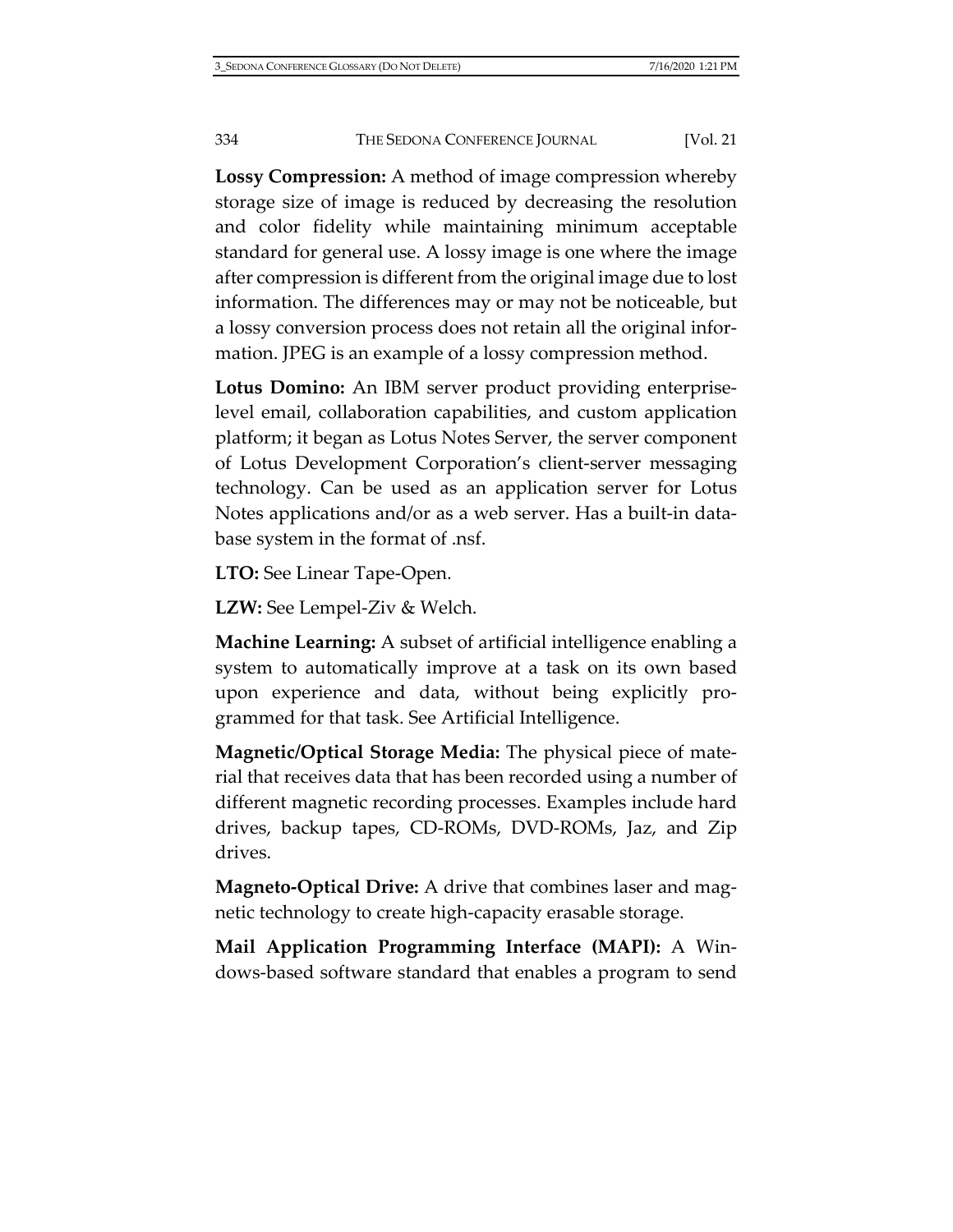**Lossy Compression:** A method of image compression whereby storage size of image is reduced by decreasing the resolution and color fidelity while maintaining minimum acceptable standard for general use. A lossy image is one where the image after compression is different from the original image due to lost information. The differences may or may not be noticeable, but a lossy conversion process does not retain all the original information. JPEG is an example of a lossy compression method.

**Lotus Domino:** An IBM server product providing enterpriselevel email, collaboration capabilities, and custom application platform; it began as Lotus Notes Server, the server component of Lotus Development Corporation's client-server messaging technology. Can be used as an application server for Lotus Notes applications and/or as a web server. Has a built-in database system in the format of .nsf.

**LTO:** See Linear Tape-Open.

**LZW:** See Lempel-Ziv & Welch.

**Machine Learning:** A subset of artificial intelligence enabling a system to automatically improve at a task on its own based upon experience and data, without being explicitly programmed for that task. See Artificial Intelligence.

**Magnetic/Optical Storage Media:** The physical piece of material that receives data that has been recorded using a number of different magnetic recording processes. Examples include hard drives, backup tapes, CD-ROMs, DVD-ROMs, Jaz, and Zip drives.

**Magneto-Optical Drive:** A drive that combines laser and magnetic technology to create high-capacity erasable storage.

**Mail Application Programming Interface (MAPI):** A Windows-based software standard that enables a program to send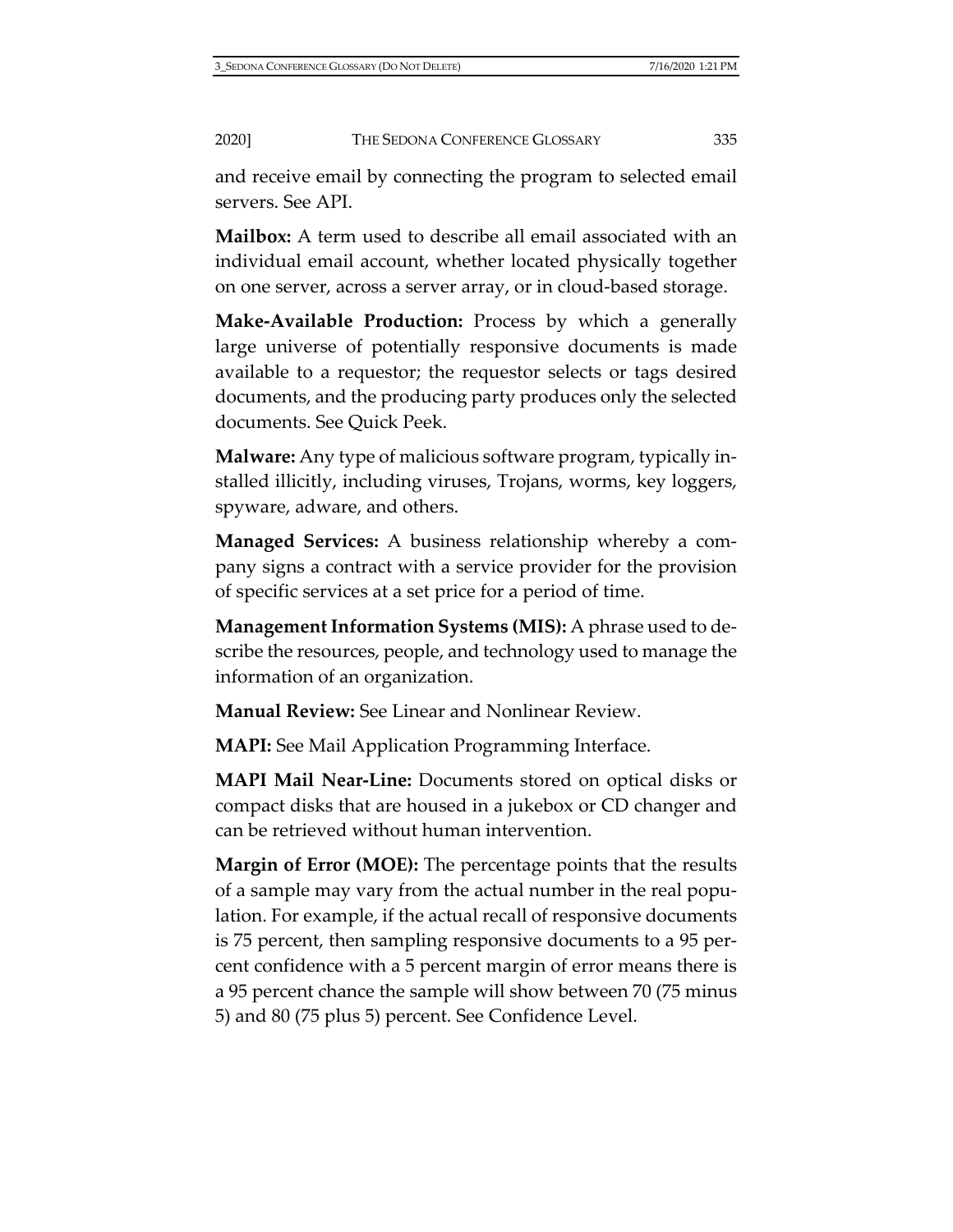and receive email by connecting the program to selected email servers. See API.

**Mailbox:** A term used to describe all email associated with an individual email account, whether located physically together on one server, across a server array, or in cloud-based storage.

**Make-Available Production:** Process by which a generally large universe of potentially responsive documents is made available to a requestor; the requestor selects or tags desired documents, and the producing party produces only the selected documents. See Quick Peek.

**Malware:** Any type of malicious software program, typically installed illicitly, including viruses, Trojans, worms, key loggers, spyware, adware, and others.

**Managed Services:** A business relationship whereby a company signs a contract with a service provider for the provision of specific services at a set price for a period of time.

**Management Information Systems (MIS):** A phrase used to describe the resources, people, and technology used to manage the information of an organization.

**Manual Review:** See Linear and Nonlinear Review.

**MAPI:** See Mail Application Programming Interface.

**MAPI Mail Near-Line:** Documents stored on optical disks or compact disks that are housed in a jukebox or CD changer and can be retrieved without human intervention.

**Margin of Error (MOE):** The percentage points that the results of a sample may vary from the actual number in the real population. For example, if the actual recall of responsive documents is 75 percent, then sampling responsive documents to a 95 percent confidence with a 5 percent margin of error means there is a 95 percent chance the sample will show between 70 (75 minus 5) and 80 (75 plus 5) percent. See Confidence Level.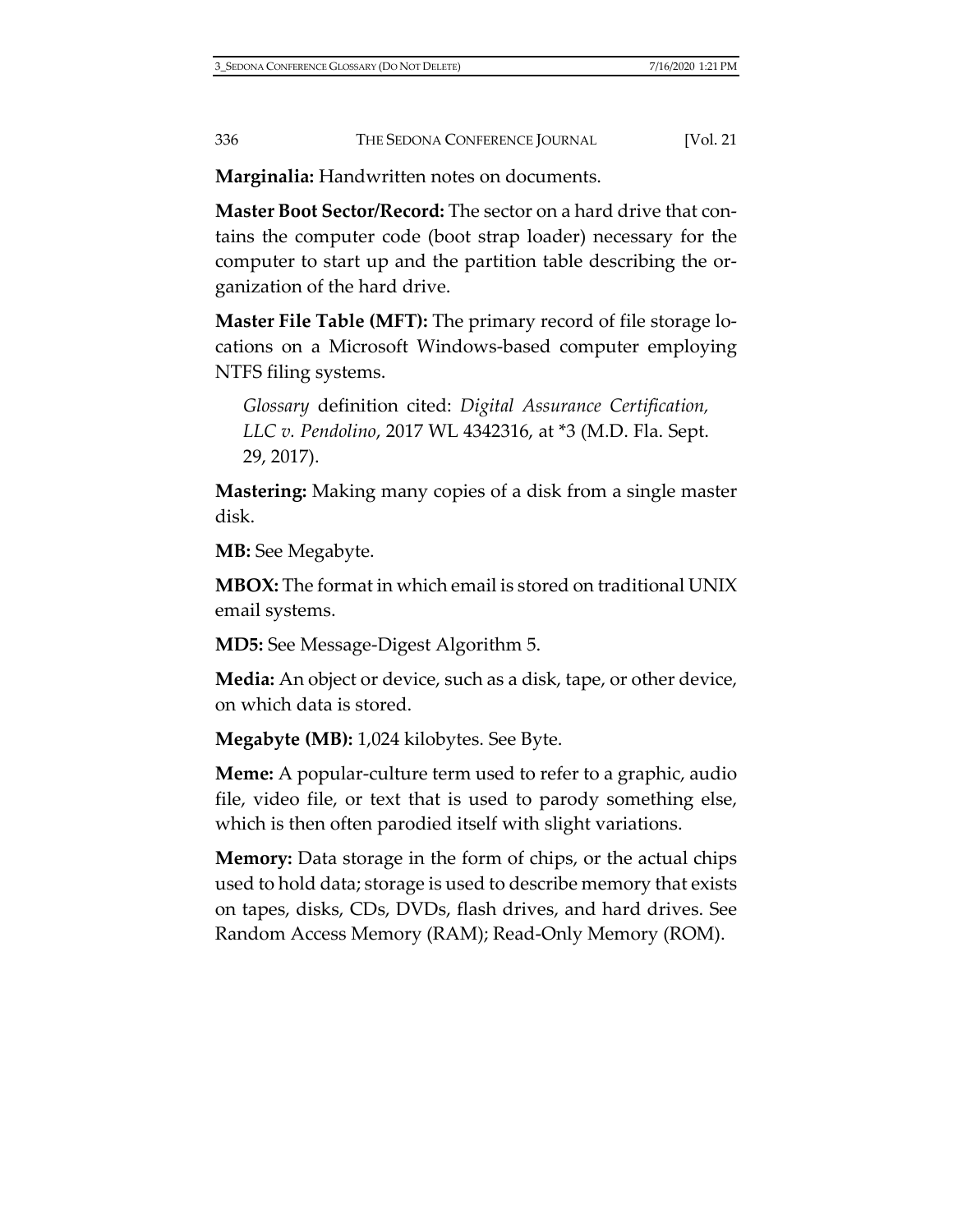**Marginalia:** Handwritten notes on documents.

**Master Boot Sector/Record:** The sector on a hard drive that contains the computer code (boot strap loader) necessary for the computer to start up and the partition table describing the organization of the hard drive.

**Master File Table (MFT):** The primary record of file storage locations on a Microsoft Windows-based computer employing NTFS filing systems.

*Glossary* definition cited: *Digital Assurance Certification, LLC v. Pendolino*, 2017 WL 4342316, at \*3 (M.D. Fla. Sept. 29, 2017).

**Mastering:** Making many copies of a disk from a single master disk.

**MB:** See Megabyte.

**MBOX:** The format in which email is stored on traditional UNIX email systems.

**MD5:** See Message-Digest Algorithm 5.

**Media:** An object or device, such as a disk, tape, or other device, on which data is stored.

**Megabyte (MB):** 1,024 kilobytes. See Byte.

**Meme:** A popular-culture term used to refer to a graphic, audio file, video file, or text that is used to parody something else, which is then often parodied itself with slight variations.

**Memory:** Data storage in the form of chips, or the actual chips used to hold data; storage is used to describe memory that exists on tapes, disks, CDs, DVDs, flash drives, and hard drives. See Random Access Memory (RAM); Read-Only Memory (ROM).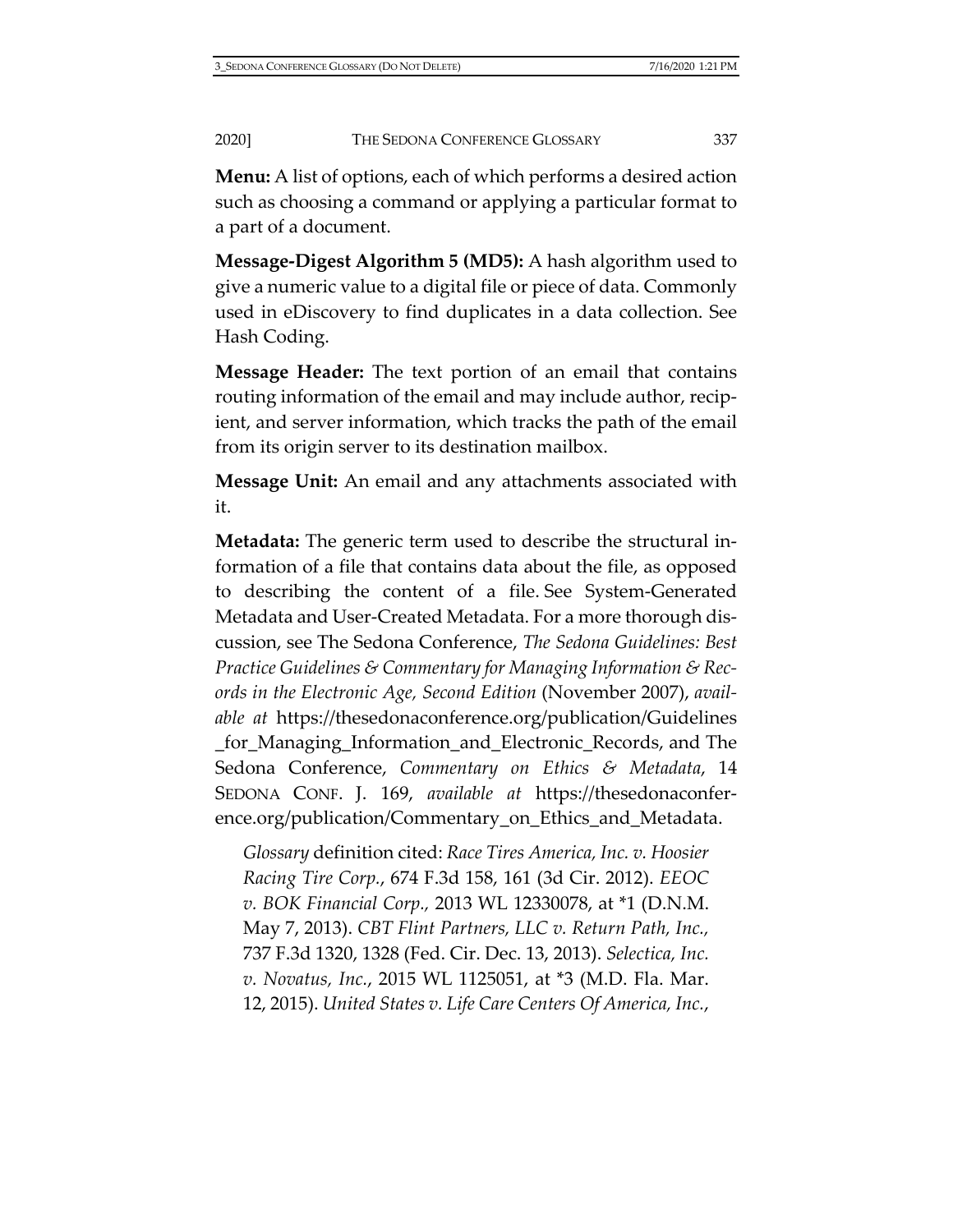**Menu:** A list of options, each of which performs a desired action such as choosing a command or applying a particular format to a part of a document.

**Message-Digest Algorithm 5 (MD5):** A hash algorithm used to give a numeric value to a digital file or piece of data. Commonly used in eDiscovery to find duplicates in a data collection. See Hash Coding.

**Message Header:** The text portion of an email that contains routing information of the email and may include author, recipient, and server information, which tracks the path of the email from its origin server to its destination mailbox.

**Message Unit:** An email and any attachments associated with it.

**Metadata:** The generic term used to describe the structural information of a file that contains data about the file, as opposed to describing the content of a file. See System-Generated Metadata and User-Created Metadata. For a more thorough discussion, see The Sedona Conference, *The Sedona Guidelines: Best Practice Guidelines & Commentary for Managing Information & Records in the Electronic Age, Second Edition* (November 2007), *available at* [https://thesedonaconference.org/publication/Guidelines](https://thesedonaconference.org/publication/Guidelines_for_Managing_Information_and_Electronic_Records) [\\_for\\_Managing\\_Information\\_and\\_Electronic\\_Records,](https://thesedonaconference.org/publication/Guidelines_for_Managing_Information_and_Electronic_Records) and The Sedona Conference, *Commentary on Ethics & Metadata*, 14 SEDONA CONF. J. 169, *available at* [https://thesedonaconfer](https://thesedonaconference.org/publication/Commentary_on_Ethics_and_Metadata)[ence.org/publication/Commentary\\_on\\_Ethics\\_and\\_Metadata.](https://thesedonaconference.org/publication/Commentary_on_Ethics_and_Metadata)

*Glossary* definition cited: *Race Tires America, Inc. v. Hoosier Racing Tire Corp.*, 674 F.3d 158, 161 (3d Cir. 2012). *EEOC v. BOK Financial Corp.,* 2013 WL 12330078, at \*1 (D.N.M. May 7, 2013). *CBT Flint Partners, LLC v. Return Path, Inc.,* 737 F.3d 1320, 1328 (Fed. Cir. Dec. 13, 2013). *Selectica, Inc. v. Novatus, Inc.*, 2015 WL 1125051, at \*3 (M.D. Fla. Mar. 12, 2015). *United States v. Life Care Centers Of America, Inc.*,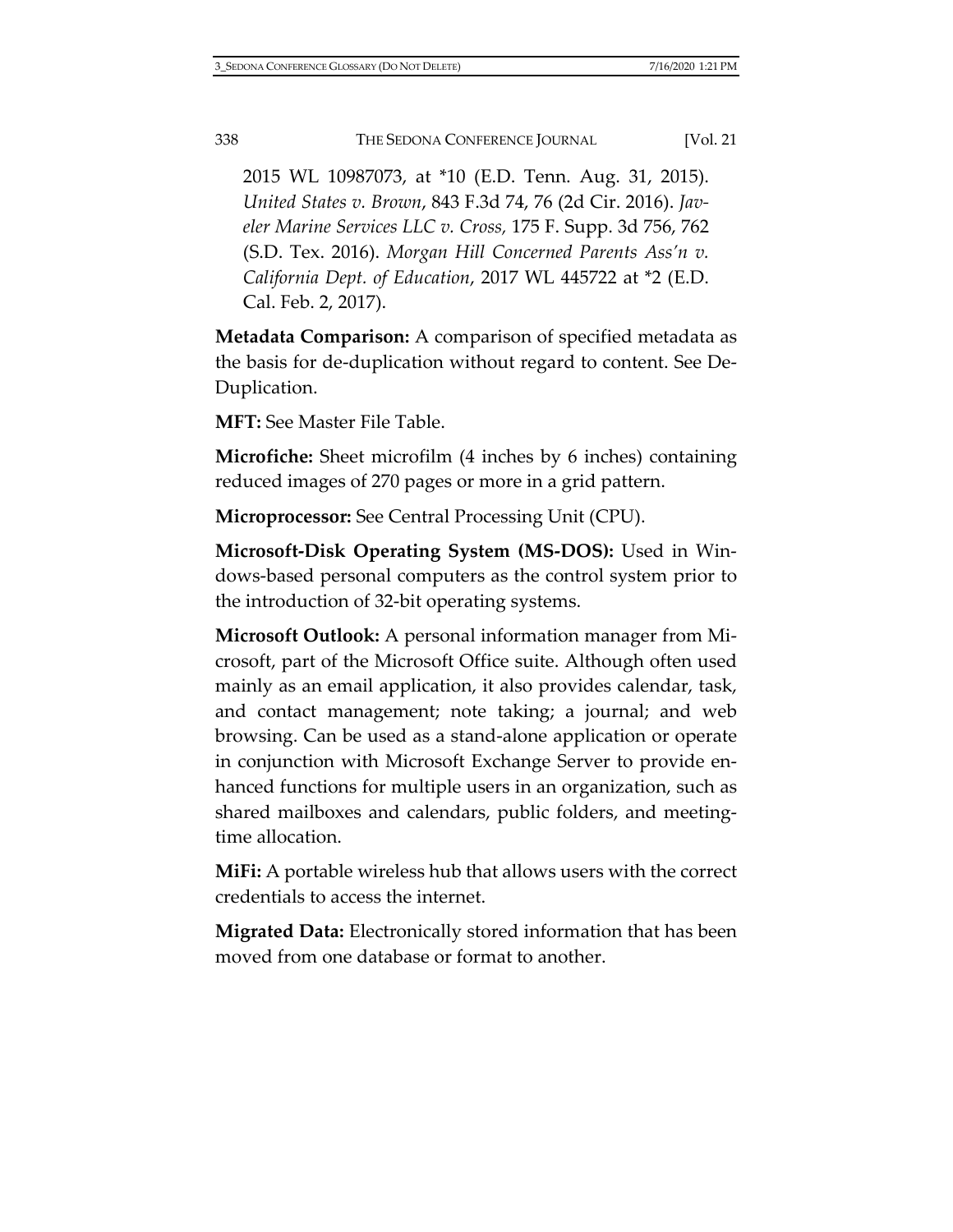2015 WL 10987073, at \*10 (E.D. Tenn. Aug. 31, 2015). *United States v. Brown*, 843 F.3d 74, 76 (2d Cir. 2016). *Javeler Marine Services LLC v. Cross,* 175 F. Supp. 3d 756, 762 (S.D. Tex. 2016). *Morgan Hill Concerned Parents Ass'n v. California Dept. of Education*, 2017 WL 445722 at \*2 (E.D. Cal. Feb. 2, 2017).

**Metadata Comparison:** A comparison of specified metadata as the basis for de-duplication without regard to content. See De-Duplication.

**MFT:** See Master File Table.

**Microfiche:** Sheet microfilm (4 inches by 6 inches) containing reduced images of 270 pages or more in a grid pattern.

**Microprocessor:** See Central Processing Unit (CPU).

**Microsoft-Disk Operating System (MS-DOS):** Used in Windows-based personal computers as the control system prior to the introduction of 32-bit operating systems.

**Microsoft Outlook:** A personal information manager from Microsoft, part of the Microsoft Office suite. Although often used mainly as an email application, it also provides calendar, task, and contact management; note taking; a journal; and web browsing. Can be used as a stand-alone application or operate in conjunction with Microsoft Exchange Server to provide enhanced functions for multiple users in an organization, such as shared mailboxes and calendars, public folders, and meetingtime allocation.

**MiFi:** A portable wireless hub that allows users with the correct credentials to access the internet.

**Migrated Data:** Electronically stored information that has been moved from one database or format to another.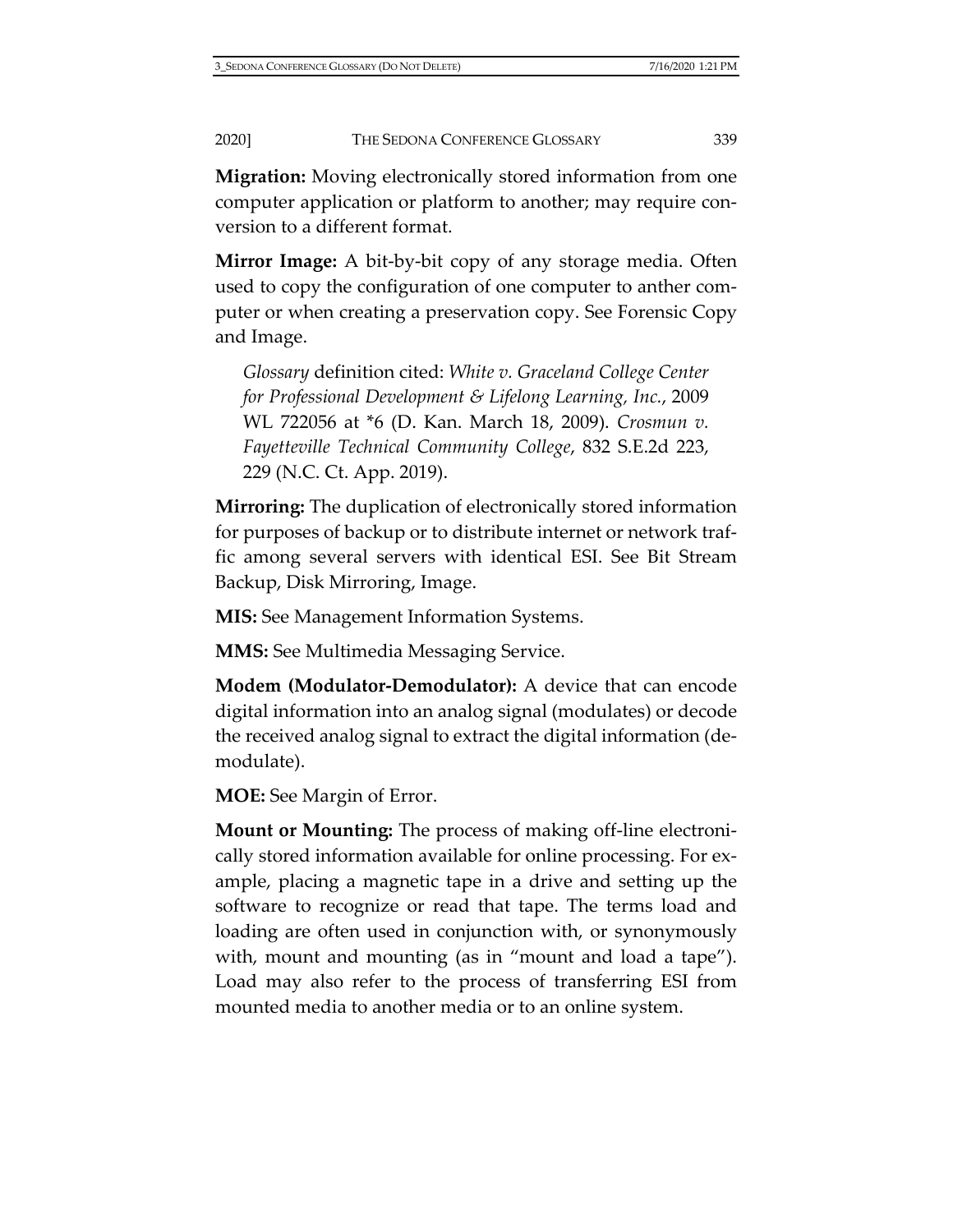**Migration:** Moving electronically stored information from one computer application or platform to another; may require conversion to a different format.

**Mirror Image:** A bit-by-bit copy of any storage media. Often used to copy the configuration of one computer to anther computer or when creating a preservation copy. See Forensic Copy and Image.

*Glossary* definition cited: *White v. Graceland College Center for Professional Development & Lifelong Learning, Inc.*, 2009 WL 722056 at \*6 (D. Kan. March 18, 2009). *Crosmun v. Fayetteville Technical Community College*, 832 S.E.2d 223, 229 (N.C. Ct. App. 2019).

**Mirroring:** The duplication of electronically stored information for purposes of backup or to distribute internet or network traffic among several servers with identical ESI. See Bit Stream Backup, Disk Mirroring, Image.

**MIS:** See Management Information Systems.

**MMS:** See Multimedia Messaging Service.

**Modem (Modulator-Demodulator):** A device that can encode digital information into an analog signal (modulates) or decode the received analog signal to extract the digital information (demodulate).

**MOE:** See Margin of Error.

**Mount or Mounting:** The process of making off-line electronically stored information available for online processing. For example, placing a magnetic tape in a drive and setting up the software to recognize or read that tape. The terms load and loading are often used in conjunction with, or synonymously with, mount and mounting (as in "mount and load a tape"). Load may also refer to the process of transferring ESI from mounted media to another media or to an online system.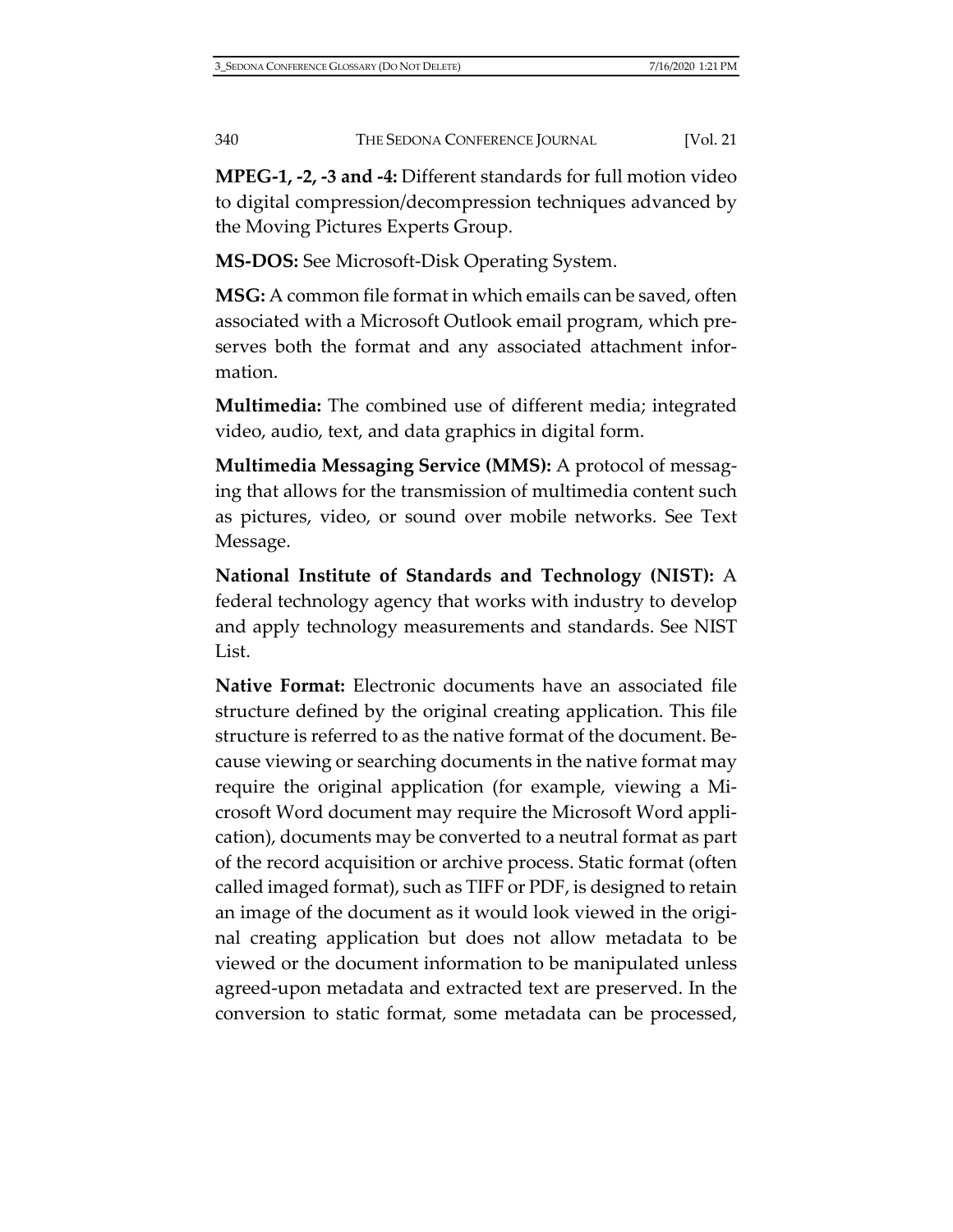**MPEG-1, -2, -3 and -4:** Different standards for full motion video to digital compression/decompression techniques advanced by the Moving Pictures Experts Group.

**MS-DOS:** See Microsoft-Disk Operating System.

**MSG:** A common file format in which emails can be saved, often associated with a Microsoft Outlook email program, which preserves both the format and any associated attachment information.

**Multimedia:** The combined use of different media; integrated video, audio, text, and data graphics in digital form.

**Multimedia Messaging Service (MMS):** A protocol of messaging that allows for the transmission of multimedia content such as pictures, video, or sound over mobile networks. See Text Message.

**National Institute of Standards and Technology (NIST):** A federal technology agency that works with industry to develop and apply technology measurements and standards. See NIST List.

**Native Format:** Electronic documents have an associated file structure defined by the original creating application. This file structure is referred to as the native format of the document. Because viewing or searching documents in the native format may require the original application (for example, viewing a Microsoft Word document may require the Microsoft Word application), documents may be converted to a neutral format as part of the record acquisition or archive process. Static format (often called imaged format), such as TIFF or PDF, is designed to retain an image of the document as it would look viewed in the original creating application but does not allow metadata to be viewed or the document information to be manipulated unless agreed-upon metadata and extracted text are preserved. In the conversion to static format, some metadata can be processed,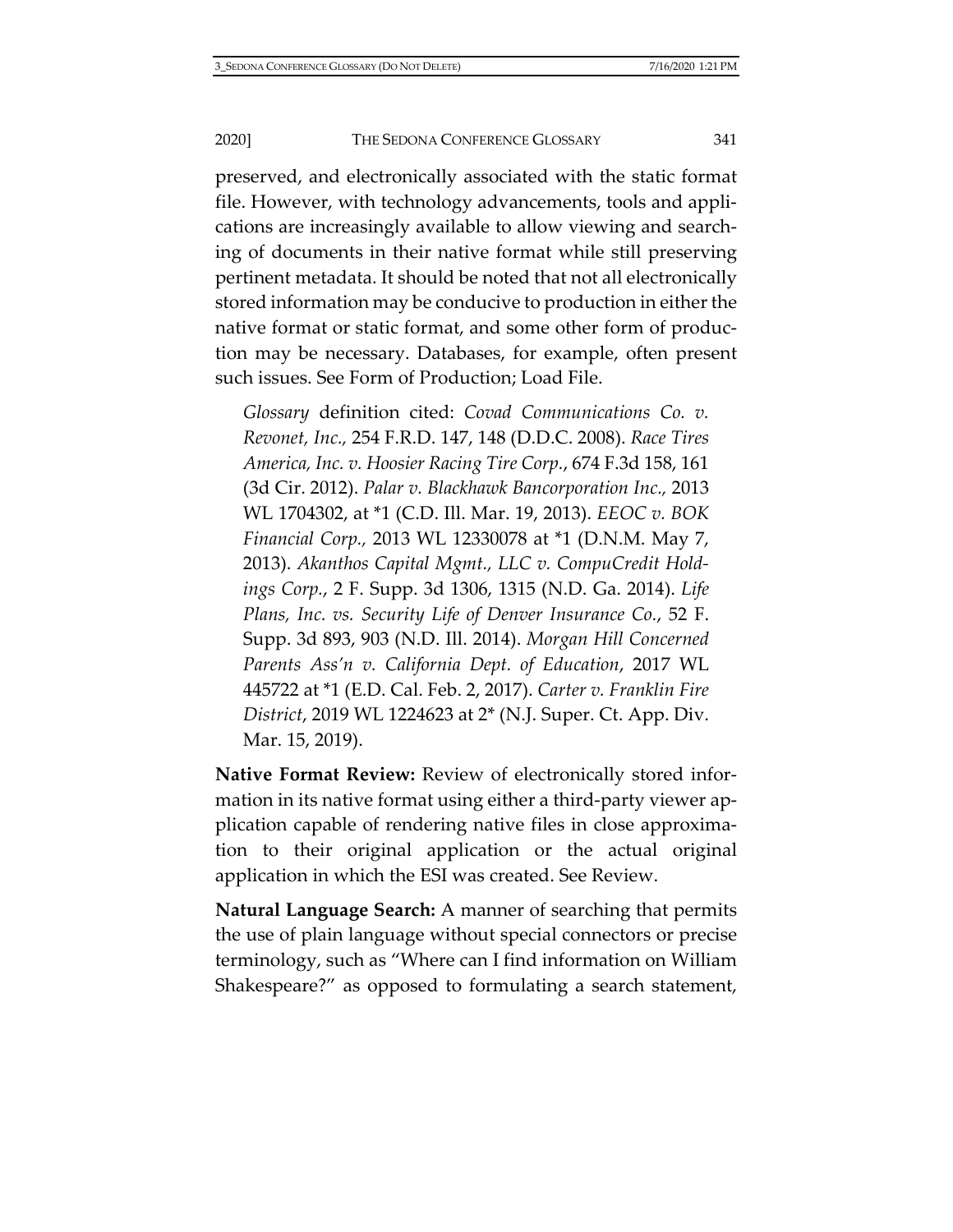## 2020] THE SEDONA CONFERENCE GLOSSARY 341

preserved, and electronically associated with the static format file. However, with technology advancements, tools and applications are increasingly available to allow viewing and searching of documents in their native format while still preserving pertinent metadata. It should be noted that not all electronically stored information may be conducive to production in either the native format or static format, and some other form of production may be necessary. Databases, for example, often present such issues. See Form of Production; Load File.

*Glossary* definition cited: *Covad Communications Co. v. Revonet, Inc.,* 254 F.R.D. 147, 148 (D.D.C. 2008). *Race Tires America, Inc. v. Hoosier Racing Tire Corp.*, 674 F.3d 158, 161 (3d Cir. 2012). *Palar v. Blackhawk Bancorporation Inc.,* 2013 WL 1704302, at \*1 (C.D. Ill. Mar. 19, 2013). *EEOC v. BOK Financial Corp.,* 2013 WL 12330078 at \*1 (D.N.M. May 7, 2013). *Akanthos Capital Mgmt., LLC v. CompuCredit Holdings Corp.*, 2 F. Supp. 3d 1306, 1315 (N.D. Ga. 2014). *Life Plans, Inc. vs. Security Life of Denver Insurance Co.*, 52 F. Supp. 3d 893, 903 (N.D. Ill. 2014). *Morgan Hill Concerned Parents Ass'n v. California Dept. of Education*, 2017 WL 445722 at \*1 (E.D. Cal. Feb. 2, 2017). *Carter v. Franklin Fire District*, 2019 WL 1224623 at 2\* (N.J. Super. Ct. App. Div. Mar. 15, 2019).

**Native Format Review:** Review of electronically stored information in its native format using either a third-party viewer application capable of rendering native files in close approximation to their original application or the actual original application in which the ESI was created. See Review.

**Natural Language Search:** A manner of searching that permits the use of plain language without special connectors or precise terminology, such as "Where can I find information on William Shakespeare?" as opposed to formulating a search statement,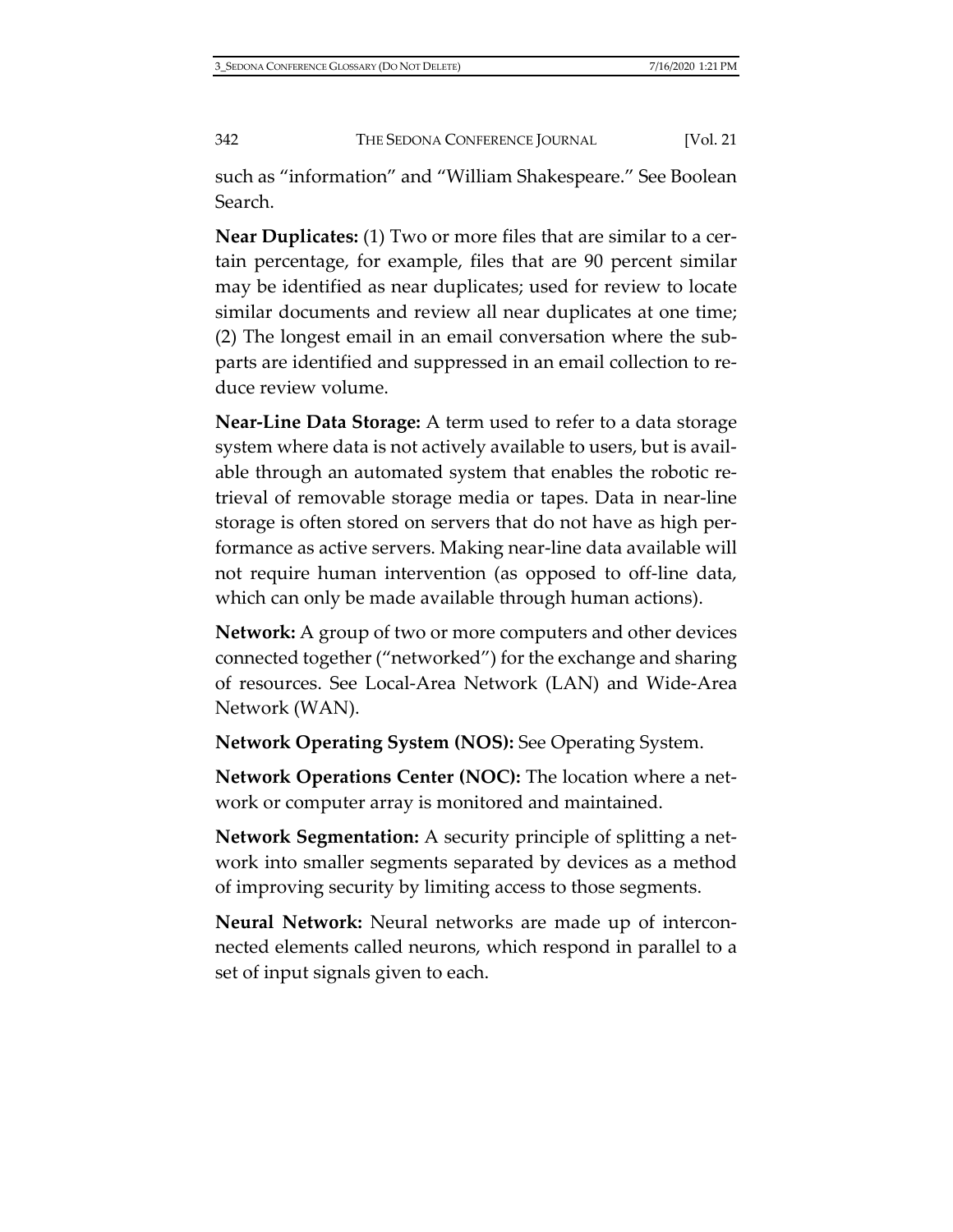such as "information" and "William Shakespeare." See Boolean Search.

**Near Duplicates:** (1) Two or more files that are similar to a certain percentage, for example, files that are 90 percent similar may be identified as near duplicates; used for review to locate similar documents and review all near duplicates at one time; (2) The longest email in an email conversation where the subparts are identified and suppressed in an email collection to reduce review volume.

**Near-Line Data Storage:** A term used to refer to a data storage system where data is not actively available to users, but is available through an automated system that enables the robotic retrieval of removable storage media or tapes. Data in near-line storage is often stored on servers that do not have as high performance as active servers. Making near-line data available will not require human intervention (as opposed to off-line data, which can only be made available through human actions).

**Network:** A group of two or more computers and other devices connected together ("networked") for the exchange and sharing of resources. See Local-Area Network (LAN) and Wide-Area Network (WAN).

**Network Operating System (NOS):** See Operating System.

**Network Operations Center (NOC):** The location where a network or computer array is monitored and maintained.

**Network Segmentation:** A security principle of splitting a network into smaller segments separated by devices as a method of improving security by limiting access to those segments.

**Neural Network:** Neural networks are made up of interconnected elements called neurons, which respond in parallel to a set of input signals given to each.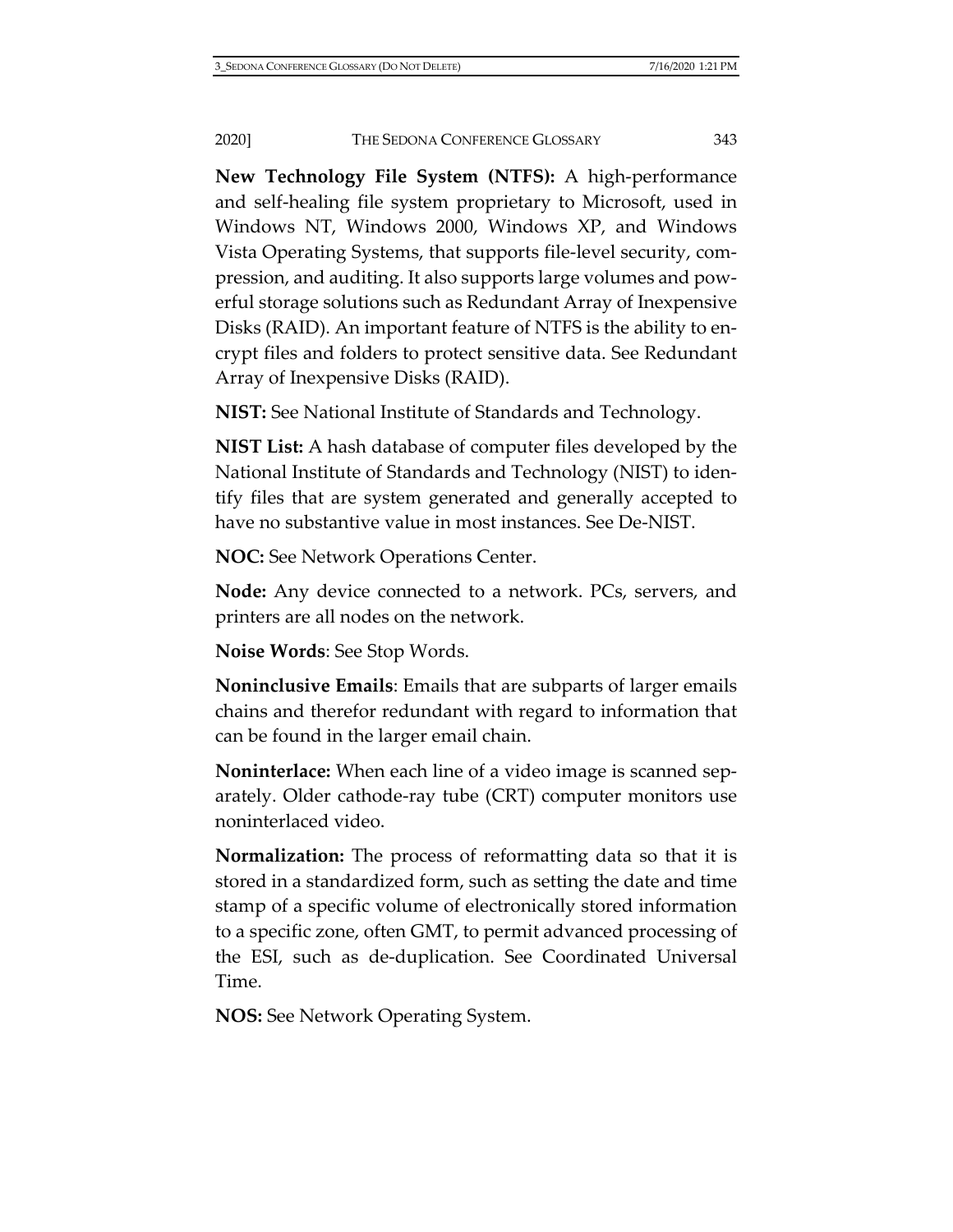**New Technology File System (NTFS):** A high-performance and self-healing file system proprietary to Microsoft, used in Windows NT, Windows 2000, Windows XP, and Windows Vista Operating Systems, that supports file-level security, compression, and auditing. It also supports large volumes and powerful storage solutions such as Redundant Array of Inexpensive Disks (RAID). An important feature of NTFS is the ability to encrypt files and folders to protect sensitive data. See Redundant Array of Inexpensive Disks (RAID).

**NIST:** See National Institute of Standards and Technology.

**NIST List:** A hash database of computer files developed by the National Institute of Standards and Technology (NIST) to identify files that are system generated and generally accepted to have no substantive value in most instances. See De-NIST.

**NOC:** See Network Operations Center.

**Node:** Any device connected to a network. PCs, servers, and printers are all nodes on the network.

**Noise Words**: See Stop Words.

**Noninclusive Emails**: Emails that are subparts of larger emails chains and therefor redundant with regard to information that can be found in the larger email chain.

**Noninterlace:** When each line of a video image is scanned separately. Older cathode-ray tube (CRT) computer monitors use noninterlaced video.

**Normalization:** The process of reformatting data so that it is stored in a standardized form, such as setting the date and time stamp of a specific volume of electronically stored information to a specific zone, often GMT, to permit advanced processing of the ESI, such as de-duplication. See Coordinated Universal Time.

**NOS:** See Network Operating System.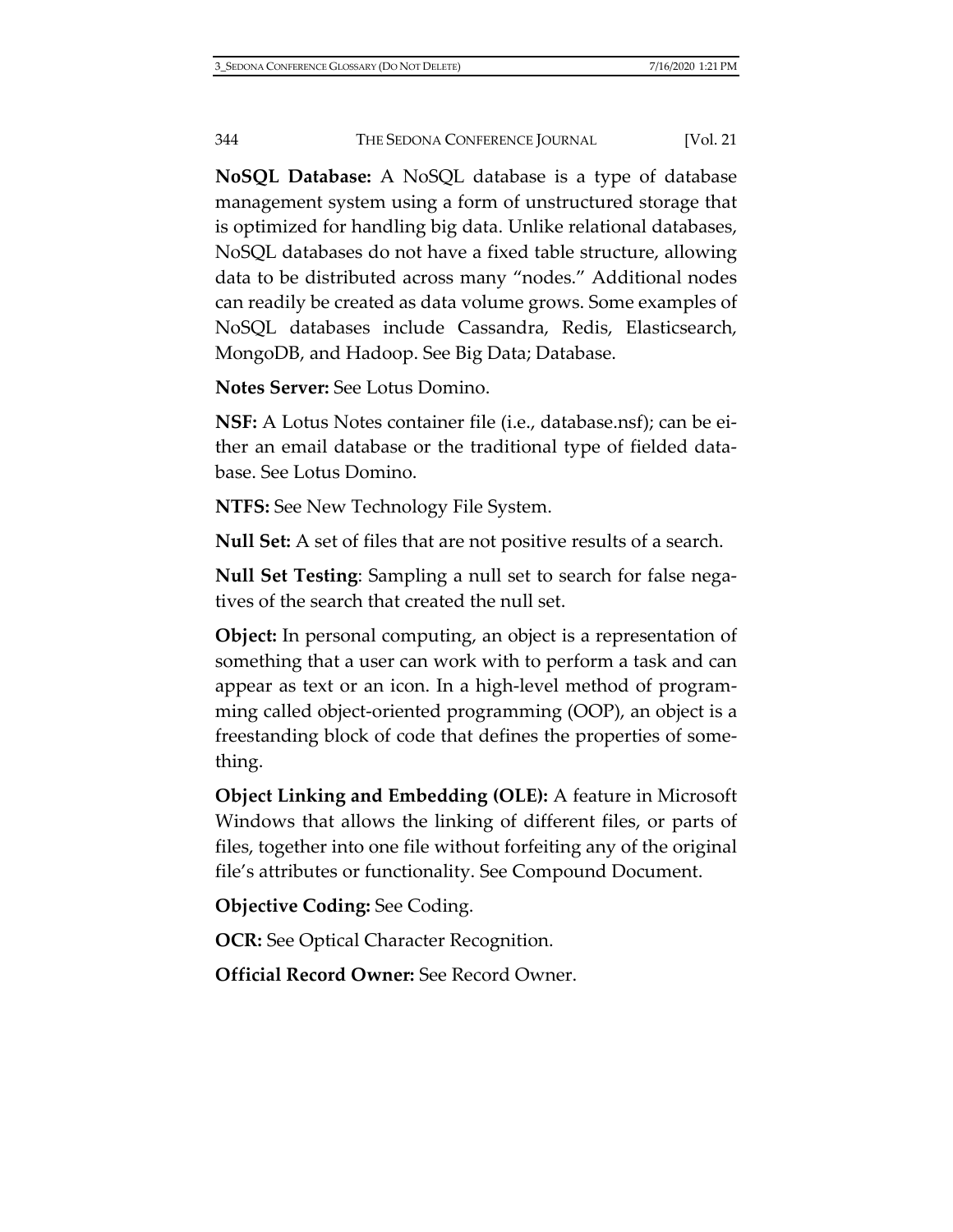**NoSQL Database:** A NoSQL database is a type of database management system using a form of unstructured storage that is optimized for handling big data. Unlike relational databases, NoSQL databases do not have a fixed table structure, allowing data to be distributed across many "nodes." Additional nodes can readily be created as data volume grows. Some examples of NoSQL databases include Cassandra, Redis, Elasticsearch, MongoDB, and Hadoop. See Big Data; Database.

**Notes Server:** See Lotus Domino.

**NSF:** A Lotus Notes container file (i.e., database.nsf); can be either an email database or the traditional type of fielded database. See Lotus Domino.

**NTFS:** See New Technology File System.

**Null Set:** A set of files that are not positive results of a search.

**Null Set Testing**: Sampling a null set to search for false negatives of the search that created the null set.

**Object:** In personal computing, an object is a representation of something that a user can work with to perform a task and can appear as text or an icon. In a high-level method of programming called object-oriented programming (OOP), an object is a freestanding block of code that defines the properties of something.

**Object Linking and Embedding (OLE):** A feature in Microsoft Windows that allows the linking of different files, or parts of files, together into one file without forfeiting any of the original file's attributes or functionality. See Compound Document.

**Objective Coding:** See Coding.

**OCR:** See Optical Character Recognition.

**Official Record Owner:** See Record Owner.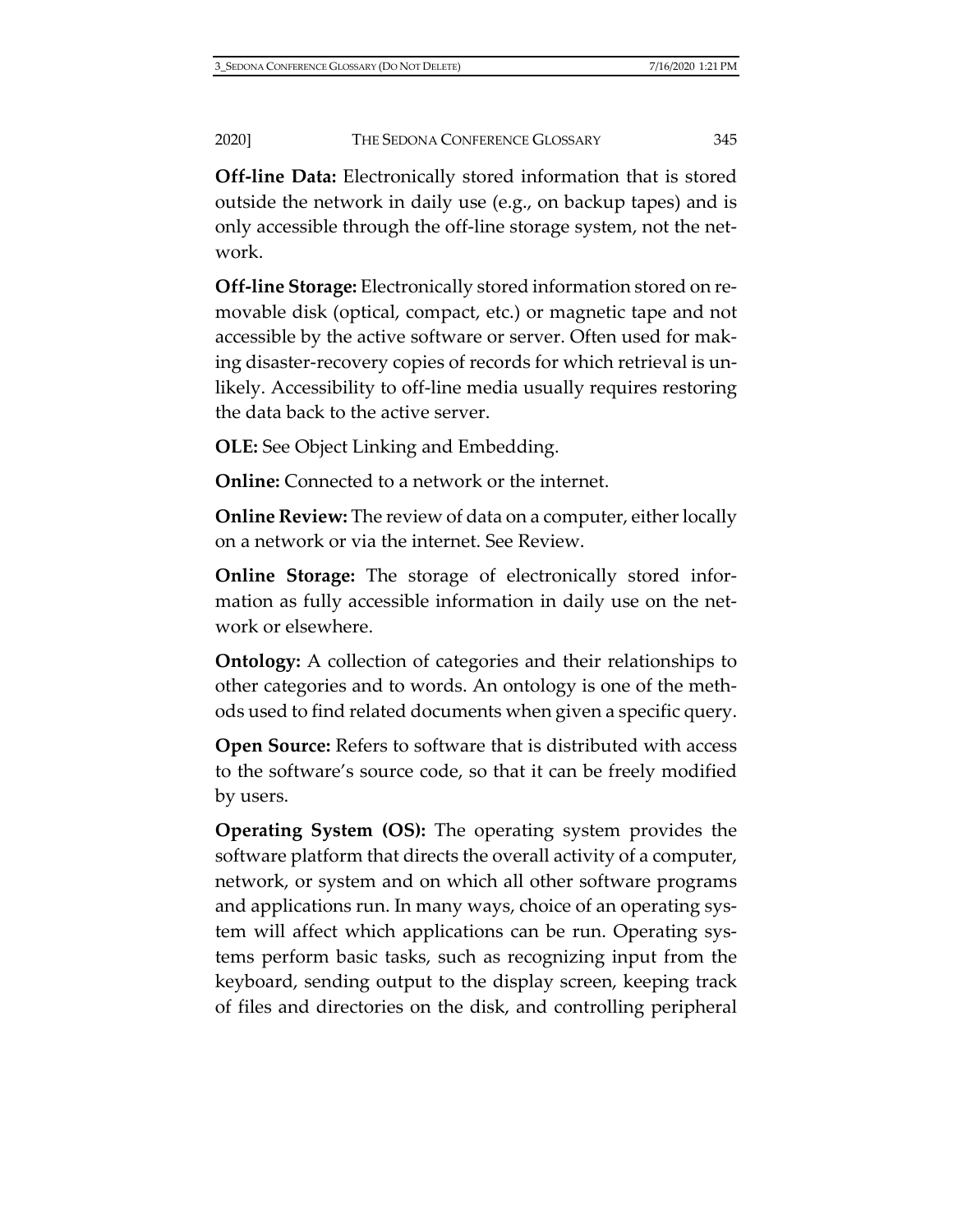**Off-line Data:** Electronically stored information that is stored outside the network in daily use (e.g., on backup tapes) and is only accessible through the off-line storage system, not the network.

**Off-line Storage:** Electronically stored information stored on removable disk (optical, compact, etc.) or magnetic tape and not accessible by the active software or server. Often used for making disaster-recovery copies of records for which retrieval is unlikely. Accessibility to off-line media usually requires restoring the data back to the active server.

**OLE:** See Object Linking and Embedding.

**Online:** Connected to a network or the internet.

**Online Review:** The review of data on a computer, either locally on a network or via the internet. See Review.

**Online Storage:** The storage of electronically stored information as fully accessible information in daily use on the network or elsewhere.

**Ontology:** A collection of categories and their relationships to other categories and to words. An ontology is one of the methods used to find related documents when given a specific query.

**Open Source:** Refers to software that is distributed with access to the software's source code, so that it can be freely modified by users.

**Operating System (OS):** The operating system provides the software platform that directs the overall activity of a computer, network, or system and on which all other software programs and applications run. In many ways, choice of an operating system will affect which applications can be run. Operating systems perform basic tasks, such as recognizing input from the keyboard, sending output to the display screen, keeping track of files and directories on the disk, and controlling peripheral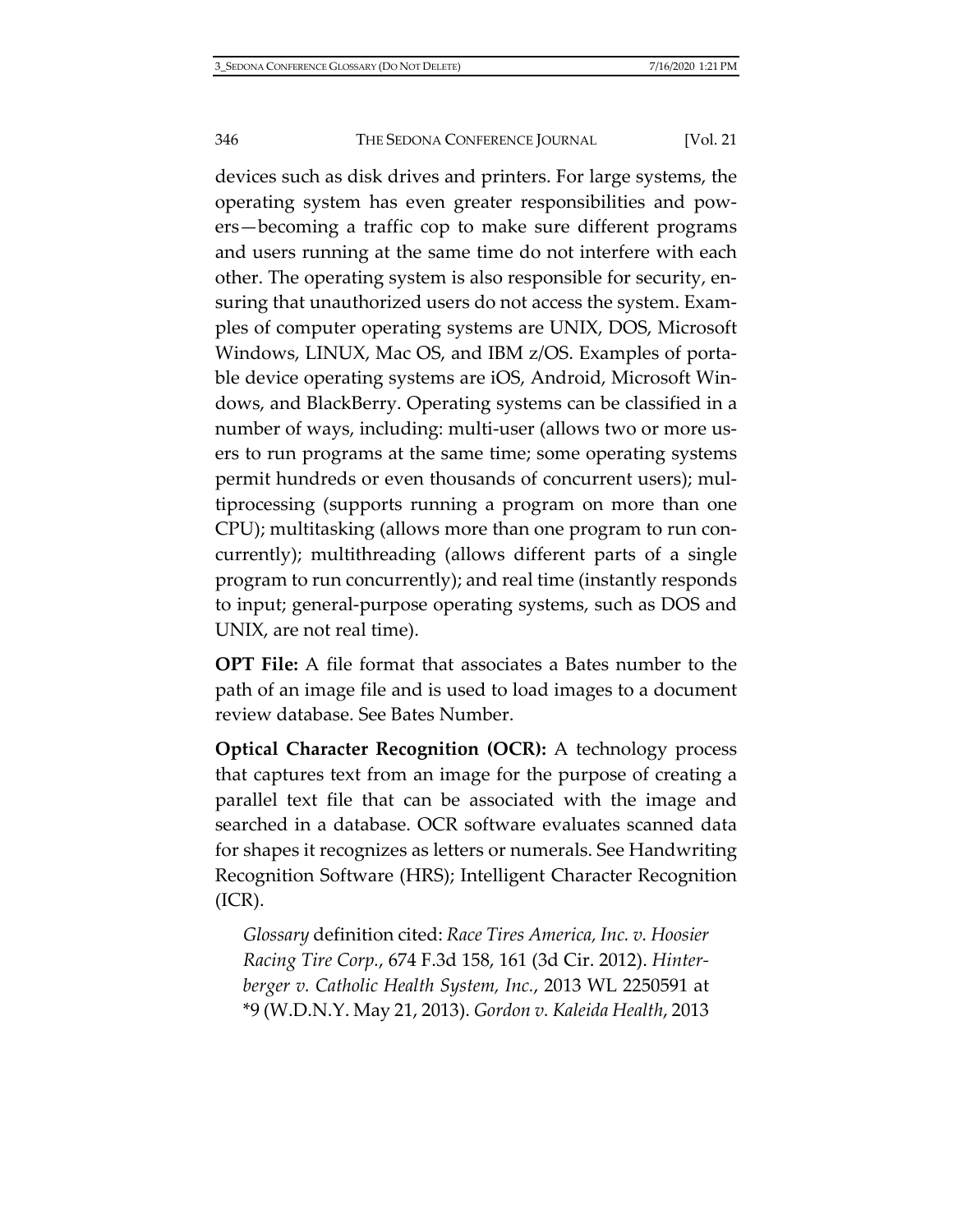devices such as disk drives and printers. For large systems, the operating system has even greater responsibilities and powers—becoming a traffic cop to make sure different programs and users running at the same time do not interfere with each other. The operating system is also responsible for security, ensuring that unauthorized users do not access the system. Examples of computer operating systems are UNIX, DOS, Microsoft Windows, LINUX, Mac OS, and IBM z/OS. Examples of portable device operating systems are iOS, Android, Microsoft Windows, and BlackBerry. Operating systems can be classified in a number of ways, including: multi-user (allows two or more users to run programs at the same time; some operating systems permit hundreds or even thousands of concurrent users); multiprocessing (supports running a program on more than one CPU); multitasking (allows more than one program to run concurrently); multithreading (allows different parts of a single program to run concurrently); and real time (instantly responds to input; general-purpose operating systems, such as DOS and UNIX, are not real time).

**OPT File:** A file format that associates a Bates number to the path of an image file and is used to load images to a document review database. See Bates Number.

**Optical Character Recognition (OCR):** A technology process that captures text from an image for the purpose of creating a parallel text file that can be associated with the image and searched in a database. OCR software evaluates scanned data for shapes it recognizes as letters or numerals. See Handwriting Recognition Software (HRS); Intelligent Character Recognition (ICR).

*Glossary* definition cited: *Race Tires America, Inc. v. Hoosier Racing Tire Corp.*, 674 F.3d 158, 161 (3d Cir. 2012). *Hinterberger v. Catholic Health System, Inc.*, 2013 WL 2250591 at \*9 (W.D.N.Y. May 21, 2013). *Gordon v. Kaleida Health*, 2013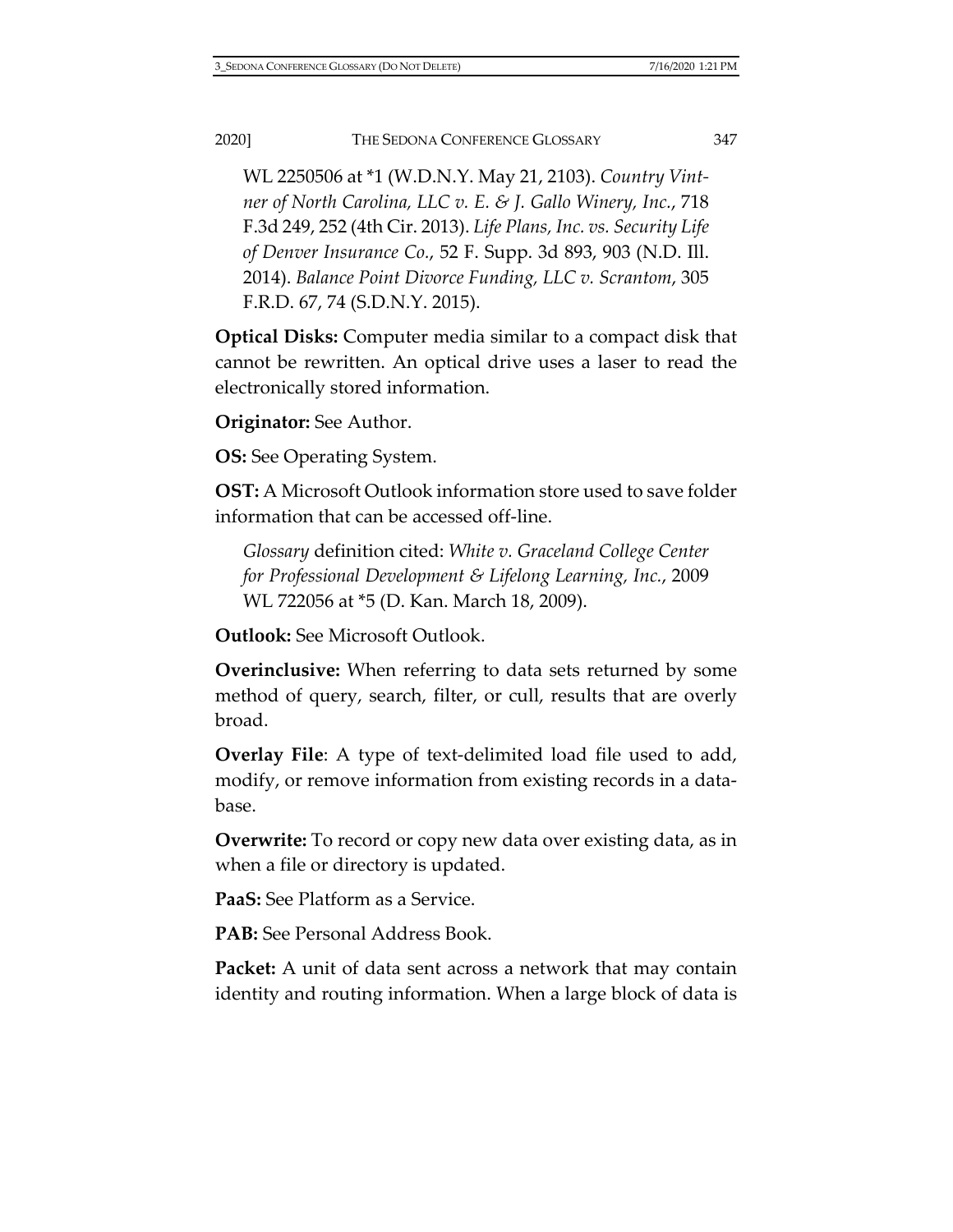WL 2250506 at \*1 (W.D.N.Y. May 21, 2103). *Country Vintner of North Carolina, LLC v. E. & J. Gallo Winery, Inc.*, 718 F.3d 249, 252 (4th Cir. 2013). *Life Plans, Inc. vs. Security Life of Denver Insurance Co.*, 52 F. Supp. 3d 893, 903 (N.D. Ill. 2014). *Balance Point Divorce Funding, LLC v. Scrantom*, 305 F.R.D. 67, 74 (S.D.N.Y. 2015).

**Optical Disks:** Computer media similar to a compact disk that cannot be rewritten. An optical drive uses a laser to read the electronically stored information.

**Originator:** See Author.

**OS:** See Operating System.

**OST:** A Microsoft Outlook information store used to save folder information that can be accessed off-line.

*Glossary* definition cited: *White v. Graceland College Center for Professional Development & Lifelong Learning, Inc.*, 2009 WL 722056 at \*5 (D. Kan. March 18, 2009).

**Outlook:** See Microsoft Outlook.

**Overinclusive:** When referring to data sets returned by some method of query, search, filter, or cull, results that are overly broad.

**Overlay File**: A type of text-delimited load file used to add, modify, or remove information from existing records in a database.

**Overwrite:** To record or copy new data over existing data, as in when a file or directory is updated.

**PaaS:** See Platform as a Service.

**PAB:** See Personal Address Book.

**Packet:** A unit of data sent across a network that may contain identity and routing information. When a large block of data is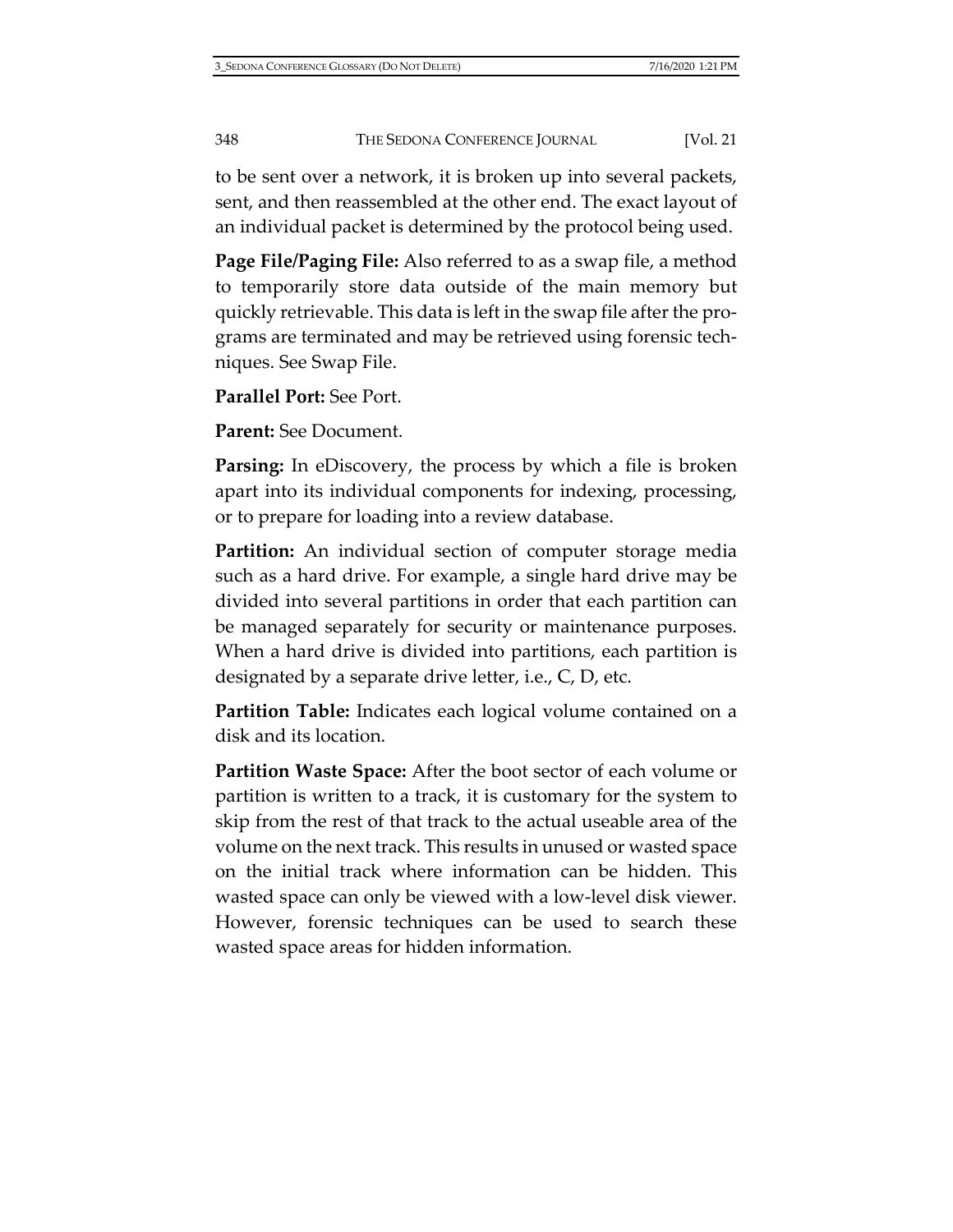to be sent over a network, it is broken up into several packets, sent, and then reassembled at the other end. The exact layout of an individual packet is determined by the protocol being used.

**Page File/Paging File:** Also referred to as a swap file, a method to temporarily store data outside of the main memory but quickly retrievable. This data is left in the swap file after the programs are terminated and may be retrieved using forensic techniques. See Swap File.

**Parallel Port:** See Port.

**Parent:** See Document.

**Parsing:** In eDiscovery, the process by which a file is broken apart into its individual components for indexing, processing, or to prepare for loading into a review database.

**Partition:** An individual section of computer storage media such as a hard drive. For example, a single hard drive may be divided into several partitions in order that each partition can be managed separately for security or maintenance purposes. When a hard drive is divided into partitions, each partition is designated by a separate drive letter, i.e., C, D, etc.

**Partition Table:** Indicates each logical volume contained on a disk and its location.

**Partition Waste Space:** After the boot sector of each volume or partition is written to a track, it is customary for the system to skip from the rest of that track to the actual useable area of the volume on the next track. This results in unused or wasted space on the initial track where information can be hidden. This wasted space can only be viewed with a low-level disk viewer. However, forensic techniques can be used to search these wasted space areas for hidden information.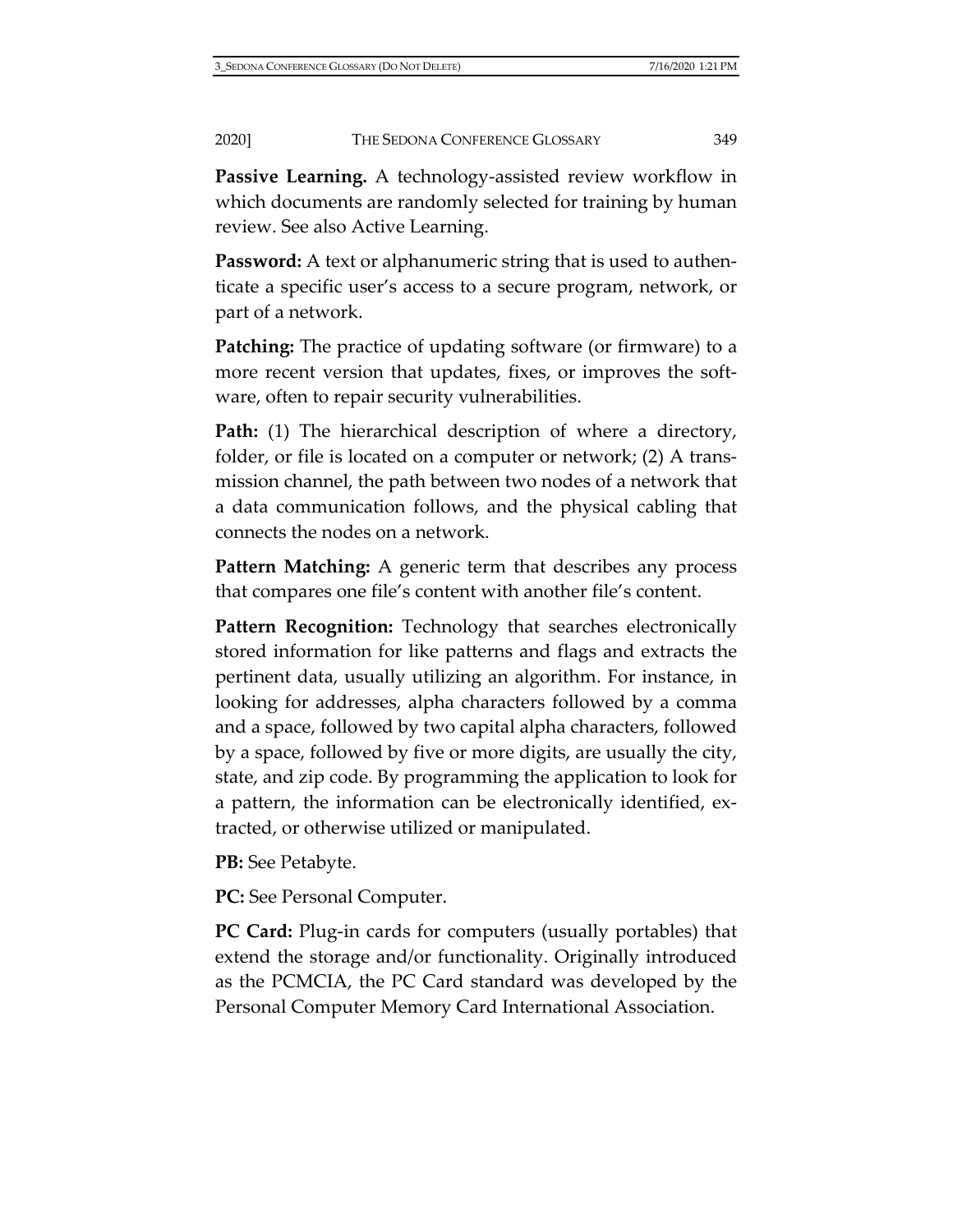**Passive Learning.** A technology-assisted review workflow in which documents are randomly selected for training by human review. See also Active Learning.

**Password:** A text or alphanumeric string that is used to authenticate a specific user's access to a secure program, network, or part of a network.

**Patching:** The practice of updating software (or firmware) to a more recent version that updates, fixes, or improves the software, often to repair security vulnerabilities.

**Path:** (1) The hierarchical description of where a directory, folder, or file is located on a computer or network; (2) A transmission channel, the path between two nodes of a network that a data communication follows, and the physical cabling that connects the nodes on a network.

**Pattern Matching:** A generic term that describes any process that compares one file's content with another file's content.

**Pattern Recognition:** Technology that searches electronically stored information for like patterns and flags and extracts the pertinent data, usually utilizing an algorithm. For instance, in looking for addresses, alpha characters followed by a comma and a space, followed by two capital alpha characters, followed by a space, followed by five or more digits, are usually the city, state, and zip code. By programming the application to look for a pattern, the information can be electronically identified, extracted, or otherwise utilized or manipulated.

**PB:** See Petabyte.

**PC:** See Personal Computer.

**PC Card:** Plug-in cards for computers (usually portables) that extend the storage and/or functionality. Originally introduced as the PCMCIA, the PC Card standard was developed by the Personal Computer Memory Card International Association.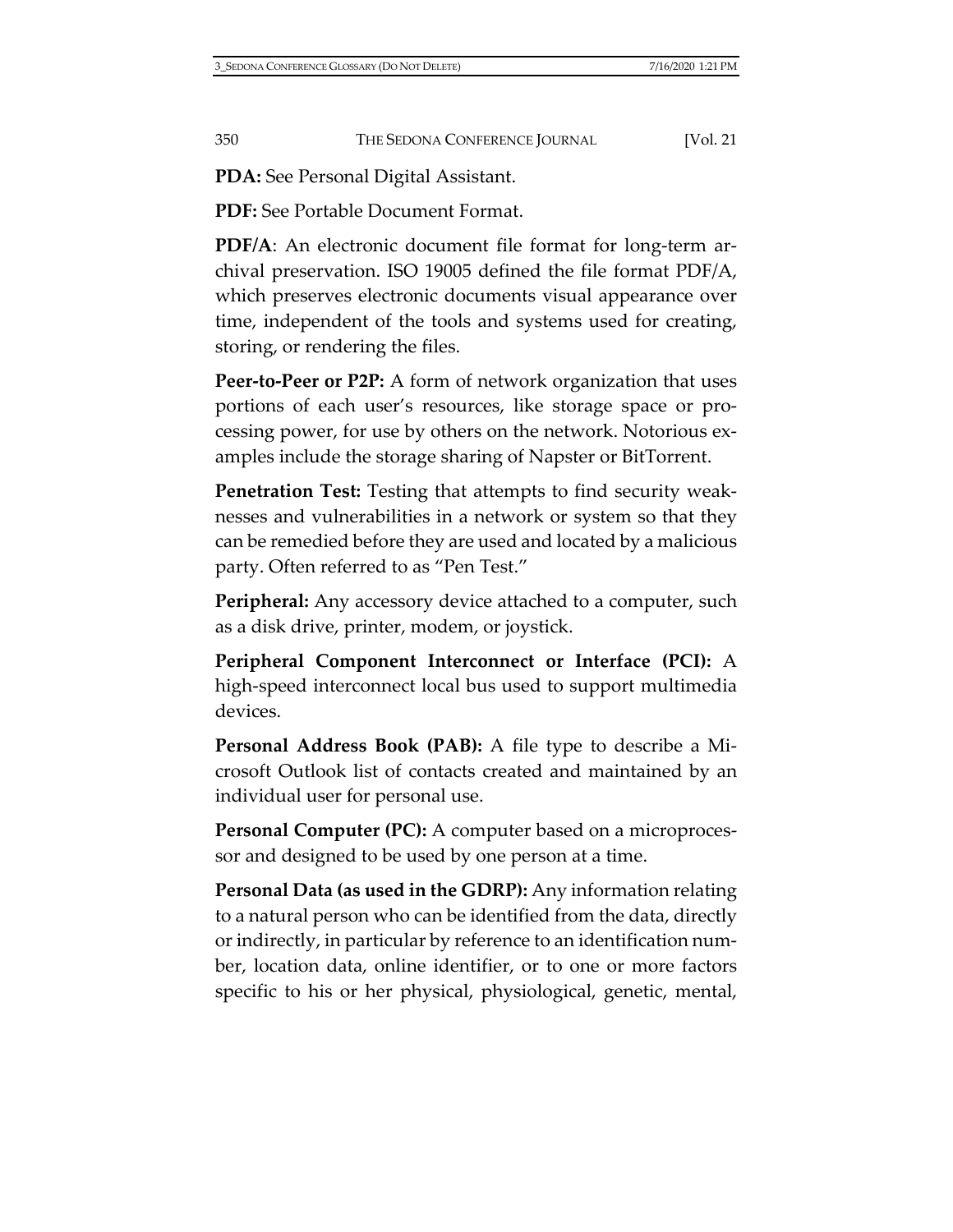**PDA:** See Personal Digital Assistant.

**PDF:** See Portable Document Format.

**PDF/A**: An electronic document file format for long-term archival preservation. ISO 19005 defined the file format PDF/A, which preserves electronic documents visual appearance over time, independent of the tools and systems used for creating, storing, or rendering the files.

**Peer-to-Peer or P2P:** A form of network organization that uses portions of each user's resources, like storage space or processing power, for use by others on the network. Notorious examples include the storage sharing of Napster or BitTorrent.

**Penetration Test:** Testing that attempts to find security weaknesses and vulnerabilities in a network or system so that they can be remedied before they are used and located by a malicious party. Often referred to as "Pen Test."

**Peripheral:** Any accessory device attached to a computer, such as a disk drive, printer, modem, or joystick.

**Peripheral Component Interconnect or Interface (PCI):** A high-speed interconnect local bus used to support multimedia devices.

**Personal Address Book (PAB):** A file type to describe a Microsoft Outlook list of contacts created and maintained by an individual user for personal use.

**Personal Computer (PC):** A computer based on a microprocessor and designed to be used by one person at a time.

**Personal Data (as used in the GDRP):** Any information relating to a natural person who can be identified from the data, directly or indirectly, in particular by reference to an identification number, location data, online identifier, or to one or more factors specific to his or her physical, physiological, genetic, mental,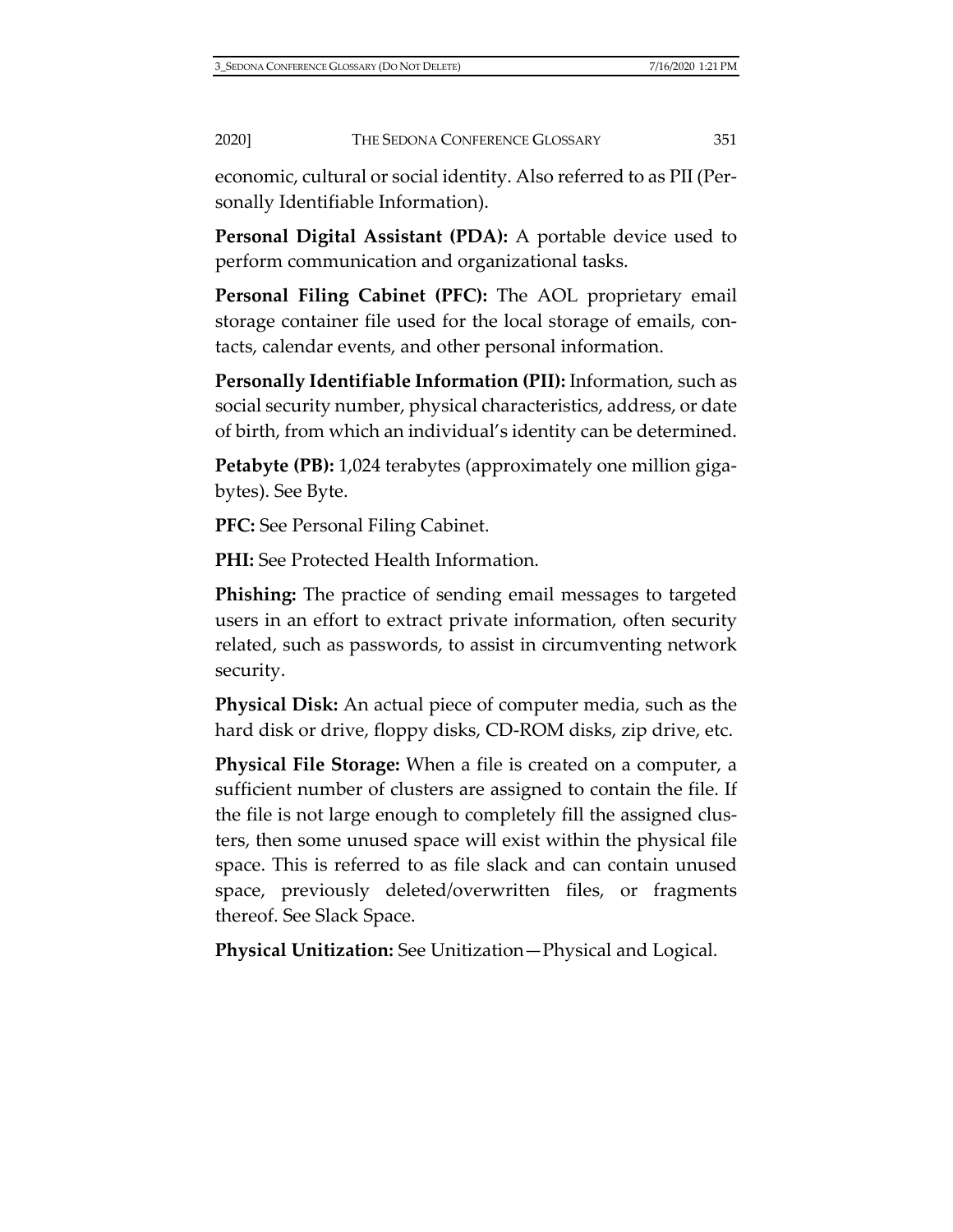economic, cultural or social identity. Also referred to as PII (Personally Identifiable Information).

**Personal Digital Assistant (PDA):** A portable device used to perform communication and organizational tasks.

**Personal Filing Cabinet (PFC):** The AOL proprietary email storage container file used for the local storage of emails, contacts, calendar events, and other personal information.

**Personally Identifiable Information (PII):** Information, such as social security number, physical characteristics, address, or date of birth, from which an individual's identity can be determined.

**Petabyte (PB):** 1,024 terabytes (approximately one million gigabytes). See Byte.

**PFC:** See Personal Filing Cabinet.

**PHI:** See Protected Health Information.

**Phishing:** The practice of sending email messages to targeted users in an effort to extract private information, often security related, such as passwords, to assist in circumventing network security.

**Physical Disk:** An actual piece of computer media, such as the hard disk or drive, floppy disks, CD-ROM disks, zip drive, etc.

**Physical File Storage:** When a file is created on a computer, a sufficient number of clusters are assigned to contain the file. If the file is not large enough to completely fill the assigned clusters, then some unused space will exist within the physical file space. This is referred to as file slack and can contain unused space, previously deleted/overwritten files, or fragments thereof. See Slack Space.

**Physical Unitization:** See Unitization—Physical and Logical.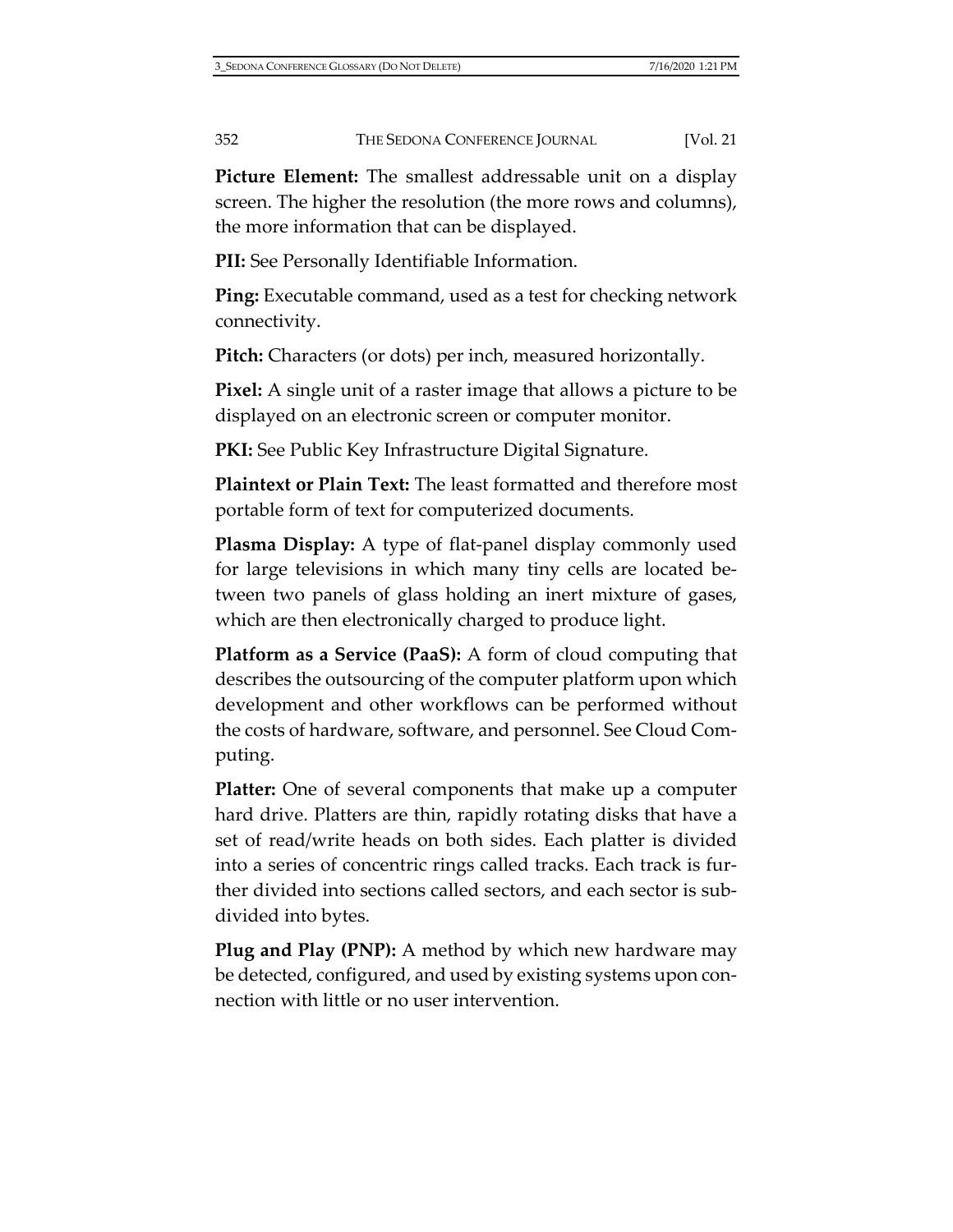**Picture Element:** The smallest addressable unit on a display screen. The higher the resolution (the more rows and columns), the more information that can be displayed.

**PII:** See Personally Identifiable Information.

**Ping:** Executable command, used as a test for checking network connectivity.

**Pitch:** Characters (or dots) per inch, measured horizontally.

**Pixel:** A single unit of a raster image that allows a picture to be displayed on an electronic screen or computer monitor.

PKI: See Public Key Infrastructure Digital Signature.

**Plaintext or Plain Text:** The least formatted and therefore most portable form of text for computerized documents.

**Plasma Display:** A type of flat-panel display commonly used for large televisions in which many tiny cells are located between two panels of glass holding an inert mixture of gases, which are then electronically charged to produce light.

**Platform as a Service (PaaS):** A form of cloud computing that describes the outsourcing of the computer platform upon which development and other workflows can be performed without the costs of hardware, software, and personnel. See Cloud Computing.

**Platter:** One of several components that make up a computer hard drive. Platters are thin, rapidly rotating disks that have a set of read/write heads on both sides. Each platter is divided into a series of concentric rings called tracks. Each track is further divided into sections called sectors, and each sector is subdivided into bytes.

**Plug and Play (PNP):** A method by which new hardware may be detected, configured, and used by existing systems upon connection with little or no user intervention.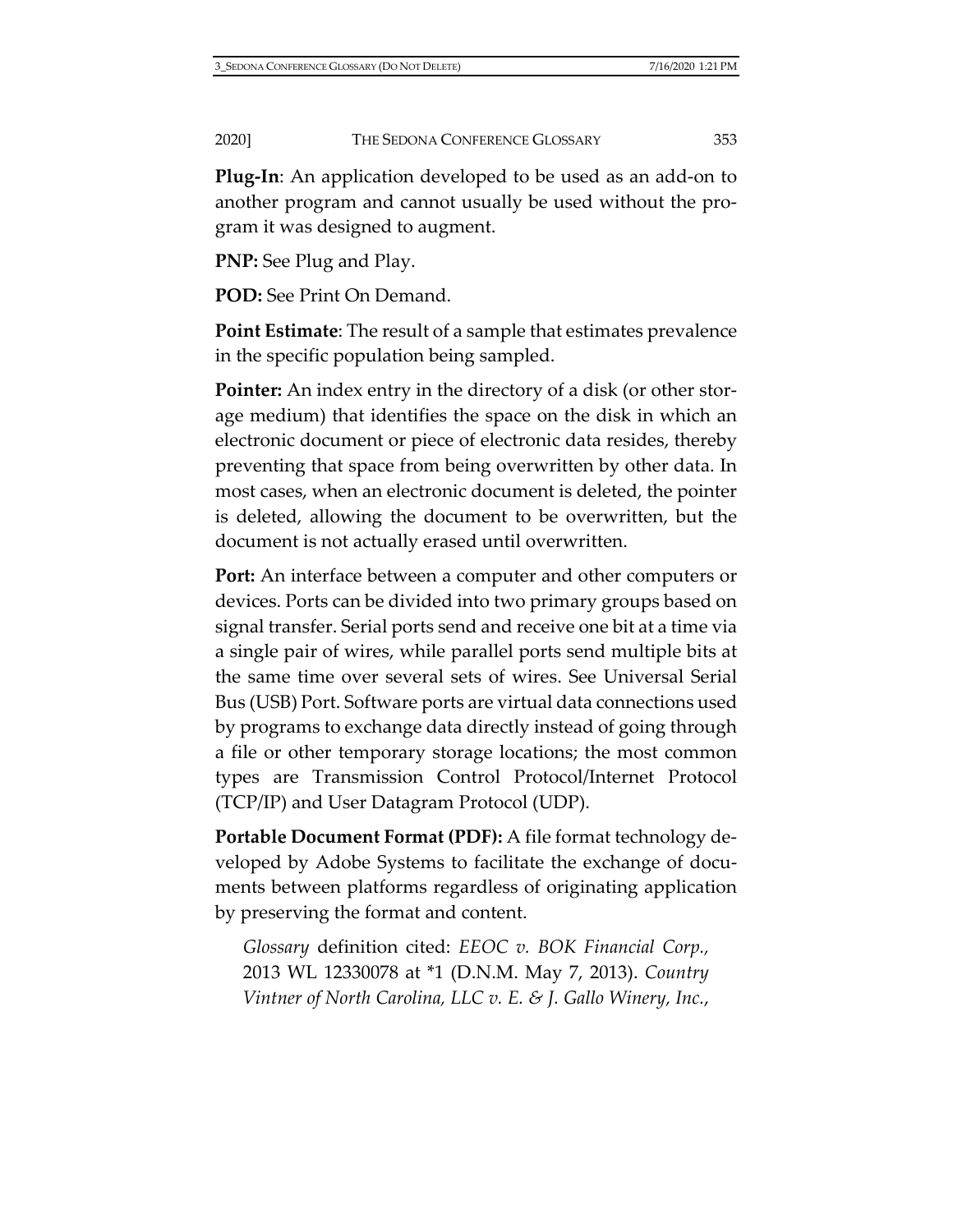**Plug-In**: An application developed to be used as an add-on to another program and cannot usually be used without the program it was designed to augment.

**PNP:** See Plug and Play.

**POD:** See Print On Demand.

**Point Estimate**: The result of a sample that estimates prevalence in the specific population being sampled.

**Pointer:** An index entry in the directory of a disk (or other storage medium) that identifies the space on the disk in which an electronic document or piece of electronic data resides, thereby preventing that space from being overwritten by other data. In most cases, when an electronic document is deleted, the pointer is deleted, allowing the document to be overwritten, but the document is not actually erased until overwritten.

**Port:** An interface between a computer and other computers or devices. Ports can be divided into two primary groups based on signal transfer. Serial ports send and receive one bit at a time via a single pair of wires, while parallel ports send multiple bits at the same time over several sets of wires. See Universal Serial Bus (USB) Port. Software ports are virtual data connections used by programs to exchange data directly instead of going through a file or other temporary storage locations; the most common types are Transmission Control Protocol/Internet Protocol (TCP/IP) and User Datagram Protocol (UDP).

**Portable Document Format (PDF):** A file format technology developed by Adobe Systems to facilitate the exchange of documents between platforms regardless of originating application by preserving the format and content.

*Glossary* definition cited: *EEOC v. BOK Financial Corp.,* 2013 WL 12330078 at \*1 (D.N.M. May 7, 2013). *Country Vintner of North Carolina, LLC v. E. & J. Gallo Winery, Inc.*,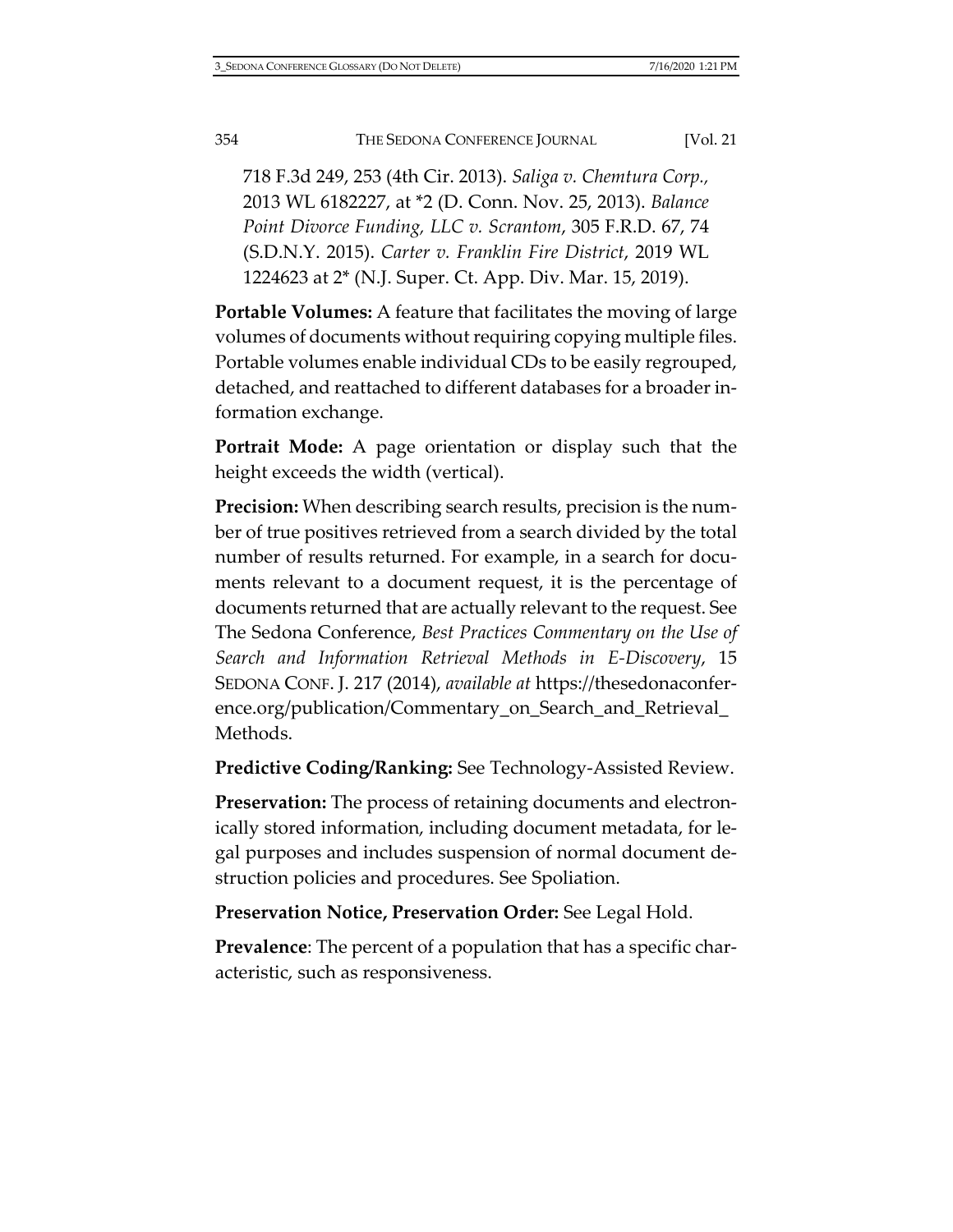718 F.3d 249, 253 (4th Cir. 2013). *Saliga v. Chemtura Corp.,* 2013 WL 6182227, at \*2 (D. Conn. Nov. 25, 2013). *Balance Point Divorce Funding, LLC v. Scrantom*, 305 F.R.D. 67, 74 (S.D.N.Y. 2015). *Carter v. Franklin Fire District*, 2019 WL 1224623 at 2\* (N.J. Super. Ct. App. Div. Mar. 15, 2019).

**Portable Volumes:** A feature that facilitates the moving of large volumes of documents without requiring copying multiple files. Portable volumes enable individual CDs to be easily regrouped, detached, and reattached to different databases for a broader information exchange.

**Portrait Mode:** A page orientation or display such that the height exceeds the width (vertical).

**Precision:** When describing search results, precision is the number of true positives retrieved from a search divided by the total number of results returned. For example, in a search for documents relevant to a document request, it is the percentage of documents returned that are actually relevant to the request. See The Sedona Conference, *Best Practices Commentary on the Use of Search and Information Retrieval Methods in E-Discovery*, 15 SEDONA CONF. J. 217 (2014), *available at* [https://thesedonaconfer](https://thesedonaconference.org/publication/Commentary_on_Search_and_Retrieval_Methods)[ence.org/publication/Commentary\\_on\\_Search\\_and\\_Retrieval\\_](https://thesedonaconference.org/publication/Commentary_on_Search_and_Retrieval_Methods) [Methods.](https://thesedonaconference.org/publication/Commentary_on_Search_and_Retrieval_Methods)

**Predictive Coding/Ranking:** See Technology-Assisted Review.

**Preservation:** The process of retaining documents and electronically stored information, including document metadata, for legal purposes and includes suspension of normal document destruction policies and procedures. See Spoliation.

**Preservation Notice, Preservation Order:** See Legal Hold.

**Prevalence**: The percent of a population that has a specific characteristic, such as responsiveness.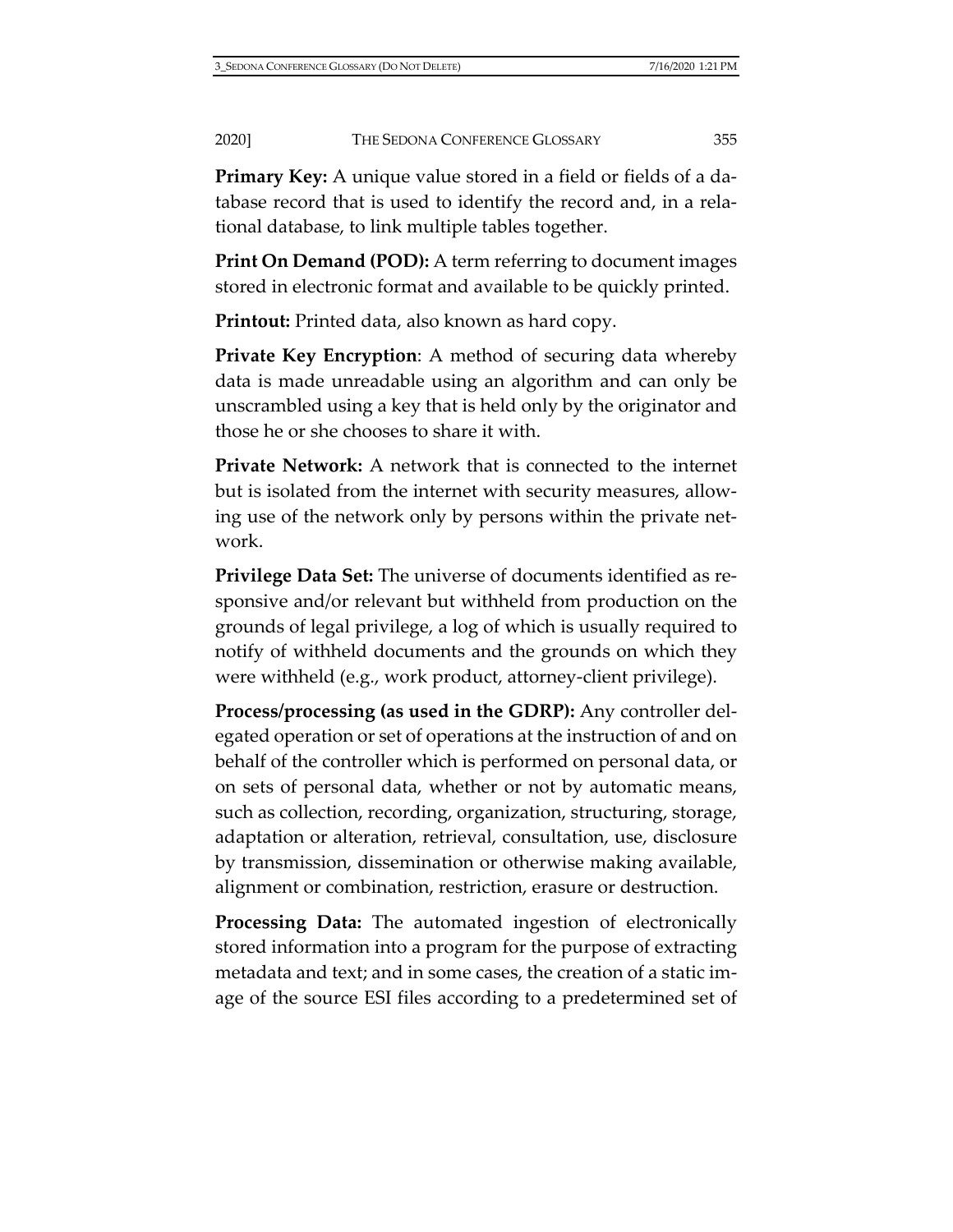**Primary Key:** A unique value stored in a field or fields of a database record that is used to identify the record and, in a relational database, to link multiple tables together.

**Print On Demand (POD):** A term referring to document images stored in electronic format and available to be quickly printed.

**Printout:** Printed data, also known as hard copy.

**Private Key Encryption**: A method of securing data whereby data is made unreadable using an algorithm and can only be unscrambled using a key that is held only by the originator and those he or she chooses to share it with.

**Private Network:** A network that is connected to the internet but is isolated from the internet with security measures, allowing use of the network only by persons within the private network.

**Privilege Data Set:** The universe of documents identified as responsive and/or relevant but withheld from production on the grounds of legal privilege, a log of which is usually required to notify of withheld documents and the grounds on which they were withheld (e.g., work product, attorney-client privilege).

**Process/processing (as used in the GDRP):** Any controller delegated operation or set of operations at the instruction of and on behalf of the controller which is performed on personal data, or on sets of personal data, whether or not by automatic means, such as collection, recording, organization, structuring, storage, adaptation or alteration, retrieval, consultation, use, disclosure by transmission, dissemination or otherwise making available, alignment or combination, restriction, erasure or destruction.

**Processing Data:** The automated ingestion of electronically stored information into a program for the purpose of extracting metadata and text; and in some cases, the creation of a static image of the source ESI files according to a predetermined set of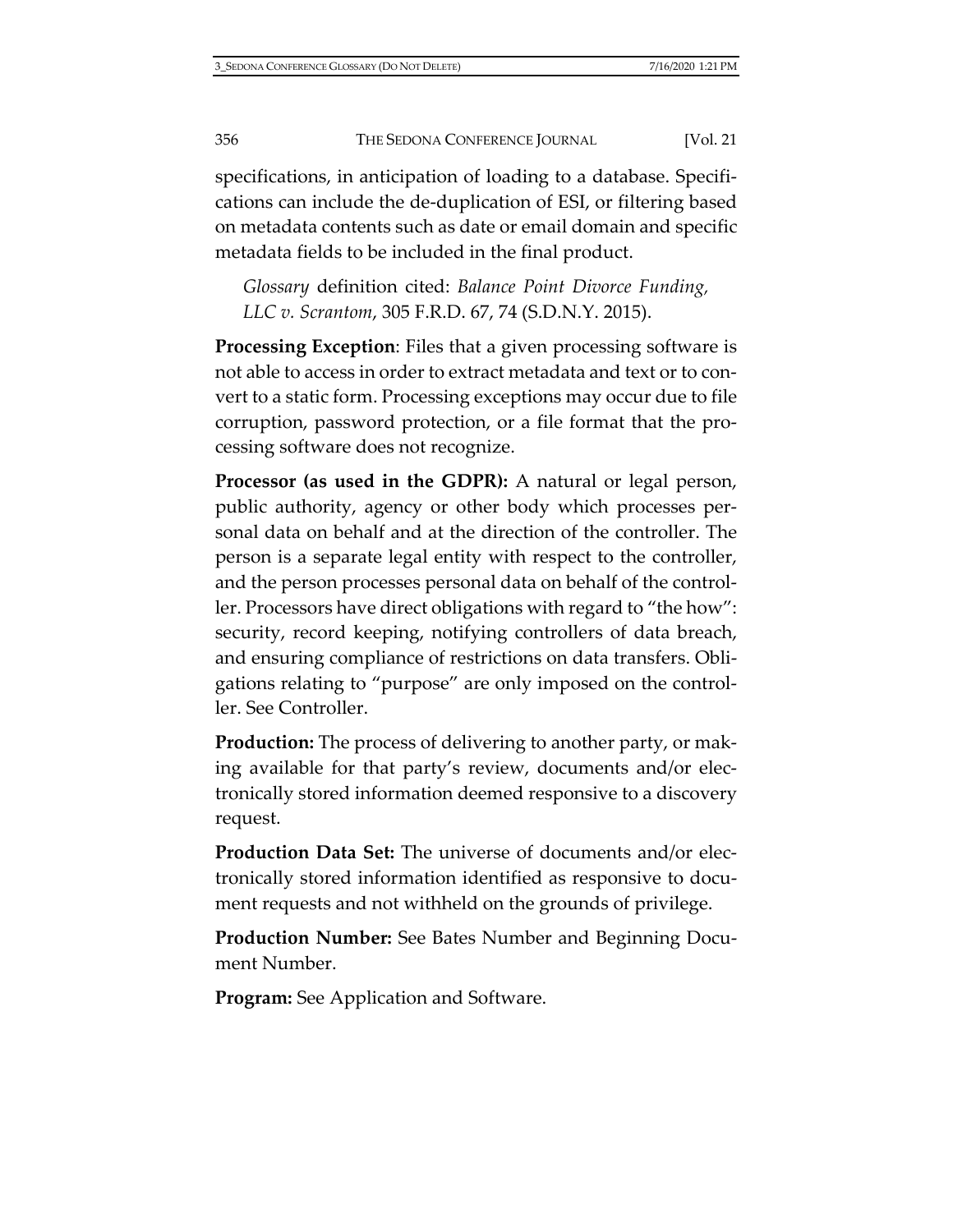specifications, in anticipation of loading to a database. Specifications can include the de-duplication of ESI, or filtering based on metadata contents such as date or email domain and specific metadata fields to be included in the final product.

*Glossary* definition cited: *Balance Point Divorce Funding, LLC v. Scrantom*, 305 F.R.D. 67, 74 (S.D.N.Y. 2015).

**Processing Exception**: Files that a given processing software is not able to access in order to extract metadata and text or to convert to a static form. Processing exceptions may occur due to file corruption, password protection, or a file format that the processing software does not recognize.

**Processor (as used in the GDPR):** A natural or legal person, public authority, agency or other body which processes personal data on behalf and at the direction of the controller. The person is a separate legal entity with respect to the controller, and the person processes personal data on behalf of the controller. Processors have direct obligations with regard to "the how": security, record keeping, notifying controllers of data breach, and ensuring compliance of restrictions on data transfers. Obligations relating to "purpose" are only imposed on the controller. See Controller.

**Production:** The process of delivering to another party, or making available for that party's review, documents and/or electronically stored information deemed responsive to a discovery request.

**Production Data Set:** The universe of documents and/or electronically stored information identified as responsive to document requests and not withheld on the grounds of privilege.

**Production Number:** See Bates Number and Beginning Document Number.

**Program:** See Application and Software.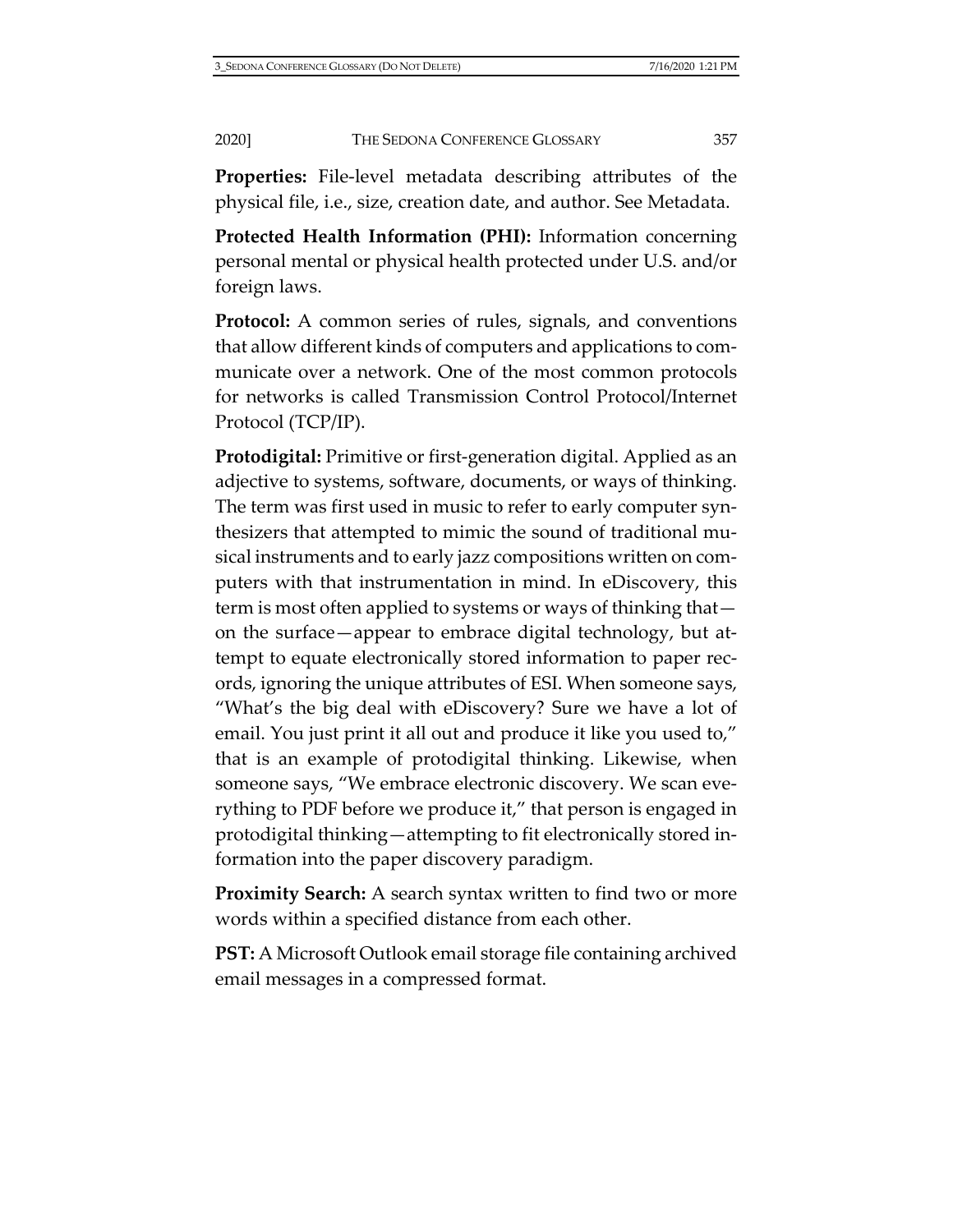**Properties:** File-level metadata describing attributes of the physical file, i.e., size, creation date, and author. See Metadata.

**Protected Health Information (PHI):** Information concerning personal mental or physical health protected under U.S. and/or foreign laws.

**Protocol:** A common series of rules, signals, and conventions that allow different kinds of computers and applications to communicate over a network. One of the most common protocols for networks is called Transmission Control Protocol/Internet Protocol (TCP/IP).

**Protodigital:** Primitive or first-generation digital. Applied as an adjective to systems, software, documents, or ways of thinking. The term was first used in music to refer to early computer synthesizers that attempted to mimic the sound of traditional musical instruments and to early jazz compositions written on computers with that instrumentation in mind. In eDiscovery, this term is most often applied to systems or ways of thinking that on the surface—appear to embrace digital technology, but attempt to equate electronically stored information to paper records, ignoring the unique attributes of ESI. When someone says, "What's the big deal with eDiscovery? Sure we have a lot of email. You just print it all out and produce it like you used to," that is an example of protodigital thinking. Likewise, when someone says, "We embrace electronic discovery. We scan everything to PDF before we produce it," that person is engaged in protodigital thinking—attempting to fit electronically stored information into the paper discovery paradigm.

**Proximity Search:** A search syntax written to find two or more words within a specified distance from each other.

**PST:** A Microsoft Outlook email storage file containing archived email messages in a compressed format.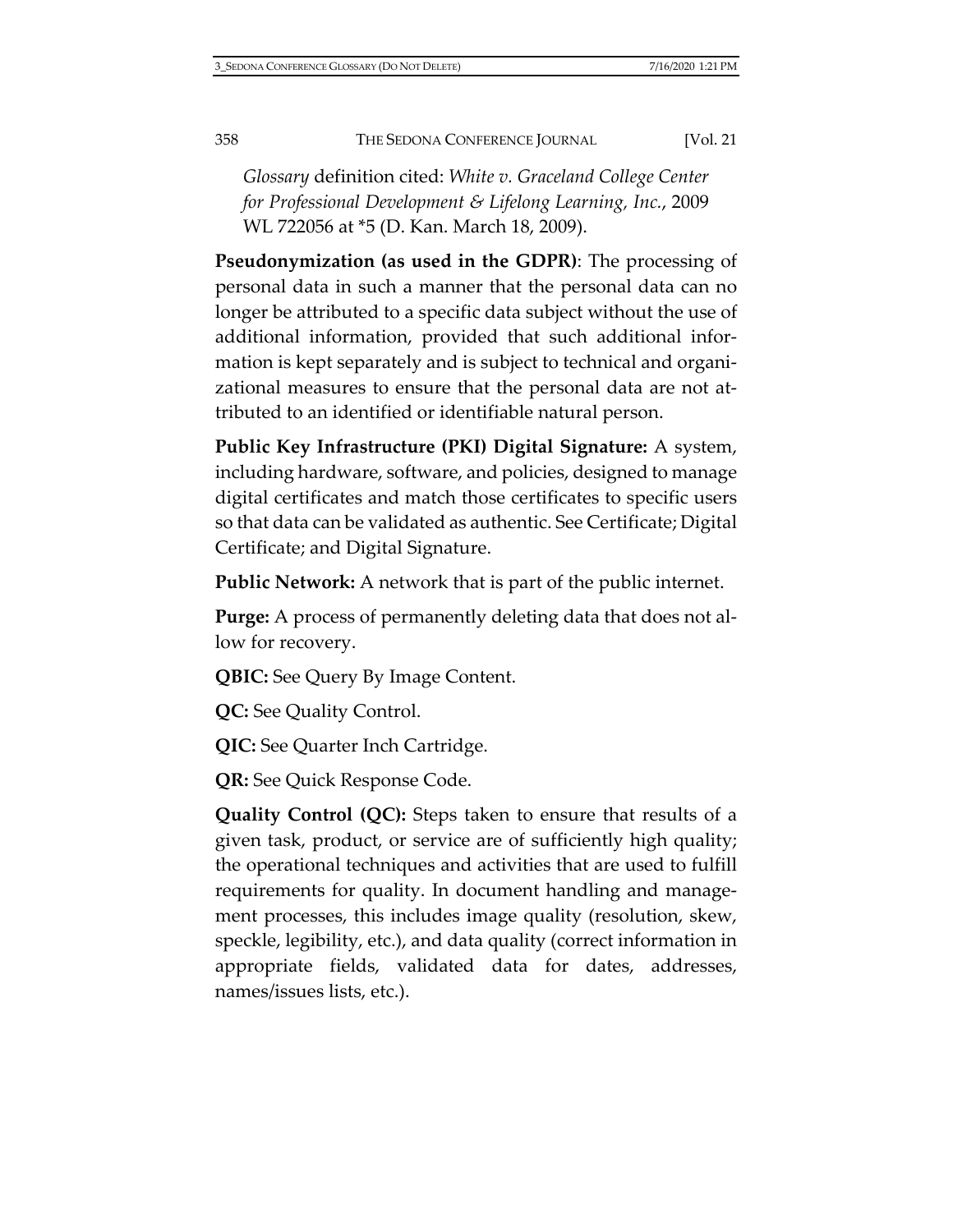*Glossary* definition cited: *White v. Graceland College Center for Professional Development & Lifelong Learning, Inc.*, 2009 WL 722056 at \*5 (D. Kan. March 18, 2009).

**Pseudonymization (as used in the GDPR)**: The processing of personal data in such a manner that the personal data can no longer be attributed to a specific data subject without the use of additional information, provided that such additional information is kept separately and is subject to technical and organizational measures to ensure that the personal data are not attributed to an identified or identifiable natural person.

**Public Key Infrastructure (PKI) Digital Signature:** A system, including hardware, software, and policies, designed to manage digital certificates and match those certificates to specific users so that data can be validated as authentic. See Certificate; Digital Certificate; and Digital Signature.

**Public Network:** A network that is part of the public internet.

**Purge:** A process of permanently deleting data that does not allow for recovery.

**QBIC:** See Query By Image Content.

**QC:** See Quality Control.

**QIC:** See Quarter Inch Cartridge.

**QR:** See Quick Response Code.

**Quality Control (QC):** Steps taken to ensure that results of a given task, product, or service are of sufficiently high quality; the operational techniques and activities that are used to fulfill requirements for quality. In document handling and management processes, this includes image quality (resolution, skew, speckle, legibility, etc.), and data quality (correct information in appropriate fields, validated data for dates, addresses, names/issues lists, etc.).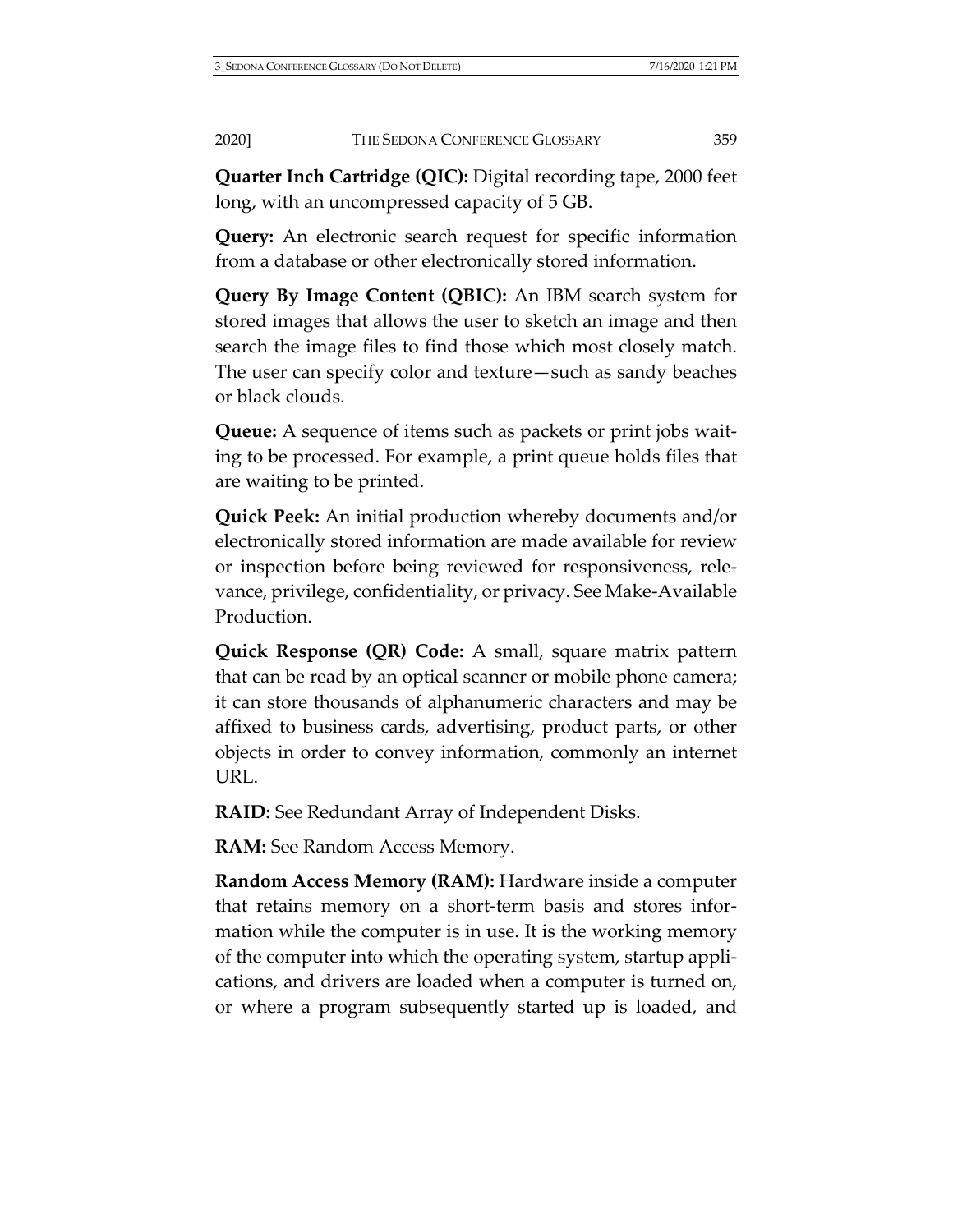**Quarter Inch Cartridge (QIC):** Digital recording tape, 2000 feet long, with an uncompressed capacity of 5 GB.

**Query:** An electronic search request for specific information from a database or other electronically stored information.

**Query By Image Content (QBIC):** An IBM search system for stored images that allows the user to sketch an image and then search the image files to find those which most closely match. The user can specify color and texture—such as sandy beaches or black clouds.

**Queue:** A sequence of items such as packets or print jobs waiting to be processed. For example, a print queue holds files that are waiting to be printed.

**Quick Peek:** An initial production whereby documents and/or electronically stored information are made available for review or inspection before being reviewed for responsiveness, relevance, privilege, confidentiality, or privacy. See Make-Available Production.

**Quick Response (QR) Code:** A small, square matrix pattern that can be read by an optical scanner or mobile phone camera; it can store thousands of alphanumeric characters and may be affixed to business cards, advertising, product parts, or other objects in order to convey information, commonly an internet URL.

**RAID:** See Redundant Array of Independent Disks.

**RAM:** See Random Access Memory.

**Random Access Memory (RAM):** Hardware inside a computer that retains memory on a short-term basis and stores information while the computer is in use. It is the working memory of the computer into which the operating system, startup applications, and drivers are loaded when a computer is turned on, or where a program subsequently started up is loaded, and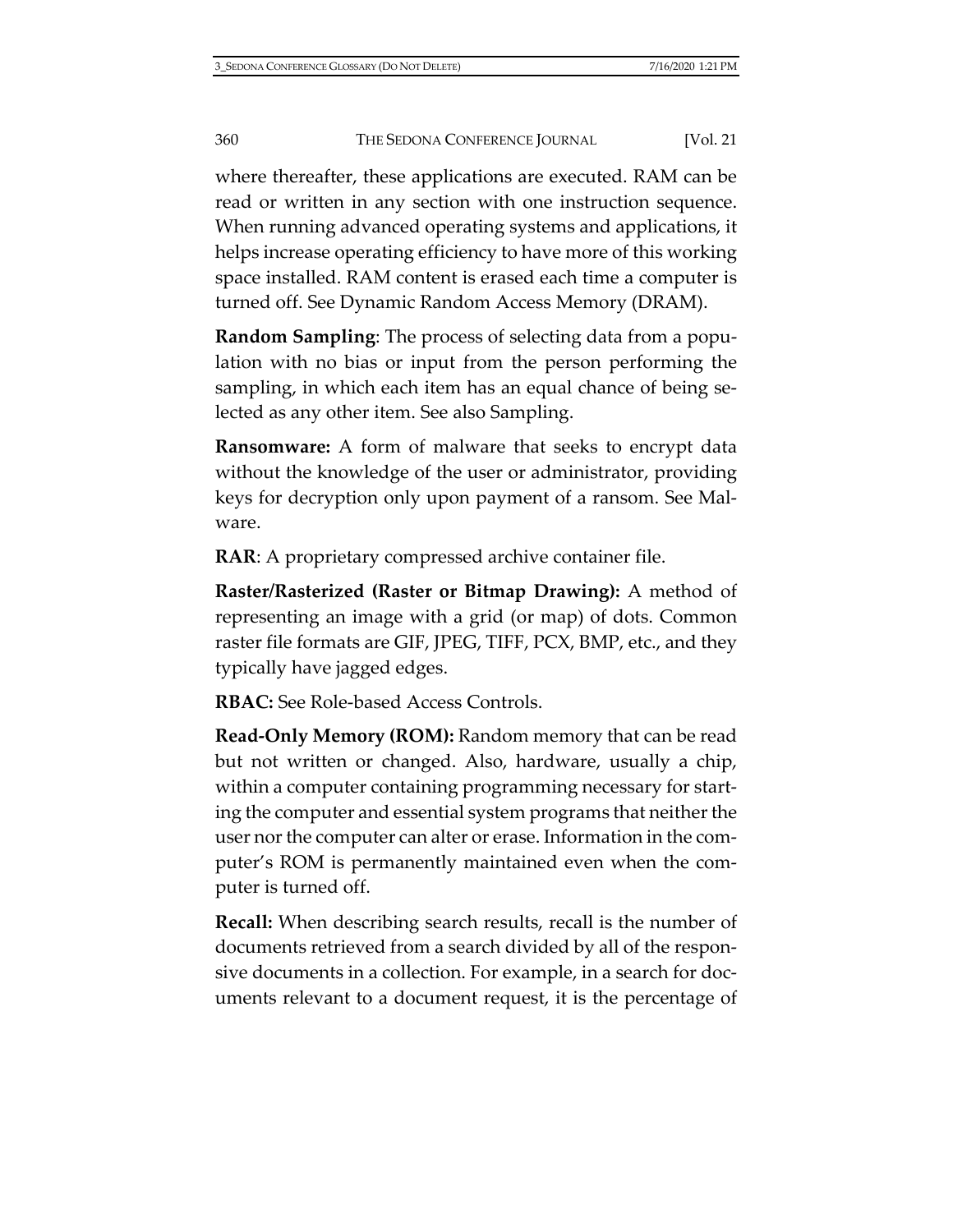where thereafter, these applications are executed. RAM can be read or written in any section with one instruction sequence. When running advanced operating systems and applications, it helps increase operating efficiency to have more of this working space installed. RAM content is erased each time a computer is turned off. See Dynamic Random Access Memory (DRAM).

**Random Sampling**: The process of selecting data from a population with no bias or input from the person performing the sampling, in which each item has an equal chance of being selected as any other item. See also Sampling.

**Ransomware:** A form of malware that seeks to encrypt data without the knowledge of the user or administrator, providing keys for decryption only upon payment of a ransom. See Malware.

**RAR**: A proprietary compressed archive container file.

**Raster/Rasterized (Raster or Bitmap Drawing):** A method of representing an image with a grid (or map) of dots. Common raster file formats are GIF, JPEG, TIFF, PCX, BMP, etc., and they typically have jagged edges.

**RBAC:** See Role-based Access Controls.

**Read-Only Memory (ROM):** Random memory that can be read but not written or changed. Also, hardware, usually a chip, within a computer containing programming necessary for starting the computer and essential system programs that neither the user nor the computer can alter or erase. Information in the computer's ROM is permanently maintained even when the computer is turned off.

**Recall:** When describing search results, recall is the number of documents retrieved from a search divided by all of the responsive documents in a collection. For example, in a search for documents relevant to a document request, it is the percentage of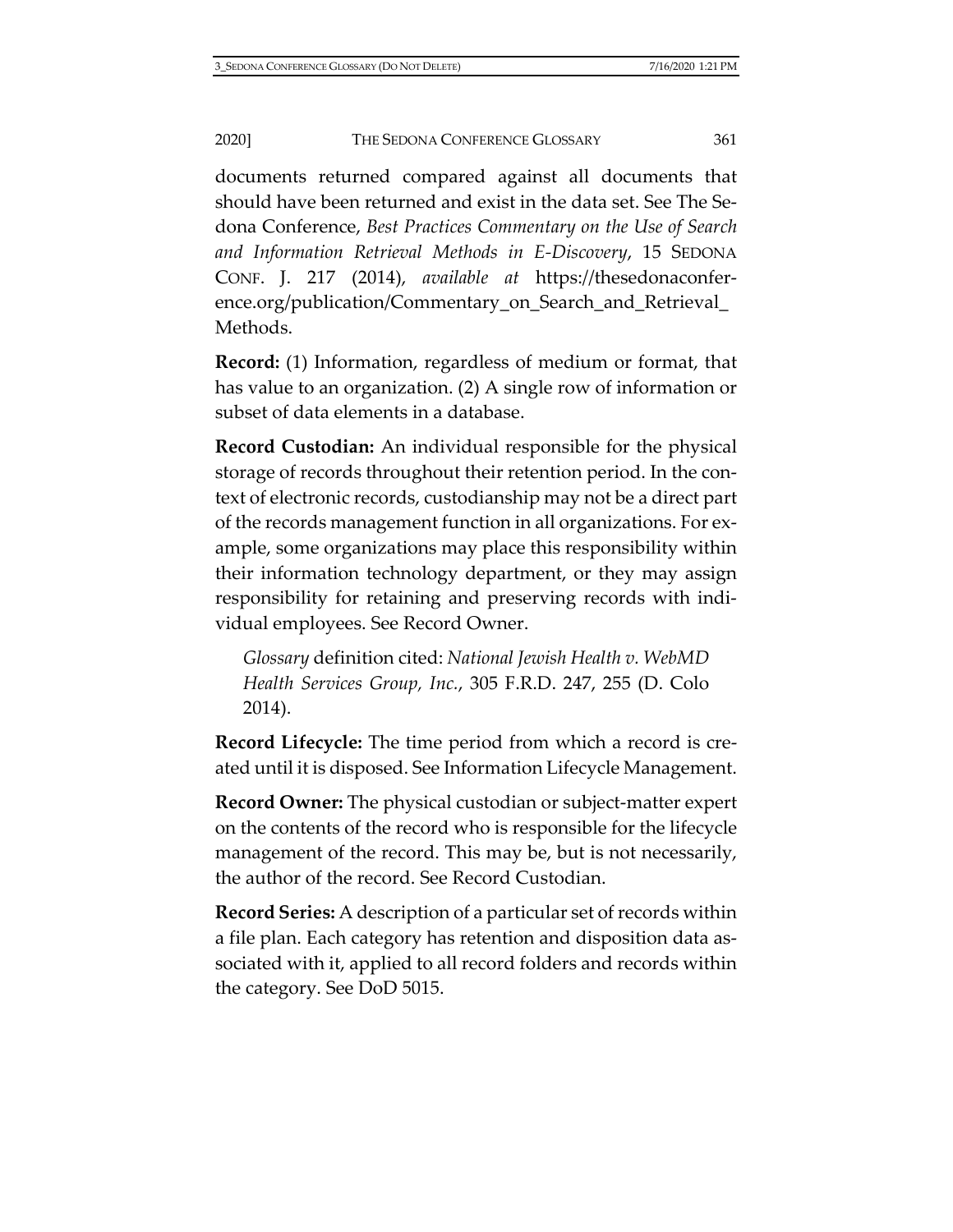documents returned compared against all documents that should have been returned and exist in the data set. See The Sedona Conference, *Best Practices Commentary on the Use of Search and Information Retrieval Methods in E-Discovery*, 15 SEDONA CONF. J. 217 (2014), *available at* [https://thesedonaconfer](https://thesedonaconference.org/publication/Commentary_on_Search_and_Retrieval_Methods)[ence.org/publication/Commentary\\_on\\_Search\\_and\\_Retrieval\\_](https://thesedonaconference.org/publication/Commentary_on_Search_and_Retrieval_Methods) [Methods.](https://thesedonaconference.org/publication/Commentary_on_Search_and_Retrieval_Methods)

**Record:** (1) Information, regardless of medium or format, that has value to an organization. (2) A single row of information or subset of data elements in a database.

**Record Custodian:** An individual responsible for the physical storage of records throughout their retention period. In the context of electronic records, custodianship may not be a direct part of the records management function in all organizations. For example, some organizations may place this responsibility within their information technology department, or they may assign responsibility for retaining and preserving records with individual employees. See Record Owner.

*Glossary* definition cited: *National Jewish Health v. WebMD Health Services Group, Inc.*, 305 F.R.D. 247, 255 (D. Colo 2014).

**Record Lifecycle:** The time period from which a record is created until it is disposed. See Information Lifecycle Management.

**Record Owner:** The physical custodian or subject-matter expert on the contents of the record who is responsible for the lifecycle management of the record. This may be, but is not necessarily, the author of the record. See Record Custodian.

**Record Series:** A description of a particular set of records within a file plan. Each category has retention and disposition data associated with it, applied to all record folders and records within the category. See DoD 5015.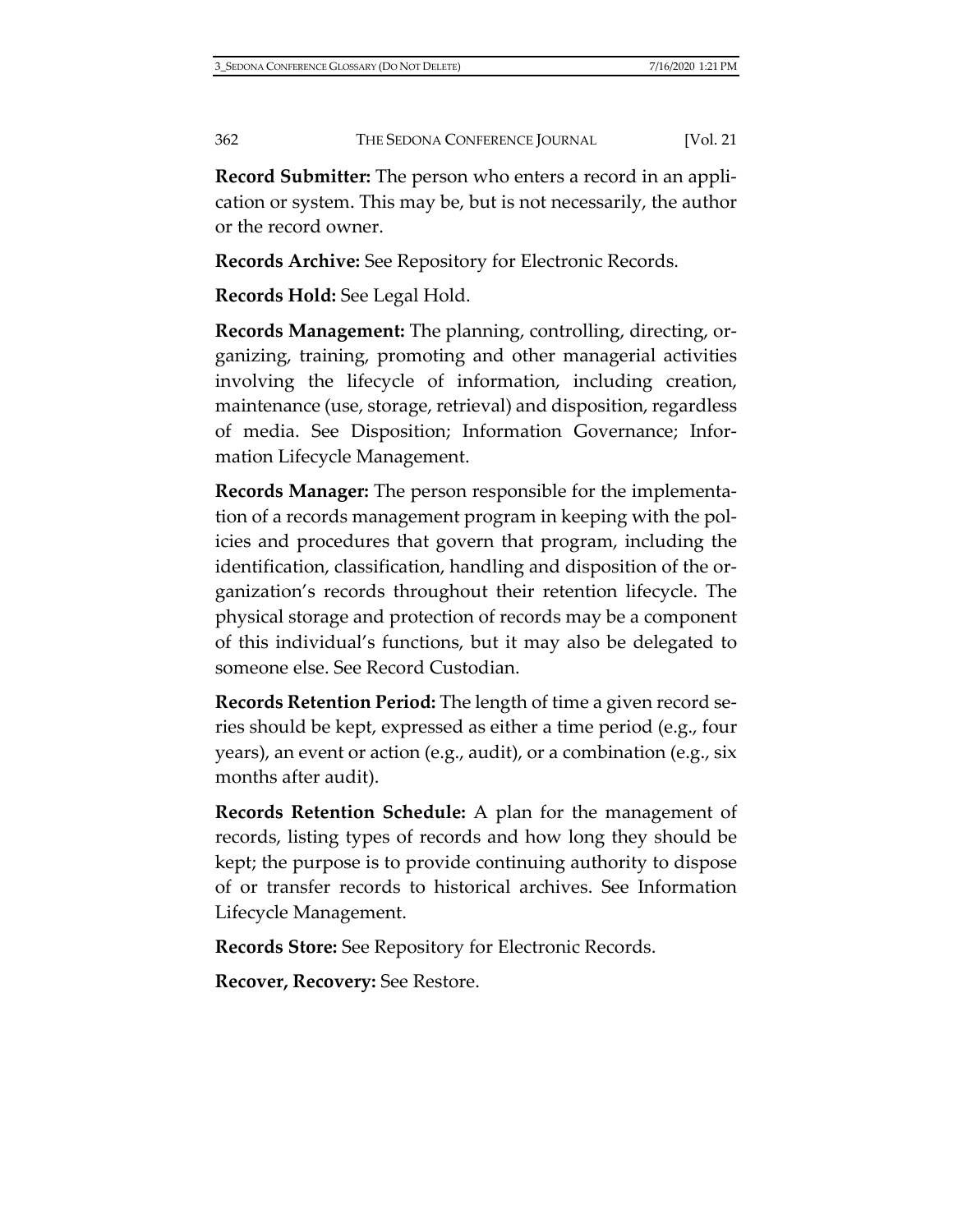**Record Submitter:** The person who enters a record in an application or system. This may be, but is not necessarily, the author or the record owner.

**Records Archive:** See Repository for Electronic Records.

**Records Hold:** See Legal Hold.

**Records Management:** The planning, controlling, directing, organizing, training, promoting and other managerial activities involving the lifecycle of information, including creation, maintenance (use, storage, retrieval) and disposition, regardless of media. See Disposition; Information Governance; Information Lifecycle Management.

**Records Manager:** The person responsible for the implementation of a records management program in keeping with the policies and procedures that govern that program, including the identification, classification, handling and disposition of the organization's records throughout their retention lifecycle. The physical storage and protection of records may be a component of this individual's functions, but it may also be delegated to someone else. See Record Custodian.

**Records Retention Period:** The length of time a given record series should be kept, expressed as either a time period (e.g., four years), an event or action (e.g., audit), or a combination (e.g., six months after audit).

**Records Retention Schedule:** A plan for the management of records, listing types of records and how long they should be kept; the purpose is to provide continuing authority to dispose of or transfer records to historical archives. See Information Lifecycle Management.

**Records Store:** See Repository for Electronic Records.

**Recover, Recovery:** See Restore.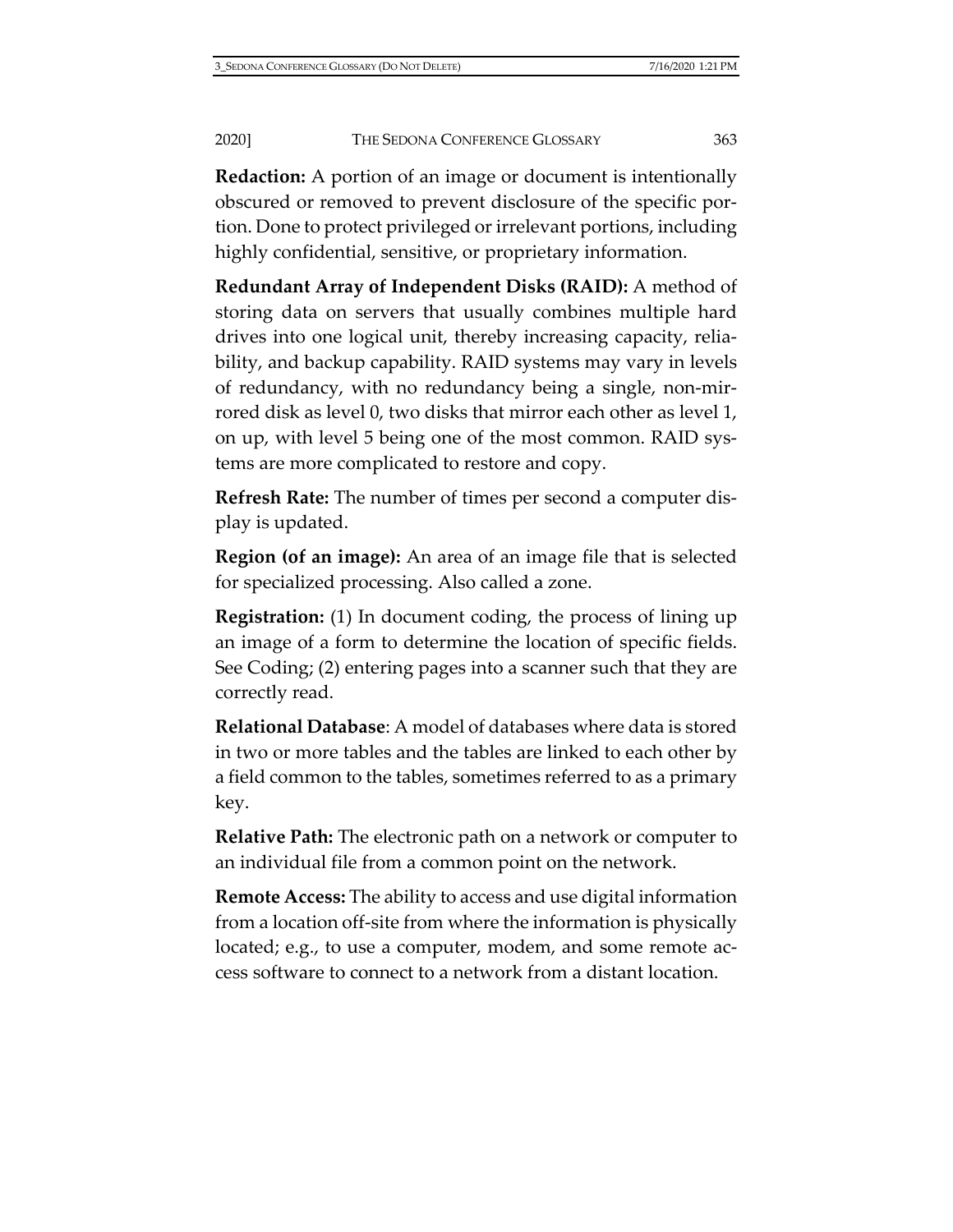**Redaction:** A portion of an image or document is intentionally obscured or removed to prevent disclosure of the specific portion. Done to protect privileged or irrelevant portions, including highly confidential, sensitive, or proprietary information.

**Redundant Array of Independent Disks (RAID):** A method of storing data on servers that usually combines multiple hard drives into one logical unit, thereby increasing capacity, reliability, and backup capability. RAID systems may vary in levels of redundancy, with no redundancy being a single, non-mirrored disk as level 0, two disks that mirror each other as level 1, on up, with level 5 being one of the most common. RAID systems are more complicated to restore and copy.

**Refresh Rate:** The number of times per second a computer display is updated.

**Region (of an image):** An area of an image file that is selected for specialized processing. Also called a zone.

**Registration:** (1) In document coding, the process of lining up an image of a form to determine the location of specific fields. See Coding; (2) entering pages into a scanner such that they are correctly read.

**Relational Database**: A model of databases where data is stored in two or more tables and the tables are linked to each other by a field common to the tables, sometimes referred to as a primary key.

**Relative Path:** The electronic path on a network or computer to an individual file from a common point on the network.

**Remote Access:** The ability to access and use digital information from a location off-site from where the information is physically located; e.g., to use a computer, modem, and some remote access software to connect to a network from a distant location.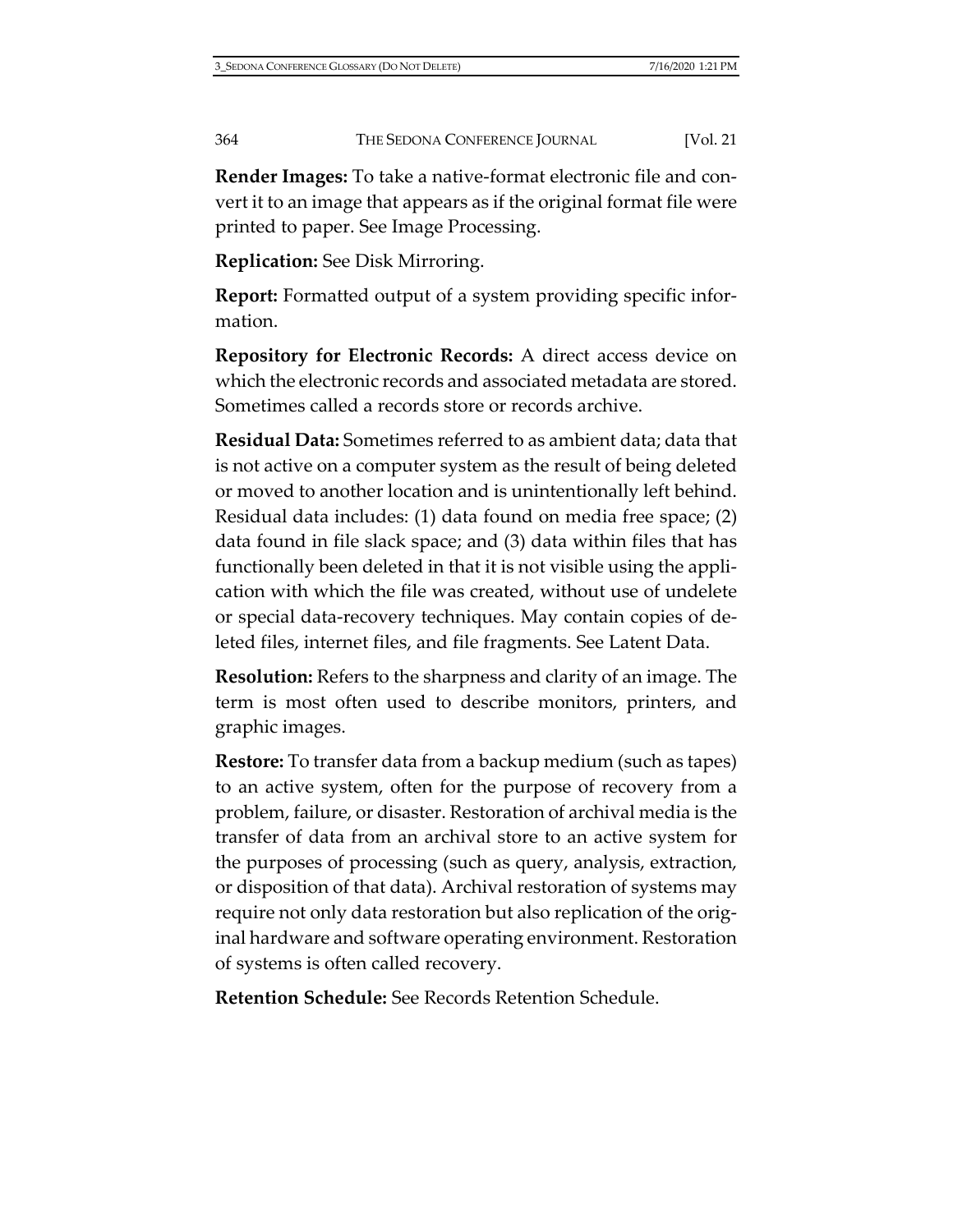**Render Images:** To take a native-format electronic file and convert it to an image that appears as if the original format file were printed to paper. See Image Processing.

**Replication:** See Disk Mirroring.

**Report:** Formatted output of a system providing specific information.

**Repository for Electronic Records:** A direct access device on which the electronic records and associated metadata are stored. Sometimes called a records store or records archive.

**Residual Data:** Sometimes referred to as ambient data; data that is not active on a computer system as the result of being deleted or moved to another location and is unintentionally left behind. Residual data includes: (1) data found on media free space; (2) data found in file slack space; and (3) data within files that has functionally been deleted in that it is not visible using the application with which the file was created, without use of undelete or special data-recovery techniques. May contain copies of deleted files, internet files, and file fragments. See Latent Data.

**Resolution:** Refers to the sharpness and clarity of an image. The term is most often used to describe monitors, printers, and graphic images.

**Restore:** To transfer data from a backup medium (such as tapes) to an active system, often for the purpose of recovery from a problem, failure, or disaster. Restoration of archival media is the transfer of data from an archival store to an active system for the purposes of processing (such as query, analysis, extraction, or disposition of that data). Archival restoration of systems may require not only data restoration but also replication of the original hardware and software operating environment. Restoration of systems is often called recovery.

**Retention Schedule:** See Records Retention Schedule.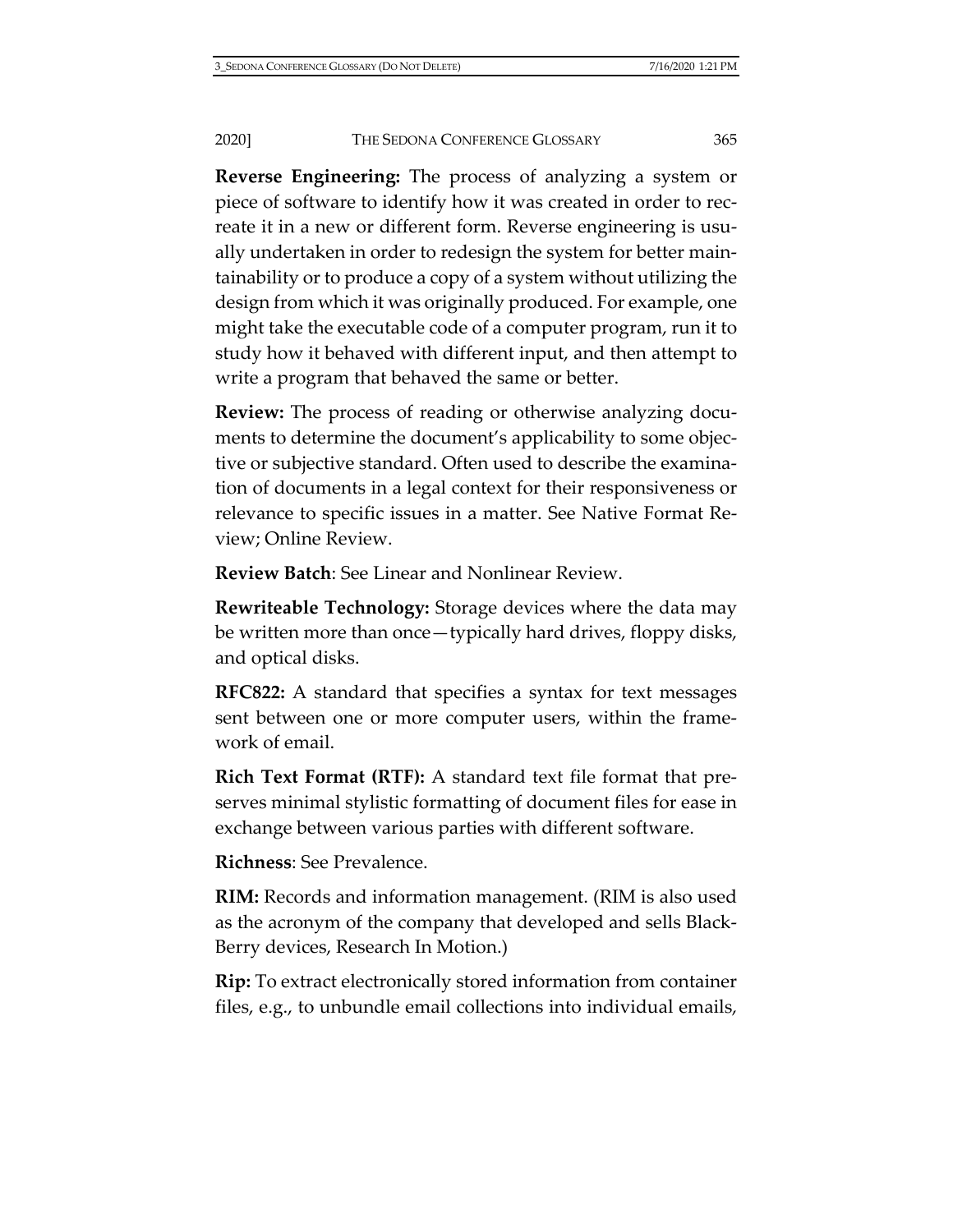**Reverse Engineering:** The process of analyzing a system or piece of software to identify how it was created in order to recreate it in a new or different form. Reverse engineering is usually undertaken in order to redesign the system for better maintainability or to produce a copy of a system without utilizing the design from which it was originally produced. For example, one might take the executable code of a computer program, run it to study how it behaved with different input, and then attempt to write a program that behaved the same or better.

**Review:** The process of reading or otherwise analyzing documents to determine the document's applicability to some objective or subjective standard. Often used to describe the examination of documents in a legal context for their responsiveness or relevance to specific issues in a matter. See Native Format Review; Online Review.

**Review Batch**: See Linear and Nonlinear Review.

**Rewriteable Technology:** Storage devices where the data may be written more than once—typically hard drives, floppy disks, and optical disks.

**RFC822:** A standard that specifies a syntax for text messages sent between one or more computer users, within the framework of email.

**Rich Text Format (RTF):** A standard text file format that preserves minimal stylistic formatting of document files for ease in exchange between various parties with different software.

**Richness**: See Prevalence.

**RIM:** Records and information management. (RIM is also used as the acronym of the company that developed and sells Black-Berry devices, Research In Motion.)

**Rip:** To extract electronically stored information from container files, e.g., to unbundle email collections into individual emails,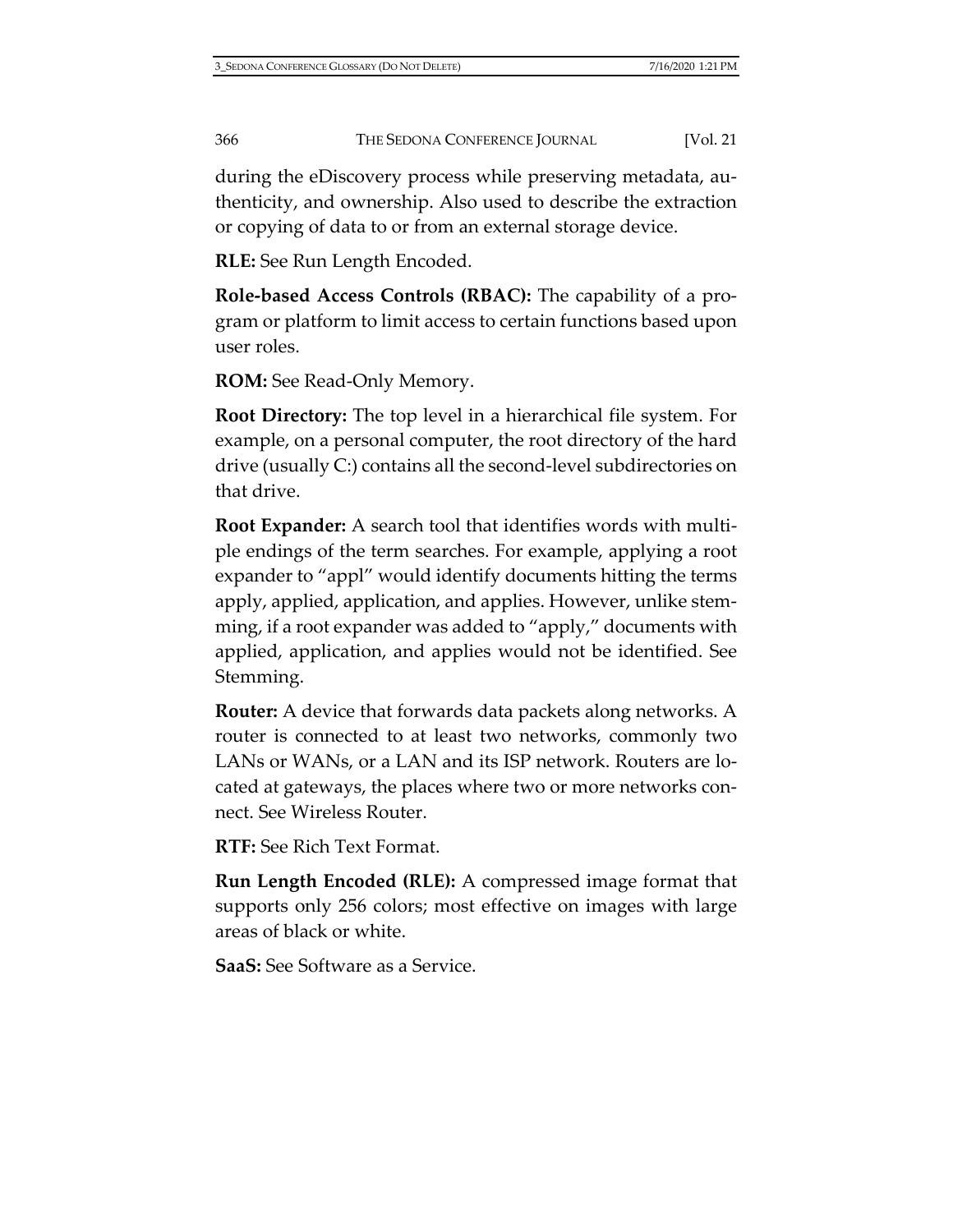during the eDiscovery process while preserving metadata, authenticity, and ownership. Also used to describe the extraction or copying of data to or from an external storage device.

**RLE:** See Run Length Encoded.

**Role-based Access Controls (RBAC):** The capability of a program or platform to limit access to certain functions based upon user roles.

**ROM:** See Read-Only Memory.

**Root Directory:** The top level in a hierarchical file system. For example, on a personal computer, the root directory of the hard drive (usually C:) contains all the second-level subdirectories on that drive.

**Root Expander:** A search tool that identifies words with multiple endings of the term searches. For example, applying a root expander to "appl" would identify documents hitting the terms apply, applied, application, and applies. However, unlike stemming, if a root expander was added to "apply," documents with applied, application, and applies would not be identified. See Stemming.

**Router:** A device that forwards data packets along networks. A router is connected to at least two networks, commonly two LANs or WANs, or a LAN and its ISP network. Routers are located at gateways, the places where two or more networks connect. See Wireless Router.

**RTF:** See Rich Text Format.

**Run Length Encoded (RLE):** A compressed image format that supports only 256 colors; most effective on images with large areas of black or white.

**SaaS:** See Software as a Service.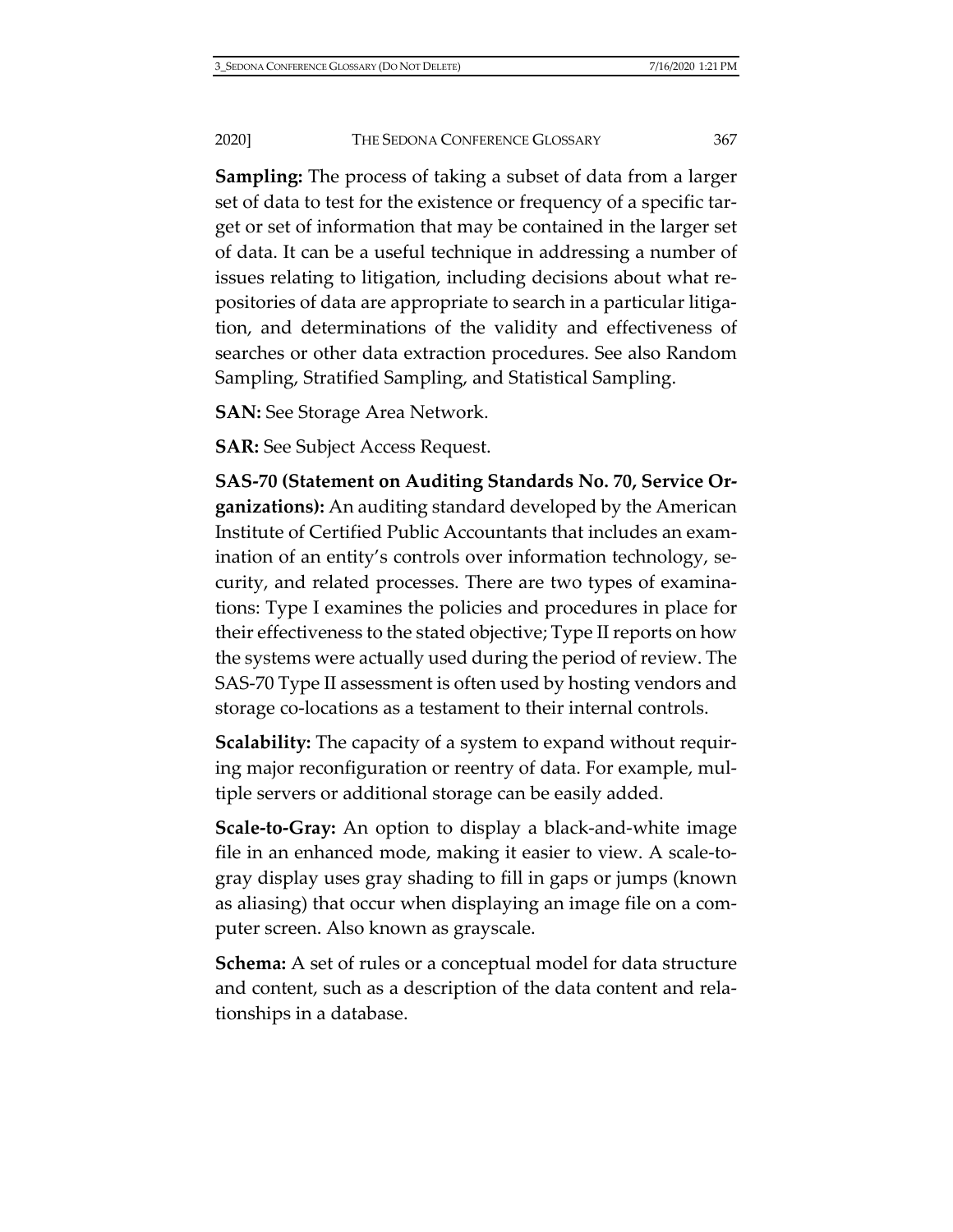**Sampling:** The process of taking a subset of data from a larger set of data to test for the existence or frequency of a specific target or set of information that may be contained in the larger set of data. It can be a useful technique in addressing a number of issues relating to litigation, including decisions about what repositories of data are appropriate to search in a particular litigation, and determinations of the validity and effectiveness of searches or other data extraction procedures. See also Random Sampling, Stratified Sampling, and Statistical Sampling.

**SAN:** See Storage Area Network.

**SAR:** See Subject Access Request.

**SAS-70 (Statement on Auditing Standards No. 70, Service Organizations):** An auditing standard developed by the American Institute of Certified Public Accountants that includes an examination of an entity's controls over information technology, security, and related processes. There are two types of examinations: Type I examines the policies and procedures in place for their effectiveness to the stated objective; Type II reports on how the systems were actually used during the period of review. The SAS-70 Type II assessment is often used by hosting vendors and storage co-locations as a testament to their internal controls.

**Scalability:** The capacity of a system to expand without requiring major reconfiguration or reentry of data. For example, multiple servers or additional storage can be easily added.

**Scale-to-Gray:** An option to display a black-and-white image file in an enhanced mode, making it easier to view. A scale-togray display uses gray shading to fill in gaps or jumps (known as aliasing) that occur when displaying an image file on a computer screen. Also known as grayscale.

**Schema:** A set of rules or a conceptual model for data structure and content, such as a description of the data content and relationships in a database.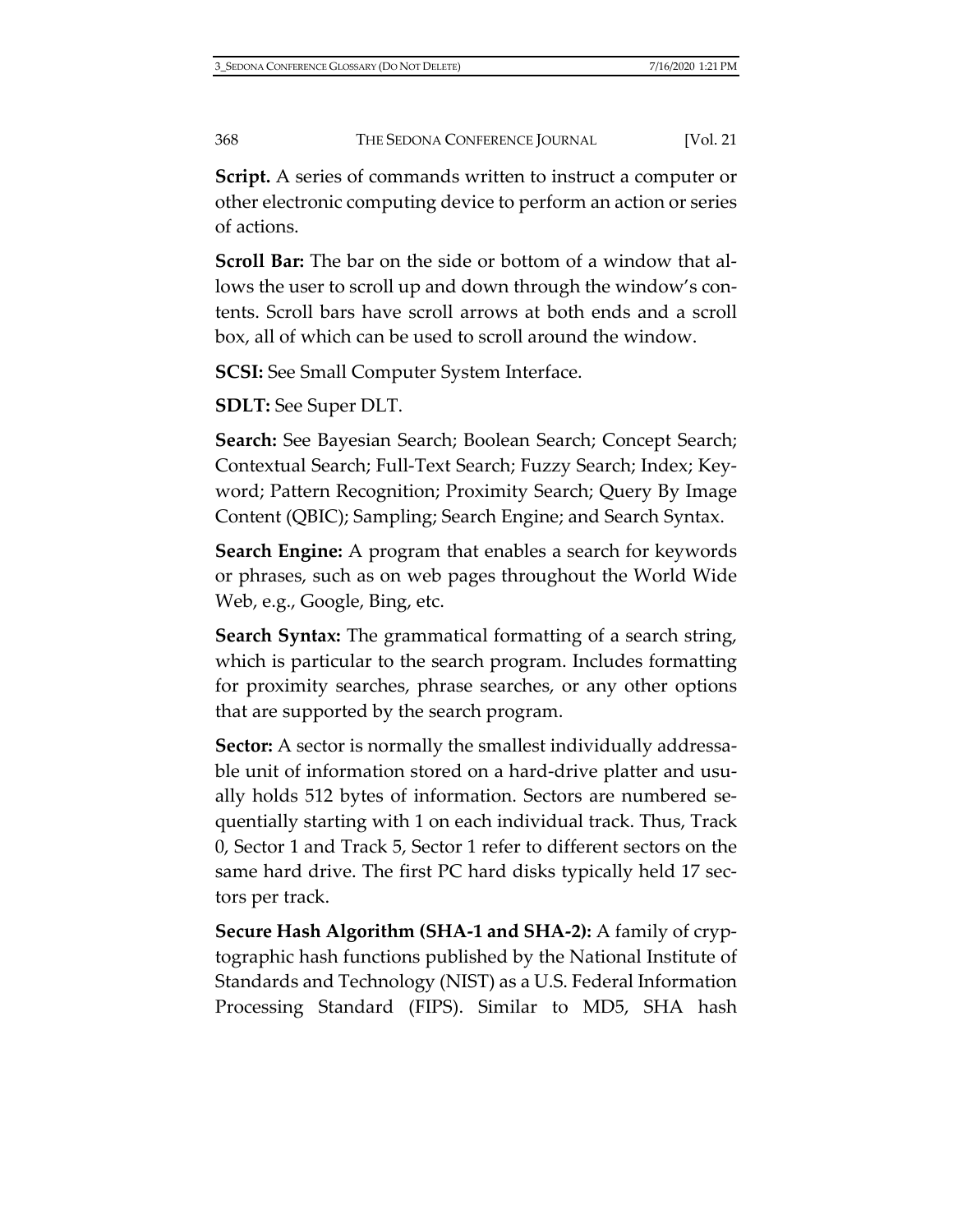**Script.** A series of commands written to instruct a computer or other electronic computing device to perform an action or series of actions.

**Scroll Bar:** The bar on the side or bottom of a window that allows the user to scroll up and down through the window's contents. Scroll bars have scroll arrows at both ends and a scroll box, all of which can be used to scroll around the window.

**SCSI:** See Small Computer System Interface.

**SDLT:** See Super DLT.

**Search:** See Bayesian Search; Boolean Search; Concept Search; Contextual Search; Full-Text Search; Fuzzy Search; Index; Keyword; Pattern Recognition; Proximity Search; Query By Image Content (QBIC); Sampling; Search Engine; and Search Syntax.

**Search Engine:** A program that enables a search for keywords or phrases, such as on web pages throughout the World Wide Web, e.g., Google, Bing, etc.

**Search Syntax:** The grammatical formatting of a search string, which is particular to the search program. Includes formatting for proximity searches, phrase searches, or any other options that are supported by the search program.

**Sector:** A sector is normally the smallest individually addressable unit of information stored on a hard-drive platter and usually holds 512 bytes of information. Sectors are numbered sequentially starting with 1 on each individual track. Thus, Track 0, Sector 1 and Track 5, Sector 1 refer to different sectors on the same hard drive. The first PC hard disks typically held 17 sectors per track.

**Secure Hash Algorithm (SHA-1 and SHA-2):** A family of cryptographic hash functions published by the National Institute of Standards and Technology (NIST) as a U.S. Federal Information Processing Standard (FIPS). Similar to MD5, SHA hash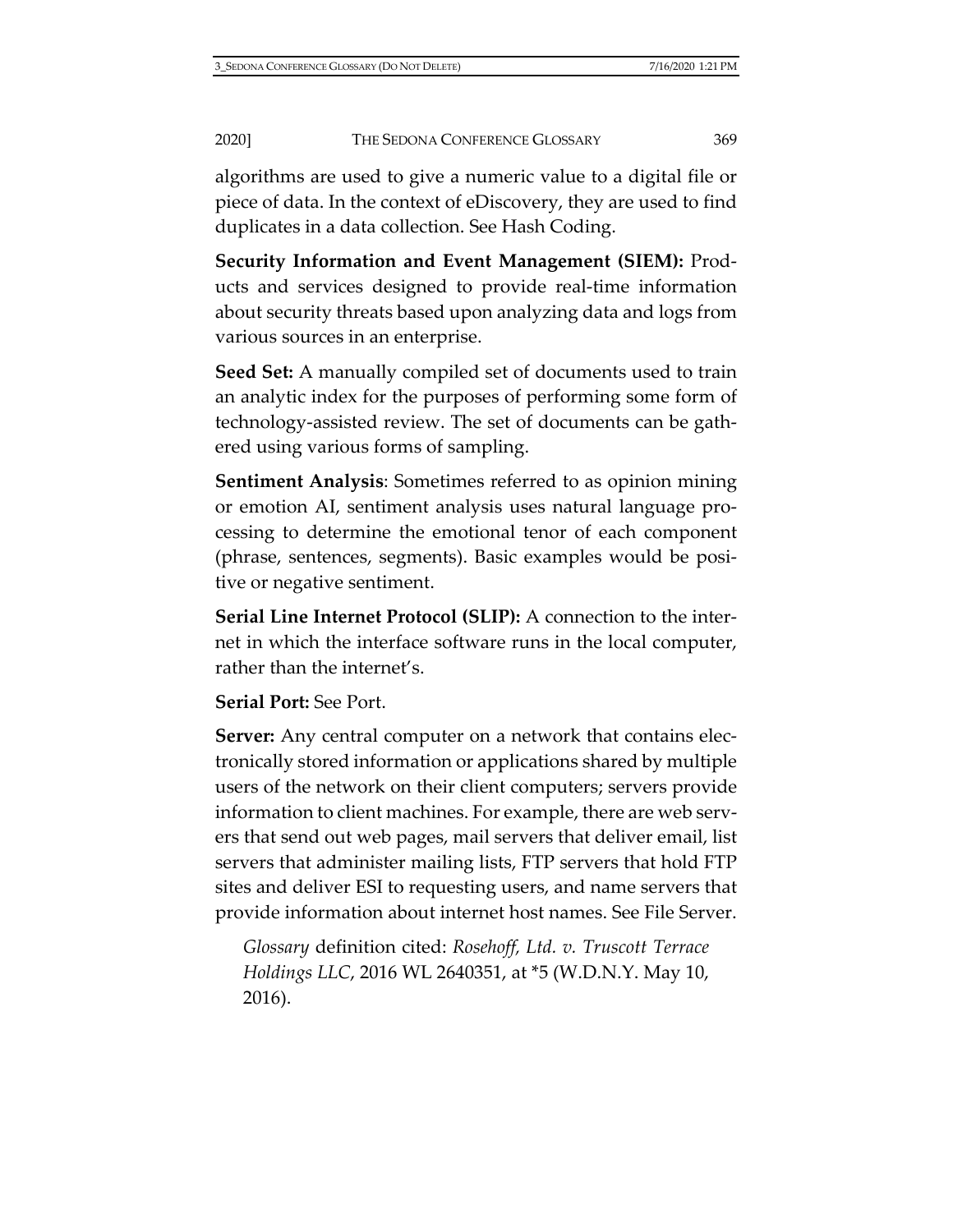algorithms are used to give a numeric value to a digital file or piece of data. In the context of eDiscovery, they are used to find duplicates in a data collection. See Hash Coding.

**Security Information and Event Management (SIEM):** Products and services designed to provide real-time information about security threats based upon analyzing data and logs from various sources in an enterprise.

**Seed Set:** A manually compiled set of documents used to train an analytic index for the purposes of performing some form of technology-assisted review. The set of documents can be gathered using various forms of sampling.

**Sentiment Analysis**: Sometimes referred to as opinion mining or emotion AI, sentiment analysis uses natural language processing to determine the emotional tenor of each component (phrase, sentences, segments). Basic examples would be positive or negative sentiment.

**Serial Line Internet Protocol (SLIP):** A connection to the internet in which the interface software runs in the local computer, rather than the internet's.

**Serial Port:** See Port.

**Server:** Any central computer on a network that contains electronically stored information or applications shared by multiple users of the network on their client computers; servers provide information to client machines. For example, there are web servers that send out web pages, mail servers that deliver email, list servers that administer mailing lists, FTP servers that hold FTP sites and deliver ESI to requesting users, and name servers that provide information about internet host names. See File Server.

*Glossary* definition cited: *Rosehoff, Ltd. v. Truscott Terrace Holdings LLC*, 2016 WL 2640351, at \*5 (W.D.N.Y. May 10, 2016).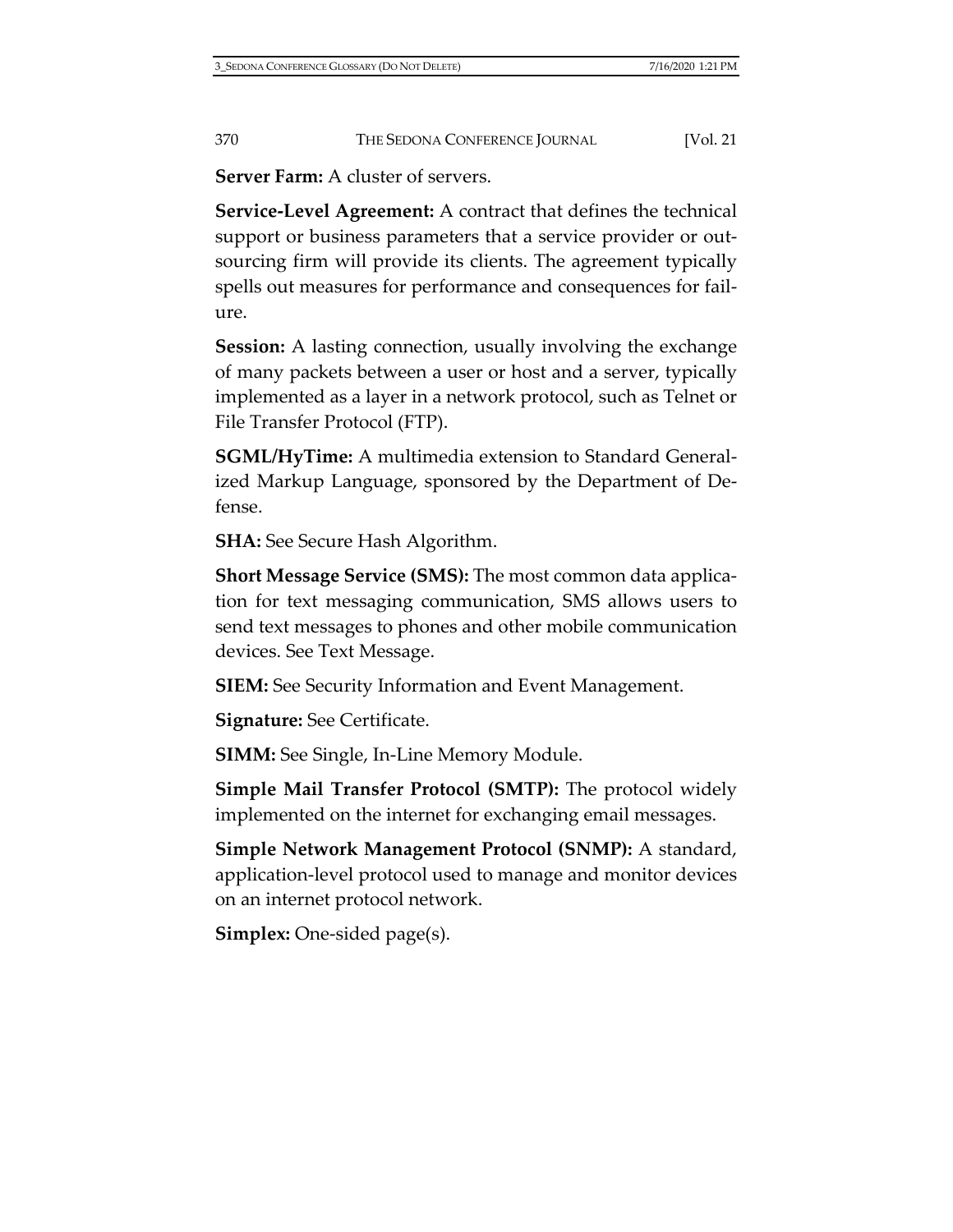**Server Farm:** A cluster of servers.

**Service-Level Agreement:** A contract that defines the technical support or business parameters that a service provider or outsourcing firm will provide its clients. The agreement typically spells out measures for performance and consequences for failure.

**Session:** A lasting connection, usually involving the exchange of many packets between a user or host and a server, typically implemented as a layer in a network protocol, such as Telnet or File Transfer Protocol (FTP).

**SGML/HyTime:** A multimedia extension to Standard Generalized Markup Language, sponsored by the Department of Defense.

**SHA:** See Secure Hash Algorithm.

**Short Message Service (SMS):** The most common data application for text messaging communication, SMS allows users to send text messages to phones and other mobile communication devices. See Text Message.

**SIEM:** See Security Information and Event Management.

**Signature:** See Certificate.

**SIMM:** See Single, In-Line Memory Module.

**Simple Mail Transfer Protocol (SMTP):** The protocol widely implemented on the internet for exchanging email messages.

**Simple Network Management Protocol (SNMP):** A standard, application-level protocol used to manage and monitor devices on an internet protocol network.

**Simplex:** One-sided page(s).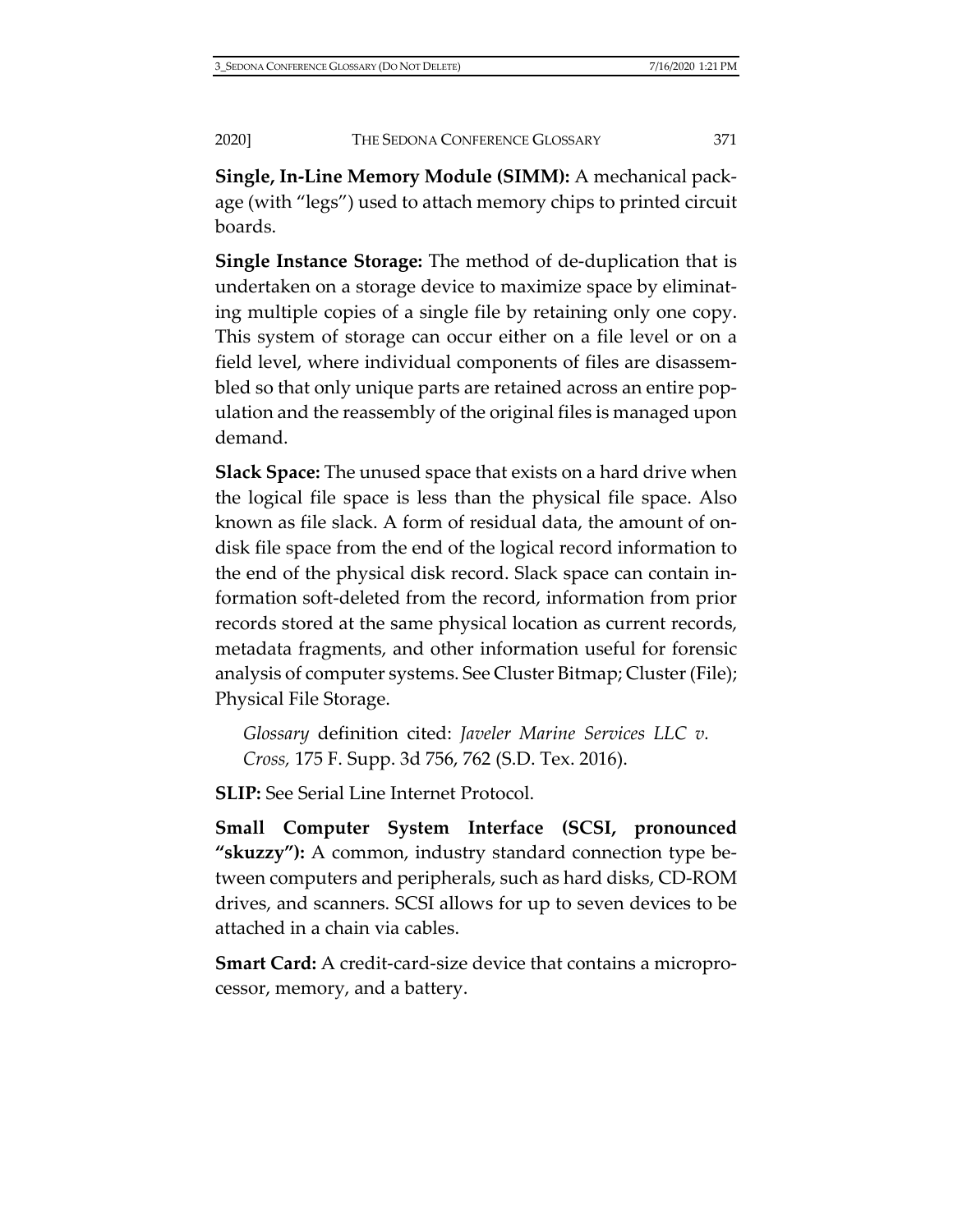**Single, In-Line Memory Module (SIMM):** A mechanical package (with "legs") used to attach memory chips to printed circuit boards.

**Single Instance Storage:** The method of de-duplication that is undertaken on a storage device to maximize space by eliminating multiple copies of a single file by retaining only one copy. This system of storage can occur either on a file level or on a field level, where individual components of files are disassembled so that only unique parts are retained across an entire population and the reassembly of the original files is managed upon demand.

**Slack Space:** The unused space that exists on a hard drive when the logical file space is less than the physical file space. Also known as file slack. A form of residual data, the amount of ondisk file space from the end of the logical record information to the end of the physical disk record. Slack space can contain information soft-deleted from the record, information from prior records stored at the same physical location as current records, metadata fragments, and other information useful for forensic analysis of computer systems. See Cluster Bitmap; Cluster (File); Physical File Storage.

*Glossary* definition cited: *Javeler Marine Services LLC v. Cross,* 175 F. Supp. 3d 756, 762 (S.D. Tex. 2016).

**SLIP:** See Serial Line Internet Protocol.

**Small Computer System Interface (SCSI, pronounced "skuzzy"):** A common, industry standard connection type between computers and peripherals, such as hard disks, CD-ROM drives, and scanners. SCSI allows for up to seven devices to be attached in a chain via cables.

**Smart Card:** A credit-card-size device that contains a microprocessor, memory, and a battery.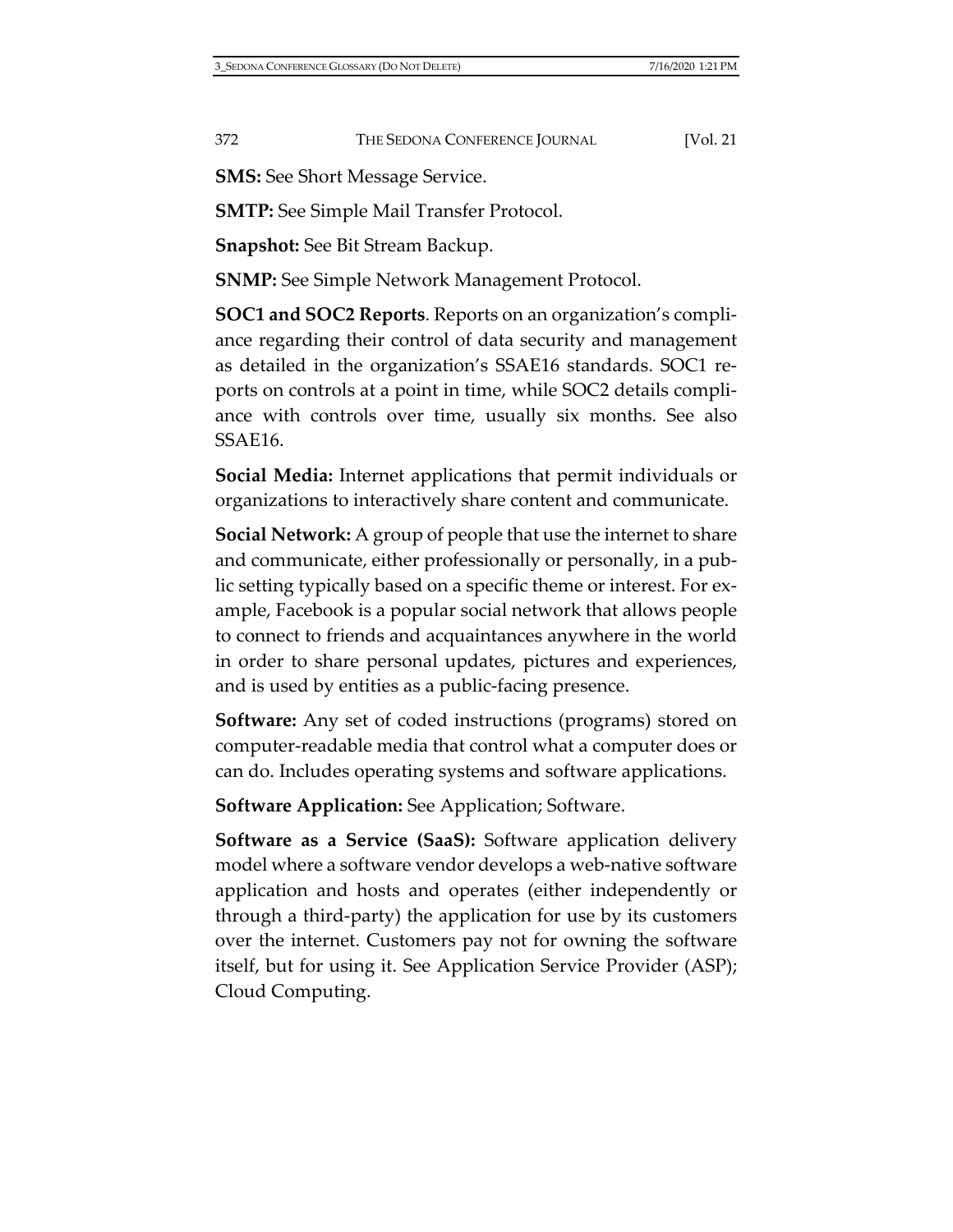**SMS:** See Short Message Service.

**SMTP:** See Simple Mail Transfer Protocol.

**Snapshot:** See Bit Stream Backup.

**SNMP:** See Simple Network Management Protocol.

**SOC1 and SOC2 Reports**. Reports on an organization's compliance regarding their control of data security and management as detailed in the organization's SSAE16 standards. SOC1 reports on controls at a point in time, while SOC2 details compliance with controls over time, usually six months. See also SSAE16.

**Social Media:** Internet applications that permit individuals or organizations to interactively share content and communicate.

**Social Network:** A group of people that use the internet to share and communicate, either professionally or personally, in a public setting typically based on a specific theme or interest. For example, Facebook is a popular social network that allows people to connect to friends and acquaintances anywhere in the world in order to share personal updates, pictures and experiences, and is used by entities as a public-facing presence.

**Software:** Any set of coded instructions (programs) stored on computer-readable media that control what a computer does or can do. Includes operating systems and software applications.

**Software Application:** See Application; Software.

**Software as a Service (SaaS):** Software application delivery model where a software vendor develops a web-native software application and hosts and operates (either independently or through a third-party) the application for use by its customers over the internet. Customers pay not for owning the software itself, but for using it. See Application Service Provider (ASP); Cloud Computing.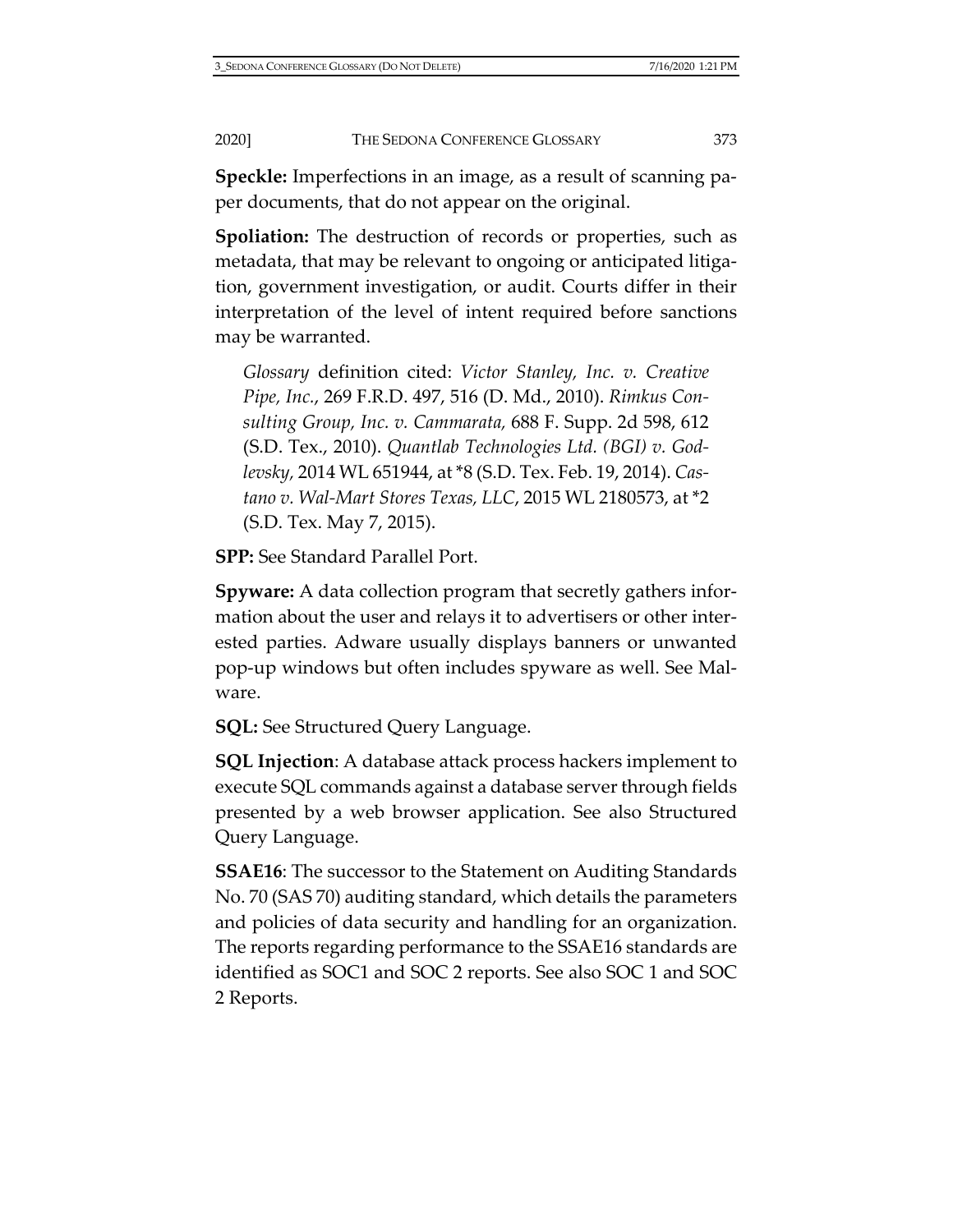**Speckle:** Imperfections in an image, as a result of scanning paper documents, that do not appear on the original.

**Spoliation:** The destruction of records or properties, such as metadata, that may be relevant to ongoing or anticipated litigation, government investigation, or audit. Courts differ in their interpretation of the level of intent required before sanctions may be warranted.

*Glossary* definition cited: *Victor Stanley, Inc. v. Creative Pipe, Inc.*, 269 F.R.D. 497, 516 (D. Md., 2010). *Rimkus Consulting Group, Inc. v. Cammarata,* 688 F. Supp. 2d 598, 612 (S.D. Tex., 2010). *Quantlab Technologies Ltd. (BGI) v. Godlevsky,* 2014 WL 651944, at \*8 (S.D. Tex. Feb. 19, 2014). *Castano v. Wal-Mart Stores Texas, LLC*, 2015 WL 2180573, at \*2 (S.D. Tex. May 7, 2015).

**SPP:** See Standard Parallel Port.

**Spyware:** A data collection program that secretly gathers information about the user and relays it to advertisers or other interested parties. Adware usually displays banners or unwanted pop-up windows but often includes spyware as well. See Malware.

**SQL:** See Structured Query Language.

**SQL Injection**: A database attack process hackers implement to execute SQL commands against a database server through fields presented by a web browser application. See also Structured Query Language.

**SSAE16**: The successor to the Statement on Auditing Standards No. 70 (SAS 70) auditing standard, which details the parameters and policies of data security and handling for an organization. The reports regarding performance to the SSAE16 standards are identified as SOC1 and SOC 2 reports. See also SOC 1 and SOC 2 Reports.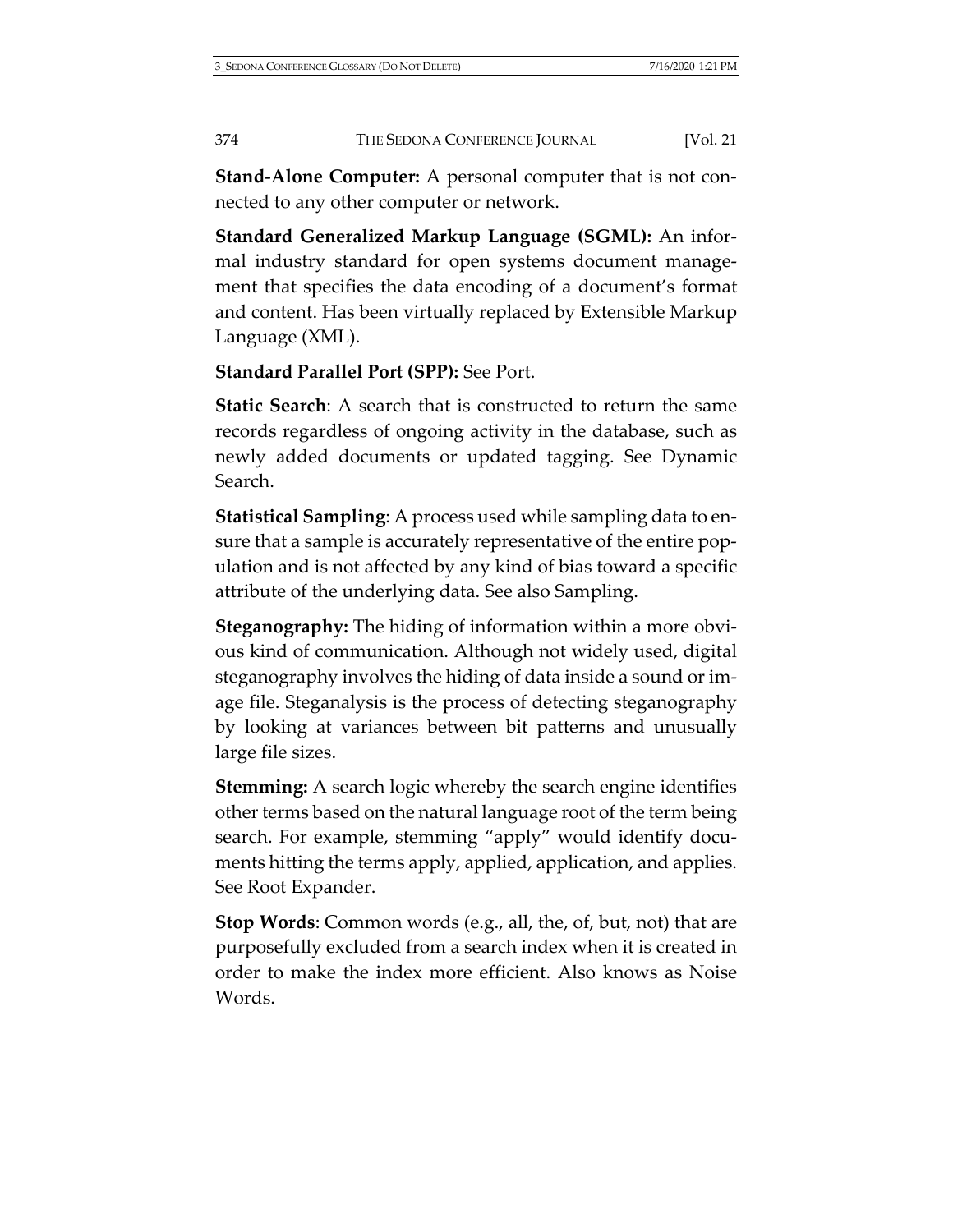**Stand-Alone Computer:** A personal computer that is not connected to any other computer or network.

**Standard Generalized Markup Language (SGML):** An informal industry standard for open systems document management that specifies the data encoding of a document's format and content. Has been virtually replaced by Extensible Markup Language (XML).

**Standard Parallel Port (SPP):** See Port.

**Static Search**: A search that is constructed to return the same records regardless of ongoing activity in the database, such as newly added documents or updated tagging. See Dynamic Search.

**Statistical Sampling**: A process used while sampling data to ensure that a sample is accurately representative of the entire population and is not affected by any kind of bias toward a specific attribute of the underlying data. See also Sampling.

**Steganography:** The hiding of information within a more obvious kind of communication. Although not widely used, digital steganography involves the hiding of data inside a sound or image file. Steganalysis is the process of detecting steganography by looking at variances between bit patterns and unusually large file sizes.

**Stemming:** A search logic whereby the search engine identifies other terms based on the natural language root of the term being search. For example, stemming "apply" would identify documents hitting the terms apply, applied, application, and applies. See Root Expander.

**Stop Words**: Common words (e.g., all, the, of, but, not) that are purposefully excluded from a search index when it is created in order to make the index more efficient. Also knows as Noise Words.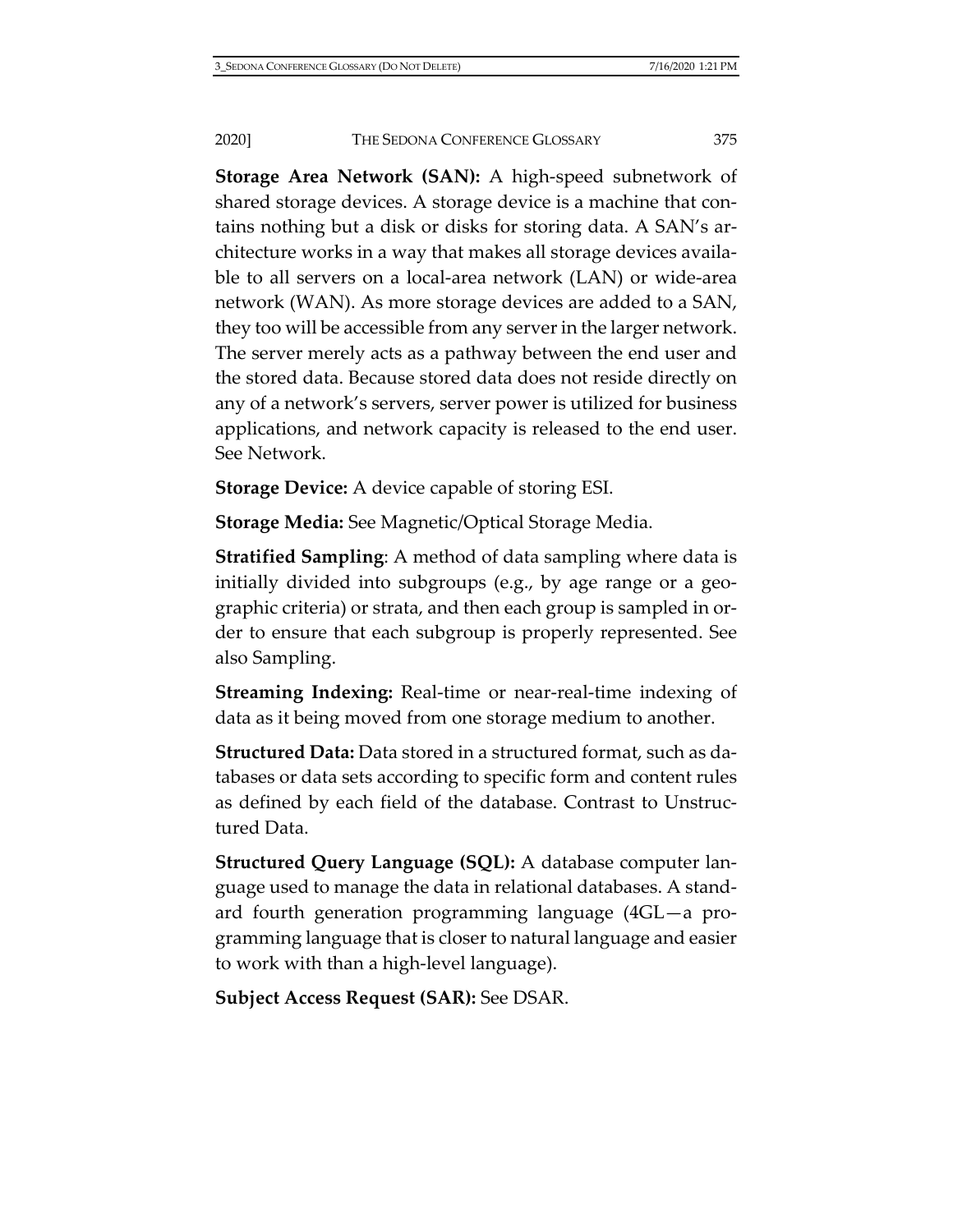**Storage Area Network (SAN):** A high-speed subnetwork of shared storage devices. A storage device is a machine that contains nothing but a disk or disks for storing data. A SAN's architecture works in a way that makes all storage devices available to all servers on a local-area network (LAN) or wide-area network (WAN). As more storage devices are added to a SAN, they too will be accessible from any server in the larger network. The server merely acts as a pathway between the end user and the stored data. Because stored data does not reside directly on any of a network's servers, server power is utilized for business applications, and network capacity is released to the end user. See Network.

**Storage Device:** A device capable of storing ESI.

**Storage Media:** See Magnetic/Optical Storage Media.

**Stratified Sampling**: A method of data sampling where data is initially divided into subgroups (e.g., by age range or a geographic criteria) or strata, and then each group is sampled in order to ensure that each subgroup is properly represented. See also Sampling.

**Streaming Indexing:** Real-time or near-real-time indexing of data as it being moved from one storage medium to another.

**Structured Data:** Data stored in a structured format, such as databases or data sets according to specific form and content rules as defined by each field of the database. Contrast to Unstructured Data.

**Structured Query Language (SQL):** A database computer language used to manage the data in relational databases. A standard fourth generation programming language (4GL—a programming language that is closer to natural language and easier to work with than a high-level language).

**Subject Access Request (SAR):** See DSAR.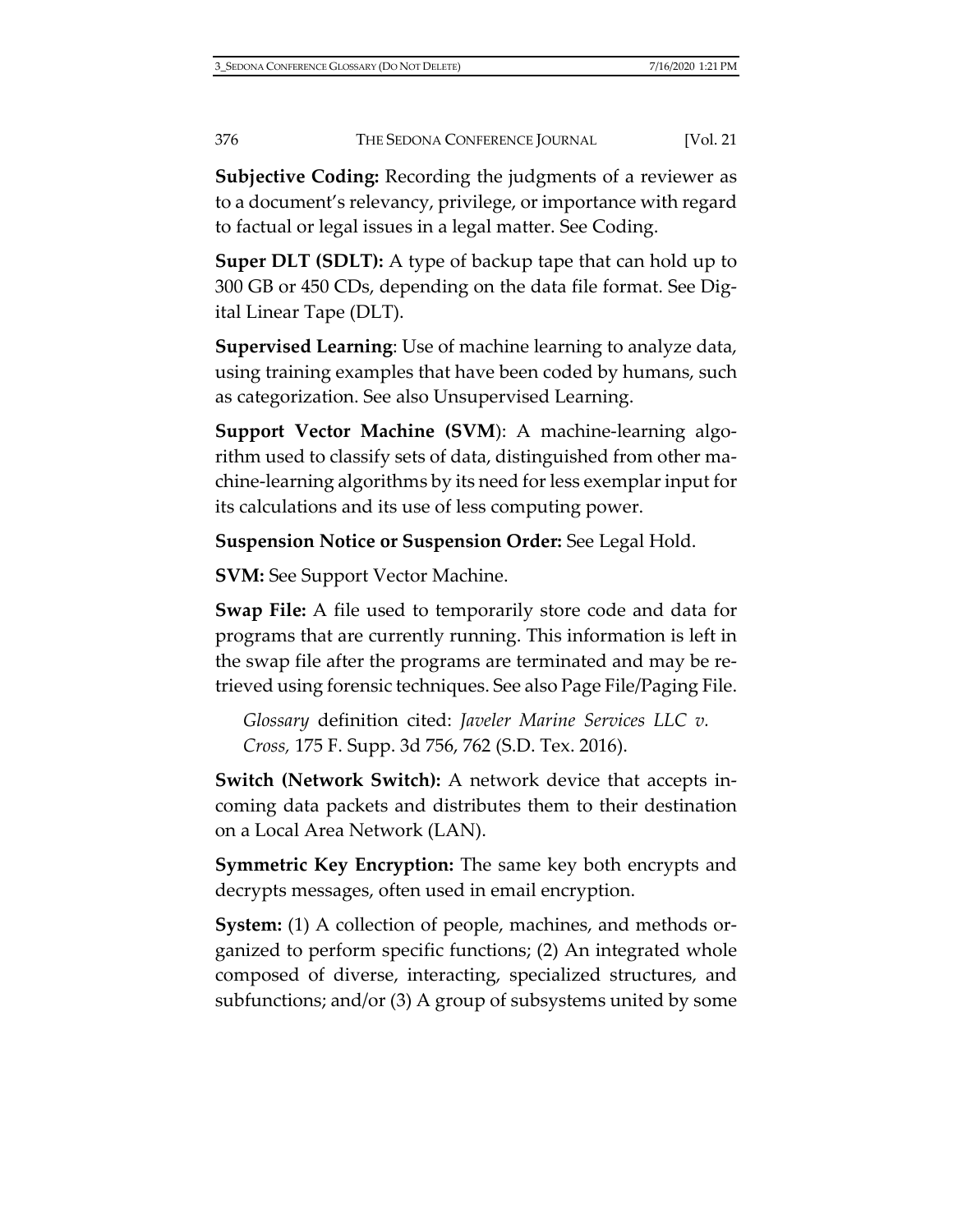**Subjective Coding:** Recording the judgments of a reviewer as to a document's relevancy, privilege, or importance with regard to factual or legal issues in a legal matter. See Coding.

**Super DLT (SDLT):** A type of backup tape that can hold up to 300 GB or 450 CDs, depending on the data file format. See Digital Linear Tape (DLT).

**Supervised Learning**: Use of machine learning to analyze data, using training examples that have been coded by humans, such as categorization. See also Unsupervised Learning.

**Support Vector Machine (SVM**): A machine-learning algorithm used to classify sets of data, distinguished from other machine-learning algorithms by its need for less exemplar input for its calculations and its use of less computing power.

**Suspension Notice or Suspension Order:** See Legal Hold.

**SVM:** See Support Vector Machine.

**Swap File:** A file used to temporarily store code and data for programs that are currently running. This information is left in the swap file after the programs are terminated and may be retrieved using forensic techniques. See also Page File/Paging File.

*Glossary* definition cited: *Javeler Marine Services LLC v. Cross,* 175 F. Supp. 3d 756, 762 (S.D. Tex. 2016).

**Switch (Network Switch):** A network device that accepts incoming data packets and distributes them to their destination on a Local Area Network (LAN).

**Symmetric Key Encryption:** The same key both encrypts and decrypts messages, often used in email encryption.

**System:** (1) A collection of people, machines, and methods organized to perform specific functions; (2) An integrated whole composed of diverse, interacting, specialized structures, and subfunctions; and/or (3) A group of subsystems united by some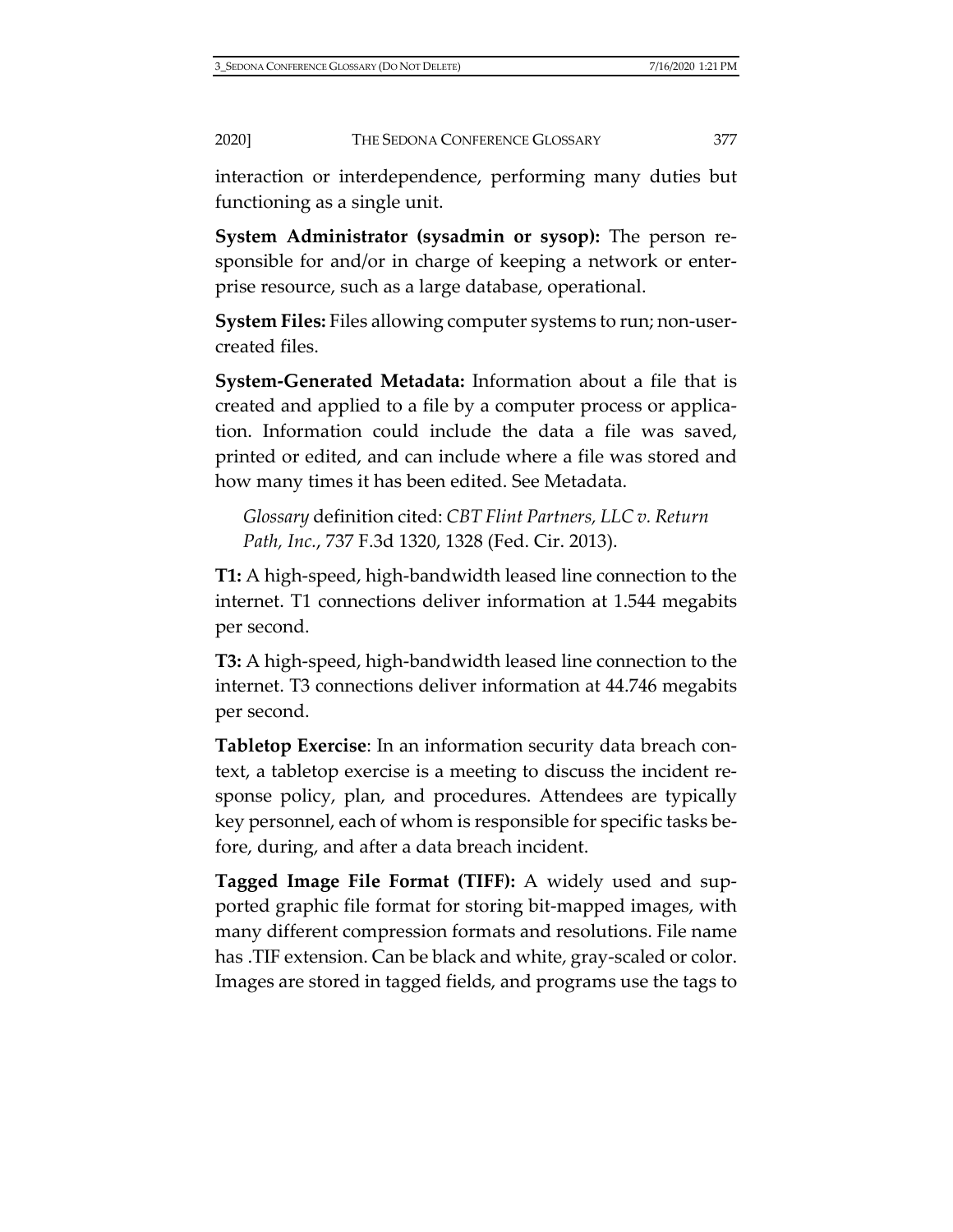interaction or interdependence, performing many duties but functioning as a single unit.

**System Administrator (sysadmin or sysop):** The person responsible for and/or in charge of keeping a network or enterprise resource, such as a large database, operational.

**System Files:** Files allowing computer systems to run; non-usercreated files.

**System-Generated Metadata:** Information about a file that is created and applied to a file by a computer process or application. Information could include the data a file was saved, printed or edited, and can include where a file was stored and how many times it has been edited. See Metadata.

*Glossary* definition cited: *CBT Flint Partners, LLC v. Return Path, Inc.*, 737 F.3d 1320, 1328 (Fed. Cir. 2013).

**T1:** A high-speed, high-bandwidth leased line connection to the internet. T1 connections deliver information at 1.544 megabits per second.

**T3:** A high-speed, high-bandwidth leased line connection to the internet. T3 connections deliver information at 44.746 megabits per second.

**Tabletop Exercise**: In an information security data breach context, a tabletop exercise is a meeting to discuss the incident response policy, plan, and procedures. Attendees are typically key personnel, each of whom is responsible for specific tasks before, during, and after a data breach incident.

**Tagged Image File Format (TIFF):** A widely used and supported graphic file format for storing bit-mapped images, with many different compression formats and resolutions. File name has .TIF extension. Can be black and white, gray-scaled or color. Images are stored in tagged fields, and programs use the tags to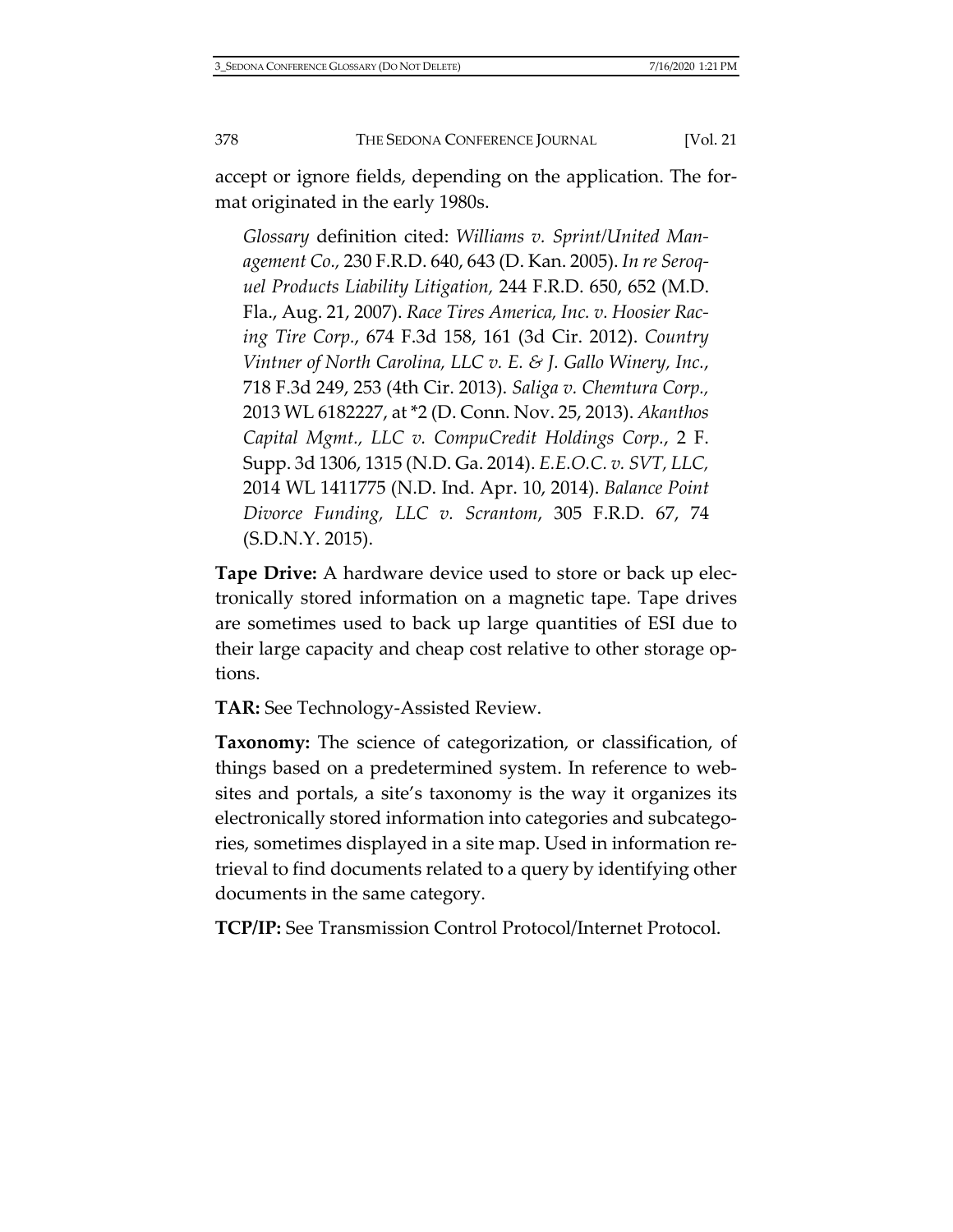accept or ignore fields, depending on the application. The format originated in the early 1980s.

*Glossary* definition cited: *Williams v. Sprint/United Management Co.,* 230 F.R.D. 640, 643 (D. Kan. 2005). *In re Seroquel Products Liability Litigation,* 244 F.R.D. 650, 652 (M.D. Fla., Aug. 21, 2007). *Race Tires America, Inc. v. Hoosier Racing Tire Corp.*, 674 F.3d 158, 161 (3d Cir. 2012). *Country Vintner of North Carolina, LLC v. E. & J. Gallo Winery, Inc.*, 718 F.3d 249, 253 (4th Cir. 2013). *Saliga v. Chemtura Corp.,* 2013 WL 6182227, at \*2 (D. Conn. Nov. 25, 2013). *Akanthos Capital Mgmt., LLC v. CompuCredit Holdings Corp.*, 2 F. Supp. 3d 1306, 1315 (N.D. Ga. 2014). *E.E.O.C. v. SVT, LLC,* 2014 WL 1411775 (N.D. Ind. Apr. 10, 2014). *Balance Point Divorce Funding, LLC v. Scrantom*, 305 F.R.D. 67, 74 (S.D.N.Y. 2015).

**Tape Drive:** A hardware device used to store or back up electronically stored information on a magnetic tape. Tape drives are sometimes used to back up large quantities of ESI due to their large capacity and cheap cost relative to other storage options.

**TAR:** See Technology-Assisted Review.

**Taxonomy:** The science of categorization, or classification, of things based on a predetermined system. In reference to websites and portals, a site's taxonomy is the way it organizes its electronically stored information into categories and subcategories, sometimes displayed in a site map. Used in information retrieval to find documents related to a query by identifying other documents in the same category.

**TCP/IP:** See Transmission Control Protocol/Internet Protocol.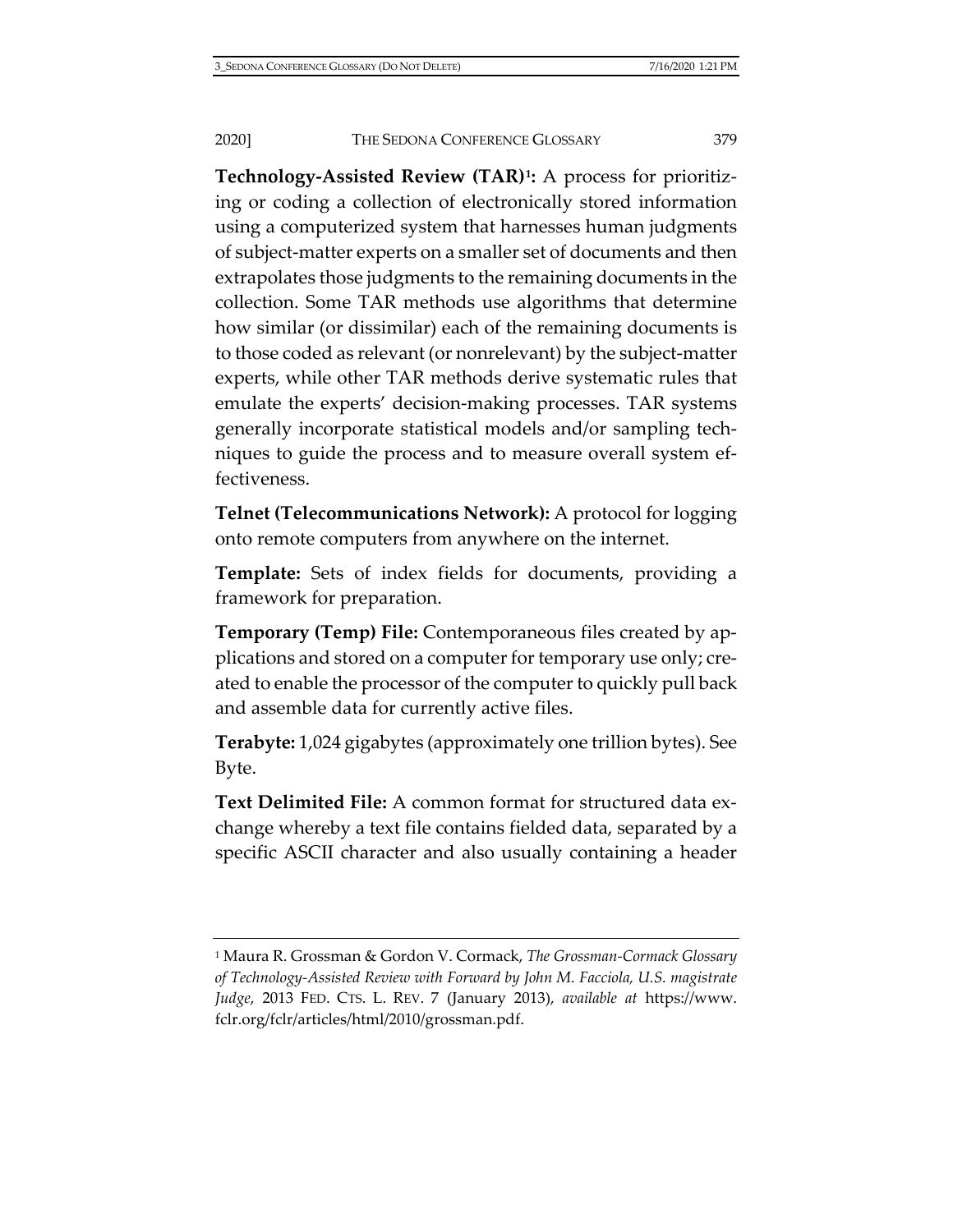**Technology-Assisted Review (TAR)[1](#page-117-0):** A process for prioritizing or coding a collection of electronically stored information using a computerized system that harnesses human judgments of subject-matter experts on a smaller set of documents and then extrapolates those judgments to the remaining documents in the collection. Some TAR methods use algorithms that determine how similar (or dissimilar) each of the remaining documents is to those coded as relevant (or nonrelevant) by the subject-matter experts, while other TAR methods derive systematic rules that emulate the experts' decision-making processes. TAR systems generally incorporate statistical models and/or sampling techniques to guide the process and to measure overall system effectiveness.

**Telnet (Telecommunications Network):** A protocol for logging onto remote computers from anywhere on the internet.

**Template:** Sets of index fields for documents, providing a framework for preparation.

**Temporary (Temp) File:** Contemporaneous files created by applications and stored on a computer for temporary use only; created to enable the processor of the computer to quickly pull back and assemble data for currently active files.

**Terabyte:** 1,024 gigabytes (approximately one trillion bytes). See Byte.

**Text Delimited File:** A common format for structured data exchange whereby a text file contains fielded data, separated by a specific ASCII character and also usually containing a header

<span id="page-117-0"></span><sup>1</sup> Maura R. Grossman & Gordon V. Cormack, *The Grossman-Cormack Glossary of Technology-Assisted Review with Forward by John M. Facciola, U.S. magistrate Judge*, 2013 FED. CTS. L. REV. 7 (January 2013), *available at* [https://www.](https://www.fclr.org/fclr/articles/html/2010/grossman.pdf) [fclr.org/fclr/articles/html/2010/grossman.pdf.](https://www.fclr.org/fclr/articles/html/2010/grossman.pdf)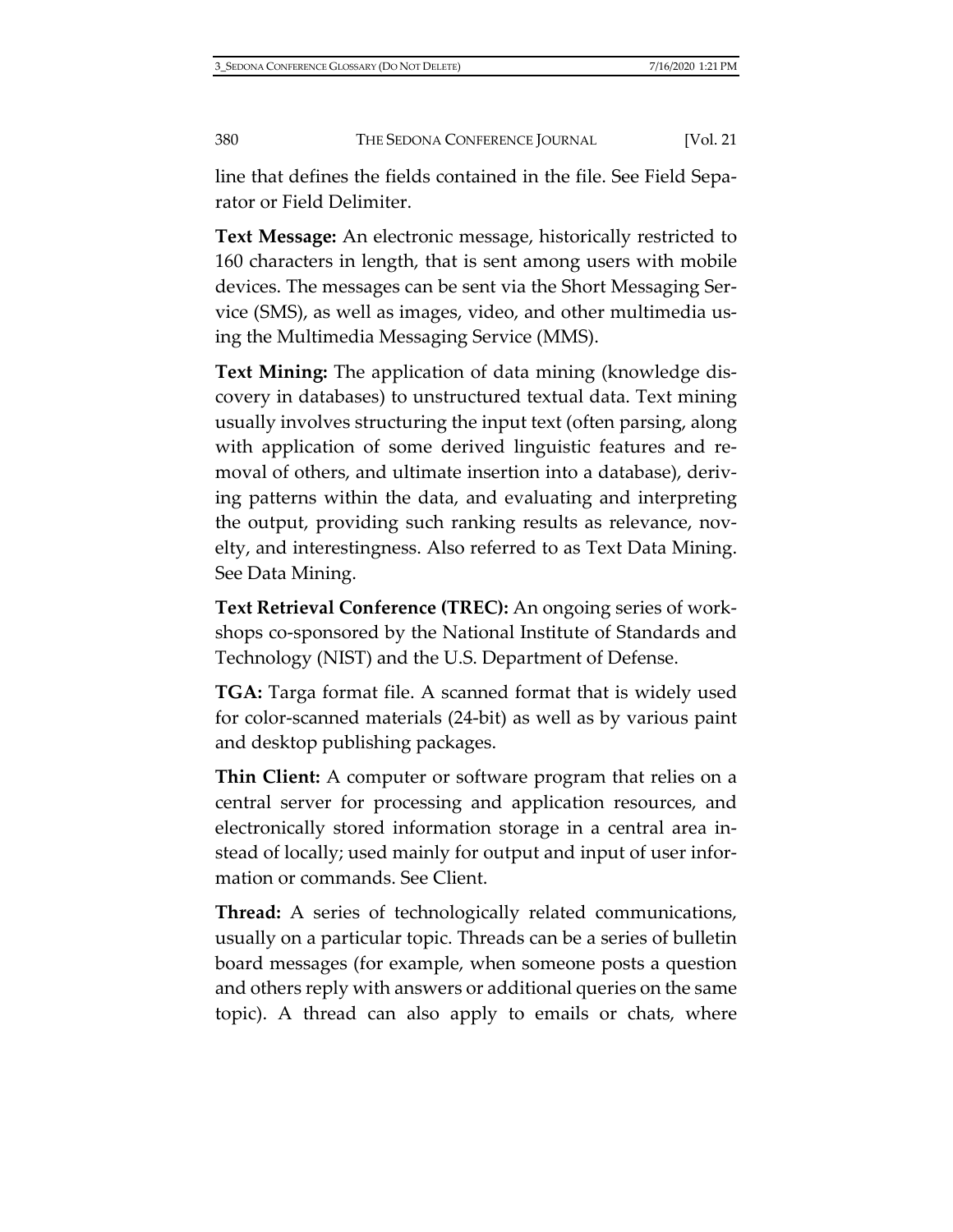line that defines the fields contained in the file. See Field Separator or Field Delimiter.

**Text Message:** An electronic message, historically restricted to 160 characters in length, that is sent among users with mobile devices. The messages can be sent via the Short Messaging Service (SMS), as well as images, video, and other multimedia using the Multimedia Messaging Service (MMS).

**Text Mining:** The application of data mining (knowledge discovery in databases) to unstructured textual data. Text mining usually involves structuring the input text (often parsing, along with application of some derived linguistic features and removal of others, and ultimate insertion into a database), deriving patterns within the data, and evaluating and interpreting the output, providing such ranking results as relevance, novelty, and interestingness. Also referred to as Text Data Mining. See Data Mining.

**Text Retrieval Conference (TREC):** An ongoing series of workshops co-sponsored by the National Institute of Standards and Technology (NIST) and the U.S. Department of Defense.

**TGA:** Targa format file. A scanned format that is widely used for color-scanned materials (24-bit) as well as by various paint and desktop publishing packages.

**Thin Client:** A computer or software program that relies on a central server for processing and application resources, and electronically stored information storage in a central area instead of locally; used mainly for output and input of user information or commands. See Client.

**Thread:** A series of technologically related communications, usually on a particular topic. Threads can be a series of bulletin board messages (for example, when someone posts a question and others reply with answers or additional queries on the same topic). A thread can also apply to emails or chats, where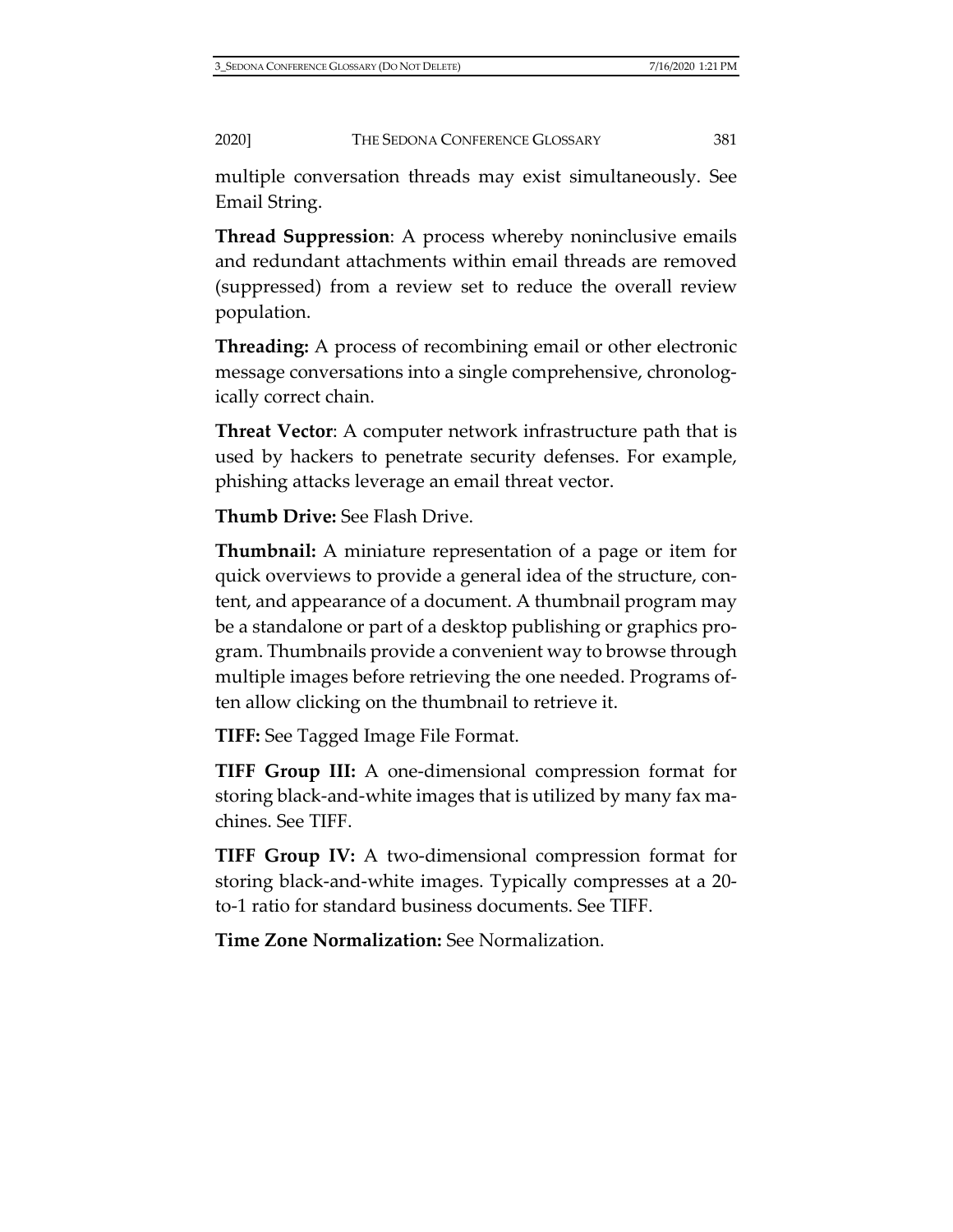multiple conversation threads may exist simultaneously. See Email String.

**Thread Suppression**: A process whereby noninclusive emails and redundant attachments within email threads are removed (suppressed) from a review set to reduce the overall review population.

**Threading:** A process of recombining email or other electronic message conversations into a single comprehensive, chronologically correct chain.

**Threat Vector**: A computer network infrastructure path that is used by hackers to penetrate security defenses. For example, phishing attacks leverage an email threat vector.

**Thumb Drive:** See Flash Drive.

**Thumbnail:** A miniature representation of a page or item for quick overviews to provide a general idea of the structure, content, and appearance of a document. A thumbnail program may be a standalone or part of a desktop publishing or graphics program. Thumbnails provide a convenient way to browse through multiple images before retrieving the one needed. Programs often allow clicking on the thumbnail to retrieve it.

**TIFF:** See Tagged Image File Format.

**TIFF Group III:** A one-dimensional compression format for storing black-and-white images that is utilized by many fax machines. See TIFF.

**TIFF Group IV:** A two-dimensional compression format for storing black-and-white images. Typically compresses at a 20 to-1 ratio for standard business documents. See TIFF.

**Time Zone Normalization:** See Normalization.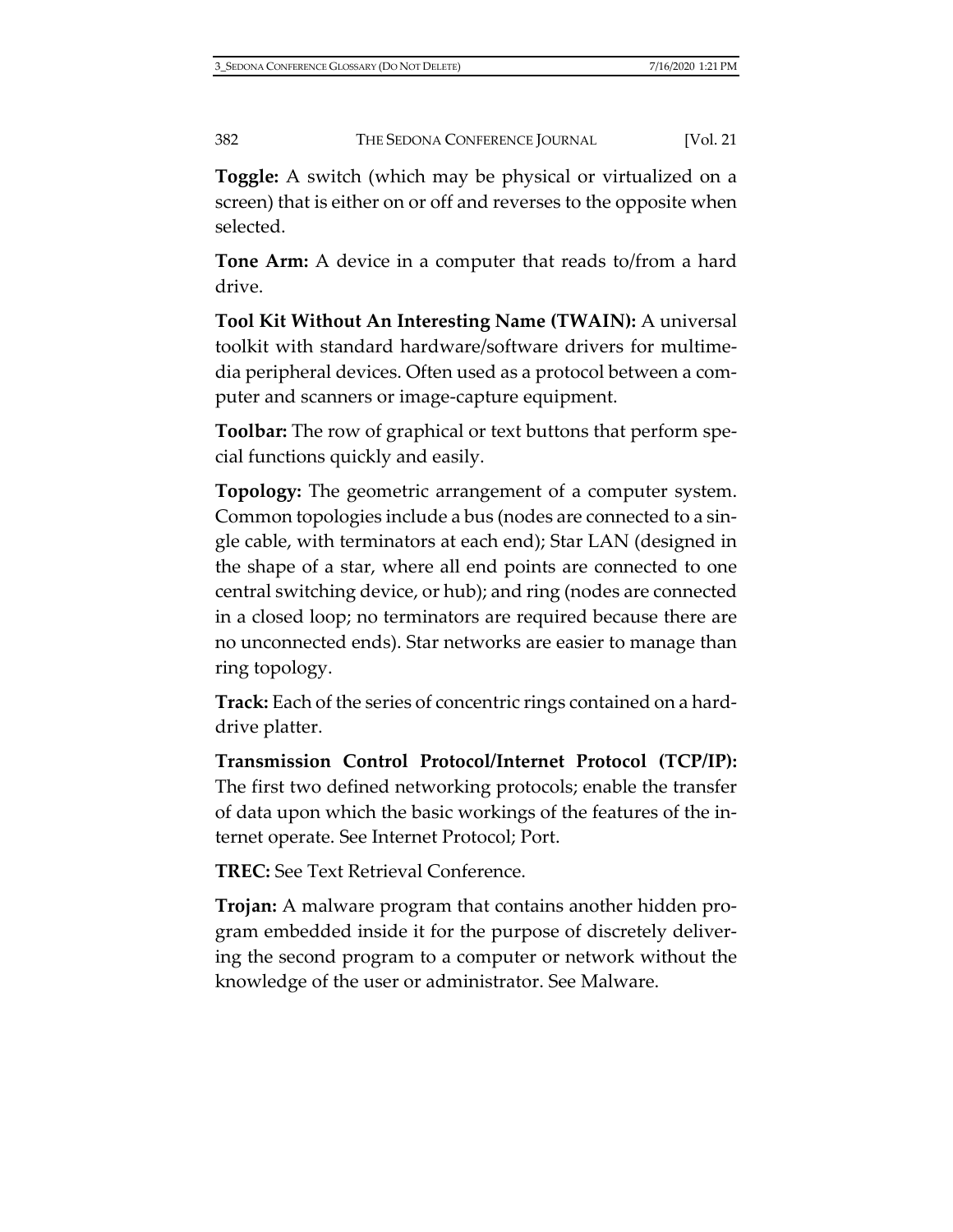**Toggle:** A switch (which may be physical or virtualized on a screen) that is either on or off and reverses to the opposite when selected.

**Tone Arm:** A device in a computer that reads to/from a hard drive.

**Tool Kit Without An Interesting Name (TWAIN):** A universal toolkit with standard hardware/software drivers for multimedia peripheral devices. Often used as a protocol between a computer and scanners or image-capture equipment.

**Toolbar:** The row of graphical or text buttons that perform special functions quickly and easily.

**Topology:** The geometric arrangement of a computer system. Common topologies include a bus (nodes are connected to a single cable, with terminators at each end); Star LAN (designed in the shape of a star, where all end points are connected to one central switching device, or hub); and ring (nodes are connected in a closed loop; no terminators are required because there are no unconnected ends). Star networks are easier to manage than ring topology.

**Track:** Each of the series of concentric rings contained on a harddrive platter.

**Transmission Control Protocol/Internet Protocol (TCP/IP):** The first two defined networking protocols; enable the transfer of data upon which the basic workings of the features of the internet operate. See Internet Protocol; Port.

**TREC:** See Text Retrieval Conference.

**Trojan:** A malware program that contains another hidden program embedded inside it for the purpose of discretely delivering the second program to a computer or network without the knowledge of the user or administrator. See Malware.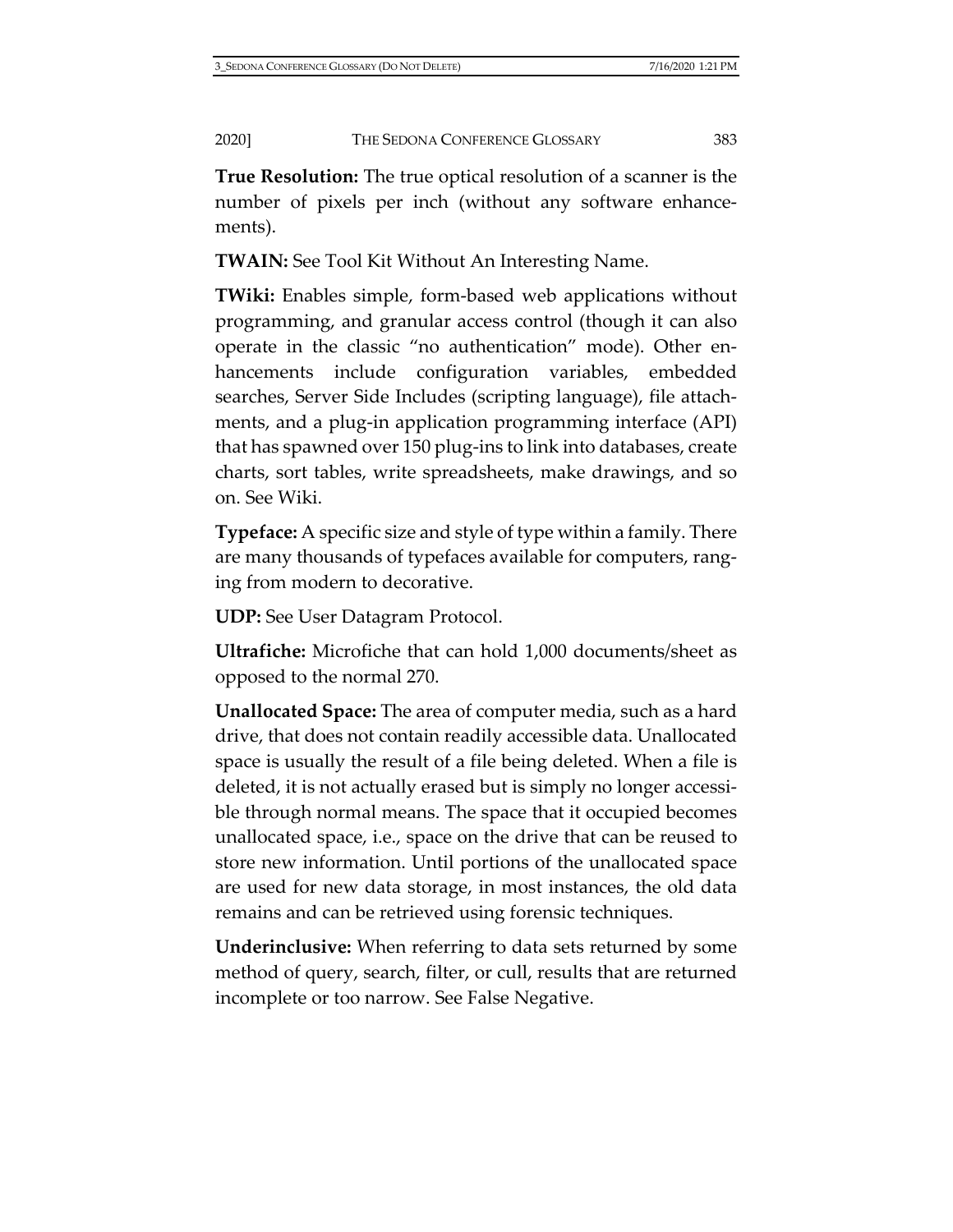**True Resolution:** The true optical resolution of a scanner is the number of pixels per inch (without any software enhancements).

**TWAIN:** See Tool Kit Without An Interesting Name.

**TWiki:** Enables simple, form-based web applications without programming, and granular access control (though it can also operate in the classic "no authentication" mode). Other enhancements include configuration variables, embedded searches, Server Side Includes (scripting language), file attachments, and a plug-in application programming interface (API) that has spawned over 150 plug-ins to link into databases, create charts, sort tables, write spreadsheets, make drawings, and so on. See Wiki.

**Typeface:** A specific size and style of type within a family. There are many thousands of typefaces available for computers, ranging from modern to decorative.

**UDP:** See User Datagram Protocol.

**Ultrafiche:** Microfiche that can hold 1,000 documents/sheet as opposed to the normal 270.

**Unallocated Space:** The area of computer media, such as a hard drive, that does not contain readily accessible data. Unallocated space is usually the result of a file being deleted. When a file is deleted, it is not actually erased but is simply no longer accessible through normal means. The space that it occupied becomes unallocated space, i.e., space on the drive that can be reused to store new information. Until portions of the unallocated space are used for new data storage, in most instances, the old data remains and can be retrieved using forensic techniques.

**Underinclusive:** When referring to data sets returned by some method of query, search, filter, or cull, results that are returned incomplete or too narrow. See False Negative.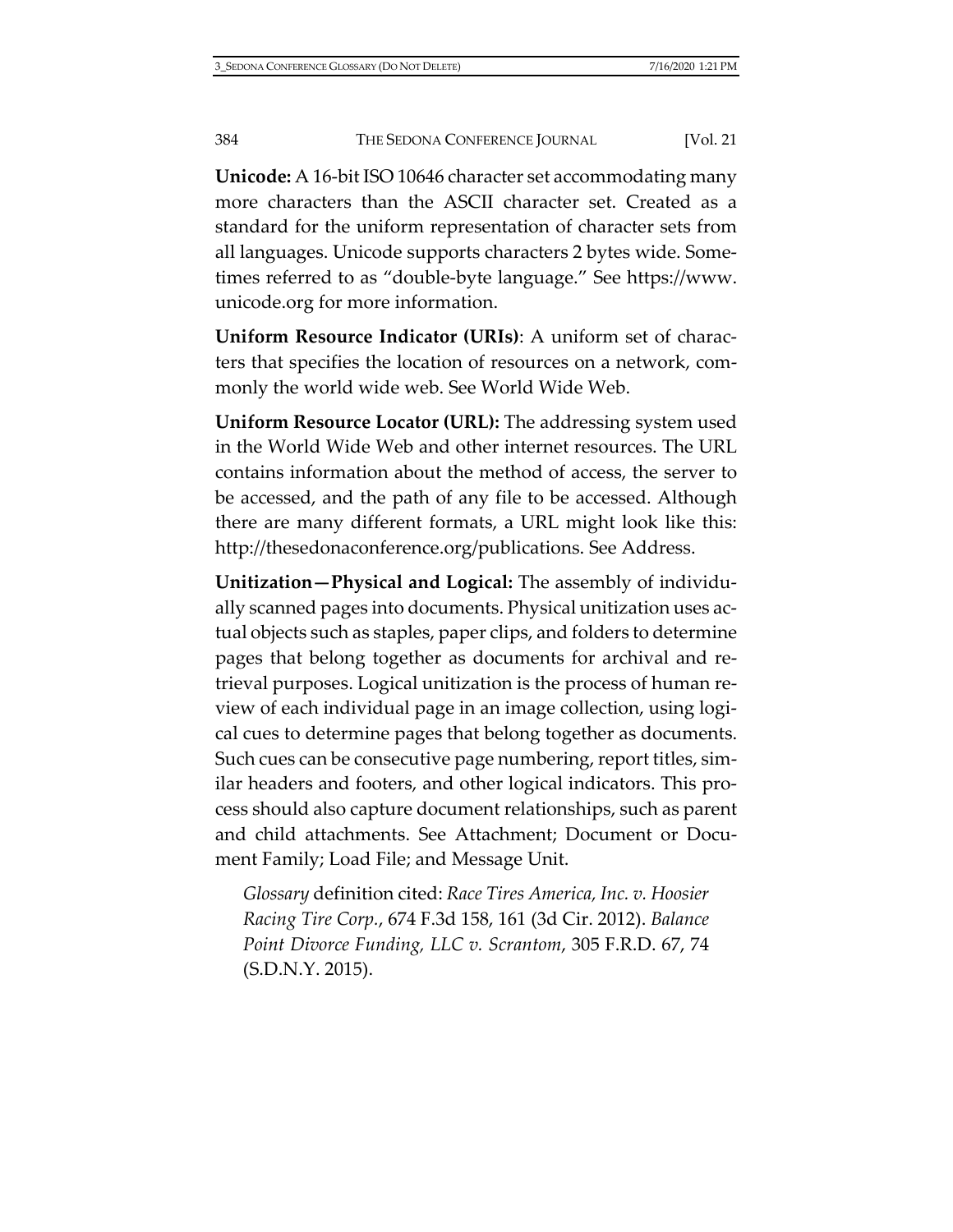**Unicode:** A 16-bit ISO 10646 character set accommodating many more characters than the ASCII character set. Created as a standard for the uniform representation of character sets from all languages. Unicode supports characters 2 bytes wide. Sometimes referred to as "double-byte language." See [https://www.](https://www.unicode.org/) [unicode.org](https://www.unicode.org/) for more information.

**Uniform Resource Indicator (URIs)**: A uniform set of characters that specifies the location of resources on a network, commonly the world wide web. See World Wide Web.

**Uniform Resource Locator (URL):** The addressing system used in the World Wide Web and other internet resources. The URL contains information about the method of access, the server to be accessed, and the path of any file to be accessed. Although there are many different formats, a URL might look like this: [http://thesedonaconference.org/publications.](http://thesedonaconference.org/publications) See Address.

**Unitization—Physical and Logical:** The assembly of individually scanned pages into documents. Physical unitization uses actual objects such as staples, paper clips, and folders to determine pages that belong together as documents for archival and retrieval purposes. Logical unitization is the process of human review of each individual page in an image collection, using logical cues to determine pages that belong together as documents. Such cues can be consecutive page numbering, report titles, similar headers and footers, and other logical indicators. This process should also capture document relationships, such as parent and child attachments. See Attachment; Document or Document Family; Load File; and Message Unit.

*Glossary* definition cited: *Race Tires America, Inc. v. Hoosier Racing Tire Corp.*, 674 F.3d 158, 161 (3d Cir. 2012). *Balance Point Divorce Funding, LLC v. Scrantom*, 305 F.R.D. 67, 74 (S.D.N.Y. 2015).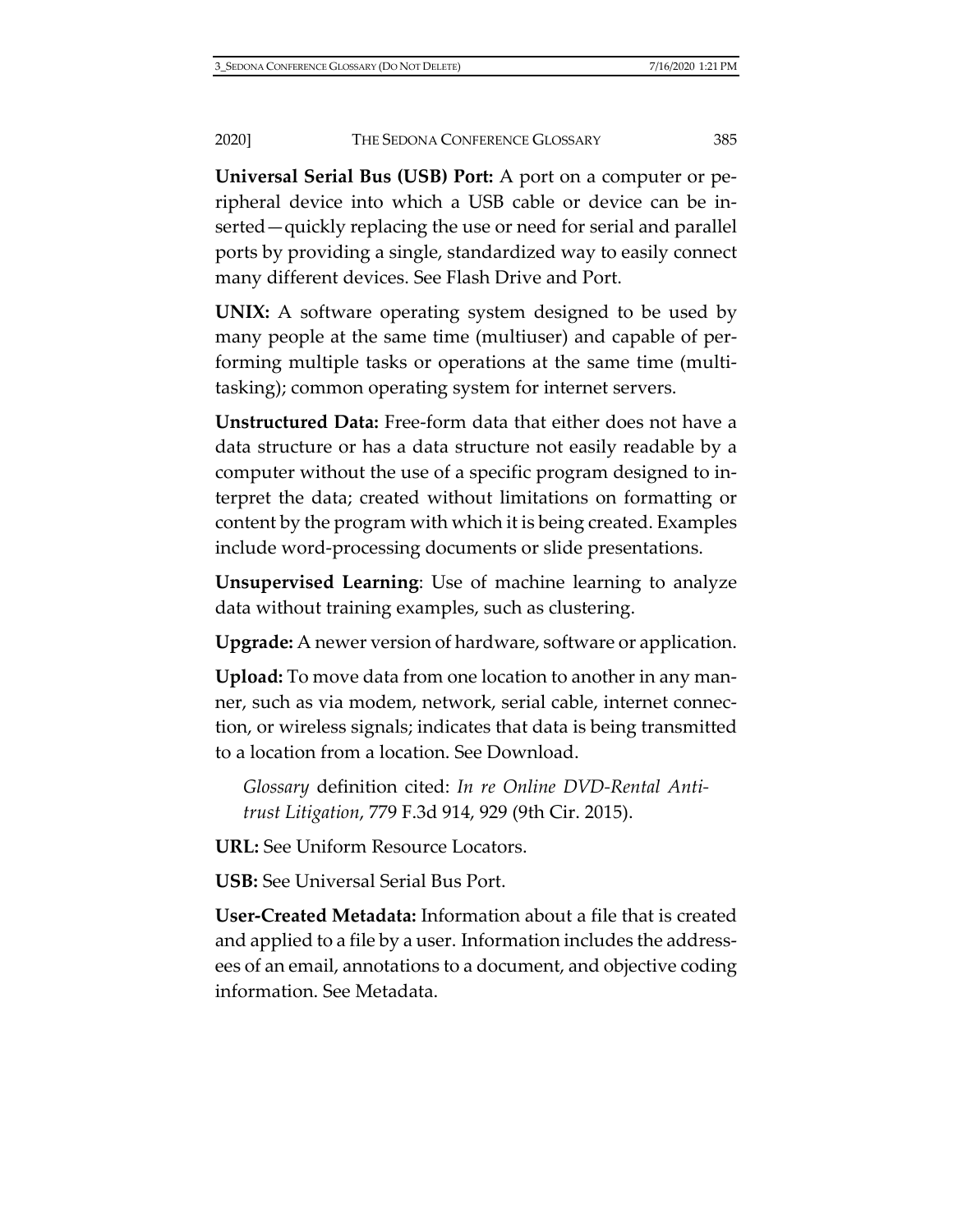**Universal Serial Bus (USB) Port:** A port on a computer or peripheral device into which a USB cable or device can be inserted—quickly replacing the use or need for serial and parallel ports by providing a single, standardized way to easily connect many different devices. See Flash Drive and Port.

**UNIX:** A software operating system designed to be used by many people at the same time (multiuser) and capable of performing multiple tasks or operations at the same time (multitasking); common operating system for internet servers.

**Unstructured Data:** Free-form data that either does not have a data structure or has a data structure not easily readable by a computer without the use of a specific program designed to interpret the data; created without limitations on formatting or content by the program with which it is being created. Examples include word-processing documents or slide presentations.

**Unsupervised Learning**: Use of machine learning to analyze data without training examples, such as clustering.

**Upgrade:** A newer version of hardware, software or application.

**Upload:** To move data from one location to another in any manner, such as via modem, network, serial cable, internet connection, or wireless signals; indicates that data is being transmitted to a location from a location. See Download.

*Glossary* definition cited: *In re Online DVD-Rental Antitrust Litigation*, 779 F.3d 914, 929 (9th Cir. 2015).

**URL:** See Uniform Resource Locators.

**USB:** See Universal Serial Bus Port.

**User-Created Metadata:** Information about a file that is created and applied to a file by a user. Information includes the addressees of an email, annotations to a document, and objective coding information. See Metadata.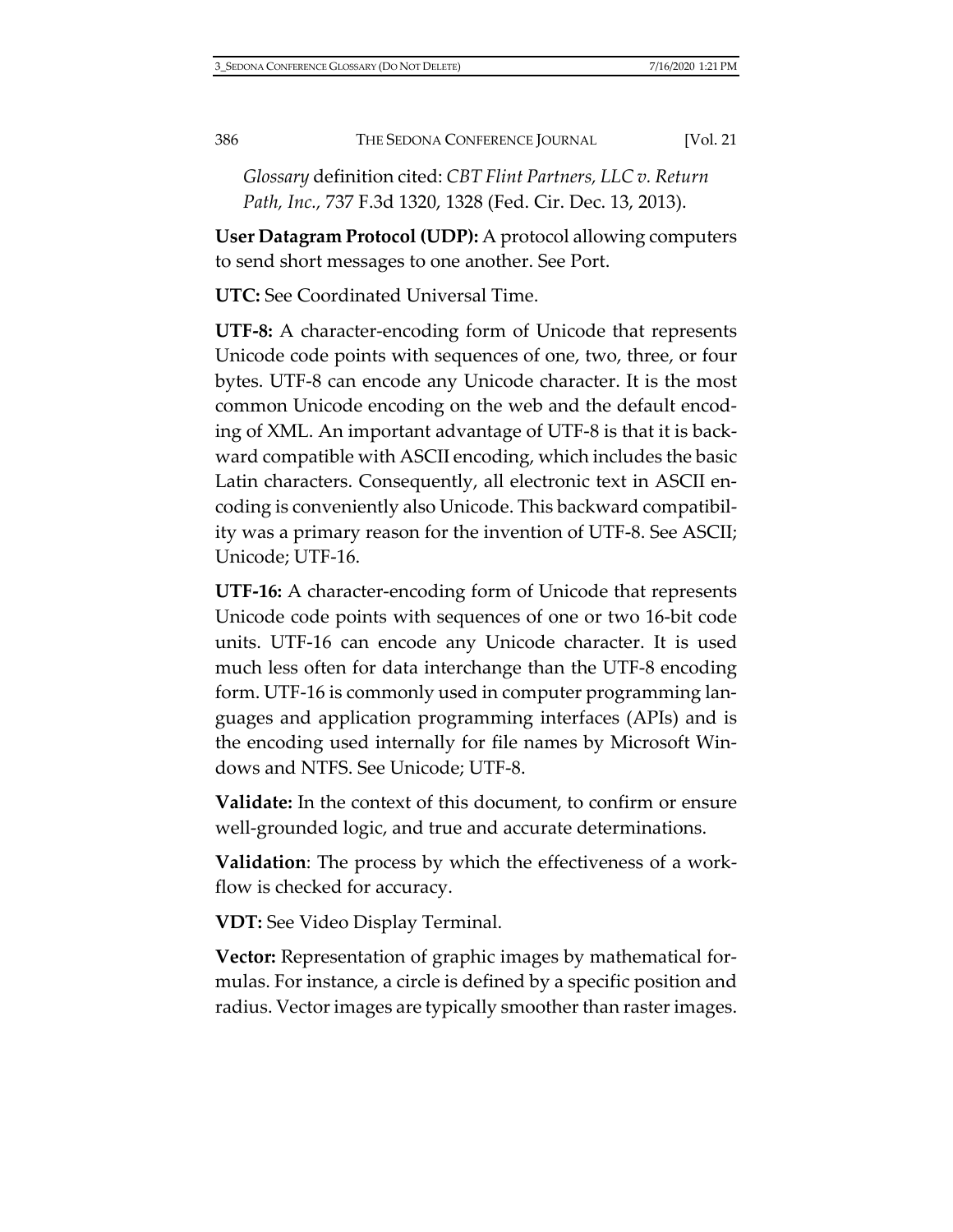*Glossary* definition cited: *CBT Flint Partners, LLC v. Return Path, Inc.,* 737 F.3d 1320, 1328 (Fed. Cir. Dec. 13, 2013).

**User Datagram Protocol (UDP):** A protocol allowing computers to send short messages to one another. See Port.

**UTC:** See Coordinated Universal Time.

**UTF-8:** A character-encoding form of Unicode that represents Unicode code points with sequences of one, two, three, or four bytes. UTF-8 can encode any Unicode character. It is the most common Unicode encoding on the web and the default encoding of XML. An important advantage of UTF-8 is that it is backward compatible with ASCII encoding, which includes the basic Latin characters. Consequently, all electronic text in ASCII encoding is conveniently also Unicode. This backward compatibility was a primary reason for the invention of UTF-8. See ASCII; Unicode; UTF-16.

**UTF-16:** A character-encoding form of Unicode that represents Unicode code points with sequences of one or two 16-bit code units. UTF-16 can encode any Unicode character. It is used much less often for data interchange than the UTF-8 encoding form. UTF-16 is commonly used in computer programming languages and application programming interfaces (APIs) and is the encoding used internally for file names by Microsoft Windows and NTFS. See Unicode; UTF-8.

**Validate:** In the context of this document, to confirm or ensure well-grounded logic, and true and accurate determinations.

**Validation**: The process by which the effectiveness of a workflow is checked for accuracy.

**VDT:** See Video Display Terminal.

**Vector:** Representation of graphic images by mathematical formulas. For instance, a circle is defined by a specific position and radius. Vector images are typically smoother than raster images.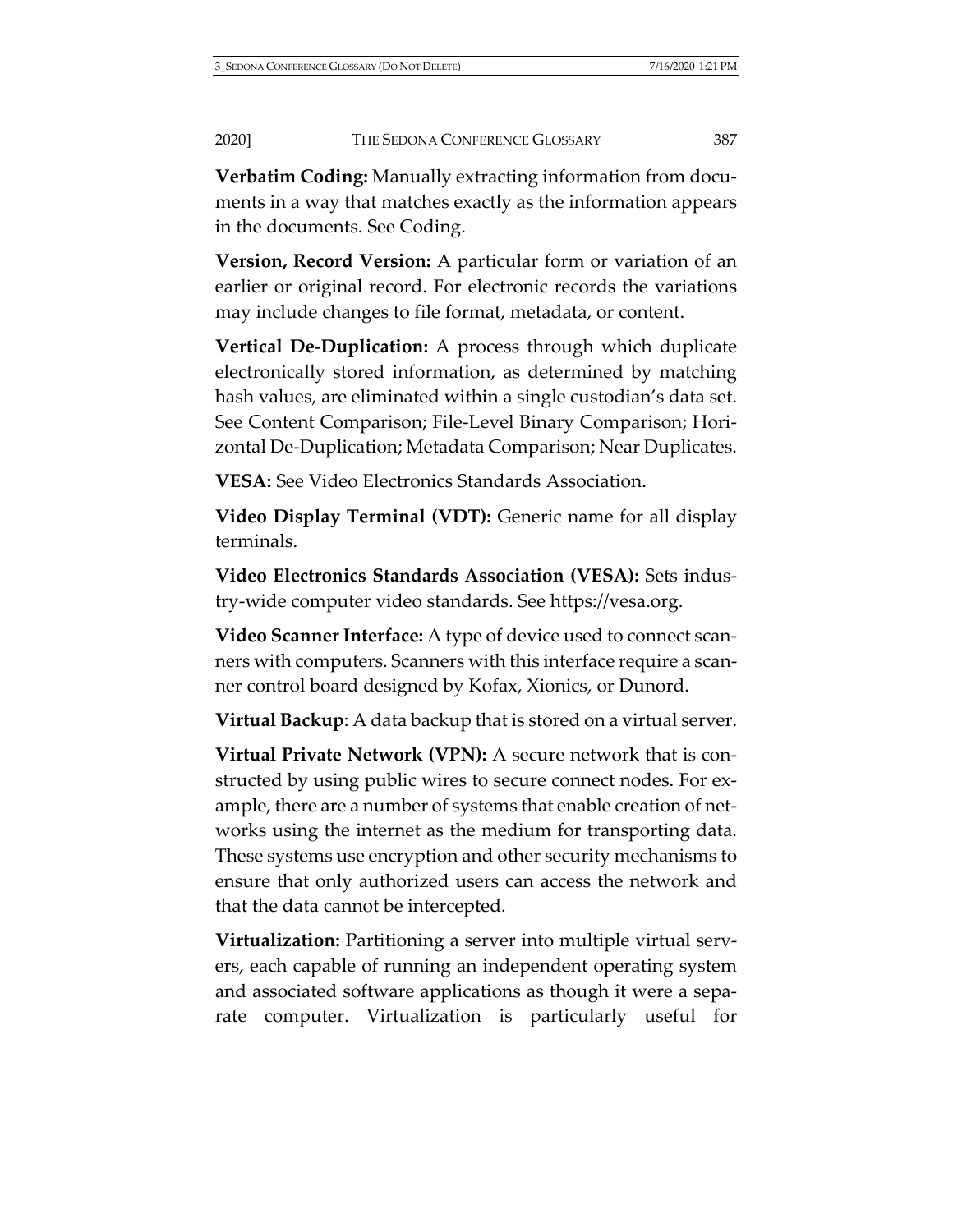**Verbatim Coding:** Manually extracting information from documents in a way that matches exactly as the information appears in the documents. See Coding.

**Version, Record Version:** A particular form or variation of an earlier or original record. For electronic records the variations may include changes to file format, metadata, or content.

**Vertical De-Duplication:** A process through which duplicate electronically stored information, as determined by matching hash values, are eliminated within a single custodian's data set. See Content Comparison; File-Level Binary Comparison; Horizontal De-Duplication; Metadata Comparison; Near Duplicates.

**VESA:** See Video Electronics Standards Association.

**Video Display Terminal (VDT):** Generic name for all display terminals.

**Video Electronics Standards Association (VESA):** Sets industry-wide computer video standards. [See https://vesa.org.](https://vesa.org/)

**Video Scanner Interface:** A type of device used to connect scanners with computers. Scanners with this interface require a scanner control board designed by Kofax, Xionics, or Dunord.

**Virtual Backup**: A data backup that is stored on a virtual server.

**Virtual Private Network (VPN):** A secure network that is constructed by using public wires to secure connect nodes. For example, there are a number of systems that enable creation of networks using the internet as the medium for transporting data. These systems use encryption and other security mechanisms to ensure that only authorized users can access the network and that the data cannot be intercepted.

**Virtualization:** Partitioning a server into multiple virtual servers, each capable of running an independent operating system and associated software applications as though it were a separate computer. Virtualization is particularly useful for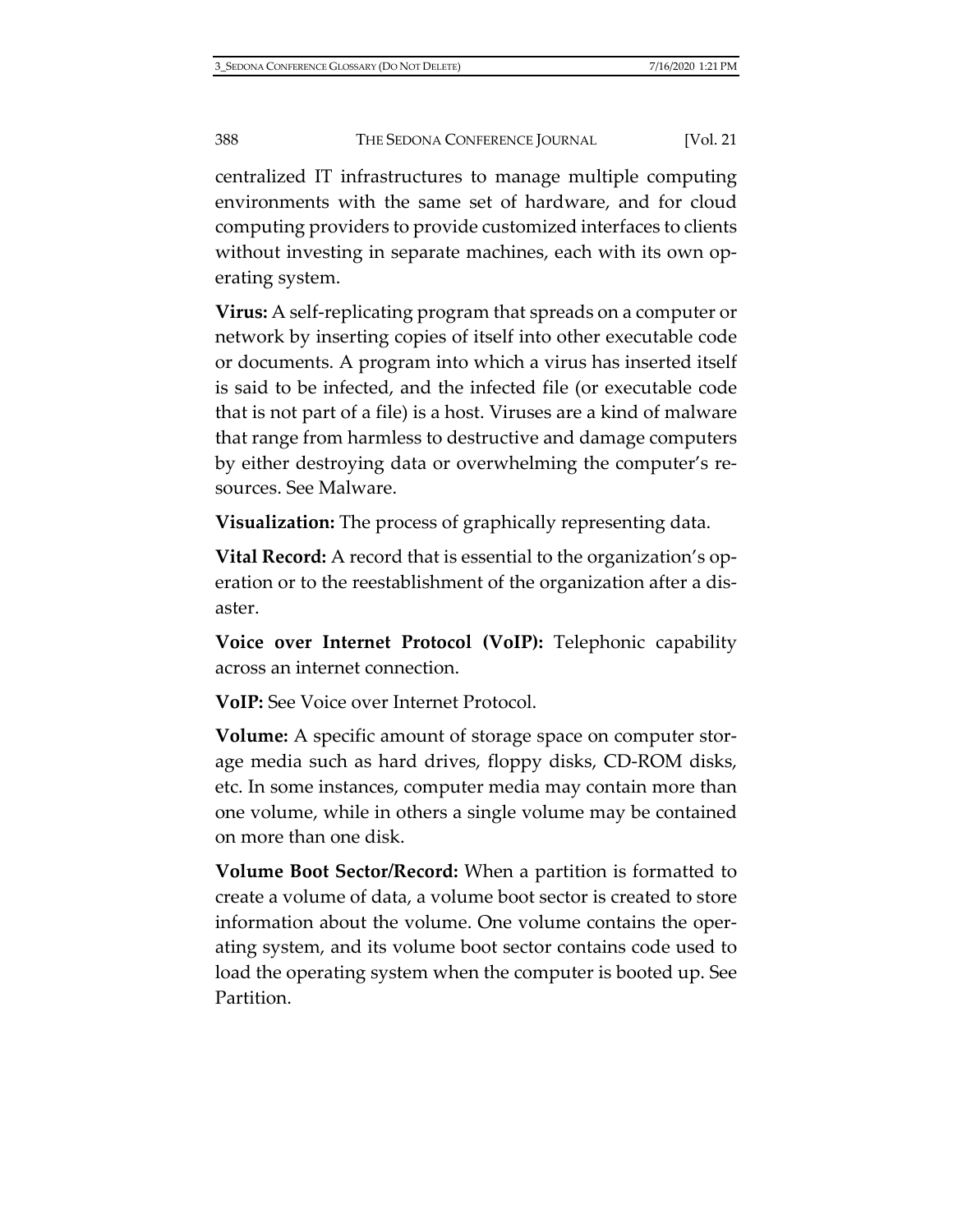centralized IT infrastructures to manage multiple computing environments with the same set of hardware, and for cloud computing providers to provide customized interfaces to clients without investing in separate machines, each with its own operating system.

**Virus:** A self-replicating program that spreads on a computer or network by inserting copies of itself into other executable code or documents. A program into which a virus has inserted itself is said to be infected, and the infected file (or executable code that is not part of a file) is a host. Viruses are a kind of malware that range from harmless to destructive and damage computers by either destroying data or overwhelming the computer's resources. See Malware.

**Visualization:** The process of graphically representing data.

**Vital Record:** A record that is essential to the organization's operation or to the reestablishment of the organization after a disaster.

**Voice over Internet Protocol (VoIP):** Telephonic capability across an internet connection.

**VoIP:** See Voice over Internet Protocol.

**Volume:** A specific amount of storage space on computer storage media such as hard drives, floppy disks, CD-ROM disks, etc. In some instances, computer media may contain more than one volume, while in others a single volume may be contained on more than one disk.

**Volume Boot Sector/Record:** When a partition is formatted to create a volume of data, a volume boot sector is created to store information about the volume. One volume contains the operating system, and its volume boot sector contains code used to load the operating system when the computer is booted up. See Partition.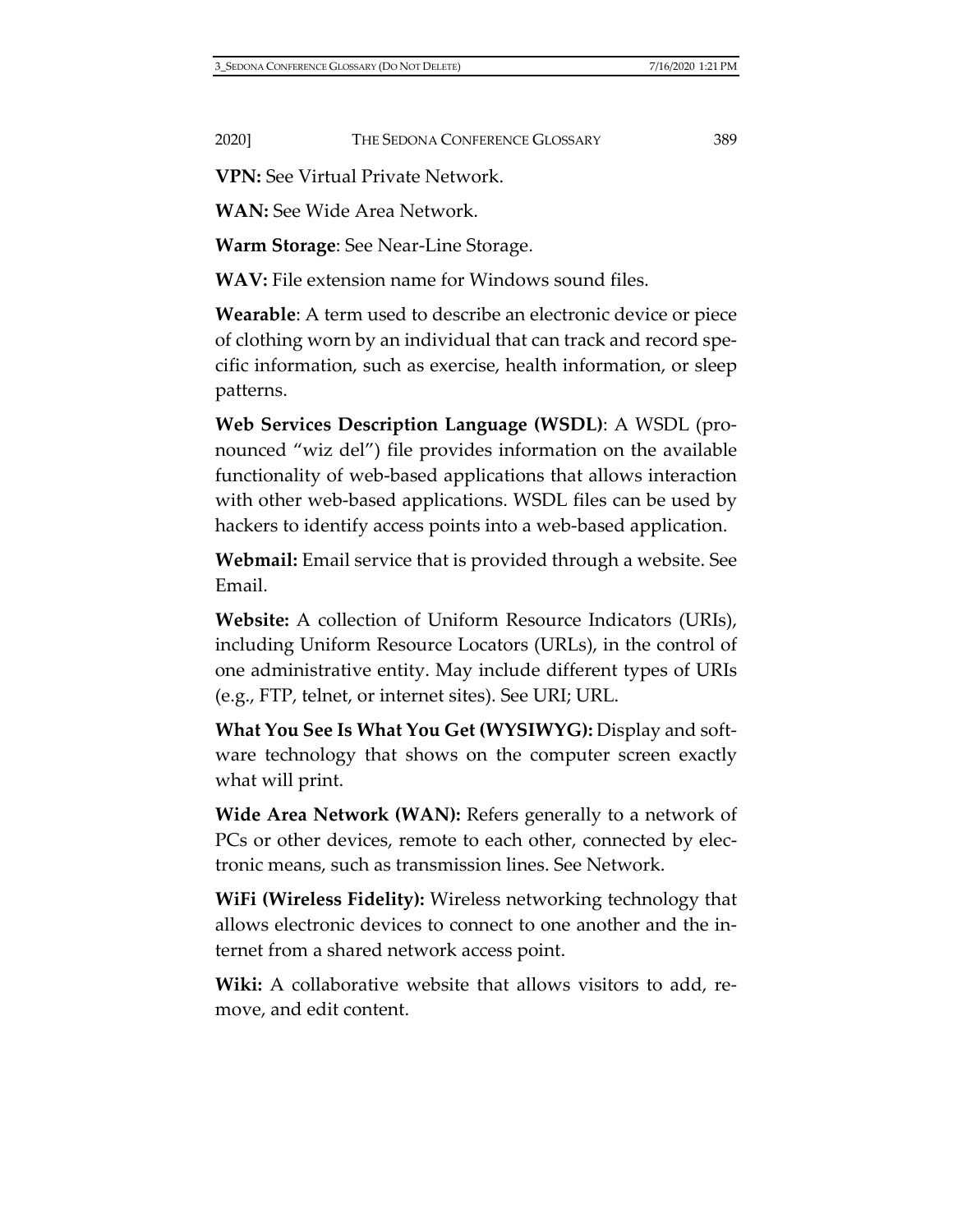**VPN:** See Virtual Private Network.

**WAN:** See Wide Area Network.

**Warm Storage**: See Near-Line Storage.

**WAV:** File extension name for Windows sound files.

**Wearable**: A term used to describe an electronic device or piece of clothing worn by an individual that can track and record specific information, such as exercise, health information, or sleep patterns.

**Web Services Description Language (WSDL)**: A WSDL (pronounced "wiz del") file provides information on the available functionality of web-based applications that allows interaction with other web-based applications. WSDL files can be used by hackers to identify access points into a web-based application.

**Webmail:** Email service that is provided through a website. See Email.

**Website:** A collection of Uniform Resource Indicators (URIs), including Uniform Resource Locators (URLs), in the control of one administrative entity. May include different types of URIs (e.g., FTP, telnet, or internet sites). See URI; URL.

**What You See Is What You Get (WYSIWYG):** Display and software technology that shows on the computer screen exactly what will print.

**Wide Area Network (WAN):** Refers generally to a network of PCs or other devices, remote to each other, connected by electronic means, such as transmission lines. See Network.

**WiFi (Wireless Fidelity):** Wireless networking technology that allows electronic devices to connect to one another and the internet from a shared network access point.

**Wiki:** A collaborative website that allows visitors to add, remove, and edit content.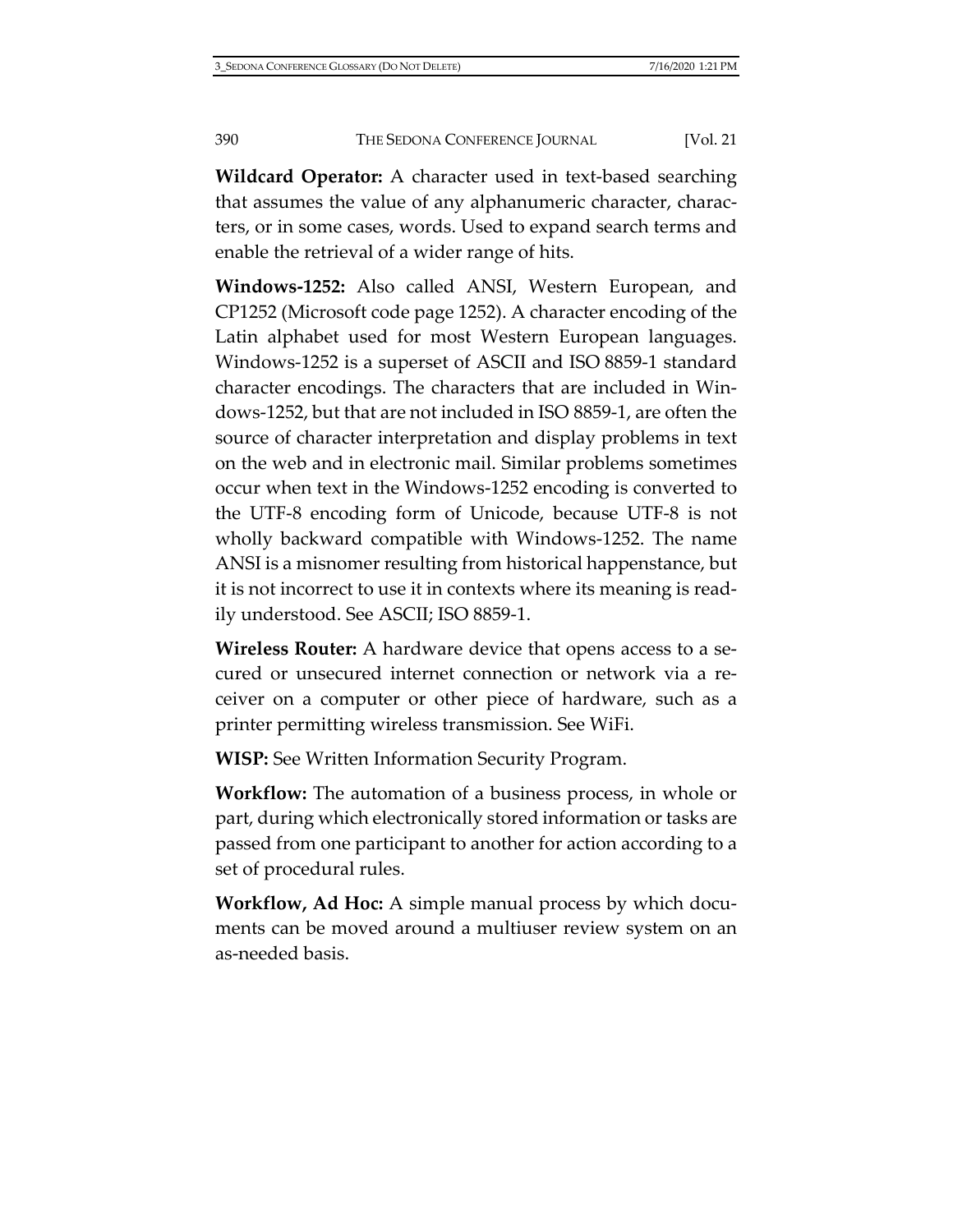**Wildcard Operator:** A character used in text-based searching that assumes the value of any alphanumeric character, characters, or in some cases, words. Used to expand search terms and enable the retrieval of a wider range of hits.

**Windows-1252:** Also called ANSI, Western European, and CP1252 (Microsoft code page 1252). A character encoding of the Latin alphabet used for most Western European languages. Windows-1252 is a superset of ASCII and ISO 8859-1 standard character encodings. The characters that are included in Windows-1252, but that are not included in ISO 8859-1, are often the source of character interpretation and display problems in text on the web and in electronic mail. Similar problems sometimes occur when text in the Windows-1252 encoding is converted to the UTF-8 encoding form of Unicode, because UTF-8 is not wholly backward compatible with Windows-1252. The name ANSI is a misnomer resulting from historical happenstance, but it is not incorrect to use it in contexts where its meaning is readily understood. See ASCII; ISO 8859-1.

**Wireless Router:** A hardware device that opens access to a secured or unsecured internet connection or network via a receiver on a computer or other piece of hardware, such as a printer permitting wireless transmission. See WiFi.

**WISP:** See Written Information Security Program.

**Workflow:** The automation of a business process, in whole or part, during which electronically stored information or tasks are passed from one participant to another for action according to a set of procedural rules.

**Workflow, Ad Hoc:** A simple manual process by which documents can be moved around a multiuser review system on an as-needed basis.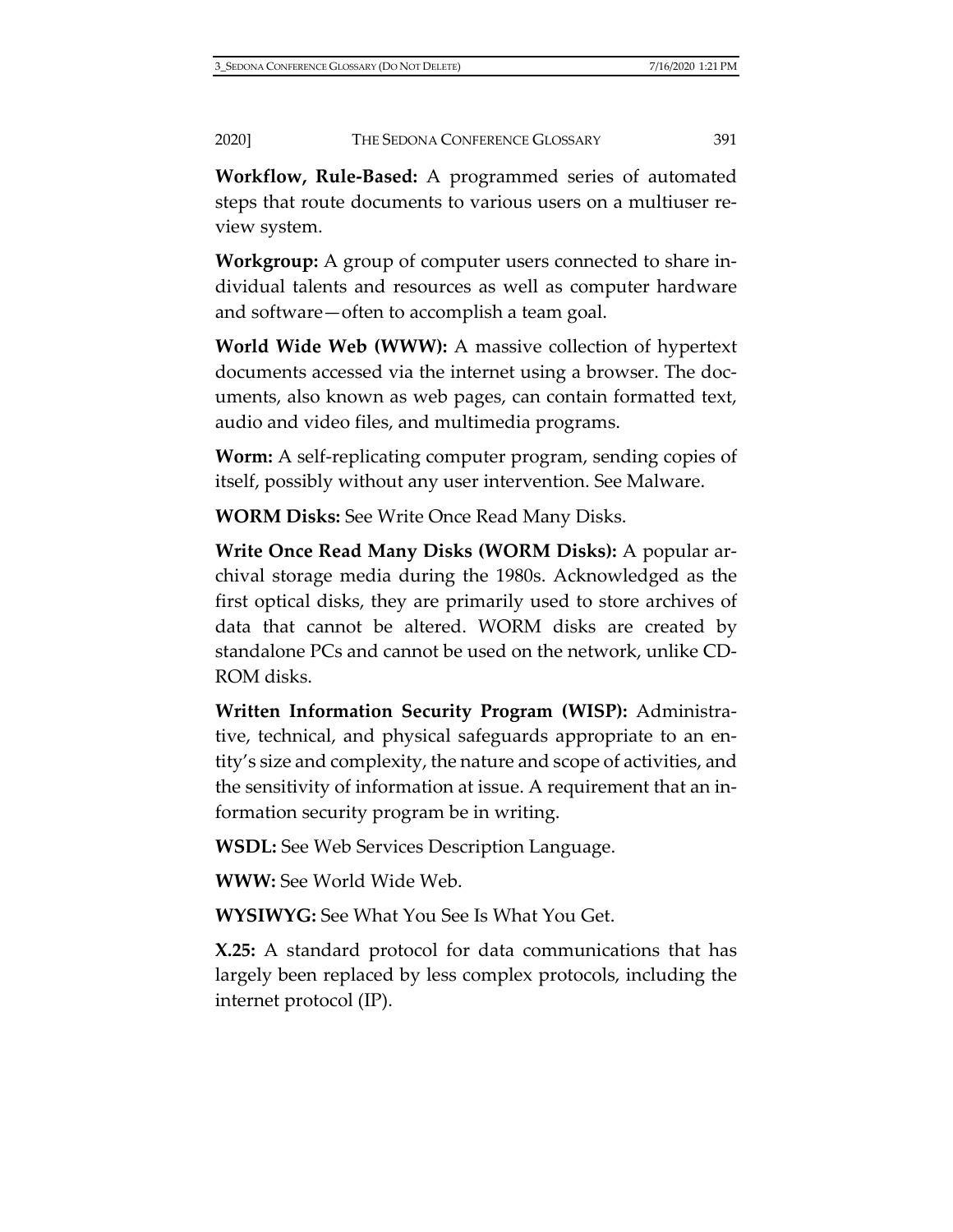**Workflow, Rule-Based:** A programmed series of automated steps that route documents to various users on a multiuser review system.

**Workgroup:** A group of computer users connected to share individual talents and resources as well as computer hardware and software—often to accomplish a team goal.

**World Wide Web (WWW):** A massive collection of hypertext documents accessed via the internet using a browser. The documents, also known as web pages, can contain formatted text, audio and video files, and multimedia programs.

**Worm:** A self-replicating computer program, sending copies of itself, possibly without any user intervention. See Malware.

**WORM Disks:** See Write Once Read Many Disks.

**Write Once Read Many Disks (WORM Disks):** A popular archival storage media during the 1980s. Acknowledged as the first optical disks, they are primarily used to store archives of data that cannot be altered. WORM disks are created by standalone PCs and cannot be used on the network, unlike CD-ROM disks.

**Written Information Security Program (WISP):** Administrative, technical, and physical safeguards appropriate to an entity's size and complexity, the nature and scope of activities, and the sensitivity of information at issue. A requirement that an information security program be in writing.

**WSDL:** See Web Services Description Language.

**WWW:** See World Wide Web.

**WYSIWYG:** See What You See Is What You Get.

**X.25:** A standard protocol for data communications that has largely been replaced by less complex protocols, including the internet protocol (IP).